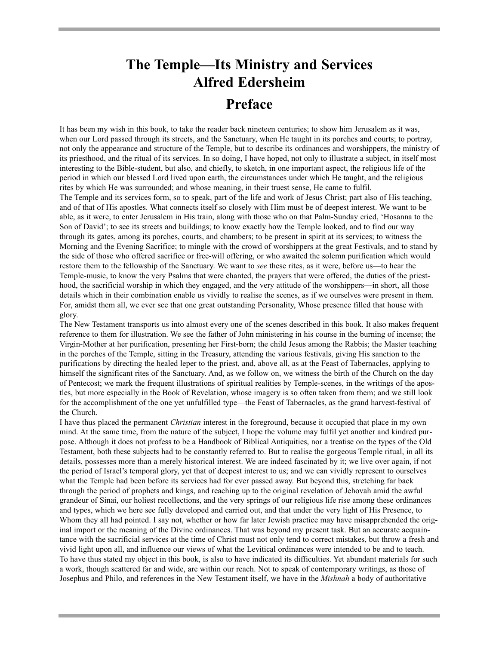# **The Temple—Its Ministry and Services Alfred Edersheim Preface**

It has been my wish in this book, to take the reader back nineteen centuries; to show him Jerusalem as it was, when our Lord passed through its streets, and the Sanctuary, when He taught in its porches and courts; to portray, not only the appearance and structure of the Temple, but to describe its ordinances and worshippers, the ministry of its priesthood, and the ritual of its services. In so doing, I have hoped, not only to illustrate a subject, in itself most interesting to the Bible-student, but also, and chiefly, to sketch, in one important aspect, the religious life of the period in which our blessed Lord lived upon earth, the circumstances under which He taught, and the religious rites by which He was surrounded; and whose meaning, in their truest sense, He came to fulfil. The Temple and its services form, so to speak, part of the life and work of Jesus Christ; part also of His teaching, and of that of His apostles. What connects itself so closely with Him must be of deepest interest. We want to be able, as it were, to enter Jerusalem in His train, along with those who on that Palm-Sunday cried, 'Hosanna to the Son of David'; to see its streets and buildings; to know exactly how the Temple looked, and to find our way through its gates, among its porches, courts, and chambers; to be present in spirit at its services; to witness the Morning and the Evening Sacrifice; to mingle with the crowd of worshippers at the great Festivals, and to stand by the side of those who offered sacrifice or free-will offering, or who awaited the solemn purification which would restore them to the fellowship of the Sanctuary. We want to *see* these rites, as it were, before us—to hear the Temple-music, to know the very Psalms that were chanted, the prayers that were offered, the duties of the priesthood, the sacrificial worship in which they engaged, and the very attitude of the worshippers—in short, all those details which in their combination enable us vividly to realise the scenes, as if we ourselves were present in them. For, amidst them all, we ever see that one great outstanding Personality, Whose presence filled that house with glory.

The New Testament transports us into almost every one of the scenes described in this book. It also makes frequent reference to them for illustration. We see the father of John ministering in his course in the burning of incense; the Virgin-Mother at her purification, presenting her First-born; the child Jesus among the Rabbis; the Master teaching in the porches of the Temple, sitting in the Treasury, attending the various festivals, giving His sanction to the purifications by directing the healed leper to the priest, and, above all, as at the Feast of Tabernacles, applying to himself the significant rites of the Sanctuary. And, as we follow on, we witness the birth of the Church on the day of Pentecost; we mark the frequent illustrations of spiritual realities by Temple-scenes, in the writings of the apostles, but more especially in the Book of Revelation, whose imagery is so often taken from them; and we still look for the accomplishment of the one yet unfulfilled type—the Feast of Tabernacles, as the grand harvest-festival of the Church.

I have thus placed the permanent *Christian* interest in the foreground, because it occupied that place in my own mind. At the same time, from the nature of the subject, I hope the volume may fulfil yet another and kindred purpose. Although it does not profess to be a Handbook of Biblical Antiquities, nor a treatise on the types of the Old Testament, both these subjects had to be constantly referred to. But to realise the gorgeous Temple ritual, in all its details, possesses more than a merely historical interest. We are indeed fascinated by it; we live over again, if not the period of Israel's temporal glory, yet that of deepest interest to us; and we can vividly represent to ourselves what the Temple had been before its services had for ever passed away. But beyond this, stretching far back through the period of prophets and kings, and reaching up to the original revelation of Jehovah amid the awful grandeur of Sinai, our holiest recollections, and the very springs of our religious life rise among these ordinances and types, which we here see fully developed and carried out, and that under the very light of His Presence, to Whom they all had pointed. I say not, whether or how far later Jewish practice may have misapprehended the original import or the meaning of the Divine ordinances. That was beyond my present task. But an accurate acquaintance with the sacrificial services at the time of Christ must not only tend to correct mistakes, but throw a fresh and vivid light upon all, and influence our views of what the Levitical ordinances were intended to be and to teach. To have thus stated my object in this book, is also to have indicated its difficulties. Yet abundant materials for such a work, though scattered far and wide, are within our reach. Not to speak of contemporary writings, as those of Josephus and Philo, and references in the New Testament itself, we have in the *Mishnah* a body of authoritative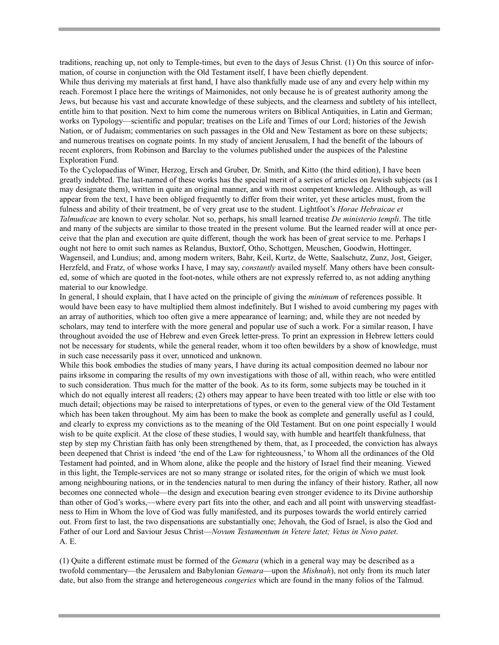traditions, reaching up, not only to Temple-times, but even to the days of Jesus Christ. (1) On this source of information, of course in conjunction with the Old Testament itself, I have been chiefly dependent.

While thus deriving my materials at first hand, I have also thankfully made use of any and every help within my reach. Foremost I place here the writings of Maimonides, not only because he is of greatest authority among the Jews, but because his vast and accurate knowledge of these subjects, and the clearness and subtlety of his intellect, entitle him to that position. Next to him come the numerous writers on Biblical Antiquities, in Latin and German; works on Typology—scientific and popular; treatises on the Life and Times of our Lord; histories of the Jewish Nation, or of Judaism; commentaries on such passages in the Old and New Testament as bore on these subjects; and numerous treatises on cognate points. In my study of ancient Jerusalem, I had the benefit of the labours of recent explorers, from Robinson and Barclay to the volumes published under the auspices of the Palestine Exploration Fund.

To the Cyclopaedias of Winer, Herzog, Ersch and Gruber, Dr. Smith, and Kitto (the third edition), I have been greatly indebted. The last-named of these works has the special merit of a series of articles on Jewish subjects (as I may designate them), written in quite an original manner, and with most competent knowledge. Although, as will appear from the text, I have been obliged frequently to differ from their writer, yet these articles must, from the fulness and ability of their treatment, be of very great use to the student. Lightfoot's *Horae Hebraicae et Talmudicae* are known to every scholar. Not so, perhaps, his small learned treatise *De ministerio templi*. The title and many of the subjects are similar to those treated in the present volume. But the learned reader will at once perceive that the plan and execution are quite different, though the work has been of great service to me. Perhaps I ought not here to omit such names as Relandus, Buxtorf, Otho, Schottgen, Meuschen, Goodwin, Hottinger, Wagenseil, and Lundius; and, among modern writers, Bahr, Keil, Kurtz, de Wette, Saalschutz, Zunz, Jost, Geiger, Herzfeld, and Fratz, of whose works I have, I may say, *constantly* availed myself. Many others have been consulted, some of which are quoted in the foot-notes, while others are not expressly referred to, as not adding anything material to our knowledge.

In general, I should explain, that I have acted on the principle of giving the *minimum* of references possible. It would have been easy to have multiplied them almost indefinitely. But I wished to avoid cumbering my pages with an array of authorities, which too often give a mere appearance of learning; and, while they are not needed by scholars, may tend to interfere with the more general and popular use of such a work. For a similar reason, I have throughout avoided the use of Hebrew and even Greek letter-press. To print an expression in Hebrew letters could not be necessary for students, while the general reader, whom it too often bewilders by a show of knowledge, must in such case necessarily pass it over, unnoticed and unknown.

While this book embodies the studies of many years, I have during its actual composition deemed no labour nor pains irksome in comparing the results of my own investigations with those of all, within reach, who were entitled to such consideration. Thus much for the matter of the book. As to its form, some subjects may be touched in it which do not equally interest all readers; (2) others may appear to have been treated with too little or else with too much detail; objections may be raised to interpretations of types, or even to the general view of the Old Testament which has been taken throughout. My aim has been to make the book as complete and generally useful as I could, and clearly to express my convictions as to the meaning of the Old Testament. But on one point especially I would wish to be quite explicit. At the close of these studies, I would say, with humble and heartfelt thankfulness, that step by step my Christian faith has only been strengthened by them, that, as I proceeded, the conviction has always been deepened that Christ is indeed 'the end of the Law for righteousness,' to Whom all the ordinances of the Old Testament had pointed, and in Whom alone, alike the people and the history of Israel find their meaning. Viewed in this light, the Temple-services are not so many strange or isolated rites, for the origin of which we must look among neighbouring nations, or in the tendencies natural to men during the infancy of their history. Rather, all now becomes one connected whole—the design and execution bearing even stronger evidence to its Divine authorship than other of God's works,—where every part fits into the other, and each and all point with unswerving steadfastness to Him in Whom the love of God was fully manifested, and its purposes towards the world entirely carried out. From first to last, the two dispensations are substantially one; Jehovah, the God of Israel, is also the God and Father of our Lord and Saviour Jesus Christ—*Novum Testamentum in Vetere latet; Vetus in Novo patet*. A. E.

(1) Quite a different estimate must be formed of the *Gemara* (which in a general way may be described as a twofold commentary—the Jerusalem and Babylonian *Gemara*—upon the *Mishnah*), not only from its much later date, but also from the strange and heterogeneous *congeries* which are found in the many folios of the Talmud.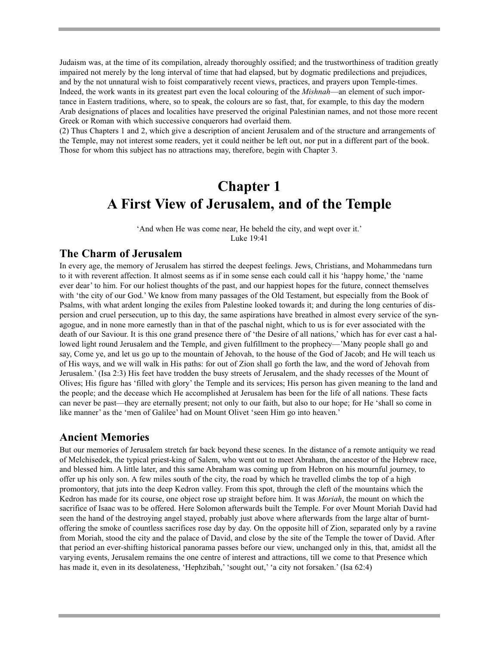Judaism was, at the time of its compilation, already thoroughly ossified; and the trustworthiness of tradition greatly impaired not merely by the long interval of time that had elapsed, but by dogmatic predilections and prejudices, and by the not unnatural wish to foist comparatively recent views, practices, and prayers upon Temple-times. Indeed, the work wants in its greatest part even the local colouring of the *Mishnah*—an element of such importance in Eastern traditions, where, so to speak, the colours are so fast, that, for example, to this day the modern Arab designations of places and localities have preserved the original Palestinian names, and not those more recent Greek or Roman with which successive conquerors had overlaid them.

(2) Thus Chapters 1 and 2, which give a description of ancient Jerusalem and of the structure and arrangements of the Temple, may not interest some readers, yet it could neither be left out, nor put in a different part of the book. Those for whom this subject has no attractions may, therefore, begin with Chapter 3.

# **Chapter 1 A First View of Jerusalem, and of the Temple**

'And when He was come near, He beheld the city, and wept over it.' Luke 19:41

#### **The Charm of Jerusalem**

In every age, the memory of Jerusalem has stirred the deepest feelings. Jews, Christians, and Mohammedans turn to it with reverent affection. It almost seems as if in some sense each could call it his 'happy home,' the 'name ever dear' to him. For our holiest thoughts of the past, and our happiest hopes for the future, connect themselves with 'the city of our God.' We know from many passages of the Old Testament, but especially from the Book of Psalms, with what ardent longing the exiles from Palestine looked towards it; and during the long centuries of dispersion and cruel persecution, up to this day, the same aspirations have breathed in almost every service of the synagogue, and in none more earnestly than in that of the paschal night, which to us is for ever associated with the death of our Saviour. It is this one grand presence there of 'the Desire of all nations,' which has for ever cast a hallowed light round Jerusalem and the Temple, and given fulfillment to the prophecy—'Many people shall go and say, Come ye, and let us go up to the mountain of Jehovah, to the house of the God of Jacob; and He will teach us of His ways, and we will walk in His paths: for out of Zion shall go forth the law, and the word of Jehovah from Jerusalem.' (Isa 2:3) His feet have trodden the busy streets of Jerusalem, and the shady recesses of the Mount of Olives; His figure has 'filled with glory' the Temple and its services; His person has given meaning to the land and the people; and the decease which He accomplished at Jerusalem has been for the life of all nations. These facts can never be past—they are eternally present; not only to our faith, but also to our hope; for He 'shall so come in like manner' as the 'men of Galilee' had on Mount Olivet 'seen Him go into heaven.'

#### **Ancient Memories**

But our memories of Jerusalem stretch far back beyond these scenes. In the distance of a remote antiquity we read of Melchisedek, the typical priest-king of Salem, who went out to meet Abraham, the ancestor of the Hebrew race, and blessed him. A little later, and this same Abraham was coming up from Hebron on his mournful journey, to offer up his only son. A few miles south of the city, the road by which he travelled climbs the top of a high promontory, that juts into the deep Kedron valley. From this spot, through the cleft of the mountains which the Kedron has made for its course, one object rose up straight before him. It was *Moriah*, the mount on which the sacrifice of Isaac was to be offered. Here Solomon afterwards built the Temple. For over Mount Moriah David had seen the hand of the destroying angel stayed, probably just above where afterwards from the large altar of burntoffering the smoke of countless sacrifices rose day by day. On the opposite hill of Zion, separated only by a ravine from Moriah, stood the city and the palace of David, and close by the site of the Temple the tower of David. After that period an ever-shifting historical panorama passes before our view, unchanged only in this, that, amidst all the varying events, Jerusalem remains the one centre of interest and attractions, till we come to that Presence which has made it, even in its desolateness, 'Hephzibah,' 'sought out,' 'a city not forsaken.' (Isa 62:4)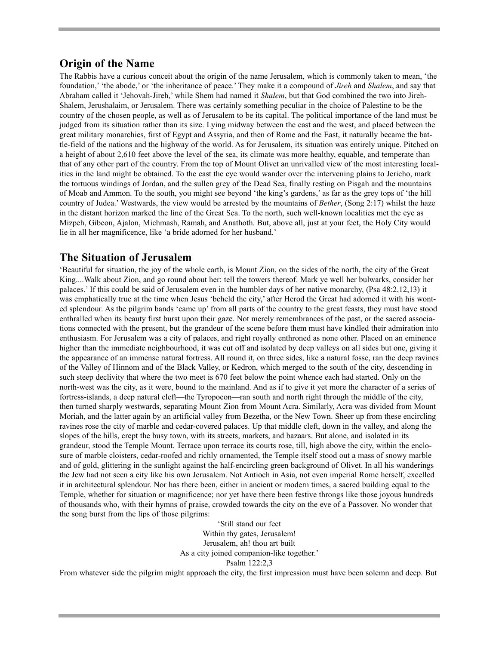#### **Origin of the Name**

The Rabbis have a curious conceit about the origin of the name Jerusalem, which is commonly taken to mean, 'the foundation,' 'the abode,' or 'the inheritance of peace.' They make it a compound of *Jireh* and *Shalem*, and say that Abraham called it 'Jehovah-Jireh,' while Shem had named it *Shalem*, but that God combined the two into Jireh-Shalem, Jerushalaim, or Jerusalem. There was certainly something peculiar in the choice of Palestine to be the country of the chosen people, as well as of Jerusalem to be its capital. The political importance of the land must be judged from its situation rather than its size. Lying midway between the east and the west, and placed between the great military monarchies, first of Egypt and Assyria, and then of Rome and the East, it naturally became the battle-field of the nations and the highway of the world. As for Jerusalem, its situation was entirely unique. Pitched on a height of about 2,610 feet above the level of the sea, its climate was more healthy, equable, and temperate than that of any other part of the country. From the top of Mount Olivet an unrivalled view of the most interesting localities in the land might be obtained. To the east the eye would wander over the intervening plains to Jericho, mark the tortuous windings of Jordan, and the sullen grey of the Dead Sea, finally resting on Pisgah and the mountains of Moab and Ammon. To the south, you might see beyond 'the king's gardens,' as far as the grey tops of 'the hill country of Judea.' Westwards, the view would be arrested by the mountains of *Bether*, (Song 2:17) whilst the haze in the distant horizon marked the line of the Great Sea. To the north, such well-known localities met the eye as Mizpeh, Gibeon, Ajalon, Michmash, Ramah, and Anathoth. But, above all, just at your feet, the Holy City would lie in all her magnificence, like 'a bride adorned for her husband.'

#### **The Situation of Jerusalem**

'Beautiful for situation, the joy of the whole earth, is Mount Zion, on the sides of the north, the city of the Great King....Walk about Zion, and go round about her: tell the towers thereof. Mark ye well her bulwarks, consider her palaces.' If this could be said of Jerusalem even in the humbler days of her native monarchy, (Psa 48:2,12,13) it was emphatically true at the time when Jesus 'beheld the city,' after Herod the Great had adorned it with his wonted splendour. As the pilgrim bands 'came up' from all parts of the country to the great feasts, they must have stood enthralled when its beauty first burst upon their gaze. Not merely remembrances of the past, or the sacred associations connected with the present, but the grandeur of the scene before them must have kindled their admiration into enthusiasm. For Jerusalem was a city of palaces, and right royally enthroned as none other. Placed on an eminence higher than the immediate neighbourhood, it was cut off and isolated by deep valleys on all sides but one, giving it the appearance of an immense natural fortress. All round it, on three sides, like a natural fosse, ran the deep ravines of the Valley of Hinnom and of the Black Valley, or Kedron, which merged to the south of the city, descending in such steep declivity that where the two meet is 670 feet below the point whence each had started. Only on the north-west was the city, as it were, bound to the mainland. And as if to give it yet more the character of a series of fortress-islands, a deep natural cleft—the Tyropoeon—ran south and north right through the middle of the city, then turned sharply westwards, separating Mount Zion from Mount Acra. Similarly, Acra was divided from Mount Moriah, and the latter again by an artificial valley from Bezetha, or the New Town. Sheer up from these encircling ravines rose the city of marble and cedar-covered palaces. Up that middle cleft, down in the valley, and along the slopes of the hills, crept the busy town, with its streets, markets, and bazaars. But alone, and isolated in its grandeur, stood the Temple Mount. Terrace upon terrace its courts rose, till, high above the city, within the enclosure of marble cloisters, cedar-roofed and richly ornamented, the Temple itself stood out a mass of snowy marble and of gold, glittering in the sunlight against the half-encircling green background of Olivet. In all his wanderings the Jew had not seen a city like his own Jerusalem. Not Antioch in Asia, not even imperial Rome herself, excelled it in architectural splendour. Nor has there been, either in ancient or modern times, a sacred building equal to the Temple, whether for situation or magnificence; nor yet have there been festive throngs like those joyous hundreds of thousands who, with their hymns of praise, crowded towards the city on the eve of a Passover. No wonder that the song burst from the lips of those pilgrims:

'Still stand our feet Within thy gates, Jerusalem! Jerusalem, ah! thou art built As a city joined companion-like together.' Psalm 122:2,3 From whatever side the pilgrim might approach the city, the first impression must have been solemn and deep. But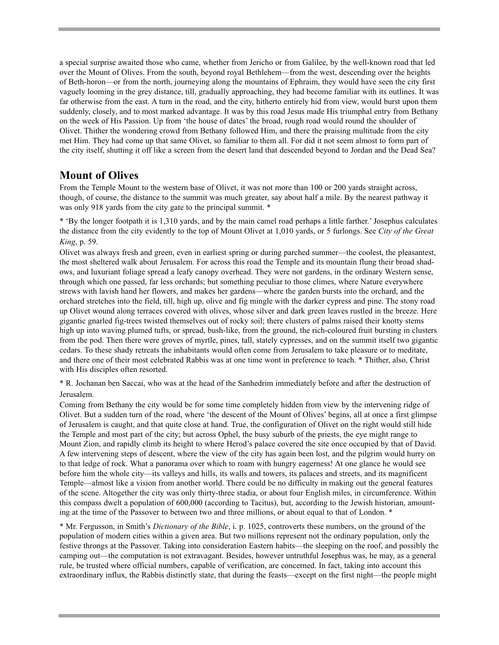a special surprise awaited those who came, whether from Jericho or from Galilee, by the well-known road that led over the Mount of Olives. From the south, beyond royal Bethlehem—from the west, descending over the heights of Beth-horon—or from the north, journeying along the mountains of Ephraim, they would have seen the city first vaguely looming in the grey distance, till, gradually approaching, they had become familiar with its outlines. It was far otherwise from the east. A turn in the road, and the city, hitherto entirely hid from view, would burst upon them suddenly, closely, and to most marked advantage. It was by this road Jesus made His triumphal entry from Bethany on the week of His Passion. Up from 'the house of dates' the broad, rough road would round the shoulder of Olivet. Thither the wondering crowd from Bethany followed Him, and there the praising multitude from the city met Him. They had come up that same Olivet, so familiar to them all. For did it not seem almost to form part of the city itself, shutting it off like a screen from the desert land that descended beyond to Jordan and the Dead Sea?

# **Mount of Olives**

From the Temple Mount to the western base of Olivet, it was not more than 100 or 200 yards straight across, though, of course, the distance to the summit was much greater, say about half a mile. By the nearest pathway it was only 918 yards from the city gate to the principal summit. \*

\* 'By the longer footpath it is 1,310 yards, and by the main camel road perhaps a little farther.' Josephus calculates the distance from the city evidently to the top of Mount Olivet at 1,010 yards, or 5 furlongs. See *City of the Great King*, p. 59.

Olivet was always fresh and green, even in earliest spring or during parched summer—the coolest, the pleasantest, the most sheltered walk about Jerusalem. For across this road the Temple and its mountain flung their broad shadows, and luxuriant foliage spread a leafy canopy overhead. They were not gardens, in the ordinary Western sense, through which one passed, far less orchards; but something peculiar to those climes, where Nature everywhere strews with lavish hand her flowers, and makes her gardens—where the garden bursts into the orchard, and the orchard stretches into the field, till, high up, olive and fig mingle with the darker cypress and pine. The stony road up Olivet wound along terraces covered with olives, whose silver and dark green leaves rustled in the breeze. Here gigantic gnarled fig-trees twisted themselves out of rocky soil; there clusters of palms raised their knotty stems high up into waving plumed tufts, or spread, bush-like, from the ground, the rich-coloured fruit bursting in clusters from the pod. Then there were groves of myrtle, pines, tall, stately cypresses, and on the summit itself two gigantic cedars. To these shady retreats the inhabitants would often come from Jerusalem to take pleasure or to meditate, and there one of their most celebrated Rabbis was at one time wont in preference to teach. \* Thither, also, Christ with His disciples often resorted.

\* R. Jochanan ben Saccai, who was at the head of the Sanhedrim immediately before and after the destruction of Jerusalem.

Coming from Bethany the city would be for some time completely hidden from view by the intervening ridge of Olivet. But a sudden turn of the road, where 'the descent of the Mount of Olives' begins, all at once a first glimpse of Jerusalem is caught, and that quite close at hand. True, the configuration of Olivet on the right would still hide the Temple and most part of the city; but across Ophel, the busy suburb of the priests, the eye might range to Mount Zion, and rapidly climb its height to where Herod's palace covered the site once occupied by that of David. A few intervening steps of descent, where the view of the city has again been lost, and the pilgrim would hurry on to that ledge of rock. What a panorama over which to roam with hungry eagerness! At one glance he would see before him the whole city—its valleys and hills, its walls and towers, its palaces and streets, and its magnificent Temple—almost like a vision from another world. There could be no difficulty in making out the general features of the scene. Altogether the city was only thirty-three stadia, or about four English miles, in circumference. Within this compass dwelt a population of 600,000 (according to Tacitus), but, according to the Jewish historian, amounting at the time of the Passover to between two and three millions, or about equal to that of London. \*

\* Mr. Fergusson, in Smith's *Dictionary of the Bible*, i. p. 1025, controverts these numbers, on the ground of the population of modern cities within a given area. But two millions represent not the ordinary population, only the festive throngs at the Passover. Taking into consideration Eastern habits—the sleeping on the roof, and possibly the camping out—the computation is not extravagant. Besides, however untruthful Josephus was, he may, as a general rule, be trusted where official numbers, capable of verification, are concerned. In fact, taking into account this extraordinary influx, the Rabbis distinctly state, that during the feasts—except on the first night—the people might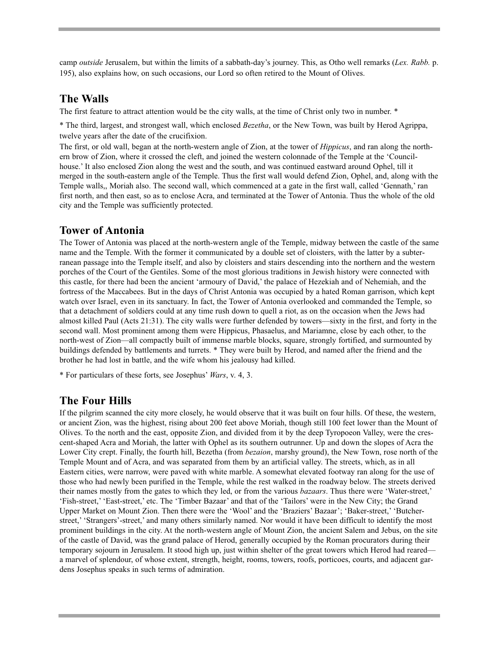camp *outside* Jerusalem, but within the limits of a sabbath-day's journey. This, as Otho well remarks (*Lex. Rabb.* p. 195), also explains how, on such occasions, our Lord so often retired to the Mount of Olives.

## **The Walls**

The first feature to attract attention would be the city walls, at the time of Christ only two in number. \*

\* The third, largest, and strongest wall, which enclosed *Bezetha*, or the New Town, was built by Herod Agrippa, twelve years after the date of the crucifixion.

The first, or old wall, began at the north-western angle of Zion, at the tower of *Hippicus*, and ran along the northern brow of Zion, where it crossed the cleft, and joined the western colonnade of the Temple at the 'Councilhouse.' It also enclosed Zion along the west and the south, and was continued eastward around Ophel, till it merged in the south-eastern angle of the Temple. Thus the first wall would defend Zion, Ophel, and, along with the Temple walls,, Moriah also. The second wall, which commenced at a gate in the first wall, called 'Gennath,' ran first north, and then east, so as to enclose Acra, and terminated at the Tower of Antonia. Thus the whole of the old city and the Temple was sufficiently protected.

# **Tower of Antonia**

The Tower of Antonia was placed at the north-western angle of the Temple, midway between the castle of the same name and the Temple. With the former it communicated by a double set of cloisters, with the latter by a subterranean passage into the Temple itself, and also by cloisters and stairs descending into the northern and the western porches of the Court of the Gentiles. Some of the most glorious traditions in Jewish history were connected with this castle, for there had been the ancient 'armoury of David,' the palace of Hezekiah and of Nehemiah, and the fortress of the Maccabees. But in the days of Christ Antonia was occupied by a hated Roman garrison, which kept watch over Israel, even in its sanctuary. In fact, the Tower of Antonia overlooked and commanded the Temple, so that a detachment of soldiers could at any time rush down to quell a riot, as on the occasion when the Jews had almost killed Paul (Acts 21:31). The city walls were further defended by towers—sixty in the first, and forty in the second wall. Most prominent among them were Hippicus, Phasaelus, and Mariamne, close by each other, to the north-west of Zion—all compactly built of immense marble blocks, square, strongly fortified, and surmounted by buildings defended by battlements and turrets. \* They were built by Herod, and named after the friend and the brother he had lost in battle, and the wife whom his jealousy had killed.

\* For particulars of these forts, see Josephus' *Wars*, v. 4, 3.

# **The Four Hills**

If the pilgrim scanned the city more closely, he would observe that it was built on four hills. Of these, the western, or ancient Zion, was the highest, rising about 200 feet above Moriah, though still 100 feet lower than the Mount of Olives. To the north and the east, opposite Zion, and divided from it by the deep Tyropoeon Valley, were the crescent-shaped Acra and Moriah, the latter with Ophel as its southern outrunner. Up and down the slopes of Acra the Lower City crept. Finally, the fourth hill, Bezetha (from *bezaion*, marshy ground), the New Town, rose north of the Temple Mount and of Acra, and was separated from them by an artificial valley. The streets, which, as in all Eastern cities, were narrow, were paved with white marble. A somewhat elevated footway ran along for the use of those who had newly been purified in the Temple, while the rest walked in the roadway below. The streets derived their names mostly from the gates to which they led, or from the various *bazaars*. Thus there were 'Water-street,' 'Fish-street,' 'East-street,' etc. The 'Timber Bazaar' and that of the 'Tailors' were in the New City; the Grand Upper Market on Mount Zion. Then there were the 'Wool' and the 'Braziers' Bazaar'; 'Baker-street,' 'Butcherstreet,' 'Strangers'-street,' and many others similarly named. Nor would it have been difficult to identify the most prominent buildings in the city. At the north-western angle of Mount Zion, the ancient Salem and Jebus, on the site of the castle of David, was the grand palace of Herod, generally occupied by the Roman procurators during their temporary sojourn in Jerusalem. It stood high up, just within shelter of the great towers which Herod had reared a marvel of splendour, of whose extent, strength, height, rooms, towers, roofs, porticoes, courts, and adjacent gardens Josephus speaks in such terms of admiration.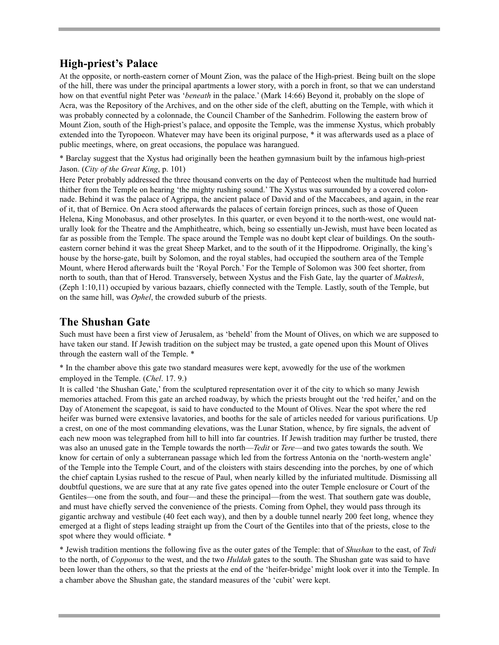# **High-priest's Palace**

At the opposite, or north-eastern corner of Mount Zion, was the palace of the High-priest. Being built on the slope of the hill, there was under the principal apartments a lower story, with a porch in front, so that we can understand how on that eventful night Peter was '*beneath* in the palace.' (Mark 14:66) Beyond it, probably on the slope of Acra, was the Repository of the Archives, and on the other side of the cleft, abutting on the Temple, with which it was probably connected by a colonnade, the Council Chamber of the Sanhedrim. Following the eastern brow of Mount Zion, south of the High-priest's palace, and opposite the Temple, was the immense Xystus, which probably extended into the Tyropoeon. Whatever may have been its original purpose, \* it was afterwards used as a place of public meetings, where, on great occasions, the populace was harangued.

\* Barclay suggest that the Xystus had originally been the heathen gymnasium built by the infamous high-priest Jason. (*City of the Great King*, p. 101)

Here Peter probably addressed the three thousand converts on the day of Pentecost when the multitude had hurried thither from the Temple on hearing 'the mighty rushing sound.' The Xystus was surrounded by a covered colonnade. Behind it was the palace of Agrippa, the ancient palace of David and of the Maccabees, and again, in the rear of it, that of Bernice. On Acra stood afterwards the palaces of certain foreign princes, such as those of Queen Helena, King Monobasus, and other proselytes. In this quarter, or even beyond it to the north-west, one would naturally look for the Theatre and the Amphitheatre, which, being so essentially un-Jewish, must have been located as far as possible from the Temple. The space around the Temple was no doubt kept clear of buildings. On the southeastern corner behind it was the great Sheep Market, and to the south of it the Hippodrome. Originally, the king's house by the horse-gate, built by Solomon, and the royal stables, had occupied the southern area of the Temple Mount, where Herod afterwards built the 'Royal Porch.' For the Temple of Solomon was 300 feet shorter, from north to south, than that of Herod. Transversely, between Xystus and the Fish Gate, lay the quarter of *Maktesh*, (Zeph 1:10,11) occupied by various bazaars, chiefly connected with the Temple. Lastly, south of the Temple, but on the same hill, was *Ophel*, the crowded suburb of the priests.

# **The Shushan Gate**

Such must have been a first view of Jerusalem, as 'beheld' from the Mount of Olives, on which we are supposed to have taken our stand. If Jewish tradition on the subject may be trusted, a gate opened upon this Mount of Olives through the eastern wall of the Temple. \*

\* In the chamber above this gate two standard measures were kept, avowedly for the use of the workmen employed in the Temple. (*Chel*. 17. 9.)

It is called 'the Shushan Gate,' from the sculptured representation over it of the city to which so many Jewish memories attached. From this gate an arched roadway, by which the priests brought out the 'red heifer,' and on the Day of Atonement the scapegoat, is said to have conducted to the Mount of Olives. Near the spot where the red heifer was burned were extensive lavatories, and booths for the sale of articles needed for various purifications. Up a crest, on one of the most commanding elevations, was the Lunar Station, whence, by fire signals, the advent of each new moon was telegraphed from hill to hill into far countries. If Jewish tradition may further be trusted, there was also an unused gate in the Temple towards the north—*Tedit* or *Tere*—and two gates towards the south. We know for certain of only a subterranean passage which led from the fortress Antonia on the 'north-western angle' of the Temple into the Temple Court, and of the cloisters with stairs descending into the porches, by one of which the chief captain Lysias rushed to the rescue of Paul, when nearly killed by the infuriated multitude. Dismissing all doubtful questions, we are sure that at any rate five gates opened into the outer Temple enclosure or Court of the Gentiles—one from the south, and four—and these the principal—from the west. That southern gate was double, and must have chiefly served the convenience of the priests. Coming from Ophel, they would pass through its gigantic archway and vestibule (40 feet each way), and then by a double tunnel nearly 200 feet long, whence they emerged at a flight of steps leading straight up from the Court of the Gentiles into that of the priests, close to the spot where they would officiate. \*

\* Jewish tradition mentions the following five as the outer gates of the Temple: that of *Shushan* to the east, of *Tedi* to the north, of *Copponus* to the west, and the two *Huldah* gates to the south. The Shushan gate was said to have been lower than the others, so that the priests at the end of the 'heifer-bridge' might look over it into the Temple. In a chamber above the Shushan gate, the standard measures of the 'cubit' were kept.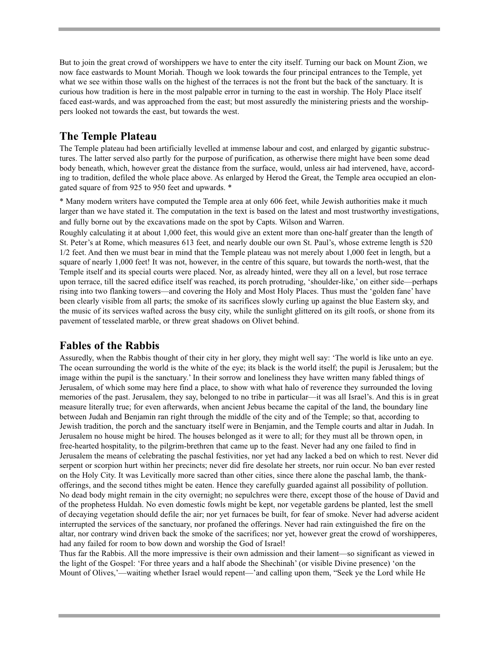But to join the great crowd of worshippers we have to enter the city itself. Turning our back on Mount Zion, we now face eastwards to Mount Moriah. Though we look towards the four principal entrances to the Temple, yet what we see within those walls on the highest of the terraces is not the front but the back of the sanctuary. It is curious how tradition is here in the most palpable error in turning to the east in worship. The Holy Place itself faced east-wards, and was approached from the east; but most assuredly the ministering priests and the worshippers looked not towards the east, but towards the west.

# **The Temple Plateau**

The Temple plateau had been artificially levelled at immense labour and cost, and enlarged by gigantic substructures. The latter served also partly for the purpose of purification, as otherwise there might have been some dead body beneath, which, however great the distance from the surface, would, unless air had intervened, have, according to tradition, defiled the whole place above. As enlarged by Herod the Great, the Temple area occupied an elongated square of from 925 to 950 feet and upwards. \*

\* Many modern writers have computed the Temple area at only 606 feet, while Jewish authorities make it much larger than we have stated it. The computation in the text is based on the latest and most trustworthy investigations, and fully borne out by the excavations made on the spot by Capts. Wilson and Warren.

Roughly calculating it at about 1,000 feet, this would give an extent more than one-half greater than the length of St. Peter's at Rome, which measures 613 feet, and nearly double our own St. Paul's, whose extreme length is 520 1/2 feet. And then we must bear in mind that the Temple plateau was not merely about 1,000 feet in length, but a square of nearly 1,000 feet! It was not, however, in the centre of this square, but towards the north-west, that the Temple itself and its special courts were placed. Nor, as already hinted, were they all on a level, but rose terrace upon terrace, till the sacred edifice itself was reached, its porch protruding, 'shoulder-like,' on either side—perhaps rising into two flanking towers—and covering the Holy and Most Holy Places. Thus must the 'golden fane' have been clearly visible from all parts; the smoke of its sacrifices slowly curling up against the blue Eastern sky, and the music of its services wafted across the busy city, while the sunlight glittered on its gilt roofs, or shone from its pavement of tesselated marble, or threw great shadows on Olivet behind.

# **Fables of the Rabbis**

Assuredly, when the Rabbis thought of their city in her glory, they might well say: 'The world is like unto an eye. The ocean surrounding the world is the white of the eye; its black is the world itself; the pupil is Jerusalem; but the image within the pupil is the sanctuary.' In their sorrow and loneliness they have written many fabled things of Jerusalem, of which some may here find a place, to show with what halo of reverence they surrounded the loving memories of the past. Jerusalem, they say, belonged to no tribe in particular—it was all Israel's. And this is in great measure literally true; for even afterwards, when ancient Jebus became the capital of the land, the boundary line between Judah and Benjamin ran right through the middle of the city and of the Temple; so that, according to Jewish tradition, the porch and the sanctuary itself were in Benjamin, and the Temple courts and altar in Judah. In Jerusalem no house might be hired. The houses belonged as it were to all; for they must all be thrown open, in free-hearted hospitality, to the pilgrim-brethren that came up to the feast. Never had any one failed to find in Jerusalem the means of celebrating the paschal festivities, nor yet had any lacked a bed on which to rest. Never did serpent or scorpion hurt within her precincts; never did fire desolate her streets, nor ruin occur. No ban ever rested on the Holy City. It was Levitically more sacred than other cities, since there alone the paschal lamb, the thankofferings, and the second tithes might be eaten. Hence they carefully guarded against all possibility of pollution. No dead body might remain in the city overnight; no sepulchres were there, except those of the house of David and of the prophetess Huldah. No even domestic fowls might be kept, nor vegetable gardens be planted, lest the smell of decaying vegetation should defile the air; nor yet furnaces be built, for fear of smoke. Never had adverse acident interrupted the services of the sanctuary, nor profaned the offerings. Never had rain extinguished the fire on the altar, nor contrary wind driven back the smoke of the sacrifices; nor yet, however great the crowd of worshipperes, had any failed for room to bow down and worship the God of Israel!

Thus far the Rabbis. All the more impressive is their own admission and their lament—so significant as viewed in the light of the Gospel: 'For three years and a half abode the Shechinah' (or visible Divine presence) 'on the Mount of Olives,'—waiting whether Israel would repent—'and calling upon them, "Seek ye the Lord while He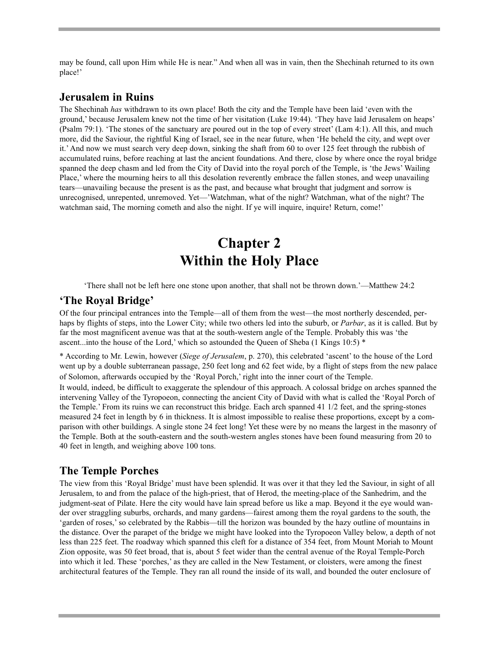may be found, call upon Him while He is near." And when all was in vain, then the Shechinah returned to its own place!'

#### **Jerusalem in Ruins**

The Shechinah *has* withdrawn to its own place! Both the city and the Temple have been laid 'even with the ground,' because Jerusalem knew not the time of her visitation (Luke 19:44). 'They have laid Jerusalem on heaps' (Psalm 79:1). 'The stones of the sanctuary are poured out in the top of every street' (Lam 4:1). All this, and much more, did the Saviour, the rightful King of Israel, see in the near future, when 'He beheld the city, and wept over it.' And now we must search very deep down, sinking the shaft from 60 to over 125 feet through the rubbish of accumulated ruins, before reaching at last the ancient foundations. And there, close by where once the royal bridge spanned the deep chasm and led from the City of David into the royal porch of the Temple, is 'the Jews' Wailing Place,' where the mourning heirs to all this desolation reverently embrace the fallen stones, and weep unavailing tears—unavailing because the present is as the past, and because what brought that judgment and sorrow is unrecognised, unrepented, unremoved. Yet—'Watchman, what of the night? Watchman, what of the night? The watchman said, The morning cometh and also the night. If ye will inquire, inquire! Return, come!'

# **Chapter 2 Within the Holy Place**

'There shall not be left here one stone upon another, that shall not be thrown down.'—Matthew 24:2

#### **'The Royal Bridge'**

Of the four principal entrances into the Temple—all of them from the west—the most northerly descended, perhaps by flights of steps, into the Lower City; while two others led into the suburb, or *Parbar*, as it is called. But by far the most magnificent avenue was that at the south-western angle of the Temple. Probably this was 'the ascent...into the house of the Lord,' which so astounded the Queen of Sheba (1 Kings 10:5) \*

\* According to Mr. Lewin, however (*Siege of Jerusalem*, p. 270), this celebrated 'ascent' to the house of the Lord went up by a double subterranean passage, 250 feet long and 62 feet wide, by a flight of steps from the new palace of Solomon, afterwards occupied by the 'Royal Porch,' right into the inner court of the Temple.

It would, indeed, be difficult to exaggerate the splendour of this approach. A colossal bridge on arches spanned the intervening Valley of the Tyropoeon, connecting the ancient City of David with what is called the 'Royal Porch of the Temple.' From its ruins we can reconstruct this bridge. Each arch spanned 41 1/2 feet, and the spring-stones measured 24 feet in length by 6 in thickness. It is almost impossible to realise these proportions, except by a comparison with other buildings. A single stone 24 feet long! Yet these were by no means the largest in the masonry of the Temple. Both at the south-eastern and the south-western angles stones have been found measuring from 20 to 40 feet in length, and weighing above 100 tons.

#### **The Temple Porches**

The view from this 'Royal Bridge' must have been splendid. It was over it that they led the Saviour, in sight of all Jerusalem, to and from the palace of the high-priest, that of Herod, the meeting-place of the Sanhedrim, and the judgment-seat of Pilate. Here the city would have lain spread before us like a map. Beyond it the eye would wander over straggling suburbs, orchards, and many gardens—fairest among them the royal gardens to the south, the 'garden of roses,' so celebrated by the Rabbis—till the horizon was bounded by the hazy outline of mountains in the distance. Over the parapet of the bridge we might have looked into the Tyropoeon Valley below, a depth of not less than 225 feet. The roadway which spanned this cleft for a distance of 354 feet, from Mount Moriah to Mount Zion opposite, was 50 feet broad, that is, about 5 feet wider than the central avenue of the Royal Temple-Porch into which it led. These 'porches,' as they are called in the New Testament, or cloisters, were among the finest architectural features of the Temple. They ran all round the inside of its wall, and bounded the outer enclosure of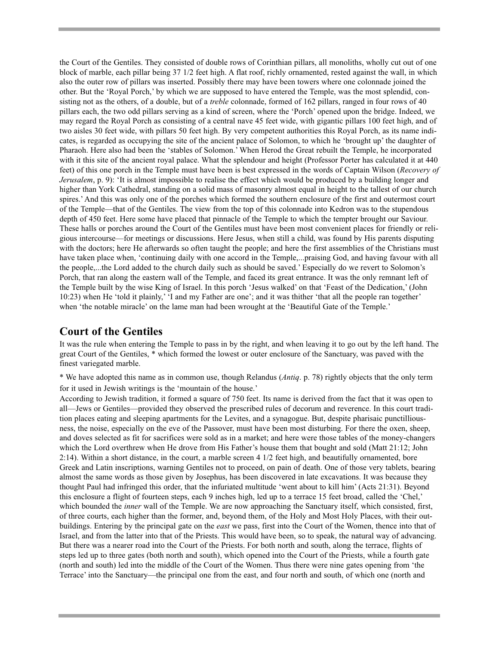the Court of the Gentiles. They consisted of double rows of Corinthian pillars, all monoliths, wholly cut out of one block of marble, each pillar being 37 1/2 feet high. A flat roof, richly ornamented, rested against the wall, in which also the outer row of pillars was inserted. Possibly there may have been towers where one colonnade joined the other. But the 'Royal Porch,' by which we are supposed to have entered the Temple, was the most splendid, consisting not as the others, of a double, but of a *treble* colonnade, formed of 162 pillars, ranged in four rows of 40 pillars each, the two odd pillars serving as a kind of screen, where the 'Porch' opened upon the bridge. Indeed, we may regard the Royal Porch as consisting of a central nave 45 feet wide, with gigantic pillars 100 feet high, and of two aisles 30 feet wide, with pillars 50 feet high. By very competent authorities this Royal Porch, as its name indicates, is regarded as occupying the site of the ancient palace of Solomon, to which he 'brought up' the daughter of Pharaoh. Here also had been the 'stables of Solomon.' When Herod the Great rebuilt the Temple, he incorporated with it this site of the ancient royal palace. What the splendour and height (Professor Porter has calculated it at 440 feet) of this one porch in the Temple must have been is best expressed in the words of Captain Wilson (*Recovery of Jerusalem*, p. 9): 'It is almost impossible to realise the effect which would be produced by a building longer and higher than York Cathedral, standing on a solid mass of masonry almost equal in height to the tallest of our church spires.' And this was only one of the porches which formed the southern enclosure of the first and outermost court of the Temple—that of the Gentiles. The view from the top of this colonnade into Kedron was to the stupendous depth of 450 feet. Here some have placed that pinnacle of the Temple to which the tempter brought our Saviour. These halls or porches around the Court of the Gentiles must have been most convenient places for friendly or religious intercourse—for meetings or discussions. Here Jesus, when still a child, was found by His parents disputing with the doctors; here He afterwards so often taught the people; and here the first assemblies of the Christians must have taken place when, 'continuing daily with one accord in the Temple,...praising God, and having favour with all the people,...the Lord added to the church daily such as should be saved.' Especially do we revert to Solomon's Porch, that ran along the eastern wall of the Temple, and faced its great entrance. It was the only remnant left of the Temple built by the wise King of Israel. In this porch 'Jesus walked' on that 'Feast of the Dedication,' (John 10:23) when He 'told it plainly,' 'I and my Father are one'; and it was thither 'that all the people ran together' when 'the notable miracle' on the lame man had been wrought at the 'Beautiful Gate of the Temple.'

#### **Court of the Gentiles**

It was the rule when entering the Temple to pass in by the right, and when leaving it to go out by the left hand. The great Court of the Gentiles, \* which formed the lowest or outer enclosure of the Sanctuary, was paved with the finest variegated marble.

\* We have adopted this name as in common use, though Relandus (*Antiq*. p. 78) rightly objects that the only term for it used in Jewish writings is the 'mountain of the house.'

According to Jewish tradition, it formed a square of 750 feet. Its name is derived from the fact that it was open to all—Jews or Gentiles—provided they observed the prescribed rules of decorum and reverence. In this court tradition places eating and sleeping apartments for the Levites, and a synagogue. But, despite pharisaic punctilliousness, the noise, especially on the eve of the Passover, must have been most disturbing. For there the oxen, sheep, and doves selected as fit for sacrifices were sold as in a market; and here were those tables of the money-changers which the Lord overthrew when He drove from His Father's house them that bought and sold (Matt 21:12; John 2:14). Within a short distance, in the court, a marble screen 4 1/2 feet high, and beautifully ornamented, bore Greek and Latin inscriptions, warning Gentiles not to proceed, on pain of death. One of those very tablets, bearing almost the same words as those given by Josephus, has been discovered in late excavations. It was because they thought Paul had infringed this order, that the infuriated multitude 'went about to kill him' (Acts 21:31). Beyond this enclosure a flight of fourteen steps, each 9 inches high, led up to a terrace 15 feet broad, called the 'Chel,' which bounded the *inner* wall of the Temple. We are now approaching the Sanctuary itself, which consisted, first, of three courts, each higher than the former, and, beyond them, of the Holy and Most Holy Places, with their outbuildings. Entering by the principal gate on the *east* we pass, first into the Court of the Women, thence into that of Israel, and from the latter into that of the Priests. This would have been, so to speak, the natural way of advancing. But there was a nearer road into the Court of the Priests. For both north and south, along the terrace, flights of steps led up to three gates (both north and south), which opened into the Court of the Priests, while a fourth gate (north and south) led into the middle of the Court of the Women. Thus there were nine gates opening from 'the Terrace' into the Sanctuary—the principal one from the east, and four north and south, of which one (north and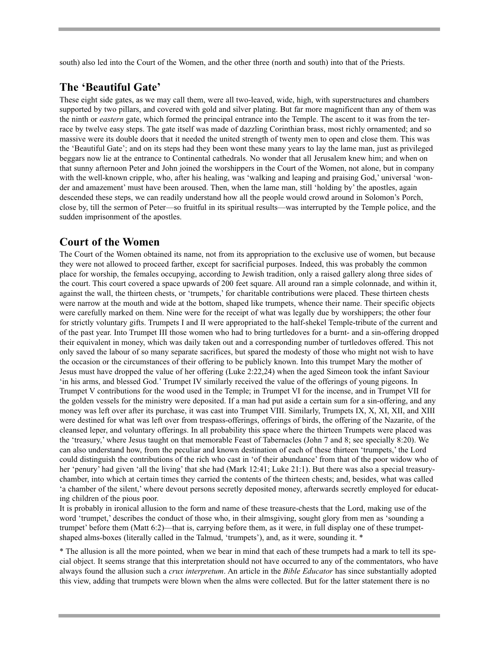south) also led into the Court of the Women, and the other three (north and south) into that of the Priests.

# **The 'Beautiful Gate'**

These eight side gates, as we may call them, were all two-leaved, wide, high, with superstructures and chambers supported by two pillars, and covered with gold and silver plating. But far more magnificent than any of them was the ninth or *eastern* gate, which formed the principal entrance into the Temple. The ascent to it was from the terrace by twelve easy steps. The gate itself was made of dazzling Corinthian brass, most richly ornamented; and so massive were its double doors that it needed the united strength of twenty men to open and close them. This was the 'Beautiful Gate'; and on its steps had they been wont these many years to lay the lame man, just as privileged beggars now lie at the entrance to Continental cathedrals. No wonder that all Jerusalem knew him; and when on that sunny afternoon Peter and John joined the worshippers in the Court of the Women, not alone, but in company with the well-known cripple, who, after his healing, was 'walking and leaping and praising God,' universal 'wonder and amazement' must have been aroused. Then, when the lame man, still 'holding by' the apostles, again descended these steps, we can readily understand how all the people would crowd around in Solomon's Porch, close by, till the sermon of Peter—so fruitful in its spiritual results—was interrupted by the Temple police, and the sudden imprisonment of the apostles.

## **Court of the Women**

The Court of the Women obtained its name, not from its appropriation to the exclusive use of women, but because they were not allowed to proceed farther, except for sacrificial purposes. Indeed, this was probably the common place for worship, the females occupying, according to Jewish tradition, only a raised gallery along three sides of the court. This court covered a space upwards of 200 feet square. All around ran a simple colonnade, and within it, against the wall, the thirteen chests, or 'trumpets,' for charitable contributions were placed. These thirteen chests were narrow at the mouth and wide at the bottom, shaped like trumpets, whence their name. Their specific objects were carefully marked on them. Nine were for the receipt of what was legally due by worshippers; the other four for strictly voluntary gifts. Trumpets I and II were appropriated to the half-shekel Temple-tribute of the current and of the past year. Into Trumpet III those women who had to bring turtledoves for a burnt- and a sin-offering dropped their equivalent in money, which was daily taken out and a corresponding number of turtledoves offered. This not only saved the labour of so many separate sacrifices, but spared the modesty of those who might not wish to have the occasion or the circumstances of their offering to be publicly known. Into this trumpet Mary the mother of Jesus must have dropped the value of her offering (Luke 2:22,24) when the aged Simeon took the infant Saviour 'in his arms, and blessed God.' Trumpet IV similarly received the value of the offerings of young pigeons. In Trumpet V contributions for the wood used in the Temple; in Trumpet VI for the incense, and in Trumpet VII for the golden vessels for the ministry were deposited. If a man had put aside a certain sum for a sin-offering, and any money was left over after its purchase, it was cast into Trumpet VIII. Similarly, Trumpets IX, X, XI, XII, and XIII were destined for what was left over from trespass-offerings, offerings of birds, the offering of the Nazarite, of the cleansed leper, and voluntary offerings. In all probability this space where the thirteen Trumpets were placed was the 'treasury,' where Jesus taught on that memorable Feast of Tabernacles (John 7 and 8; see specially 8:20). We can also understand how, from the peculiar and known destination of each of these thirteen 'trumpets,' the Lord could distinguish the contributions of the rich who cast in 'of their abundance' from that of the poor widow who of her 'penury' had given 'all the living' that she had (Mark 12:41; Luke 21:1). But there was also a special treasurychamber, into which at certain times they carried the contents of the thirteen chests; and, besides, what was called 'a chamber of the silent,' where devout persons secretly deposited money, afterwards secretly employed for educating children of the pious poor.

It is probably in ironical allusion to the form and name of these treasure-chests that the Lord, making use of the word 'trumpet,' describes the conduct of those who, in their almsgiving, sought glory from men as 'sounding a trumpet' before them (Matt 6:2)—that is, carrying before them, as it were, in full display one of these trumpetshaped alms-boxes (literally called in the Talmud, 'trumpets'), and, as it were, sounding it. \*

\* The allusion is all the more pointed, when we bear in mind that each of these trumpets had a mark to tell its special object. It seems strange that this interpretation should not have occurred to any of the commentators, who have always found the allusion such a *crux interpretum*. An article in the *Bible Educator* has since substantially adopted this view, adding that trumpets were blown when the alms were collected. But for the latter statement there is no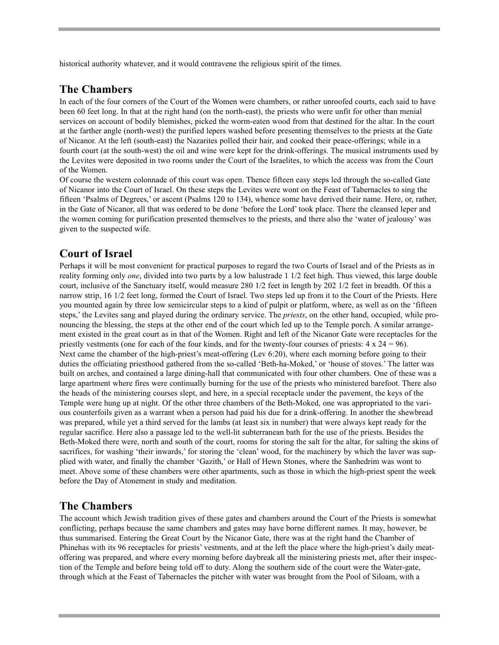historical authority whatever, and it would contravene the religious spirit of the times.

# **The Chambers**

In each of the four corners of the Court of the Women were chambers, or rather unroofed courts, each said to have been 60 feet long. In that at the right hand (on the north-east), the priests who were unfit for other than menial services on account of bodily blemishes, picked the worm-eaten wood from that destined for the altar. In the court at the farther angle (north-west) the purified lepers washed before presenting themselves to the priests at the Gate of Nicanor. At the left (south-east) the Nazarites polled their hair, and cooked their peace-offerings; while in a fourth court (at the south-west) the oil and wine were kept for the drink-offerings. The musical instruments used by the Levites were deposited in two rooms under the Court of the Israelites, to which the access was from the Court of the Women.

Of course the western colonnade of this court was open. Thence fifteen easy steps led through the so-called Gate of Nicanor into the Court of Israel. On these steps the Levites were wont on the Feast of Tabernacles to sing the fifteen 'Psalms of Degrees,' or ascent (Psalms 120 to 134), whence some have derived their name. Here, or, rather, in the Gate of Nicanor, all that was ordered to be done 'before the Lord' took place. There the cleansed leper and the women coming for purification presented themselves to the priests, and there also the 'water of jealousy' was given to the suspected wife.

# **Court of Israel**

Perhaps it will be most convenient for practical purposes to regard the two Courts of Israel and of the Priests as in reality forming only *one*, divided into two parts by a low balustrade 1 1/2 feet high. Thus viewed, this large double court, inclusive of the Sanctuary itself, would measure 280 1/2 feet in length by 202 1/2 feet in breadth. Of this a narrow strip, 16 1/2 feet long, formed the Court of Israel. Two steps led up from it to the Court of the Priests. Here you mounted again by three low semicircular steps to a kind of pulpit or platform, where, as well as on the 'fifteen steps,' the Levites sang and played during the ordinary service. The *priests*, on the other hand, occupied, while pronouncing the blessing, the steps at the other end of the court which led up to the Temple porch. A similar arrangement existed in the great court as in that of the Women. Right and left of the Nicanor Gate were receptacles for the priestly vestments (one for each of the four kinds, and for the twenty-four courses of priests:  $4 \times 24 = 96$ ). Next came the chamber of the high-priest's meat-offering (Lev 6:20), where each morning before going to their duties the officiating priesthood gathered from the so-called 'Beth-ha-Moked,' or 'house of stoves.' The latter was built on arches, and contained a large dining-hall that communicated with four other chambers. One of these was a large apartment where fires were continually burning for the use of the priests who ministered barefoot. There also the heads of the ministering courses slept, and here, in a special receptacle under the pavement, the keys of the Temple were hung up at night. Of the other three chambers of the Beth-Moked, one was appropriated to the various counterfoils given as a warrant when a person had paid his due for a drink-offering. In another the shewbread was prepared, while yet a third served for the lambs (at least six in number) that were always kept ready for the regular sacrifice. Here also a passage led to the well-lit subterranean bath for the use of the priests. Besides the Beth-Moked there were, north and south of the court, rooms for storing the salt for the altar, for salting the skins of sacrifices, for washing 'their inwards,' for storing the 'clean' wood, for the machinery by which the laver was supplied with water, and finally the chamber 'Gazith,' or Hall of Hewn Stones, where the Sanhedrim was wont to meet. Above some of these chambers were other apartments, such as those in which the high-priest spent the week before the Day of Atonement in study and meditation.

# **The Chambers**

The account which Jewish tradition gives of these gates and chambers around the Court of the Priests is somewhat conflicting, perhaps because the same chambers and gates may have borne different names. It may, however, be thus summarised. Entering the Great Court by the Nicanor Gate, there was at the right hand the Chamber of Phinehas with its 96 receptacles for priests' vestments, and at the left the place where the high-priest's daily meatoffering was prepared, and where every morning before daybreak all the ministering priests met, after their inspection of the Temple and before being told off to duty. Along the southern side of the court were the Water-gate, through which at the Feast of Tabernacles the pitcher with water was brought from the Pool of Siloam, with a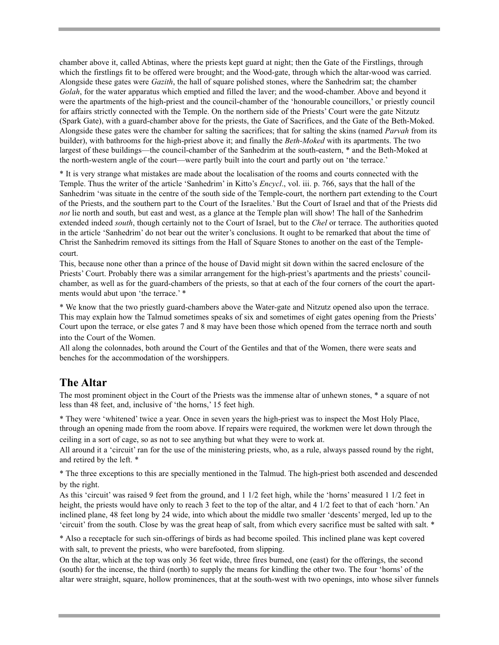chamber above it, called Abtinas, where the priests kept guard at night; then the Gate of the Firstlings, through which the firstlings fit to be offered were brought; and the Wood-gate, through which the altar-wood was carried. Alongside these gates were *Gazith*, the hall of square polished stones, where the Sanhedrim sat; the chamber *Golah*, for the water apparatus which emptied and filled the laver; and the wood-chamber. Above and beyond it were the apartments of the high-priest and the council-chamber of the 'honourable councillors,' or priestly council for affairs strictly connected with the Temple. On the northern side of the Priests' Court were the gate Nitzutz (Spark Gate), with a guard-chamber above for the priests, the Gate of Sacrifices, and the Gate of the Beth-Moked. Alongside these gates were the chamber for salting the sacrifices; that for salting the skins (named *Parvah* from its builder), with bathrooms for the high-priest above it; and finally the *Beth-Moked* with its apartments. The two largest of these buildings—the council-chamber of the Sanhedrim at the south-eastern, \* and the Beth-Moked at the north-western angle of the court—were partly built into the court and partly out on 'the terrace.'

\* It is very strange what mistakes are made about the localisation of the rooms and courts connected with the Temple. Thus the writer of the article 'Sanhedrim' in Kitto's *Encycl*., vol. iii. p. 766, says that the hall of the Sanhedrim 'was situate in the centre of the south side of the Temple-court, the northern part extending to the Court of the Priests, and the southern part to the Court of the Israelites.' But the Court of Israel and that of the Priests did *not* lie north and south, but east and west, as a glance at the Temple plan will show! The hall of the Sanhedrim extended indeed *south*, though certainly not to the Court of Israel, but to the *Chel* or terrace. The authorities quoted in the article 'Sanhedrim' do not bear out the writer's conclusions. It ought to be remarked that about the time of Christ the Sanhedrim removed its sittings from the Hall of Square Stones to another on the east of the Templecourt.

This, because none other than a prince of the house of David might sit down within the sacred enclosure of the Priests' Court. Probably there was a similar arrangement for the high-priest's apartments and the priests' councilchamber, as well as for the guard-chambers of the priests, so that at each of the four corners of the court the apartments would abut upon 'the terrace.' \*

\* We know that the two priestly guard-chambers above the Water-gate and Nitzutz opened also upon the terrace. This may explain how the Talmud sometimes speaks of six and sometimes of eight gates opening from the Priests' Court upon the terrace, or else gates 7 and 8 may have been those which opened from the terrace north and south into the Court of the Women.

All along the colonnades, both around the Court of the Gentiles and that of the Women, there were seats and benches for the accommodation of the worshippers.

#### **The Altar**

The most prominent object in the Court of the Priests was the immense altar of unhewn stones, \* a square of not less than 48 feet, and, inclusive of 'the horns,' 15 feet high.

\* They were 'whitened' twice a year. Once in seven years the high-priest was to inspect the Most Holy Place, through an opening made from the room above. If repairs were required, the workmen were let down through the ceiling in a sort of cage, so as not to see anything but what they were to work at.

All around it a 'circuit' ran for the use of the ministering priests, who, as a rule, always passed round by the right, and retired by the left. \*

\* The three exceptions to this are specially mentioned in the Talmud. The high-priest both ascended and descended by the right.

As this 'circuit' was raised 9 feet from the ground, and 1 1/2 feet high, while the 'horns' measured 1 1/2 feet in height, the priests would have only to reach 3 feet to the top of the altar, and 4 1/2 feet to that of each 'horn.' An inclined plane, 48 feet long by 24 wide, into which about the middle two smaller 'descents' merged, led up to the 'circuit' from the south. Close by was the great heap of salt, from which every sacrifice must be salted with salt. \*

\* Also a receptacle for such sin-offerings of birds as had become spoiled. This inclined plane was kept covered with salt, to prevent the priests, who were barefooted, from slipping.

On the altar, which at the top was only 36 feet wide, three fires burned, one (east) for the offerings, the second (south) for the incense, the third (north) to supply the means for kindling the other two. The four 'horns' of the altar were straight, square, hollow prominences, that at the south-west with two openings, into whose silver funnels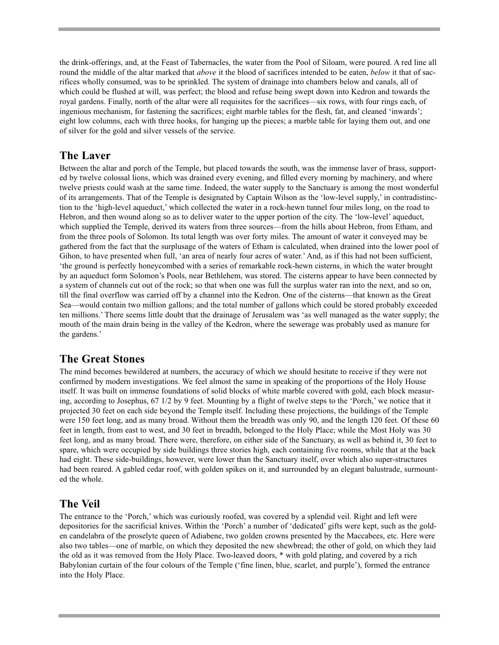the drink-offerings, and, at the Feast of Tabernacles, the water from the Pool of Siloam, were poured. A red line all round the middle of the altar marked that *above* it the blood of sacrifices intended to be eaten, *below* it that of sacrifices wholly consumed, was to be sprinkled. The system of drainage into chambers below and canals, all of which could be flushed at will, was perfect; the blood and refuse being swept down into Kedron and towards the royal gardens. Finally, north of the altar were all requisites for the sacrifices—six rows, with four rings each, of ingenious mechanism, for fastening the sacrifices; eight marble tables for the flesh, fat, and cleaned 'inwards'; eight low columns, each with three hooks, for hanging up the pieces; a marble table for laying them out, and one of silver for the gold and silver vessels of the service.

# **The Laver**

Between the altar and porch of the Temple, but placed towards the south, was the immense laver of brass, supported by twelve colossal lions, which was drained every evening, and filled every morning by machinery, and where twelve priests could wash at the same time. Indeed, the water supply to the Sanctuary is among the most wonderful of its arrangements. That of the Temple is designated by Captain Wilson as the 'low-level supply,' in contradistinction to the 'high-level aqueduct,' which collected the water in a rock-hewn tunnel four miles long, on the road to Hebron, and then wound along so as to deliver water to the upper portion of the city. The 'low-level' aqueduct, which supplied the Temple, derived its waters from three sources—from the hills about Hebron, from Etham, and from the three pools of Solomon. Its total length was over forty miles. The amount of water it conveyed may be gathered from the fact that the surplusage of the waters of Etham is calculated, when drained into the lower pool of Gihon, to have presented when full, 'an area of nearly four acres of water.' And, as if this had not been sufficient, 'the ground is perfectly honeycombed with a series of remarkable rock-hewn cisterns, in which the water brought by an aqueduct form Solomon's Pools, near Bethlehem, was stored. The cisterns appear to have been connected by a system of channels cut out of the rock; so that when one was full the surplus water ran into the next, and so on, till the final overflow was carried off by a channel into the Kedron. One of the cisterns—that known as the Great Sea—would contain two million gallons; and the total number of gallons which could be stored probably exceeded ten millions.' There seems little doubt that the drainage of Jerusalem was 'as well managed as the water supply; the mouth of the main drain being in the valley of the Kedron, where the sewerage was probably used as manure for the gardens.'

# **The Great Stones**

The mind becomes bewildered at numbers, the accuracy of which we should hesitate to receive if they were not confirmed by modern investigations. We feel almost the same in speaking of the proportions of the Holy House itself. It was built on immense foundations of solid blocks of white marble covered with gold, each block measuring, according to Josephus, 67 1/2 by 9 feet. Mounting by a flight of twelve steps to the 'Porch,' we notice that it projected 30 feet on each side beyond the Temple itself. Including these projections, the buildings of the Temple were 150 feet long, and as many broad. Without them the breadth was only 90, and the length 120 feet. Of these 60 feet in length, from east to west, and 30 feet in breadth, belonged to the Holy Place; while the Most Holy was 30 feet long, and as many broad. There were, therefore, on either side of the Sanctuary, as well as behind it, 30 feet to spare, which were occupied by side buildings three stories high, each containing five rooms, while that at the back had eight. These side-buildings, however, were lower than the Sanctuary itself, over which also super-structures had been reared. A gabled cedar roof, with golden spikes on it, and surrounded by an elegant balustrade, surmounted the whole.

# **The Veil**

The entrance to the 'Porch,' which was curiously roofed, was covered by a splendid veil. Right and left were depositories for the sacrificial knives. Within the 'Porch' a number of 'dedicated' gifts were kept, such as the golden candelabra of the proselyte queen of Adiabene, two golden crowns presented by the Maccabees, etc. Here were also two tables—one of marble, on which they deposited the new shewbread; the other of gold, on which they laid the old as it was removed from the Holy Place. Two-leaved doors, \* with gold plating, and covered by a rich Babylonian curtain of the four colours of the Temple ('fine linen, blue, scarlet, and purple'), formed the entrance into the Holy Place.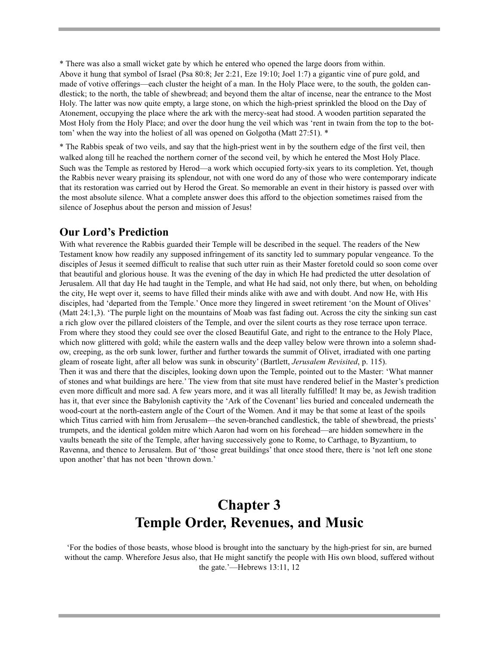\* There was also a small wicket gate by which he entered who opened the large doors from within. Above it hung that symbol of Israel (Psa 80:8; Jer 2:21, Eze 19:10; Joel 1:7) a gigantic vine of pure gold, and made of votive offerings—each cluster the height of a man. In the Holy Place were, to the south, the golden candlestick; to the north, the table of shewbread; and beyond them the altar of incense, near the entrance to the Most Holy. The latter was now quite empty, a large stone, on which the high-priest sprinkled the blood on the Day of Atonement, occupying the place where the ark with the mercy-seat had stood. A wooden partition separated the Most Holy from the Holy Place; and over the door hung the veil which was 'rent in twain from the top to the bottom' when the way into the holiest of all was opened on Golgotha (Matt 27:51). \*

\* The Rabbis speak of two veils, and say that the high-priest went in by the southern edge of the first veil, then walked along till he reached the northern corner of the second veil, by which he entered the Most Holy Place. Such was the Temple as restored by Herod—a work which occupied forty-six years to its completion. Yet, though the Rabbis never weary praising its splendour, not with one word do any of those who were contemporary indicate that its restoration was carried out by Herod the Great. So memorable an event in their history is passed over with the most absolute silence. What a complete answer does this afford to the objection sometimes raised from the silence of Josephus about the person and mission of Jesus!

#### **Our Lord's Prediction**

With what reverence the Rabbis guarded their Temple will be described in the sequel. The readers of the New Testament know how readily any supposed infringement of its sanctity led to summary popular vengeance. To the disciples of Jesus it seemed difficult to realise that such utter ruin as their Master foretold could so soon come over that beautiful and glorious house. It was the evening of the day in which He had predicted the utter desolation of Jerusalem. All that day He had taught in the Temple, and what He had said, not only there, but when, on beholding the city, He wept over it, seems to have filled their minds alike with awe and with doubt. And now He, with His disciples, had 'departed from the Temple.' Once more they lingered in sweet retirement 'on the Mount of Olives' (Matt 24:1,3). 'The purple light on the mountains of Moab was fast fading out. Across the city the sinking sun cast a rich glow over the pillared cloisters of the Temple, and over the silent courts as they rose terrace upon terrace. From where they stood they could see over the closed Beautiful Gate, and right to the entrance to the Holy Place, which now glittered with gold; while the eastern walls and the deep valley below were thrown into a solemn shadow, creeping, as the orb sunk lower, further and further towards the summit of Olivet, irradiated with one parting gleam of roseate light, after all below was sunk in obscurity' (Bartlett, *Jerusalem Revisited*, p. 115). Then it was and there that the disciples, looking down upon the Temple, pointed out to the Master: 'What manner of stones and what buildings are here.' The view from that site must have rendered belief in the Master's prediction even more difficult and more sad. A few years more, and it was all literally fulfilled! It may be, as Jewish tradition has it, that ever since the Babylonish captivity the 'Ark of the Covenant' lies buried and concealed underneath the wood-court at the north-eastern angle of the Court of the Women. And it may be that some at least of the spoils which Titus carried with him from Jerusalem—the seven-branched candlestick, the table of shewbread, the priests' trumpets, and the identical golden mitre which Aaron had worn on his forehead—are hidden somewhere in the vaults beneath the site of the Temple, after having successively gone to Rome, to Carthage, to Byzantium, to Ravenna, and thence to Jerusalem. But of 'those great buildings' that once stood there, there is 'not left one stone upon another' that has not been 'thrown down.'

# **Chapter 3 Temple Order, Revenues, and Music**

'For the bodies of those beasts, whose blood is brought into the sanctuary by the high-priest for sin, are burned without the camp. Wherefore Jesus also, that He might sanctify the people with His own blood, suffered without the gate.'—Hebrews 13:11, 12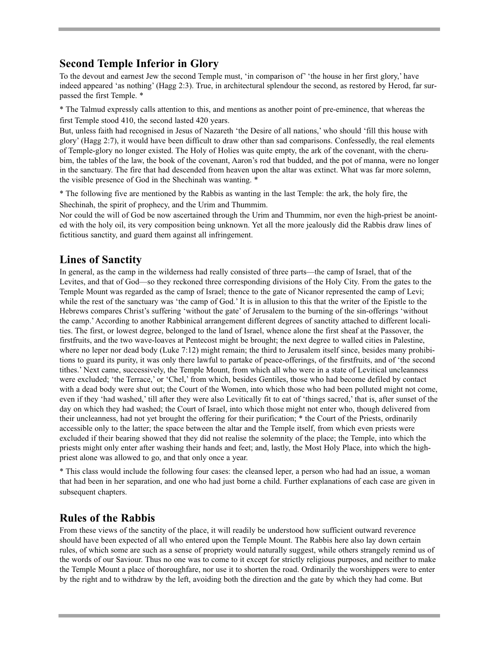# **Second Temple Inferior in Glory**

To the devout and earnest Jew the second Temple must, 'in comparison of' 'the house in her first glory,' have indeed appeared 'as nothing' (Hagg 2:3). True, in architectural splendour the second, as restored by Herod, far surpassed the first Temple. \*

\* The Talmud expressly calls attention to this, and mentions as another point of pre-eminence, that whereas the first Temple stood 410, the second lasted 420 years.

But, unless faith had recognised in Jesus of Nazareth 'the Desire of all nations,' who should 'fill this house with glory' (Hagg 2:7), it would have been difficult to draw other than sad comparisons. Confessedly, the real elements of Temple-glory no longer existed. The Holy of Holies was quite empty, the ark of the covenant, with the cherubim, the tables of the law, the book of the covenant, Aaron's rod that budded, and the pot of manna, were no longer in the sanctuary. The fire that had descended from heaven upon the altar was extinct. What was far more solemn, the visible presence of God in the Shechinah was wanting. \*

\* The following five are mentioned by the Rabbis as wanting in the last Temple: the ark, the holy fire, the Shechinah, the spirit of prophecy, and the Urim and Thummim.

Nor could the will of God be now ascertained through the Urim and Thummim, nor even the high-priest be anointed with the holy oil, its very composition being unknown. Yet all the more jealously did the Rabbis draw lines of fictitious sanctity, and guard them against all infringement.

## **Lines of Sanctity**

In general, as the camp in the wilderness had really consisted of three parts—the camp of Israel, that of the Levites, and that of God—so they reckoned three corresponding divisions of the Holy City. From the gates to the Temple Mount was regarded as the camp of Israel; thence to the gate of Nicanor represented the camp of Levi; while the rest of the sanctuary was 'the camp of God.' It is in allusion to this that the writer of the Epistle to the Hebrews compares Christ's suffering 'without the gate' of Jerusalem to the burning of the sin-offerings 'without the camp.' According to another Rabbinical arrangement different degrees of sanctity attached to different localities. The first, or lowest degree, belonged to the land of Israel, whence alone the first sheaf at the Passover, the firstfruits, and the two wave-loaves at Pentecost might be brought; the next degree to walled cities in Palestine, where no leper nor dead body (Luke 7:12) might remain; the third to Jerusalem itself since, besides many prohibitions to guard its purity, it was only there lawful to partake of peace-offerings, of the firstfruits, and of 'the second tithes.' Next came, successively, the Temple Mount, from which all who were in a state of Levitical uncleanness were excluded; 'the Terrace,' or 'Chel,' from which, besides Gentiles, those who had become defiled by contact with a dead body were shut out; the Court of the Women, into which those who had been polluted might not come, even if they 'had washed,' till after they were also Levitically fit to eat of 'things sacred,' that is, after sunset of the day on which they had washed; the Court of Israel, into which those might not enter who, though delivered from their uncleanness, had not yet brought the offering for their purification; \* the Court of the Priests, ordinarily accessible only to the latter; the space between the altar and the Temple itself, from which even priests were excluded if their bearing showed that they did not realise the solemnity of the place; the Temple, into which the priests might only enter after washing their hands and feet; and, lastly, the Most Holy Place, into which the highpriest alone was allowed to go, and that only once a year.

\* This class would include the following four cases: the cleansed leper, a person who had had an issue, a woman that had been in her separation, and one who had just borne a child. Further explanations of each case are given in subsequent chapters.

#### **Rules of the Rabbis**

From these views of the sanctity of the place, it will readily be understood how sufficient outward reverence should have been expected of all who entered upon the Temple Mount. The Rabbis here also lay down certain rules, of which some are such as a sense of propriety would naturally suggest, while others strangely remind us of the words of our Saviour. Thus no one was to come to it except for strictly religious purposes, and neither to make the Temple Mount a place of thoroughfare, nor use it to shorten the road. Ordinarily the worshippers were to enter by the right and to withdraw by the left, avoiding both the direction and the gate by which they had come. But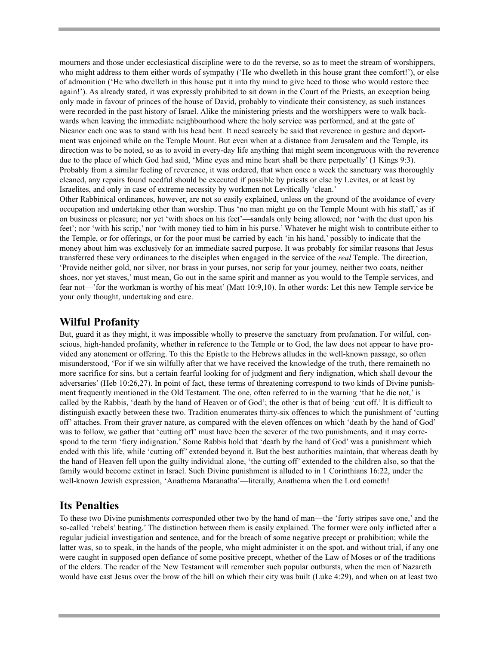mourners and those under ecclesiastical discipline were to do the reverse, so as to meet the stream of worshippers, who might address to them either words of sympathy ('He who dwelleth in this house grant thee comfort!'), or else of admonition ('He who dwelleth in this house put it into thy mind to give heed to those who would restore thee again!'). As already stated, it was expressly prohibited to sit down in the Court of the Priests, an exception being only made in favour of princes of the house of David, probably to vindicate their consistency, as such instances were recorded in the past history of Israel. Alike the ministering priests and the worshippers were to walk backwards when leaving the immediate neighbourhood where the holy service was performed, and at the gate of Nicanor each one was to stand with his head bent. It need scarcely be said that reverence in gesture and deportment was enjoined while on the Temple Mount. But even when at a distance from Jerusalem and the Temple, its direction was to be noted, so as to avoid in every-day life anything that might seem incongruous with the reverence due to the place of which God had said, 'Mine eyes and mine heart shall be there perpetually' (1 Kings 9:3). Probably from a similar feeling of reverence, it was ordered, that when once a week the sanctuary was thoroughly cleaned, any repairs found needful should be executed if possible by priests or else by Levites, or at least by Israelites, and only in case of extreme necessity by workmen not Levitically 'clean.'

Other Rabbinical ordinances, however, are not so easily explained, unless on the ground of the avoidance of every occupation and undertaking other than worship. Thus 'no man might go on the Temple Mount with his staff,' as if on business or pleasure; nor yet 'with shoes on his feet'—sandals only being allowed; nor 'with the dust upon his feet'; nor 'with his scrip,' nor 'with money tied to him in his purse.' Whatever he might wish to contribute either to the Temple, or for offerings, or for the poor must be carried by each 'in his hand,' possibly to indicate that the money about him was exclusively for an immediate sacred purpose. It was probably for similar reasons that Jesus transferred these very ordinances to the disciples when engaged in the service of the *real* Temple. The direction, 'Provide neither gold, nor silver, nor brass in your purses, nor scrip for your journey, neither two coats, neither shoes, nor yet staves,' must mean, Go out in the same spirit and manner as you would to the Temple services, and fear not—'for the workman is worthy of his meat' (Matt 10:9,10). In other words: Let this new Temple service be your only thought, undertaking and care.

#### **Wilful Profanity**

But, guard it as they might, it was impossible wholly to preserve the sanctuary from profanation. For wilful, conscious, high-handed profanity, whether in reference to the Temple or to God, the law does not appear to have provided any atonement or offering. To this the Epistle to the Hebrews alludes in the well-known passage, so often misunderstood, 'For if we sin wilfully after that we have received the knowledge of the truth, there remaineth no more sacrifice for sins, but a certain fearful looking for of judgment and fiery indignation, which shall devour the adversaries' (Heb 10:26,27). In point of fact, these terms of threatening correspond to two kinds of Divine punishment frequently mentioned in the Old Testament. The one, often referred to in the warning 'that he die not,' is called by the Rabbis, 'death by the hand of Heaven or of God'; the other is that of being 'cut off.' It is difficult to distinguish exactly between these two. Tradition enumerates thirty-six offences to which the punishment of 'cutting off' attaches. From their graver nature, as compared with the eleven offences on which 'death by the hand of God' was to follow, we gather that 'cutting off' must have been the severer of the two punishments, and it may correspond to the term 'fiery indignation.' Some Rabbis hold that 'death by the hand of God' was a punishment which ended with this life, while 'cutting off' extended beyond it. But the best authorities maintain, that whereas death by the hand of Heaven fell upon the guilty individual alone, 'the cutting off' extended to the children also, so that the family would become extinct in Israel. Such Divine punishment is alluded to in 1 Corinthians 16:22, under the well-known Jewish expression, 'Anathema Maranatha'—literally, Anathema when the Lord cometh!

# **Its Penalties**

To these two Divine punishments corresponded other two by the hand of man—the 'forty stripes save one,' and the so-called 'rebels' beating.' The distinction between them is easily explained. The former were only inflicted after a regular judicial investigation and sentence, and for the breach of some negative precept or prohibition; while the latter was, so to speak, in the hands of the people, who might administer it on the spot, and without trial, if any one were caught in supposed open defiance of some positive precept, whether of the Law of Moses or of the traditions of the elders. The reader of the New Testament will remember such popular outbursts, when the men of Nazareth would have cast Jesus over the brow of the hill on which their city was built (Luke 4:29), and when on at least two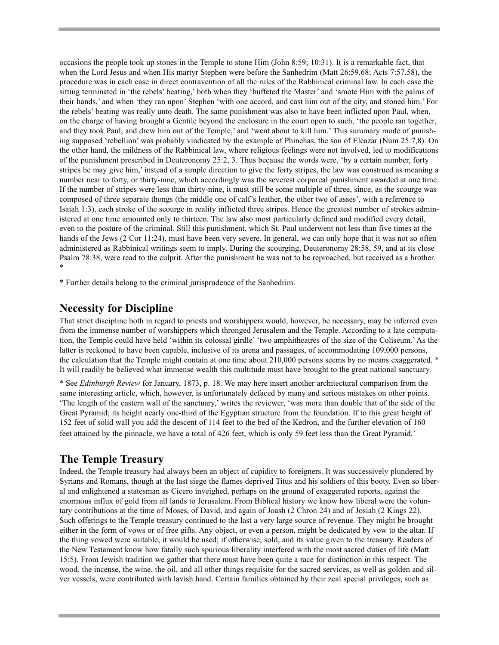occasions the people took up stones in the Temple to stone Him (John 8:59; 10:31). It is a remarkable fact, that when the Lord Jesus and when His martyr Stephen were before the Sanhedrim (Matt 26:59,68; Acts 7:57,58), the procedure was in each case in direct contravention of all the rules of the Rabbinical criminal law. In each case the sitting terminated in 'the rebels' beating,' both when they 'buffeted the Master' and 'smote Him with the palms of their hands,' and when 'they ran upon' Stephen 'with one accord, and cast him out of the city, and stoned him.' For the rebels' beating was really unto death. The same punishment was also to have been inflicted upon Paul, when, on the charge of having brought a Gentile beyond the enclosure in the court open to such, 'the people ran together, and they took Paul, and drew him out of the Temple,' and 'went about to kill him.' This summary mode of punishing supposed 'rebellion' was probably vindicated by the example of Phinehas, the son of Eleazar (Num 25:7,8). On the other hand, the mildness of the Rabbinical law, where religious feelings were not involved, led to modifications of the punishment prescribed in Deuteronomy 25:2, 3. Thus because the words were, 'by a certain number, forty stripes he may give him,' instead of a simple direction to give the forty stripes, the law was construed as meaning a number near to forty, or thirty-nine, which accordingly was the severest corporeal punishment awarded at one time. If the number of stripes were less than thirty-nine, it must still be some multiple of three, since, as the scourge was composed of three separate thongs (the middle one of calf's leather, the other two of asses', with a reference to Isaiah 1:3), each stroke of the scourge in reality inflicted three stripes. Hence the greatest number of strokes administered at one time amounted only to thirteen. The law also most particularly defined and modified every detail, even to the posture of the criminal. Still this punishment, which St. Paul underwent not less than five times at the hands of the Jews (2 Cor 11:24), must have been very severe. In general, we can only hope that it was not so often administered as Rabbinical writings seem to imply. During the scourging, Deuteronomy 28:58, 59, and at its close Psalm 78:38, were read to the culprit. After the punishment he was not to be reproached, but received as a brother. \*

\* Further details belong to the criminal jurisprudence of the Sanhedrim.

# **Necessity for Discipline**

That strict discipline both in regard to priests and worshippers would, however, be necessary, may be inferred even from the immense number of worshippers which thronged Jerusalem and the Temple. According to a late computation, the Temple could have held 'within its colossal girdle' 'two amphitheatres of the size of the Coliseum.' As the latter is reckoned to have been capable, inclusive of its arena and passages, of accommodating 109,000 persons, the calculation that the Temple might contain at one time about 210,000 persons seems by no means exaggerated. \* It will readily be believed what immense wealth this multitude must have brought to the great national sanctuary.

\* See *Edinburgh Review* for January, 1873, p. 18. We may here insert another architectural comparison from the same interesting article, which, however, is unfortunately defaced by many and serious mistakes on other points. 'The length of the eastern wall of the sanctuary,' writes the reviewer, 'was more than double that of the side of the Great Pyramid; its height nearly one-third of the Egyptian structure from the foundation. If to this great height of 152 feet of solid wall you add the descent of 114 feet to the bed of the Kedron, and the further elevation of 160 feet attained by the pinnacle, we have a total of 426 feet, which is only 59 feet less than the Great Pyramid.'

#### **The Temple Treasury**

Indeed, the Temple treasury had always been an object of cupidity to foreigners. It was successively plundered by Syrians and Romans, though at the last siege the flames deprived Titus and his soldiers of this booty. Even so liberal and enlightened a statesman as Cicero inveighed, perhaps on the ground of exaggerated reports, against the enormous influx of gold from all lands to Jerusalem. From Biblical history we know how liberal were the voluntary contributions at the time of Moses, of David, and again of Joash (2 Chron 24) and of Josiah (2 Kings 22). Such offerings to the Temple treasury continued to the last a very large source of revenue. They might be brought either in the form of vows or of free gifts. Any object, or even a person, might be dedicated by vow to the altar. If the thing vowed were suitable, it would be used; if otherwise, sold, and its value given to the treasury. Readers of the New Testament know how fatally such spurious liberality interfered with the most sacred duties of life (Matt 15:5). From Jewish tradition we gather that there must have been quite a race for distinction in this respect. The wood, the incense, the wine, the oil, and all other things requisite for the sacred services, as well as golden and silver vessels, were contributed with lavish hand. Certain families obtained by their zeal special privileges, such as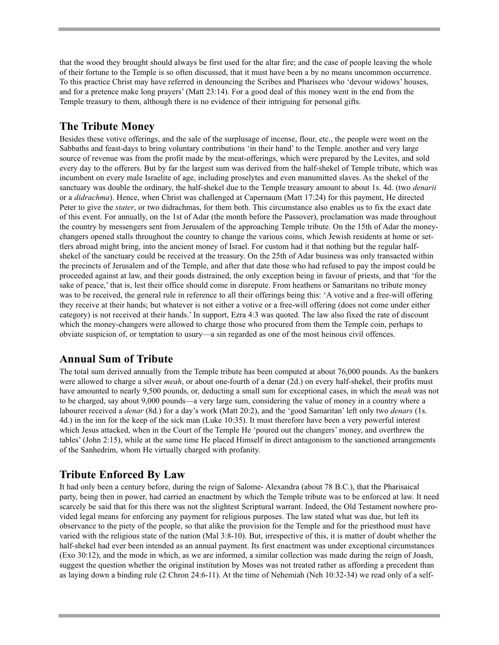that the wood they brought should always be first used for the altar fire; and the case of people leaving the whole of their fortune to the Temple is so often discussed, that it must have been a by no means uncommon occurrence. To this practice Christ may have referred in denouncing the Scribes and Pharisees who 'devour widows' houses, and for a pretence make long prayers' (Matt 23:14). For a good deal of this money went in the end from the Temple treasury to them, although there is no evidence of their intriguing for personal gifts.

# **The Tribute Money**

Besides these votive offerings, and the sale of the surplusage of incense, flour, etc., the people were wont on the Sabbaths and feast-days to bring voluntary contributions 'in their hand' to the Temple. another and very large source of revenue was from the profit made by the meat-offerings, which were prepared by the Levites, and sold every day to the offerers. But by far the largest sum was derived from the half-shekel of Temple tribute, which was incumbent on every male Israelite of age, including proselytes and even manumitted slaves. As the shekel of the sanctuary was double the ordinary, the half-shekel due to the Temple treasury amount to about 1s. 4d. (two *denarii* or a *didrachma*). Hence, when Christ was challenged at Capernaum (Matt 17:24) for this payment, He directed Peter to give the *stater*, or two didrachmas, for them both. This circumstance also enables us to fix the exact date of this event. For annually, on the 1st of Adar (the month before the Passover), proclamation was made throughout the country by messengers sent from Jerusalem of the approaching Temple tribute. On the 15th of Adar the moneychangers opened stalls throughout the country to change the various coins, which Jewish residents at home or settlers abroad might bring, into the ancient money of Israel. For custom had it that nothing but the regular halfshekel of the sanctuary could be received at the treasury. On the 25th of Adar business was only transacted within the precincts of Jerusalem and of the Temple, and after that date those who had refused to pay the impost could be proceeded against at law, and their goods distrained, the only exception being in favour of priests, and that 'for the sake of peace,' that is, lest their office should come in disrepute. From heathens or Samaritans no tribute money was to be received, the general rule in reference to all their offerings being this: 'A votive and a free-will offering they receive at their hands; but whatever is not either a votive or a free-will offering (does not come under either category) is not received at their hands.' In support, Ezra 4:3 was quoted. The law also fixed the rate of discount which the money-changers were allowed to charge those who procured from them the Temple coin, perhaps to obviate suspicion of, or temptation to usury—a sin regarded as one of the most heinous civil offences.

# **Annual Sum of Tribute**

The total sum derived annually from the Temple tribute has been computed at about 76,000 pounds. As the bankers were allowed to charge a silver *meah*, or about one-fourth of a denar (2d.) on every half-shekel, their profits must have amounted to nearly 9,500 pounds, or, deducting a small sum for exceptional cases, in which the *meah* was not to be charged, say about 9,000 pounds—a very large sum, considering the value of money in a country where a labourer received a *denar* (8d.) for a day's work (Matt 20:2), and the 'good Samaritan' left only two *denars* (1s. 4d.) in the inn for the keep of the sick man (Luke 10:35). It must therefore have been a very powerful interest which Jesus attacked, when in the Court of the Temple He 'poured out the changers' money, and overthrew the tables' (John 2:15), while at the same time He placed Himself in direct antagonism to the sanctioned arrangements of the Sanhedrim, whom He virtually charged with profanity.

# **Tribute Enforced By Law**

It had only been a century before, during the reign of Salome- Alexandra (about 78 B.C.), that the Pharisaical party, being then in power, had carried an enactment by which the Temple tribute was to be enforced at law. It need scarcely be said that for this there was not the slightest Scriptural warrant. Indeed, the Old Testament nowhere provided legal means for enforcing any payment for religious purposes. The law stated what was due, but left its observance to the piety of the people, so that alike the provision for the Temple and for the priesthood must have varied with the religious state of the nation (Mal 3:8-10). But, irrespective of this, it is matter of doubt whether the half-shekel had ever been intended as an annual payment. Its first enactment was under exceptional circumstances (Exo 30:12), and the mode in which, as we are informed, a similar collection was made during the reign of Joash, suggest the question whether the original institution by Moses was not treated rather as affording a precedent than as laying down a binding rule (2 Chron 24:6-11). At the time of Nehemiah (Neh 10:32-34) we read only of a self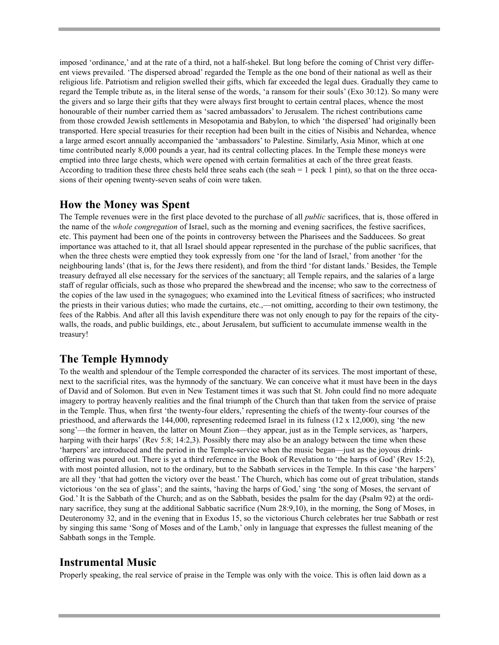imposed 'ordinance,' and at the rate of a third, not a half-shekel. But long before the coming of Christ very different views prevailed. 'The dispersed abroad' regarded the Temple as the one bond of their national as well as their religious life. Patriotism and religion swelled their gifts, which far exceeded the legal dues. Gradually they came to regard the Temple tribute as, in the literal sense of the words, 'a ransom for their souls' (Exo 30:12). So many were the givers and so large their gifts that they were always first brought to certain central places, whence the most honourable of their number carried them as 'sacred ambassadors' to Jerusalem. The richest contributions came from those crowded Jewish settlements in Mesopotamia and Babylon, to which 'the dispersed' had originally been transported. Here special treasuries for their reception had been built in the cities of Nisibis and Nehardea, whence a large armed escort annually accompanied the 'ambassadors' to Palestine. Similarly, Asia Minor, which at one time contributed nearly 8,000 pounds a year, had its central collecting places. In the Temple these moneys were emptied into three large chests, which were opened with certain formalities at each of the three great feasts. According to tradition these three chests held three seahs each (the seah  $= 1$  peck 1 pint), so that on the three occasions of their opening twenty-seven seahs of coin were taken.

#### **How the Money was Spent**

The Temple revenues were in the first place devoted to the purchase of all *public* sacrifices, that is, those offered in the name of the *whole congregation* of Israel, such as the morning and evening sacrifices, the festive sacrifices, etc. This payment had been one of the points in controversy between the Pharisees and the Sadducees. So great importance was attached to it, that all Israel should appear represented in the purchase of the public sacrifices, that when the three chests were emptied they took expressly from one 'for the land of Israel,' from another 'for the neighbouring lands' (that is, for the Jews there resident), and from the third 'for distant lands.' Besides, the Temple treasury defrayed all else necessary for the services of the sanctuary; all Temple repairs, and the salaries of a large staff of regular officials, such as those who prepared the shewbread and the incense; who saw to the correctness of the copies of the law used in the synagogues; who examined into the Levitical fitness of sacrifices; who instructed the priests in their various duties; who made the curtains, etc.,—not omitting, according to their own testimony, the fees of the Rabbis. And after all this lavish expenditure there was not only enough to pay for the repairs of the citywalls, the roads, and public buildings, etc., about Jerusalem, but sufficient to accumulate immense wealth in the treasury!

# **The Temple Hymnody**

To the wealth and splendour of the Temple corresponded the character of its services. The most important of these, next to the sacrificial rites, was the hymnody of the sanctuary. We can conceive what it must have been in the days of David and of Solomon. But even in New Testament times it was such that St. John could find no more adequate imagery to portray heavenly realities and the final triumph of the Church than that taken from the service of praise in the Temple. Thus, when first 'the twenty-four elders,' representing the chiefs of the twenty-four courses of the priesthood, and afterwards the 144,000, representing redeemed Israel in its fulness (12 x 12,000), sing 'the new song'—the former in heaven, the latter on Mount Zion—they appear, just as in the Temple services, as 'harpers, harping with their harps' (Rev 5:8; 14:2,3). Possibly there may also be an analogy between the time when these 'harpers' are introduced and the period in the Temple-service when the music began—just as the joyous drinkoffering was poured out. There is yet a third reference in the Book of Revelation to 'the harps of God' (Rev 15:2), with most pointed allusion, not to the ordinary, but to the Sabbath services in the Temple. In this case 'the harpers' are all they 'that had gotten the victory over the beast.' The Church, which has come out of great tribulation, stands victorious 'on the sea of glass'; and the saints, 'having the harps of God,' sing 'the song of Moses, the servant of God.' It is the Sabbath of the Church; and as on the Sabbath, besides the psalm for the day (Psalm 92) at the ordinary sacrifice, they sung at the additional Sabbatic sacrifice (Num 28:9,10), in the morning, the Song of Moses, in Deuteronomy 32, and in the evening that in Exodus 15, so the victorious Church celebrates her true Sabbath or rest by singing this same 'Song of Moses and of the Lamb,' only in language that expresses the fullest meaning of the Sabbath songs in the Temple.

#### **Instrumental Music**

Properly speaking, the real service of praise in the Temple was only with the voice. This is often laid down as a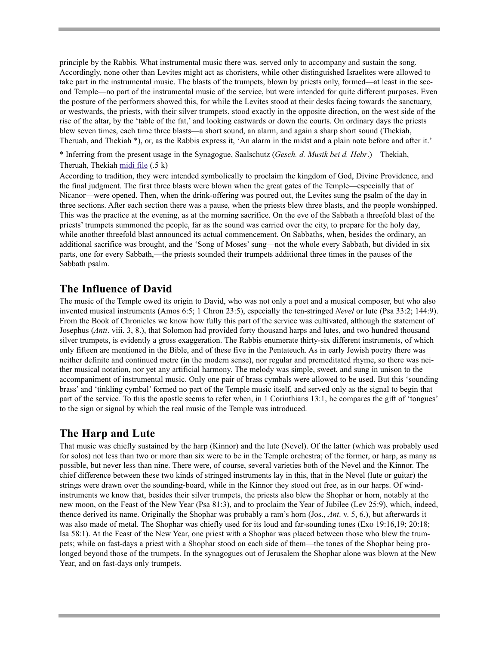principle by the Rabbis. What instrumental music there was, served only to accompany and sustain the song. Accordingly, none other than Levites might act as choristers, while other distinguished Israelites were allowed to take part in the instrumental music. The blasts of the trumpets, blown by priests only, formed—at least in the second Temple—no part of the instrumental music of the service, but were intended for quite different purposes. Even the posture of the performers showed this, for while the Levites stood at their desks facing towards the sanctuary, or westwards, the priests, with their silver trumpets, stood exactly in the opposite direction, on the west side of the rise of the altar, by the 'table of the fat,' and looking eastwards or down the courts. On ordinary days the priests blew seven times, each time three blasts—a short sound, an alarm, and again a sharp short sound (Thekiah, Theruah, and Thekiah \*), or, as the Rabbis express it, 'An alarm in the midst and a plain note before and after it.'

\* Inferring from the present usage in the Synagogue, Saalschutz (*Gesch. d. Musik bei d. Hebr*.)—Thekiah, Theruah, Thekiah midi file (.5 k)

According to tradition, they were intended symbolically to proclaim the kingdom of God, Divine Providence, and the final judgment. The first three blasts were blown when the great gates of the Temple—especially that of Nicanor—were opened. Then, when the drink-offering was poured out, the Levites sung the psalm of the day in three sections. After each section there was a pause, when the priests blew three blasts, and the people worshipped. This was the practice at the evening, as at the morning sacrifice. On the eve of the Sabbath a threefold blast of the priests' trumpets summoned the people, far as the sound was carried over the city, to prepare for the holy day, while another threefold blast announced its actual commencement. On Sabbaths, when, besides the ordinary, an additional sacrifice was brought, and the 'Song of Moses' sung—not the whole every Sabbath, but divided in six parts, one for every Sabbath,—the priests sounded their trumpets additional three times in the pauses of the Sabbath psalm.

#### **The Influence of David**

The music of the Temple owed its origin to David, who was not only a poet and a musical composer, but who also invented musical instruments (Amos 6:5; 1 Chron 23:5), especially the ten-stringed *Nevel* or lute (Psa 33:2; 144:9). From the Book of Chronicles we know how fully this part of the service was cultivated, although the statement of Josephus (*Anti*. viii. 3, 8.), that Solomon had provided forty thousand harps and lutes, and two hundred thousand silver trumpets, is evidently a gross exaggeration. The Rabbis enumerate thirty-six different instruments, of which only fifteen are mentioned in the Bible, and of these five in the Pentateuch. As in early Jewish poetry there was neither definite and continued metre (in the modern sense), nor regular and premeditated rhyme, so there was neither musical notation, nor yet any artificial harmony. The melody was simple, sweet, and sung in unison to the accompaniment of instrumental music. Only one pair of brass cymbals were allowed to be used. But this 'sounding brass' and 'tinkling cymbal' formed no part of the Temple music itself, and served only as the signal to begin that part of the service. To this the apostle seems to refer when, in 1 Corinthians 13:1, he compares the gift of 'tongues' to the sign or signal by which the real music of the Temple was introduced.

# **The Harp and Lute**

That music was chiefly sustained by the harp (Kinnor) and the lute (Nevel). Of the latter (which was probably used for solos) not less than two or more than six were to be in the Temple orchestra; of the former, or harp, as many as possible, but never less than nine. There were, of course, several varieties both of the Nevel and the Kinnor. The chief difference between these two kinds of stringed instruments lay in this, that in the Nevel (lute or guitar) the strings were drawn over the sounding-board, while in the Kinnor they stood out free, as in our harps. Of windinstruments we know that, besides their silver trumpets, the priests also blew the Shophar or horn, notably at the new moon, on the Feast of the New Year (Psa 81:3), and to proclaim the Year of Jubilee (Lev 25:9), which, indeed, thence derived its name. Originally the Shophar was probably a ram's horn (Jos., *Ant*. v. 5, 6.), but afterwards it was also made of metal. The Shophar was chiefly used for its loud and far-sounding tones (Exo 19:16,19; 20:18; Isa 58:1). At the Feast of the New Year, one priest with a Shophar was placed between those who blew the trumpets; while on fast-days a priest with a Shophar stood on each side of them—the tones of the Shophar being prolonged beyond those of the trumpets. In the synagogues out of Jerusalem the Shophar alone was blown at the New Year, and on fast-days only trumpets.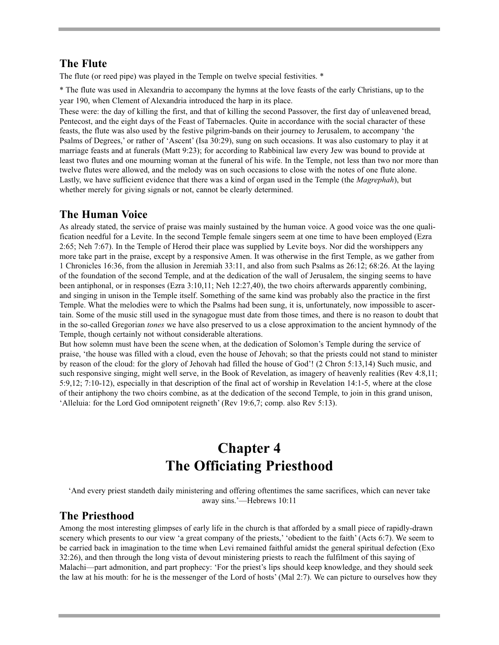#### **The Flute**

The flute (or reed pipe) was played in the Temple on twelve special festivities. \*

\* The flute was used in Alexandria to accompany the hymns at the love feasts of the early Christians, up to the year 190, when Clement of Alexandria introduced the harp in its place.

These were: the day of killing the first, and that of killing the second Passover, the first day of unleavened bread, Pentecost, and the eight days of the Feast of Tabernacles. Quite in accordance with the social character of these feasts, the flute was also used by the festive pilgrim-bands on their journey to Jerusalem, to accompany 'the Psalms of Degrees,' or rather of 'Ascent' (Isa 30:29), sung on such occasions. It was also customary to play it at marriage feasts and at funerals (Matt 9:23); for according to Rabbinical law every Jew was bound to provide at least two flutes and one mourning woman at the funeral of his wife. In the Temple, not less than two nor more than twelve flutes were allowed, and the melody was on such occasions to close with the notes of one flute alone. Lastly, we have sufficient evidence that there was a kind of organ used in the Temple (the *Magrephah*), but whether merely for giving signals or not, cannot be clearly determined.

#### **The Human Voice**

As already stated, the service of praise was mainly sustained by the human voice. A good voice was the one qualification needful for a Levite. In the second Temple female singers seem at one time to have been employed (Ezra 2:65; Neh 7:67). In the Temple of Herod their place was supplied by Levite boys. Nor did the worshippers any more take part in the praise, except by a responsive Amen. It was otherwise in the first Temple, as we gather from 1 Chronicles 16:36, from the allusion in Jeremiah 33:11, and also from such Psalms as 26:12; 68:26. At the laying of the foundation of the second Temple, and at the dedication of the wall of Jerusalem, the singing seems to have been antiphonal, or in responses (Ezra 3:10,11; Neh 12:27,40), the two choirs afterwards apparently combining, and singing in unison in the Temple itself. Something of the same kind was probably also the practice in the first Temple. What the melodies were to which the Psalms had been sung, it is, unfortunately, now impossible to ascertain. Some of the music still used in the synagogue must date from those times, and there is no reason to doubt that in the so-called Gregorian *tones* we have also preserved to us a close approximation to the ancient hymnody of the Temple, though certainly not without considerable alterations.

But how solemn must have been the scene when, at the dedication of Solomon's Temple during the service of praise, 'the house was filled with a cloud, even the house of Jehovah; so that the priests could not stand to minister by reason of the cloud: for the glory of Jehovah had filled the house of God'! (2 Chron 5:13,14) Such music, and such responsive singing, might well serve, in the Book of Revelation, as imagery of heavenly realities (Rev 4:8,11; 5:9,12; 7:10-12), especially in that description of the final act of worship in Revelation 14:1-5, where at the close of their antiphony the two choirs combine, as at the dedication of the second Temple, to join in this grand unison, 'Alleluia: for the Lord God omnipotent reigneth' (Rev 19:6,7; comp. also Rev 5:13).

# **Chapter 4 The Officiating Priesthood**

'And every priest standeth daily ministering and offering oftentimes the same sacrifices, which can never take away sins.'—Hebrews 10:11

#### **The Priesthood**

Among the most interesting glimpses of early life in the church is that afforded by a small piece of rapidly-drawn scenery which presents to our view 'a great company of the priests,' 'obedient to the faith' (Acts 6:7). We seem to be carried back in imagination to the time when Levi remained faithful amidst the general spiritual defection (Exo 32:26), and then through the long vista of devout ministering priests to reach the fulfilment of this saying of Malachi—part admonition, and part prophecy: 'For the priest's lips should keep knowledge, and they should seek the law at his mouth: for he is the messenger of the Lord of hosts' (Mal 2:7). We can picture to ourselves how they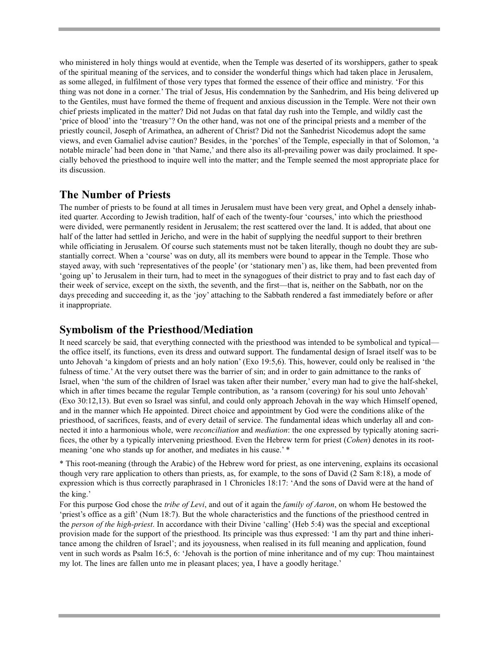who ministered in holy things would at eventide, when the Temple was deserted of its worshippers, gather to speak of the spiritual meaning of the services, and to consider the wonderful things which had taken place in Jerusalem, as some alleged, in fulfilment of those very types that formed the essence of their office and ministry. 'For this thing was not done in a corner.' The trial of Jesus, His condemnation by the Sanhedrim, and His being delivered up to the Gentiles, must have formed the theme of frequent and anxious discussion in the Temple. Were not their own chief priests implicated in the matter? Did not Judas on that fatal day rush into the Temple, and wildly cast the 'price of blood' into the 'treasury'? On the other hand, was not one of the principal priests and a member of the priestly council, Joseph of Arimathea, an adherent of Christ? Did not the Sanhedrist Nicodemus adopt the same views, and even Gamaliel advise caution? Besides, in the 'porches' of the Temple, especially in that of Solomon, 'a notable miracle' had been done in 'that Name,' and there also its all-prevailing power was daily proclaimed. It specially behoved the priesthood to inquire well into the matter; and the Temple seemed the most appropriate place for its discussion.

## **The Number of Priests**

The number of priests to be found at all times in Jerusalem must have been very great, and Ophel a densely inhabited quarter. According to Jewish tradition, half of each of the twenty-four 'courses,' into which the priesthood were divided, were permanently resident in Jerusalem; the rest scattered over the land. It is added, that about one half of the latter had settled in Jericho, and were in the habit of supplying the needful support to their brethren while officiating in Jerusalem. Of course such statements must not be taken literally, though no doubt they are substantially correct. When a 'course' was on duty, all its members were bound to appear in the Temple. Those who stayed away, with such 'representatives of the people' (or 'stationary men') as, like them, had been prevented from 'going up' to Jerusalem in their turn, had to meet in the synagogues of their district to pray and to fast each day of their week of service, except on the sixth, the seventh, and the first—that is, neither on the Sabbath, nor on the days preceding and succeeding it, as the 'joy' attaching to the Sabbath rendered a fast immediately before or after it inappropriate.

#### **Symbolism of the Priesthood/Mediation**

It need scarcely be said, that everything connected with the priesthood was intended to be symbolical and typical the office itself, its functions, even its dress and outward support. The fundamental design of Israel itself was to be unto Jehovah 'a kingdom of priests and an holy nation' (Exo 19:5,6). This, however, could only be realised in 'the fulness of time.' At the very outset there was the barrier of sin; and in order to gain admittance to the ranks of Israel, when 'the sum of the children of Israel was taken after their number,' every man had to give the half-shekel, which in after times became the regular Temple contribution, as 'a ransom (covering) for his soul unto Jehovah' (Exo 30:12,13). But even so Israel was sinful, and could only approach Jehovah in the way which Himself opened, and in the manner which He appointed. Direct choice and appointment by God were the conditions alike of the priesthood, of sacrifices, feasts, and of every detail of service. The fundamental ideas which underlay all and connected it into a harmonious whole, were *reconciliation* and *mediation*: the one expressed by typically atoning sacrifices, the other by a typically intervening priesthood. Even the Hebrew term for priest (*Cohen*) denotes in its rootmeaning 'one who stands up for another, and mediates in his cause.' \*

\* This root-meaning (through the Arabic) of the Hebrew word for priest, as one intervening, explains its occasional though very rare application to others than priests, as, for example, to the sons of David (2 Sam 8:18), a mode of expression which is thus correctly paraphrased in 1 Chronicles 18:17: 'And the sons of David were at the hand of the king.'

For this purpose God chose the *tribe of Levi*, and out of it again the *family of Aaron*, on whom He bestowed the 'priest's office as a gift' (Num 18:7). But the whole characteristics and the functions of the priesthood centred in the *person of the high-priest*. In accordance with their Divine 'calling' (Heb 5:4) was the special and exceptional provision made for the support of the priesthood. Its principle was thus expressed: 'I am thy part and thine inheritance among the children of Israel'; and its joyousness, when realised in its full meaning and application, found vent in such words as Psalm 16:5, 6: 'Jehovah is the portion of mine inheritance and of my cup: Thou maintainest my lot. The lines are fallen unto me in pleasant places; yea, I have a goodly heritage.'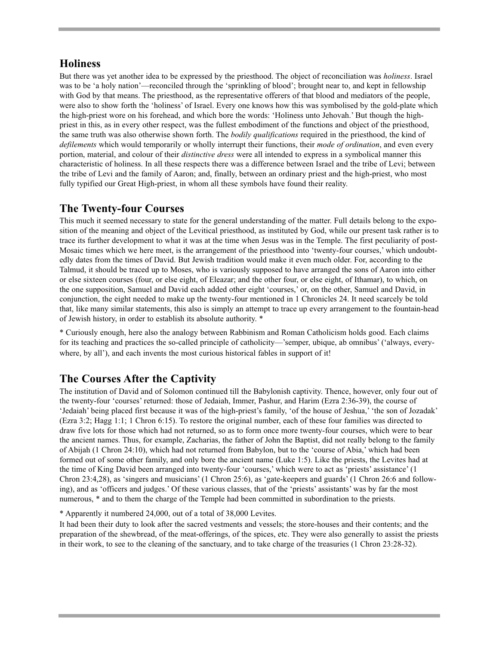# **Holiness**

But there was yet another idea to be expressed by the priesthood. The object of reconciliation was *holiness*. Israel was to be 'a holy nation'—reconciled through the 'sprinkling of blood'; brought near to, and kept in fellowship with God by that means. The priesthood, as the representative offerers of that blood and mediators of the people, were also to show forth the 'holiness' of Israel. Every one knows how this was symbolised by the gold-plate which the high-priest wore on his forehead, and which bore the words: 'Holiness unto Jehovah.' But though the highpriest in this, as in every other respect, was the fullest embodiment of the functions and object of the priesthood, the same truth was also otherwise shown forth. The *bodily qualifications* required in the priesthood, the kind of *defilements* which would temporarily or wholly interrupt their functions, their *mode of ordination*, and even every portion, material, and colour of their *distinctive dress* were all intended to express in a symbolical manner this characteristic of holiness. In all these respects there was a difference between Israel and the tribe of Levi; between the tribe of Levi and the family of Aaron; and, finally, between an ordinary priest and the high-priest, who most fully typified our Great High-priest, in whom all these symbols have found their reality.

## **The Twenty-four Courses**

This much it seemed necessary to state for the general understanding of the matter. Full details belong to the exposition of the meaning and object of the Levitical priesthood, as instituted by God, while our present task rather is to trace its further development to what it was at the time when Jesus was in the Temple. The first peculiarity of post-Mosaic times which we here meet, is the arrangement of the priesthood into 'twenty-four courses,' which undoubtedly dates from the times of David. But Jewish tradition would make it even much older. For, according to the Talmud, it should be traced up to Moses, who is variously supposed to have arranged the sons of Aaron into either or else sixteen courses (four, or else eight, of Eleazar; and the other four, or else eight, of Ithamar), to which, on the one supposition, Samuel and David each added other eight 'courses,' or, on the other, Samuel and David, in conjunction, the eight needed to make up the twenty-four mentioned in 1 Chronicles 24. It need scarcely be told that, like many similar statements, this also is simply an attempt to trace up every arrangement to the fountain-head of Jewish history, in order to establish its absolute authority. \*

\* Curiously enough, here also the analogy between Rabbinism and Roman Catholicism holds good. Each claims for its teaching and practices the so-called principle of catholicity—'semper, ubique, ab omnibus' ('always, everywhere, by all'), and each invents the most curious historical fables in support of it!

# **The Courses After the Captivity**

The institution of David and of Solomon continued till the Babylonish captivity. Thence, however, only four out of the twenty-four 'courses' returned: those of Jedaiah, Immer, Pashur, and Harim (Ezra 2:36-39), the course of 'Jedaiah' being placed first because it was of the high-priest's family, 'of the house of Jeshua,' 'the son of Jozadak' (Ezra 3:2; Hagg 1:1; 1 Chron 6:15). To restore the original number, each of these four families was directed to draw five lots for those which had not returned, so as to form once more twenty-four courses, which were to bear the ancient names. Thus, for example, Zacharias, the father of John the Baptist, did not really belong to the family of Abijah (1 Chron 24:10), which had not returned from Babylon, but to the 'course of Abia,' which had been formed out of some other family, and only bore the ancient name (Luke 1:5). Like the priests, the Levites had at the time of King David been arranged into twenty-four 'courses,' which were to act as 'priests' assistance' (1 Chron 23:4,28), as 'singers and musicians' (1 Chron 25:6), as 'gate-keepers and guards' (1 Chron 26:6 and following), and as 'officers and judges.' Of these various classes, that of the 'priests' assistants' was by far the most numerous,  $*$  and to them the charge of the Temple had been committed in subordination to the priests.

\* Apparently it numbered 24,000, out of a total of 38,000 Levites.

It had been their duty to look after the sacred vestments and vessels; the store-houses and their contents; and the preparation of the shewbread, of the meat-offerings, of the spices, etc. They were also generally to assist the priests in their work, to see to the cleaning of the sanctuary, and to take charge of the treasuries (1 Chron 23:28-32).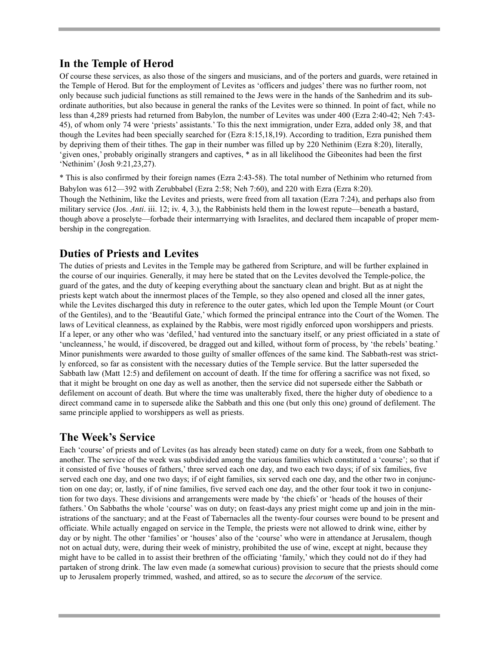# **In the Temple of Herod**

Of course these services, as also those of the singers and musicians, and of the porters and guards, were retained in the Temple of Herod. But for the employment of Levites as 'officers and judges' there was no further room, not only because such judicial functions as still remained to the Jews were in the hands of the Sanhedrim and its subordinate authorities, but also because in general the ranks of the Levites were so thinned. In point of fact, while no less than 4,289 priests had returned from Babylon, the number of Levites was under 400 (Ezra 2:40-42; Neh 7:43- 45), of whom only 74 were 'priests' assistants.' To this the next immigration, under Ezra, added only 38, and that though the Levites had been specially searched for (Ezra 8:15,18,19). According to tradition, Ezra punished them by depriving them of their tithes. The gap in their number was filled up by 220 Nethinim (Ezra 8:20), literally, 'given ones,' probably originally strangers and captives, \* as in all likelihood the Gibeonites had been the first 'Nethinim' (Josh 9:21,23,27).

\* This is also confirmed by their foreign names (Ezra 2:43-58). The total number of Nethinim who returned from Babylon was 612—392 with Zerubbabel (Ezra 2:58; Neh 7:60), and 220 with Ezra (Ezra 8:20). Though the Nethinim, like the Levites and priests, were freed from all taxation (Ezra 7:24), and perhaps also from military service (Jos. *Anti*. iii. 12; iv. 4, 3.), the Rabbinists held them in the lowest repute—beneath a bastard, though above a proselyte—forbade their intermarrying with Israelites, and declared them incapable of proper membership in the congregation.

# **Duties of Priests and Levites**

The duties of priests and Levites in the Temple may be gathered from Scripture, and will be further explained in the course of our inquiries. Generally, it may here be stated that on the Levites devolved the Temple-police, the guard of the gates, and the duty of keeping everything about the sanctuary clean and bright. But as at night the priests kept watch about the innermost places of the Temple, so they also opened and closed all the inner gates, while the Levites discharged this duty in reference to the outer gates, which led upon the Temple Mount (or Court of the Gentiles), and to the 'Beautiful Gate,' which formed the principal entrance into the Court of the Women. The laws of Levitical cleanness, as explained by the Rabbis, were most rigidly enforced upon worshippers and priests. If a leper, or any other who was 'defiled,' had ventured into the sanctuary itself, or any priest officiated in a state of 'uncleanness,' he would, if discovered, be dragged out and killed, without form of process, by 'the rebels' beating.' Minor punishments were awarded to those guilty of smaller offences of the same kind. The Sabbath-rest was strictly enforced, so far as consistent with the necessary duties of the Temple service. But the latter superseded the Sabbath law (Matt 12:5) and defilement on account of death. If the time for offering a sacrifice was not fixed, so that it might be brought on one day as well as another, then the service did not supersede either the Sabbath or defilement on account of death. But where the time was unalterably fixed, there the higher duty of obedience to a direct command came in to supersede alike the Sabbath and this one (but only this one) ground of defilement. The same principle applied to worshippers as well as priests.

# **The Week's Service**

Each 'course' of priests and of Levites (as has already been stated) came on duty for a week, from one Sabbath to another. The service of the week was subdivided among the various families which constituted a 'course'; so that if it consisted of five 'houses of fathers,' three served each one day, and two each two days; if of six families, five served each one day, and one two days; if of eight families, six served each one day, and the other two in conjunction on one day; or, lastly, if of nine families, five served each one day, and the other four took it two in conjunction for two days. These divisions and arrangements were made by 'the chiefs' or 'heads of the houses of their fathers.' On Sabbaths the whole 'course' was on duty; on feast-days any priest might come up and join in the ministrations of the sanctuary; and at the Feast of Tabernacles all the twenty-four courses were bound to be present and officiate. While actually engaged on service in the Temple, the priests were not allowed to drink wine, either by day or by night. The other 'families' or 'houses' also of the 'course' who were in attendance at Jerusalem, though not on actual duty, were, during their week of ministry, prohibited the use of wine, except at night, because they might have to be called in to assist their brethren of the officiating 'family,' which they could not do if they had partaken of strong drink. The law even made (a somewhat curious) provision to secure that the priests should come up to Jerusalem properly trimmed, washed, and attired, so as to secure the *decorum* of the service.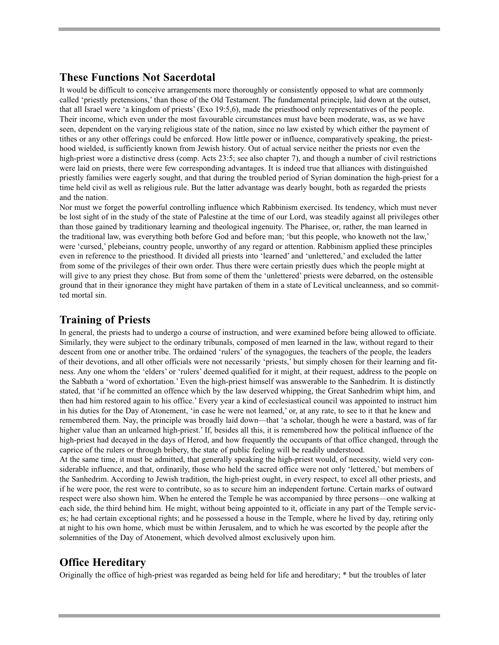# **These Functions Not Sacerdotal**

It would be difficult to conceive arrangements more thoroughly or consistently opposed to what are commonly called 'priestly pretensions,' than those of the Old Testament. The fundamental principle, laid down at the outset, that all Israel were 'a kingdom of priests' (Exo 19:5,6), made the priesthood only representatives of the people. Their income, which even under the most favourable circumstances must have been moderate, was, as we have seen, dependent on the varying religious state of the nation, since no law existed by which either the payment of tithes or any other offerings could be enforced. How little power or influence, comparatively speaking, the priesthood wielded, is sufficiently known from Jewish history. Out of actual service neither the priests nor even the high-priest wore a distinctive dress (comp. Acts 23:5; see also chapter 7), and though a number of civil restrictions were laid on priests, there were few corresponding advantages. It is indeed true that alliances with distinguished priestly families were eagerly sought, and that during the troubled period of Syrian domination the high-priest for a time held civil as well as religious rule. But the latter advantage was dearly bought, both as regarded the priests and the nation.

Nor must we forget the powerful controlling influence which Rabbinism exercised. Its tendency, which must never be lost sight of in the study of the state of Palestine at the time of our Lord, was steadily against all privileges other than those gained by traditionary learning and theological ingenuity. The Pharisee, or, rather, the man learned in the traditional law, was everything both before God and before man; 'but this people, who knoweth not the law,' were 'cursed,' plebeians, country people, unworthy of any regard or attention. Rabbinism applied these principles even in reference to the priesthood. It divided all priests into 'learned' and 'unlettered,' and excluded the latter from some of the privileges of their own order. Thus there were certain priestly dues which the people might at will give to any priest they chose. But from some of them the 'unlettered' priests were debarred, on the ostensible ground that in their ignorance they might have partaken of them in a state of Levitical uncleanness, and so committed mortal sin.

# **Training of Priests**

In general, the priests had to undergo a course of instruction, and were examined before being allowed to officiate. Similarly, they were subject to the ordinary tribunals, composed of men learned in the law, without regard to their descent from one or another tribe. The ordained 'rulers' of the synagogues, the teachers of the people, the leaders of their devotions, and all other officials were not necessarily 'priests,' but simply chosen for their learning and fitness. Any one whom the 'elders' or 'rulers' deemed qualified for it might, at their request, address to the people on the Sabbath a 'word of exhortation.' Even the high-priest himself was answerable to the Sanhedrim. It is distinctly stated, that 'if he committed an offence which by the law deserved whipping, the Great Sanhedrim whipt him, and then had him restored again to his office.' Every year a kind of ecclesiastical council was appointed to instruct him in his duties for the Day of Atonement, 'in case he were not learned,' or, at any rate, to see to it that he knew and remembered them. Nay, the principle was broadly laid down—that 'a scholar, though he were a bastard, was of far higher value than an unlearned high-priest.' If, besides all this, it is remembered how the political influence of the high-priest had decayed in the days of Herod, and how frequently the occupants of that office changed, through the caprice of the rulers or through bribery, the state of public feeling will be readily understood.

At the same time, it must be admitted, that generally speaking the high-priest would, of necessity, wield very considerable influence, and that, ordinarily, those who held the sacred office were not only 'lettered,' but members of the Sanhedrim. According to Jewish tradition, the high-priest ought, in every respect, to excel all other priests, and if he were poor, the rest were to contribute, so as to secure him an independent fortune. Certain marks of outward respect were also shown him. When he entered the Temple he was accompanied by three persons—one walking at each side, the third behind him. He might, without being appointed to it, officiate in any part of the Temple services; he had certain exceptional rights; and he possessed a house in the Temple, where he lived by day, retiring only at night to his own home, which must be within Jerusalem, and to which he was escorted by the people after the solemnities of the Day of Atonement, which devolved almost exclusively upon him.

# **Office Hereditary**

Originally the office of high-priest was regarded as being held for life and hereditary; \* but the troubles of later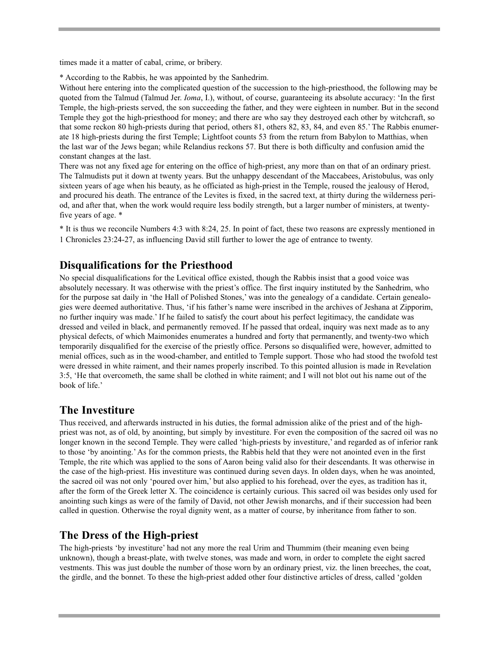times made it a matter of cabal, crime, or bribery.

\* According to the Rabbis, he was appointed by the Sanhedrim.

Without here entering into the complicated question of the succession to the high-priesthood, the following may be quoted from the Talmud (Talmud Jer. *Ioma*, I.), without, of course, guaranteeing its absolute accuracy: 'In the first Temple, the high-priests served, the son succeeding the father, and they were eighteen in number. But in the second Temple they got the high-priesthood for money; and there are who say they destroyed each other by witchcraft, so that some reckon 80 high-priests during that period, others 81, others 82, 83, 84, and even 85.' The Rabbis enumerate 18 high-priests during the first Temple; Lightfoot counts 53 from the return from Babylon to Matthias, when the last war of the Jews began; while Relandius reckons 57. But there is both difficulty and confusion amid the constant changes at the last.

There was not any fixed age for entering on the office of high-priest, any more than on that of an ordinary priest. The Talmudists put it down at twenty years. But the unhappy descendant of the Maccabees, Aristobulus, was only sixteen years of age when his beauty, as he officiated as high-priest in the Temple, roused the jealousy of Herod, and procured his death. The entrance of the Levites is fixed, in the sacred text, at thirty during the wilderness period, and after that, when the work would require less bodily strength, but a larger number of ministers, at twentyfive years of age. \*

\* It is thus we reconcile Numbers 4:3 with 8:24, 25. In point of fact, these two reasons are expressly mentioned in 1 Chronicles 23:24-27, as influencing David still further to lower the age of entrance to twenty.

#### **Disqualifications for the Priesthood**

No special disqualifications for the Levitical office existed, though the Rabbis insist that a good voice was absolutely necessary. It was otherwise with the priest's office. The first inquiry instituted by the Sanhedrim, who for the purpose sat daily in 'the Hall of Polished Stones,' was into the genealogy of a candidate. Certain genealogies were deemed authoritative. Thus, 'if his father's name were inscribed in the archives of Jeshana at Zipporim, no further inquiry was made.' If he failed to satisfy the court about his perfect legitimacy, the candidate was dressed and veiled in black, and permanently removed. If he passed that ordeal, inquiry was next made as to any physical defects, of which Maimonides enumerates a hundred and forty that permanently, and twenty-two which temporarily disqualified for the exercise of the priestly office. Persons so disqualified were, however, admitted to menial offices, such as in the wood-chamber, and entitled to Temple support. Those who had stood the twofold test were dressed in white raiment, and their names properly inscribed. To this pointed allusion is made in Revelation 3:5, 'He that overcometh, the same shall be clothed in white raiment; and I will not blot out his name out of the book of life.'

#### **The Investiture**

Thus received, and afterwards instructed in his duties, the formal admission alike of the priest and of the highpriest was not, as of old, by anointing, but simply by investiture. For even the composition of the sacred oil was no longer known in the second Temple. They were called 'high-priests by investiture,' and regarded as of inferior rank to those 'by anointing.' As for the common priests, the Rabbis held that they were not anointed even in the first Temple, the rite which was applied to the sons of Aaron being valid also for their descendants. It was otherwise in the case of the high-priest. His investiture was continued during seven days. In olden days, when he was anointed, the sacred oil was not only 'poured over him,' but also applied to his forehead, over the eyes, as tradition has it, after the form of the Greek letter X. The coincidence is certainly curious. This sacred oil was besides only used for anointing such kings as were of the family of David, not other Jewish monarchs, and if their succession had been called in question. Otherwise the royal dignity went, as a matter of course, by inheritance from father to son.

#### **The Dress of the High-priest**

The high-priests 'by investiture' had not any more the real Urim and Thummim (their meaning even being unknown), though a breast-plate, with twelve stones, was made and worn, in order to complete the eight sacred vestments. This was just double the number of those worn by an ordinary priest, viz. the linen breeches, the coat, the girdle, and the bonnet. To these the high-priest added other four distinctive articles of dress, called 'golden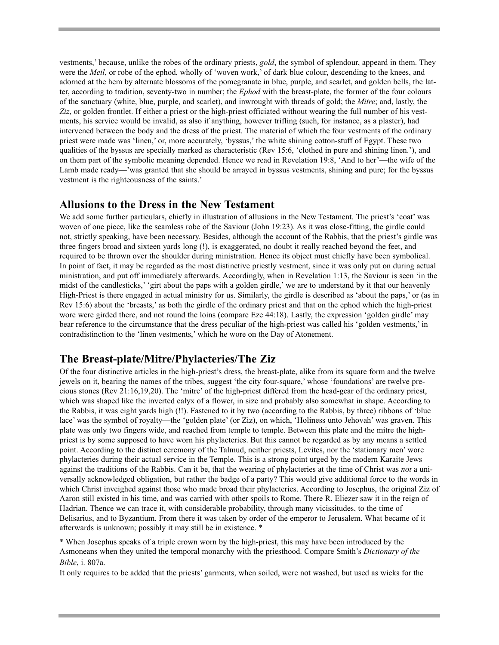vestments,' because, unlike the robes of the ordinary priests, *gold*, the symbol of splendour, appeard in them. They were the *Meil*, or robe of the ephod, wholly of 'woven work,' of dark blue colour, descending to the knees, and adorned at the hem by alternate blossoms of the pomegranate in blue, purple, and scarlet, and golden bells, the latter, according to tradition, seventy-two in number; the *Ephod* with the breast-plate, the former of the four colours of the sanctuary (white, blue, purple, and scarlet), and inwrought with threads of gold; the *Mitre*; and, lastly, the *Ziz*, or golden frontlet. If either a priest or the high-priest officiated without wearing the full number of his vestments, his service would be invalid, as also if anything, however trifling (such, for instance, as a plaster), had intervened between the body and the dress of the priest. The material of which the four vestments of the ordinary priest were made was 'linen,' or, more accurately, 'byssus,' the white shining cotton-stuff of Egypt. These two qualities of the byssus are specially marked as characteristic (Rev 15:6, 'clothed in pure and shining linen.'), and on them part of the symbolic meaning depended. Hence we read in Revelation 19:8, 'And to her'—the wife of the Lamb made ready—'was granted that she should be arrayed in byssus vestments, shining and pure; for the byssus vestment is the righteousness of the saints.'

#### **Allusions to the Dress in the New Testament**

We add some further particulars, chiefly in illustration of allusions in the New Testament. The priest's 'coat' was woven of one piece, like the seamless robe of the Saviour (John 19:23). As it was close-fitting, the girdle could not, strictly speaking, have been necessary. Besides, although the account of the Rabbis, that the priest's girdle was three fingers broad and sixteen yards long (!), is exaggerated, no doubt it really reached beyond the feet, and required to be thrown over the shoulder during ministration. Hence its object must chiefly have been symbolical. In point of fact, it may be regarded as the most distinctive priestly vestment, since it was only put on during actual ministration, and put off immediately afterwards. Accordingly, when in Revelation 1:13, the Saviour is seen 'in the midst of the candlesticks,' 'girt about the paps with a golden girdle,' we are to understand by it that our heavenly High-Priest is there engaged in actual ministry for us. Similarly, the girdle is described as 'about the paps,' or (as in Rev 15:6) about the 'breasts,' as both the girdle of the ordinary priest and that on the ephod which the high-priest wore were girded there, and not round the loins (compare Eze 44:18). Lastly, the expression 'golden girdle' may bear reference to the circumstance that the dress peculiar of the high-priest was called his 'golden vestments,' in contradistinction to the 'linen vestments,' which he wore on the Day of Atonement.

# **The Breast-plate/Mitre/Phylacteries/The Ziz**

Of the four distinctive articles in the high-priest's dress, the breast-plate, alike from its square form and the twelve jewels on it, bearing the names of the tribes, suggest 'the city four-square,' whose 'foundations' are twelve precious stones (Rev 21:16,19,20). The 'mitre' of the high-priest differed from the head-gear of the ordinary priest, which was shaped like the inverted calyx of a flower, in size and probably also somewhat in shape. According to the Rabbis, it was eight yards high (!!). Fastened to it by two (according to the Rabbis, by three) ribbons of 'blue lace' was the symbol of royalty—the 'golden plate' (or Ziz), on which, 'Holiness unto Jehovah' was graven. This plate was only two fingers wide, and reached from temple to temple. Between this plate and the mitre the highpriest is by some supposed to have worn his phylacteries. But this cannot be regarded as by any means a settled point. According to the distinct ceremony of the Talmud, neither priests, Levites, nor the 'stationary men' wore phylacteries during their actual service in the Temple. This is a strong point urged by the modern Karaite Jews against the traditions of the Rabbis. Can it be, that the wearing of phylacteries at the time of Christ was *not* a universally acknowledged obligation, but rather the badge of a party? This would give additional force to the words in which Christ inveighed against those who made broad their phylacteries. According to Josephus, the original Ziz of Aaron still existed in his time, and was carried with other spoils to Rome. There R. Eliezer saw it in the reign of Hadrian. Thence we can trace it, with considerable probability, through many vicissitudes, to the time of Belisarius, and to Byzantium. From there it was taken by order of the emperor to Jerusalem. What became of it afterwards is unknown; possibly it may still be in existence. \*

\* When Josephus speaks of a triple crown worn by the high-priest, this may have been introduced by the Asmoneans when they united the temporal monarchy with the priesthood. Compare Smith's *Dictionary of the Bible*, i. 807a.

It only requires to be added that the priests' garments, when soiled, were not washed, but used as wicks for the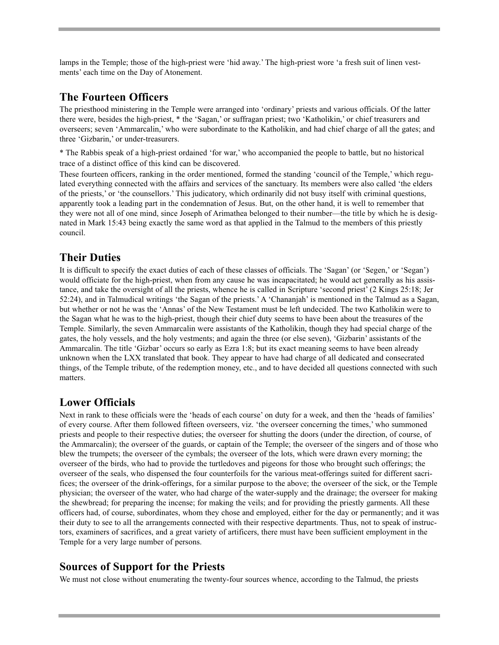lamps in the Temple; those of the high-priest were 'hid away.' The high-priest wore 'a fresh suit of linen vestments' each time on the Day of Atonement.

### **The Fourteen Officers**

The priesthood ministering in the Temple were arranged into 'ordinary' priests and various officials. Of the latter there were, besides the high-priest, \* the 'Sagan,' or suffragan priest; two 'Katholikin,' or chief treasurers and overseers; seven 'Ammarcalin,' who were subordinate to the Katholikin, and had chief charge of all the gates; and three 'Gizbarin,' or under-treasurers.

\* The Rabbis speak of a high-priest ordained 'for war,' who accompanied the people to battle, but no historical trace of a distinct office of this kind can be discovered.

These fourteen officers, ranking in the order mentioned, formed the standing 'council of the Temple,' which regulated everything connected with the affairs and services of the sanctuary. Its members were also called 'the elders of the priests,' or 'the counsellors.' This judicatory, which ordinarily did not busy itself with criminal questions, apparently took a leading part in the condemnation of Jesus. But, on the other hand, it is well to remember that they were not all of one mind, since Joseph of Arimathea belonged to their number—the title by which he is designated in Mark 15:43 being exactly the same word as that applied in the Talmud to the members of this priestly council.

# **Their Duties**

It is difficult to specify the exact duties of each of these classes of officials. The 'Sagan' (or 'Segen,' or 'Segan') would officiate for the high-priest, when from any cause he was incapacitated; he would act generally as his assistance, and take the oversight of all the priests, whence he is called in Scripture 'second priest' (2 Kings 25:18; Jer 52:24), and in Talmudical writings 'the Sagan of the priests.' A 'Chananjah' is mentioned in the Talmud as a Sagan, but whether or not he was the 'Annas' of the New Testament must be left undecided. The two Katholikin were to the Sagan what he was to the high-priest, though their chief duty seems to have been about the treasures of the Temple. Similarly, the seven Ammarcalin were assistants of the Katholikin, though they had special charge of the gates, the holy vessels, and the holy vestments; and again the three (or else seven), 'Gizbarin' assistants of the Ammarcalin. The title 'Gizbar' occurs so early as Ezra 1:8; but its exact meaning seems to have been already unknown when the LXX translated that book. They appear to have had charge of all dedicated and consecrated things, of the Temple tribute, of the redemption money, etc., and to have decided all questions connected with such matters.

# **Lower Officials**

Next in rank to these officials were the 'heads of each course' on duty for a week, and then the 'heads of families' of every course. After them followed fifteen overseers, viz. 'the overseer concerning the times,' who summoned priests and people to their respective duties; the overseer for shutting the doors (under the direction, of course, of the Ammarcalin); the overseer of the guards, or captain of the Temple; the overseer of the singers and of those who blew the trumpets; the overseer of the cymbals; the overseer of the lots, which were drawn every morning; the overseer of the birds, who had to provide the turtledoves and pigeons for those who brought such offerings; the overseer of the seals, who dispensed the four counterfoils for the various meat-offerings suited for different sacrifices; the overseer of the drink-offerings, for a similar purpose to the above; the overseer of the sick, or the Temple physician; the overseer of the water, who had charge of the water-supply and the drainage; the overseer for making the shewbread; for preparing the incense; for making the veils; and for providing the priestly garments. All these officers had, of course, subordinates, whom they chose and employed, either for the day or permanently; and it was their duty to see to all the arrangements connected with their respective departments. Thus, not to speak of instructors, examiners of sacrifices, and a great variety of artificers, there must have been sufficient employment in the Temple for a very large number of persons.

# **Sources of Support for the Priests**

We must not close without enumerating the twenty-four sources whence, according to the Talmud, the priests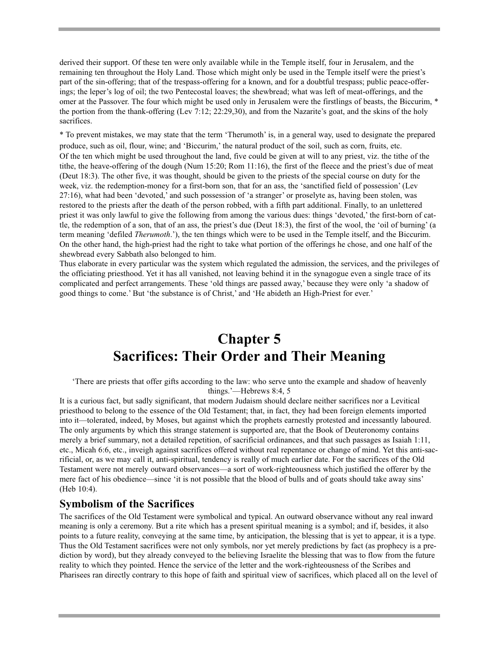derived their support. Of these ten were only available while in the Temple itself, four in Jerusalem, and the remaining ten throughout the Holy Land. Those which might only be used in the Temple itself were the priest's part of the sin-offering; that of the trespass-offering for a known, and for a doubtful trespass; public peace-offerings; the leper's log of oil; the two Pentecostal loaves; the shewbread; what was left of meat-offerings, and the omer at the Passover. The four which might be used only in Jerusalem were the firstlings of beasts, the Biccurim, \* the portion from the thank-offering (Lev 7:12; 22:29,30), and from the Nazarite's goat, and the skins of the holy sacrifices.

\* To prevent mistakes, we may state that the term 'Therumoth' is, in a general way, used to designate the prepared produce, such as oil, flour, wine; and 'Biccurim,' the natural product of the soil, such as corn, fruits, etc. Of the ten which might be used throughout the land, five could be given at will to any priest, viz. the tithe of the tithe, the heave-offering of the dough (Num 15:20; Rom 11:16), the first of the fleece and the priest's due of meat (Deut 18:3). The other five, it was thought, should be given to the priests of the special course on duty for the week, viz. the redemption-money for a first-born son, that for an ass, the 'sanctified field of possession' (Lev 27:16), what had been 'devoted,' and such possession of 'a stranger' or proselyte as, having been stolen, was restored to the priests after the death of the person robbed, with a fifth part additional. Finally, to an unlettered priest it was only lawful to give the following from among the various dues: things 'devoted,' the first-born of cattle, the redemption of a son, that of an ass, the priest's due (Deut 18:3), the first of the wool, the 'oil of burning' (a term meaning 'defiled *Therumoth*.'), the ten things which were to be used in the Temple itself, and the Biccurim. On the other hand, the high-priest had the right to take what portion of the offerings he chose, and one half of the shewbread every Sabbath also belonged to him.

Thus elaborate in every particular was the system which regulated the admission, the services, and the privileges of the officiating priesthood. Yet it has all vanished, not leaving behind it in the synagogue even a single trace of its complicated and perfect arrangements. These 'old things are passed away,' because they were only 'a shadow of good things to come.' But 'the substance is of Christ,' and 'He abideth an High-Priest for ever.'

# **Chapter 5 Sacrifices: Their Order and Their Meaning**

'There are priests that offer gifts according to the law: who serve unto the example and shadow of heavenly things.'—Hebrews 8:4, 5

It is a curious fact, but sadly significant, that modern Judaism should declare neither sacrifices nor a Levitical priesthood to belong to the essence of the Old Testament; that, in fact, they had been foreign elements imported into it—tolerated, indeed, by Moses, but against which the prophets earnestly protested and incessantly laboured. The only arguments by which this strange statement is supported are, that the Book of Deuteronomy contains merely a brief summary, not a detailed repetition, of sacrificial ordinances, and that such passages as Isaiah 1:11, etc., Micah 6:6, etc., inveigh against sacrifices offered without real repentance or change of mind. Yet this anti-sacrificial, or, as we may call it, anti-spiritual, tendency is really of much earlier date. For the sacrifices of the Old Testament were not merely outward observances—a sort of work-righteousness which justified the offerer by the mere fact of his obedience—since 'it is not possible that the blood of bulls and of goats should take away sins' (Heb 10:4).

#### **Symbolism of the Sacrifices**

The sacrifices of the Old Testament were symbolical and typical. An outward observance without any real inward meaning is only a ceremony. But a rite which has a present spiritual meaning is a symbol; and if, besides, it also points to a future reality, conveying at the same time, by anticipation, the blessing that is yet to appear, it is a type. Thus the Old Testament sacrifices were not only symbols, nor yet merely predictions by fact (as prophecy is a prediction by word), but they already conveyed to the believing Israelite the blessing that was to flow from the future reality to which they pointed. Hence the service of the letter and the work-righteousness of the Scribes and Pharisees ran directly contrary to this hope of faith and spiritual view of sacrifices, which placed all on the level of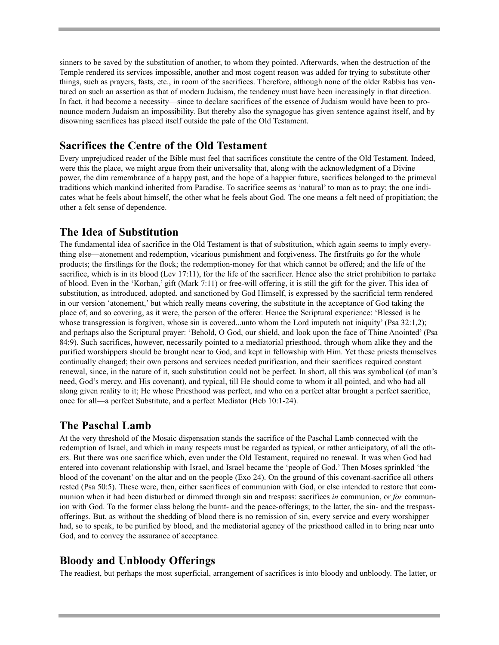sinners to be saved by the substitution of another, to whom they pointed. Afterwards, when the destruction of the Temple rendered its services impossible, another and most cogent reason was added for trying to substitute other things, such as prayers, fasts, etc., in room of the sacrifices. Therefore, although none of the older Rabbis has ventured on such an assertion as that of modern Judaism, the tendency must have been increasingly in that direction. In fact, it had become a necessity—since to declare sacrifices of the essence of Judaism would have been to pronounce modern Judaism an impossibility. But thereby also the synagogue has given sentence against itself, and by disowning sacrifices has placed itself outside the pale of the Old Testament.

## **Sacrifices the Centre of the Old Testament**

Every unprejudiced reader of the Bible must feel that sacrifices constitute the centre of the Old Testament. Indeed, were this the place, we might argue from their universality that, along with the acknowledgment of a Divine power, the dim remembrance of a happy past, and the hope of a happier future, sacrifices belonged to the primeval traditions which mankind inherited from Paradise. To sacrifice seems as 'natural' to man as to pray; the one indicates what he feels about himself, the other what he feels about God. The one means a felt need of propitiation; the other a felt sense of dependence.

# **The Idea of Substitution**

The fundamental idea of sacrifice in the Old Testament is that of substitution, which again seems to imply everything else—atonement and redemption, vicarious punishment and forgiveness. The firstfruits go for the whole products; the firstlings for the flock; the redemption-money for that which cannot be offered; and the life of the sacrifice, which is in its blood (Lev 17:11), for the life of the sacrificer. Hence also the strict prohibition to partake of blood. Even in the 'Korban,' gift (Mark 7:11) or free-will offering, it is still the gift for the giver. This idea of substitution, as introduced, adopted, and sanctioned by God Himself, is expressed by the sacrificial term rendered in our version 'atonement,' but which really means covering, the substitute in the acceptance of God taking the place of, and so covering, as it were, the person of the offerer. Hence the Scriptural experience: 'Blessed is he whose transgression is forgiven, whose sin is covered...unto whom the Lord imputeth not iniquity' (Psa 32:1,2); and perhaps also the Scriptural prayer: 'Behold, O God, our shield, and look upon the face of Thine Anointed' (Psa 84:9). Such sacrifices, however, necessarily pointed to a mediatorial priesthood, through whom alike they and the purified worshippers should be brought near to God, and kept in fellowship with Him. Yet these priests themselves continually changed; their own persons and services needed purification, and their sacrifices required constant renewal, since, in the nature of it, such substitution could not be perfect. In short, all this was symbolical (of man's need, God's mercy, and His covenant), and typical, till He should come to whom it all pointed, and who had all along given reality to it; He whose Priesthood was perfect, and who on a perfect altar brought a perfect sacrifice, once for all—a perfect Substitute, and a perfect Mediator (Heb 10:1-24).

# **The Paschal Lamb**

At the very threshold of the Mosaic dispensation stands the sacrifice of the Paschal Lamb connected with the redemption of Israel, and which in many respects must be regarded as typical, or rather anticipatory, of all the others. But there was one sacrifice which, even under the Old Testament, required no renewal. It was when God had entered into covenant relationship with Israel, and Israel became the 'people of God.' Then Moses sprinkled 'the blood of the covenant' on the altar and on the people (Exo 24). On the ground of this covenant-sacrifice all others rested (Psa 50:5). These were, then, either sacrifices of communion with God, or else intended to restore that communion when it had been disturbed or dimmed through sin and trespass: sacrifices *in* communion, or *for* communion with God. To the former class belong the burnt- and the peace-offerings; to the latter, the sin- and the trespassofferings. But, as without the shedding of blood there is no remission of sin, every service and every worshipper had, so to speak, to be purified by blood, and the mediatorial agency of the priesthood called in to bring near unto God, and to convey the assurance of acceptance.

# **Bloody and Unbloody Offerings**

The readiest, but perhaps the most superficial, arrangement of sacrifices is into bloody and unbloody. The latter, or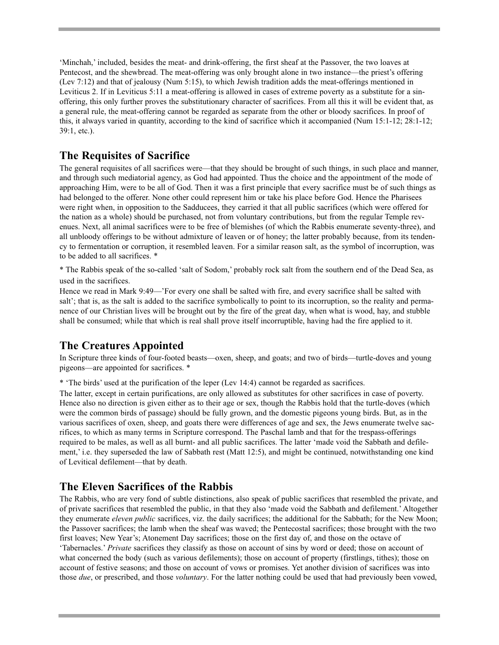'Minchah,' included, besides the meat- and drink-offering, the first sheaf at the Passover, the two loaves at Pentecost, and the shewbread. The meat-offering was only brought alone in two instance—the priest's offering (Lev 7:12) and that of jealousy (Num 5:15), to which Jewish tradition adds the meat-offerings mentioned in Leviticus 2. If in Leviticus 5:11 a meat-offering is allowed in cases of extreme poverty as a substitute for a sinoffering, this only further proves the substitutionary character of sacrifices. From all this it will be evident that, as a general rule, the meat-offering cannot be regarded as separate from the other or bloody sacrifices. In proof of this, it always varied in quantity, according to the kind of sacrifice which it accompanied (Num 15:1-12; 28:1-12; 39:1, etc.).

# **The Requisites of Sacrifice**

The general requisites of all sacrifices were—that they should be brought of such things, in such place and manner, and through such mediatorial agency, as God had appointed. Thus the choice and the appointment of the mode of approaching Him, were to be all of God. Then it was a first principle that every sacrifice must be of such things as had belonged to the offerer. None other could represent him or take his place before God. Hence the Pharisees were right when, in opposition to the Sadducees, they carried it that all public sacrifices (which were offered for the nation as a whole) should be purchased, not from voluntary contributions, but from the regular Temple revenues. Next, all animal sacrifices were to be free of blemishes (of which the Rabbis enumerate seventy-three), and all unbloody offerings to be without admixture of leaven or of honey; the latter probably because, from its tendency to fermentation or corruption, it resembled leaven. For a similar reason salt, as the symbol of incorruption, was to be added to all sacrifices. \*

\* The Rabbis speak of the so-called 'salt of Sodom,' probably rock salt from the southern end of the Dead Sea, as used in the sacrifices.

Hence we read in Mark 9:49—'For every one shall be salted with fire, and every sacrifice shall be salted with salt'; that is, as the salt is added to the sacrifice symbolically to point to its incorruption, so the reality and permanence of our Christian lives will be brought out by the fire of the great day, when what is wood, hay, and stubble shall be consumed; while that which is real shall prove itself incorruptible, having had the fire applied to it.

# **The Creatures Appointed**

In Scripture three kinds of four-footed beasts—oxen, sheep, and goats; and two of birds—turtle-doves and young pigeons—are appointed for sacrifices. \*

\* 'The birds' used at the purification of the leper (Lev 14:4) cannot be regarded as sacrifices.

The latter, except in certain purifications, are only allowed as substitutes for other sacrifices in case of poverty. Hence also no direction is given either as to their age or sex, though the Rabbis hold that the turtle-doves (which were the common birds of passage) should be fully grown, and the domestic pigeons young birds. But, as in the various sacrifices of oxen, sheep, and goats there were differences of age and sex, the Jews enumerate twelve sacrifices, to which as many terms in Scripture correspond. The Paschal lamb and that for the trespass-offerings required to be males, as well as all burnt- and all public sacrifices. The latter 'made void the Sabbath and defilement,' i.e. they superseded the law of Sabbath rest (Matt 12:5), and might be continued, notwithstanding one kind of Levitical defilement—that by death.

# **The Eleven Sacrifices of the Rabbis**

The Rabbis, who are very fond of subtle distinctions, also speak of public sacrifices that resembled the private, and of private sacrifices that resembled the public, in that they also 'made void the Sabbath and defilement.' Altogether they enumerate *eleven public* sacrifices, viz. the daily sacrifices; the additional for the Sabbath; for the New Moon; the Passover sacrifices; the lamb when the sheaf was waved; the Pentecostal sacrifices; those brought with the two first loaves; New Year's; Atonement Day sacrifices; those on the first day of, and those on the octave of 'Tabernacles.' *Private* sacrifices they classify as those on account of sins by word or deed; those on account of what concerned the body (such as various defilements); those on account of property (firstlings, tithes); those on account of festive seasons; and those on account of vows or promises. Yet another division of sacrifices was into those *due*, or prescribed, and those *voluntary*. For the latter nothing could be used that had previously been vowed,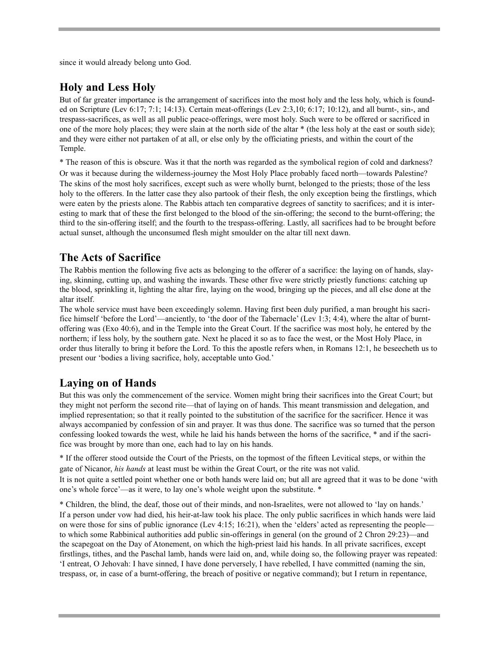since it would already belong unto God.

# **Holy and Less Holy**

But of far greater importance is the arrangement of sacrifices into the most holy and the less holy, which is founded on Scripture (Lev 6:17; 7:1; 14:13). Certain meat-offerings (Lev 2:3,10; 6:17; 10:12), and all burnt-, sin-, and trespass-sacrifices, as well as all public peace-offerings, were most holy. Such were to be offered or sacrificed in one of the more holy places; they were slain at the north side of the altar \* (the less holy at the east or south side); and they were either not partaken of at all, or else only by the officiating priests, and within the court of the Temple.

\* The reason of this is obscure. Was it that the north was regarded as the symbolical region of cold and darkness? Or was it because during the wilderness-journey the Most Holy Place probably faced north—towards Palestine? The skins of the most holy sacrifices, except such as were wholly burnt, belonged to the priests; those of the less holy to the offerers. In the latter case they also partook of their flesh, the only exception being the firstlings, which were eaten by the priests alone. The Rabbis attach ten comparative degrees of sanctity to sacrifices; and it is interesting to mark that of these the first belonged to the blood of the sin-offering; the second to the burnt-offering; the third to the sin-offering itself; and the fourth to the trespass-offering. Lastly, all sacrifices had to be brought before

actual sunset, although the unconsumed flesh might smoulder on the altar till next dawn.

# **The Acts of Sacrifice**

The Rabbis mention the following five acts as belonging to the offerer of a sacrifice: the laying on of hands, slaying, skinning, cutting up, and washing the inwards. These other five were strictly priestly functions: catching up the blood, sprinkling it, lighting the altar fire, laying on the wood, bringing up the pieces, and all else done at the altar itself.

The whole service must have been exceedingly solemn. Having first been duly purified, a man brought his sacrifice himself 'before the Lord'—anciently, to 'the door of the Tabernacle' (Lev 1:3; 4:4), where the altar of burntoffering was (Exo 40:6), and in the Temple into the Great Court. If the sacrifice was most holy, he entered by the northern; if less holy, by the southern gate. Next he placed it so as to face the west, or the Most Holy Place, in order thus literally to bring it before the Lord. To this the apostle refers when, in Romans 12:1, he beseecheth us to present our 'bodies a living sacrifice, holy, acceptable unto God.'

# **Laying on of Hands**

But this was only the commencement of the service. Women might bring their sacrifices into the Great Court; but they might not perform the second rite—that of laying on of hands. This meant transmission and delegation, and implied representation; so that it really pointed to the substitution of the sacrifice for the sacrificer. Hence it was always accompanied by confession of sin and prayer. It was thus done. The sacrifice was so turned that the person confessing looked towards the west, while he laid his hands between the horns of the sacrifice, \* and if the sacrifice was brought by more than one, each had to lay on his hands.

\* If the offerer stood outside the Court of the Priests, on the topmost of the fifteen Levitical steps, or within the gate of Nicanor, *his hands* at least must be within the Great Court, or the rite was not valid.

It is not quite a settled point whether one or both hands were laid on; but all are agreed that it was to be done 'with one's whole force'—as it were, to lay one's whole weight upon the substitute. \*

\* Children, the blind, the deaf, those out of their minds, and non-Israelites, were not allowed to 'lay on hands.' If a person under vow had died, his heir-at-law took his place. The only public sacrifices in which hands were laid on were those for sins of public ignorance (Lev 4:15; 16:21), when the 'elders' acted as representing the people to which some Rabbinical authorities add public sin-offerings in general (on the ground of 2 Chron 29:23)—and the scapegoat on the Day of Atonement, on which the high-priest laid his hands. In all private sacrifices, except firstlings, tithes, and the Paschal lamb, hands were laid on, and, while doing so, the following prayer was repeated: 'I entreat, O Jehovah: I have sinned, I have done perversely, I have rebelled, I have committed (naming the sin, trespass, or, in case of a burnt-offering, the breach of positive or negative command); but I return in repentance,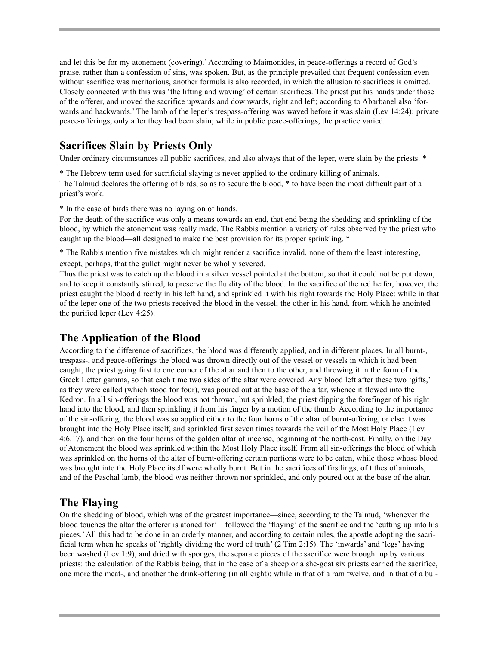and let this be for my atonement (covering).' According to Maimonides, in peace-offerings a record of God's praise, rather than a confession of sins, was spoken. But, as the principle prevailed that frequent confession even without sacrifice was meritorious, another formula is also recorded, in which the allusion to sacrifices is omitted. Closely connected with this was 'the lifting and waving' of certain sacrifices. The priest put his hands under those of the offerer, and moved the sacrifice upwards and downwards, right and left; according to Abarbanel also 'forwards and backwards.' The lamb of the leper's trespass-offering was waved before it was slain (Lev 14:24); private peace-offerings, only after they had been slain; while in public peace-offerings, the practice varied.

## **Sacrifices Slain by Priests Only**

Under ordinary circumstances all public sacrifices, and also always that of the leper, were slain by the priests.  $*$ 

\* The Hebrew term used for sacrificial slaying is never applied to the ordinary killing of animals. The Talmud declares the offering of birds, so as to secure the blood, \* to have been the most difficult part of a priest's work.

\* In the case of birds there was no laying on of hands.

For the death of the sacrifice was only a means towards an end, that end being the shedding and sprinkling of the blood, by which the atonement was really made. The Rabbis mention a variety of rules observed by the priest who caught up the blood—all designed to make the best provision for its proper sprinkling. \*

\* The Rabbis mention five mistakes which might render a sacrifice invalid, none of them the least interesting, except, perhaps, that the gullet might never be wholly severed.

Thus the priest was to catch up the blood in a silver vessel pointed at the bottom, so that it could not be put down, and to keep it constantly stirred, to preserve the fluidity of the blood. In the sacrifice of the red heifer, however, the priest caught the blood directly in his left hand, and sprinkled it with his right towards the Holy Place: while in that of the leper one of the two priests received the blood in the vessel; the other in his hand, from which he anointed the purified leper (Lev 4:25).

#### **The Application of the Blood**

According to the difference of sacrifices, the blood was differently applied, and in different places. In all burnt-, trespass-, and peace-offerings the blood was thrown directly out of the vessel or vessels in which it had been caught, the priest going first to one corner of the altar and then to the other, and throwing it in the form of the Greek Letter gamma, so that each time two sides of the altar were covered. Any blood left after these two 'gifts,' as they were called (which stood for four), was poured out at the base of the altar, whence it flowed into the Kedron. In all sin-offerings the blood was not thrown, but sprinkled, the priest dipping the forefinger of his right hand into the blood, and then sprinkling it from his finger by a motion of the thumb. According to the importance of the sin-offering, the blood was so applied either to the four horns of the altar of burnt-offering, or else it was brought into the Holy Place itself, and sprinkled first seven times towards the veil of the Most Holy Place (Lev 4:6,17), and then on the four horns of the golden altar of incense, beginning at the north-east. Finally, on the Day of Atonement the blood was sprinkled within the Most Holy Place itself. From all sin-offerings the blood of which was sprinkled on the horns of the altar of burnt-offering certain portions were to be eaten, while those whose blood was brought into the Holy Place itself were wholly burnt. But in the sacrifices of firstlings, of tithes of animals, and of the Paschal lamb, the blood was neither thrown nor sprinkled, and only poured out at the base of the altar.

# **The Flaying**

On the shedding of blood, which was of the greatest importance—since, according to the Talmud, 'whenever the blood touches the altar the offerer is atoned for'—followed the 'flaying' of the sacrifice and the 'cutting up into his pieces.' All this had to be done in an orderly manner, and according to certain rules, the apostle adopting the sacrificial term when he speaks of 'rightly dividing the word of truth' (2 Tim 2:15). The 'inwards' and 'legs' having been washed (Lev 1:9), and dried with sponges, the separate pieces of the sacrifice were brought up by various priests: the calculation of the Rabbis being, that in the case of a sheep or a she-goat six priests carried the sacrifice, one more the meat-, and another the drink-offering (in all eight); while in that of a ram twelve, and in that of a bul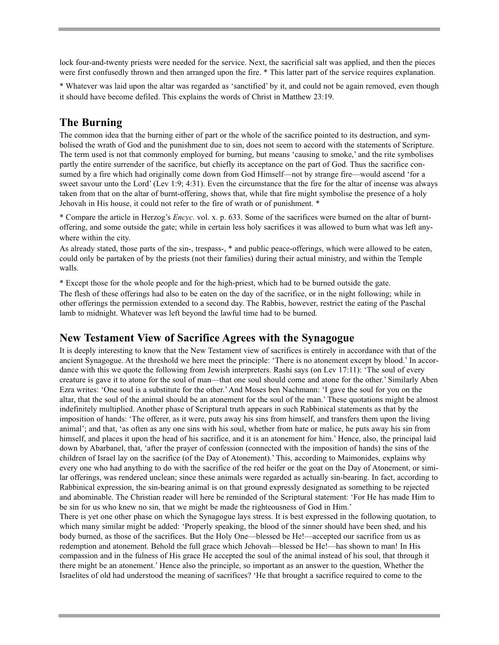lock four-and-twenty priests were needed for the service. Next, the sacrificial salt was applied, and then the pieces were first confusedly thrown and then arranged upon the fire. \* This latter part of the service requires explanation.

\* Whatever was laid upon the altar was regarded as 'sanctified' by it, and could not be again removed, even though it should have become defiled. This explains the words of Christ in Matthew 23:19.

# **The Burning**

The common idea that the burning either of part or the whole of the sacrifice pointed to its destruction, and symbolised the wrath of God and the punishment due to sin, does not seem to accord with the statements of Scripture. The term used is not that commonly employed for burning, but means 'causing to smoke,' and the rite symbolises partly the entire surrender of the sacrifice, but chiefly its acceptance on the part of God. Thus the sacrifice consumed by a fire which had originally come down from God Himself—not by strange fire—would ascend 'for a sweet savour unto the Lord' (Lev 1:9; 4:31). Even the circumstance that the fire for the altar of incense was always taken from that on the altar of burnt-offering, shows that, while that fire might symbolise the presence of a holy Jehovah in His house, it could not refer to the fire of wrath or of punishment. \*

\* Compare the article in Herzog's *Encyc*. vol. x. p. 633. Some of the sacrifices were burned on the altar of burntoffering, and some outside the gate; while in certain less holy sacrifices it was allowed to burn what was left anywhere within the city.

As already stated, those parts of the sin-, trespass-, \* and public peace-offerings, which were allowed to be eaten, could only be partaken of by the priests (not their families) during their actual ministry, and within the Temple walls.

\* Except those for the whole people and for the high-priest, which had to be burned outside the gate. The flesh of these offerings had also to be eaten on the day of the sacrifice, or in the night following; while in other offerings the permission extended to a second day. The Rabbis, however, restrict the eating of the Paschal lamb to midnight. Whatever was left beyond the lawful time had to be burned.

#### **New Testament View of Sacrifice Agrees with the Synagogue**

It is deeply interesting to know that the New Testament view of sacrifices is entirely in accordance with that of the ancient Synagogue. At the threshold we here meet the principle: 'There is no atonement except by blood.' In accordance with this we quote the following from Jewish interpreters. Rashi says (on Lev 17:11): 'The soul of every creature is gave it to atone for the soul of man—that one soul should come and atone for the other.' Similarly Aben Ezra writes: 'One soul is a substitute for the other.' And Moses ben Nachmann: 'I gave the soul for you on the altar, that the soul of the animal should be an atonement for the soul of the man.' These quotations might be almost indefinitely multiplied. Another phase of Scriptural truth appears in such Rabbinical statements as that by the imposition of hands: 'The offerer, as it were, puts away his sins from himself, and transfers them upon the living animal'; and that, 'as often as any one sins with his soul, whether from hate or malice, he puts away his sin from himself, and places it upon the head of his sacrifice, and it is an atonement for him.' Hence, also, the principal laid down by Abarbanel, that, 'after the prayer of confession (connected with the imposition of hands) the sins of the children of Israel lay on the sacrifice (of the Day of Atonement).' This, according to Maimonides, explains why every one who had anything to do with the sacrifice of the red heifer or the goat on the Day of Atonement, or similar offerings, was rendered unclean; since these animals were regarded as actually sin-bearing. In fact, according to Rabbinical expression, the sin-bearing animal is on that ground expressly designated as something to be rejected and abominable. The Christian reader will here be reminded of the Scriptural statement: 'For He has made Him to be sin for us who knew no sin, that we might be made the righteousness of God in Him.'

There is yet one other phase on which the Synagogue lays stress. It is best expressed in the following quotation, to which many similar might be added: 'Properly speaking, the blood of the sinner should have been shed, and his body burned, as those of the sacrifices. But the Holy One—blessed be He!—accepted our sacrifice from us as redemption and atonement. Behold the full grace which Jehovah—blessed be He!—has shown to man! In His compassion and in the fulness of His grace He accepted the soul of the animal instead of his soul, that through it there might be an atonement.' Hence also the principle, so important as an answer to the question, Whether the Israelites of old had understood the meaning of sacrifices? 'He that brought a sacrifice required to come to the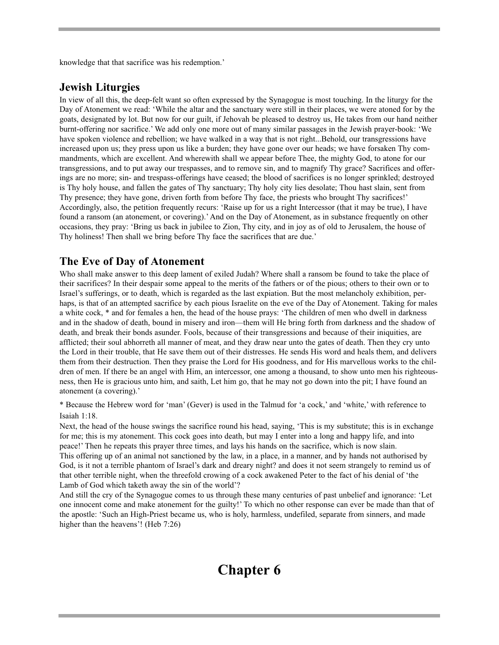knowledge that that sacrifice was his redemption.'

## **Jewish Liturgies**

In view of all this, the deep-felt want so often expressed by the Synagogue is most touching. In the liturgy for the Day of Atonement we read: 'While the altar and the sanctuary were still in their places, we were atoned for by the goats, designated by lot. But now for our guilt, if Jehovah be pleased to destroy us, He takes from our hand neither burnt-offering nor sacrifice.' We add only one more out of many similar passages in the Jewish prayer-book: 'We have spoken violence and rebellion; we have walked in a way that is not right...Behold, our transgressions have increased upon us; they press upon us like a burden; they have gone over our heads; we have forsaken Thy commandments, which are excellent. And wherewith shall we appear before Thee, the mighty God, to atone for our transgressions, and to put away our trespasses, and to remove sin, and to magnify Thy grace? Sacrifices and offerings are no more; sin- and trespass-offerings have ceased; the blood of sacrifices is no longer sprinkled; destroyed is Thy holy house, and fallen the gates of Thy sanctuary; Thy holy city lies desolate; Thou hast slain, sent from Thy presence; they have gone, driven forth from before Thy face, the priests who brought Thy sacrifices!' Accordingly, also, the petition frequently recurs: 'Raise up for us a right Intercessor (that it may be true), I have found a ransom (an atonement, or covering).' And on the Day of Atonement, as in substance frequently on other occasions, they pray: 'Bring us back in jubilee to Zion, Thy city, and in joy as of old to Jerusalem, the house of Thy holiness! Then shall we bring before Thy face the sacrifices that are due.'

## **The Eve of Day of Atonement**

Who shall make answer to this deep lament of exiled Judah? Where shall a ransom be found to take the place of their sacrifices? In their despair some appeal to the merits of the fathers or of the pious; others to their own or to Israel's sufferings, or to death, which is regarded as the last expiation. But the most melancholy exhibition, perhaps, is that of an attempted sacrifice by each pious Israelite on the eve of the Day of Atonement. Taking for males a white cock, \* and for females a hen, the head of the house prays: 'The children of men who dwell in darkness and in the shadow of death, bound in misery and iron—them will He bring forth from darkness and the shadow of death, and break their bonds asunder. Fools, because of their transgressions and because of their iniquities, are afflicted; their soul abhorreth all manner of meat, and they draw near unto the gates of death. Then they cry unto the Lord in their trouble, that He save them out of their distresses. He sends His word and heals them, and delivers them from their destruction. Then they praise the Lord for His goodness, and for His marvellous works to the children of men. If there be an angel with Him, an intercessor, one among a thousand, to show unto men his righteousness, then He is gracious unto him, and saith, Let him go, that he may not go down into the pit; I have found an atonement (a covering).'

\* Because the Hebrew word for 'man' (Gever) is used in the Talmud for 'a cock,' and 'white,' with reference to Isaiah 1:18.

Next, the head of the house swings the sacrifice round his head, saying, 'This is my substitute; this is in exchange for me; this is my atonement. This cock goes into death, but may I enter into a long and happy life, and into peace!' Then he repeats this prayer three times, and lays his hands on the sacrifice, which is now slain. This offering up of an animal not sanctioned by the law, in a place, in a manner, and by hands not authorised by God, is it not a terrible phantom of Israel's dark and dreary night? and does it not seem strangely to remind us of that other terrible night, when the threefold crowing of a cock awakened Peter to the fact of his denial of 'the Lamb of God which taketh away the sin of the world'?

And still the cry of the Synagogue comes to us through these many centuries of past unbelief and ignorance: 'Let one innocent come and make atonement for the guilty!' To which no other response can ever be made than that of the apostle: 'Such an High-Priest became us, who is holy, harmless, undefiled, separate from sinners, and made higher than the heavens'! (Heb 7:26)

# **Chapter 6**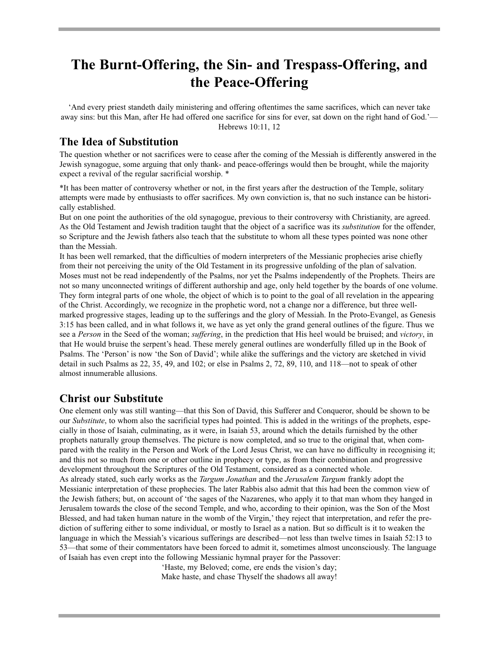# **The Burnt-Offering, the Sin- and Trespass-Offering, and the Peace-Offering**

'And every priest standeth daily ministering and offering oftentimes the same sacrifices, which can never take away sins: but this Man, after He had offered one sacrifice for sins for ever, sat down on the right hand of God.'— Hebrews 10:11, 12

# **The Idea of Substitution**

The question whether or not sacrifices were to cease after the coming of the Messiah is differently answered in the Jewish synagogue, some arguing that only thank- and peace-offerings would then be brought, while the majority expect a revival of the regular sacrificial worship. \*

\*It has been matter of controversy whether or not, in the first years after the destruction of the Temple, solitary attempts were made by enthusiasts to offer sacrifices. My own conviction is, that no such instance can be historically established.

But on one point the authorities of the old synagogue, previous to their controversy with Christianity, are agreed. As the Old Testament and Jewish tradition taught that the object of a sacrifice was its *substitution* for the offender, so Scripture and the Jewish fathers also teach that the substitute to whom all these types pointed was none other than the Messiah.

It has been well remarked, that the difficulties of modern interpreters of the Messianic prophecies arise chiefly from their not perceiving the unity of the Old Testament in its progressive unfolding of the plan of salvation. Moses must not be read independently of the Psalms, nor yet the Psalms independently of the Prophets. Theirs are not so many unconnected writings of different authorship and age, only held together by the boards of one volume. They form integral parts of one whole, the object of which is to point to the goal of all revelation in the appearing of the Christ. Accordingly, we recognize in the prophetic word, not a change nor a difference, but three wellmarked progressive stages, leading up to the sufferings and the glory of Messiah. In the Proto-Evangel, as Genesis 3:15 has been called, and in what follows it, we have as yet only the grand general outlines of the figure. Thus we see a *Person* in the Seed of the woman; *suffering*, in the prediction that His heel would be bruised; and *victory*, in that He would bruise the serpent's head. These merely general outlines are wonderfully filled up in the Book of Psalms. The 'Person' is now 'the Son of David'; while alike the sufferings and the victory are sketched in vivid detail in such Psalms as 22, 35, 49, and 102; or else in Psalms 2, 72, 89, 110, and 118—not to speak of other almost innumerable allusions.

# **Christ our Substitute**

One element only was still wanting—that this Son of David, this Sufferer and Conqueror, should be shown to be our *Substitute*, to whom also the sacrificial types had pointed. This is added in the writings of the prophets, especially in those of Isaiah, culminating, as it were, in Isaiah 53, around which the details furnished by the other prophets naturally group themselves. The picture is now completed, and so true to the original that, when compared with the reality in the Person and Work of the Lord Jesus Christ, we can have no difficulty in recognising it; and this not so much from one or other outline in prophecy or type, as from their combination and progressive development throughout the Scriptures of the Old Testament, considered as a connected whole. As already stated, such early works as the *Targum Jonathan* and the *Jerusalem Targum* frankly adopt the Messianic interpretation of these prophecies. The later Rabbis also admit that this had been the common view of the Jewish fathers; but, on account of 'the sages of the Nazarenes, who apply it to that man whom they hanged in Jerusalem towards the close of the second Temple, and who, according to their opinion, was the Son of the Most Blessed, and had taken human nature in the womb of the Virgin,' they reject that interpretation, and refer the prediction of suffering either to some individual, or mostly to Israel as a nation. But so difficult is it to weaken the language in which the Messiah's vicarious sufferings are described—not less than twelve times in Isaiah 52:13 to 53—that some of their commentators have been forced to admit it, sometimes almost unconsciously. The language of Isaiah has even crept into the following Messianic hymnal prayer for the Passover:

'Haste, my Beloved; come, ere ends the vision's day; Make haste, and chase Thyself the shadows all away!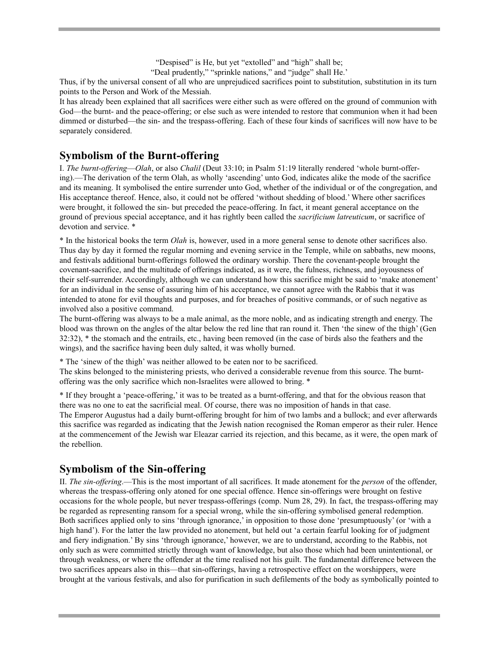"Despised" is He, but yet "extolled" and "high" shall be;

"Deal prudently," "sprinkle nations," and "judge" shall He.'

Thus, if by the universal consent of all who are unprejudiced sacrifices point to substitution, substitution in its turn points to the Person and Work of the Messiah.

It has already been explained that all sacrifices were either such as were offered on the ground of communion with God—the burnt- and the peace-offering; or else such as were intended to restore that communion when it had been dimmed or disturbed—the sin- and the trespass-offering. Each of these four kinds of sacrifices will now have to be separately considered.

# **Symbolism of the Burnt-offering**

I. *The burnt-offering*—*Olah*, or also *Chalil* (Deut 33:10; in Psalm 51:19 literally rendered 'whole burnt-offering).—The derivation of the term Olah, as wholly 'ascending' unto God, indicates alike the mode of the sacrifice and its meaning. It symbolised the entire surrender unto God, whether of the individual or of the congregation, and His acceptance thereof. Hence, also, it could not be offered 'without shedding of blood.' Where other sacrifices were brought, it followed the sin- but preceded the peace-offering. In fact, it meant general acceptance on the ground of previous special acceptance, and it has rightly been called the *sacrificium latreuticum*, or sacrifice of devotion and service. \*

\* In the historical books the term *Olah* is, however, used in a more general sense to denote other sacrifices also. Thus day by day it formed the regular morning and evening service in the Temple, while on sabbaths, new moons, and festivals additional burnt-offerings followed the ordinary worship. There the covenant-people brought the covenant-sacrifice, and the multitude of offerings indicated, as it were, the fulness, richness, and joyousness of their self-surrender. Accordingly, although we can understand how this sacrifice might be said to 'make atonement' for an individual in the sense of assuring him of his acceptance, we cannot agree with the Rabbis that it was intended to atone for evil thoughts and purposes, and for breaches of positive commands, or of such negative as involved also a positive command.

The burnt-offering was always to be a male animal, as the more noble, and as indicating strength and energy. The blood was thrown on the angles of the altar below the red line that ran round it. Then 'the sinew of the thigh' (Gen 32:32), \* the stomach and the entrails, etc., having been removed (in the case of birds also the feathers and the wings), and the sacrifice having been duly salted, it was wholly burned.

\* The 'sinew of the thigh' was neither allowed to be eaten nor to be sacrificed.

The skins belonged to the ministering priests, who derived a considerable revenue from this source. The burntoffering was the only sacrifice which non-Israelites were allowed to bring. \*

\* If they brought a 'peace-offering,' it was to be treated as a burnt-offering, and that for the obvious reason that there was no one to eat the sacrificial meal. Of course, there was no imposition of hands in that case. The Emperor Augustus had a daily burnt-offering brought for him of two lambs and a bullock; and ever afterwards this sacrifice was regarded as indicating that the Jewish nation recognised the Roman emperor as their ruler. Hence at the commencement of the Jewish war Eleazar carried its rejection, and this became, as it were, the open mark of the rebellion.

# **Symbolism of the Sin-offering**

II. *The sin-offering*.—This is the most important of all sacrifices. It made atonement for the *person* of the offender, whereas the trespass-offering only atoned for one special offence. Hence sin-offerings were brought on festive occasions for the whole people, but never trespass-offerings (comp. Num 28, 29). In fact, the trespass-offering may be regarded as representing ransom for a special wrong, while the sin-offering symbolised general redemption. Both sacrifices applied only to sins 'through ignorance,' in opposition to those done 'presumptuously' (or 'with a high hand'). For the latter the law provided no atonement, but held out 'a certain fearful looking for of judgment and fiery indignation.' By sins 'through ignorance,' however, we are to understand, according to the Rabbis, not only such as were committed strictly through want of knowledge, but also those which had been unintentional, or through weakness, or where the offender at the time realised not his guilt. The fundamental difference between the two sacrifices appears also in this—that sin-offerings, having a retrospective effect on the worshippers, were brought at the various festivals, and also for purification in such defilements of the body as symbolically pointed to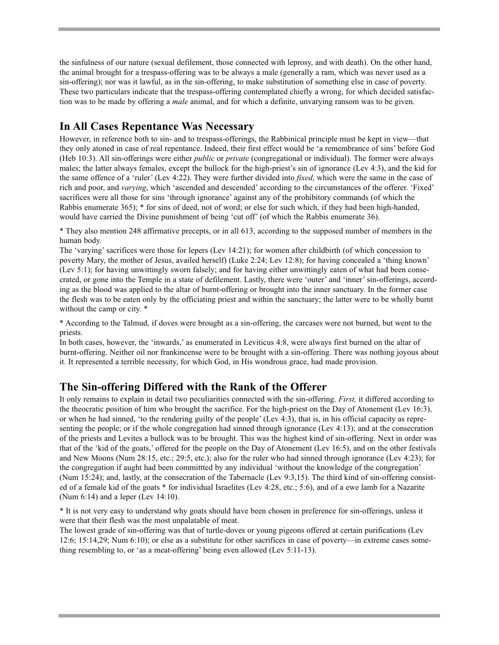the sinfulness of our nature (sexual defilement, those connected with leprosy, and with death). On the other hand, the animal brought for a trespass-offering was to be always a male (generally a ram, which was never used as a sin-offering); nor was it lawful, as in the sin-offering, to make substitution of something else in case of poverty. These two particulars indicate that the trespass-offering contemplated chiefly a wrong, for which decided satisfaction was to be made by offering a *male* animal, and for which a definite, unvarying ransom was to be given.

# **In All Cases Repentance Was Necessary**

However, in reference both to sin- and to trespass-offerings, the Rabbinical principle must be kept in view—that they only atoned in case of real repentance. Indeed, their first effect would be 'a remembrance of sins' before God (Heb 10:3). All sin-offerings were either *public* or *private* (congregational or individual). The former were always males; the latter always females, except the bullock for the high-priest's sin of ignorance (Lev 4:3), and the kid for the same offence of a 'ruler' (Lev 4:22). They were further divided into *fixed*, which were the same in the case of rich and poor, and *varying*, which 'ascended and descended' according to the circumstances of the offerer. 'Fixed' sacrifices were all those for sins 'through ignorance' against any of the prohibitory commands (of which the Rabbis enumerate 365); \* for sins of deed, not of word; or else for such which, if they had been high-handed, would have carried the Divine punishment of being 'cut off' (of which the Rabbis enumerate 36).

\* They also mention 248 affirmative precepts, or in all 613, according to the supposed number of members in the human body.

The 'varying' sacrifices were those for lepers (Lev 14:21); for women after childbirth (of which concession to poverty Mary, the mother of Jesus, availed herself) (Luke 2:24; Lev 12:8); for having concealed a 'thing known' (Lev 5:1); for having unwittingly sworn falsely; and for having either unwittingly eaten of what had been consecrated, or gone into the Temple in a state of defilement. Lastly, there were 'outer' and 'inner' sin-offerings, according as the blood was applied to the altar of burnt-offering or brought into the inner sanctuary. In the former case the flesh was to be eaten only by the officiating priest and within the sanctuary; the latter were to be wholly burnt without the camp or city. \*

\* According to the Talmud, if doves were brought as a sin-offering, the carcases were not burned, but went to the priests.

In both cases, however, the 'inwards,' as enumerated in Leviticus 4:8, were always first burned on the altar of burnt-offering. Neither oil nor frankincense were to be brought with a sin-offering. There was nothing joyous about it. It represented a terrible necessity, for which God, in His wondrous grace, had made provision.

# **The Sin-offering Differed with the Rank of the Offerer**

It only remains to explain in detail two peculiarities connected with the sin-offering. *First,* it differed according to the theocratic position of him who brought the sacrifice. For the high-priest on the Day of Atonement (Lev 16:3), or when he had sinned, 'to the rendering guilty of the people' (Lev 4:3), that is, in his official capacity as representing the people; or if the whole congregation had sinned through ignorance (Lev 4:13); and at the consecration of the priests and Levites a bullock was to be brought. This was the highest kind of sin-offering. Next in order was that of the 'kid of the goats,' offered for the people on the Day of Atonement (Lev 16:5), and on the other festivals and New Moons (Num 28:15, etc.; 29:5, etc.); also for the ruler who had sinned through ignorance (Lev 4:23); for the congregation if aught had been committted by any individual 'without the knowledge of the congregation' (Num 15:24); and, lastly, at the consecration of the Tabernacle (Lev 9:3,15). The third kind of sin-offering consisted of a female kid of the goats \* for individual Israelites (Lev 4:28, etc.; 5:6), and of a ewe lamb for a Nazarite (Num 6:14) and a leper (Lev 14:10).

\* It is not very easy to understand why goats should have been chosen in preference for sin-offerings, unless it were that their flesh was the most unpalatable of meat.

The lowest grade of sin-offering was that of turtle-doves or young pigeons offered at certain purifications (Lev 12:6; 15:14,29; Num 6:10); or else as a substitute for other sacrifices in case of poverty—in extreme cases something resembling to, or 'as a meat-offering' being even allowed (Lev 5:11-13).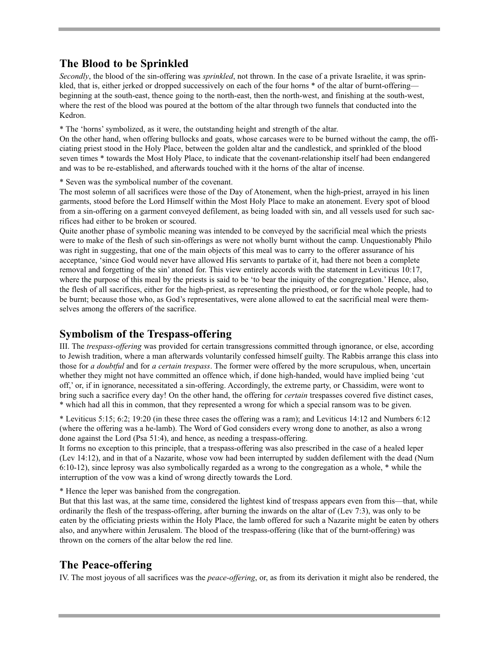# **The Blood to be Sprinkled**

*Secondly*, the blood of the sin-offering was *sprinkled*, not thrown. In the case of a private Israelite, it was sprinkled, that is, either jerked or dropped successively on each of the four horns \* of the altar of burnt-offering beginning at the south-east, thence going to the north-east, then the north-west, and finishing at the south-west, where the rest of the blood was poured at the bottom of the altar through two funnels that conducted into the Kedron.

\* The 'horns' symbolized, as it were, the outstanding height and strength of the altar.

On the other hand, when offering bullocks and goats, whose carcases were to be burned without the camp, the officiating priest stood in the Holy Place, between the golden altar and the candlestick, and sprinkled of the blood seven times \* towards the Most Holy Place, to indicate that the covenant-relationship itself had been endangered and was to be re-established, and afterwards touched with it the horns of the altar of incense.

\* Seven was the symbolical number of the covenant.

The most solemn of all sacrifices were those of the Day of Atonement, when the high-priest, arrayed in his linen garments, stood before the Lord Himself within the Most Holy Place to make an atonement. Every spot of blood from a sin-offering on a garment conveyed defilement, as being loaded with sin, and all vessels used for such sacrifices had either to be broken or scoured.

Quite another phase of symbolic meaning was intended to be conveyed by the sacrificial meal which the priests were to make of the flesh of such sin-offerings as were not wholly burnt without the camp. Unquestionably Philo was right in suggesting, that one of the main objects of this meal was to carry to the offerer assurance of his acceptance, 'since God would never have allowed His servants to partake of it, had there not been a complete removal and forgetting of the sin' atoned for. This view entirely accords with the statement in Leviticus 10:17, where the purpose of this meal by the priests is said to be 'to bear the iniquity of the congregation.' Hence, also, the flesh of all sacrifices, either for the high-priest, as representing the priesthood, or for the whole people, had to be burnt; because those who, as God's representatives, were alone allowed to eat the sacrificial meal were themselves among the offerers of the sacrifice.

#### **Symbolism of the Trespass-offering**

III. The *trespass-offering* was provided for certain transgressions committed through ignorance, or else, according to Jewish tradition, where a man afterwards voluntarily confessed himself guilty. The Rabbis arrange this class into those for *a doubtful* and for *a certain trespass*. The former were offered by the more scrupulous, when, uncertain whether they might not have committed an offence which, if done high-handed, would have implied being 'cut off,' or, if in ignorance, necessitated a sin-offering. Accordingly, the extreme party, or Chassidim, were wont to bring such a sacrifice every day! On the other hand, the offering for *certain* trespasses covered five distinct cases, \* which had all this in common, that they represented a wrong for which a special ransom was to be given.

\* Leviticus 5:15; 6:2; 19:20 (in these three cases the offering was a ram); and Leviticus 14:12 and Numbers 6:12 (where the offering was a he-lamb). The Word of God considers every wrong done to another, as also a wrong done against the Lord (Psa 51:4), and hence, as needing a trespass-offering.

It forms no exception to this principle, that a trespass-offering was also prescribed in the case of a healed leper (Lev 14:12), and in that of a Nazarite, whose vow had been interrupted by sudden defilement with the dead (Num 6:10-12), since leprosy was also symbolically regarded as a wrong to the congregation as a whole, \* while the interruption of the vow was a kind of wrong directly towards the Lord.

\* Hence the leper was banished from the congregation.

But that this last was, at the same time, considered the lightest kind of trespass appears even from this—that, while ordinarily the flesh of the trespass-offering, after burning the inwards on the altar of (Lev 7:3), was only to be eaten by the officiating priests within the Holy Place, the lamb offered for such a Nazarite might be eaten by others also, and anywhere within Jerusalem. The blood of the trespass-offering (like that of the burnt-offering) was thrown on the corners of the altar below the red line.

# **The Peace-offering**

IV. The most joyous of all sacrifices was the *peace-offering*, or, as from its derivation it might also be rendered, the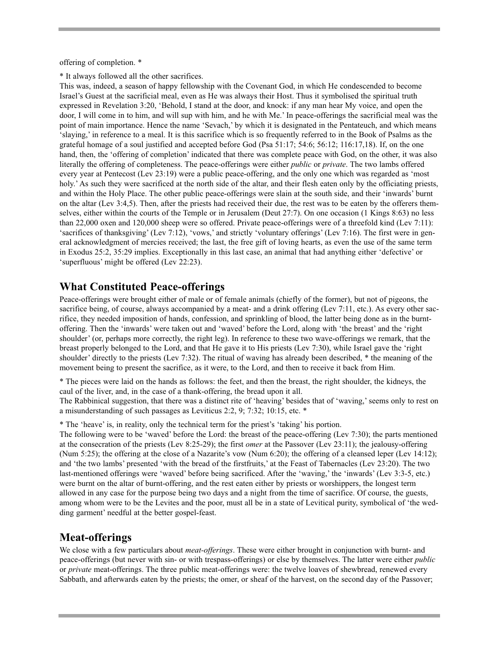offering of completion. \*

\* It always followed all the other sacrifices.

This was, indeed, a season of happy fellowship with the Covenant God, in which He condescended to become Israel's Guest at the sacrificial meal, even as He was always their Host. Thus it symbolised the spiritual truth expressed in Revelation 3:20, 'Behold, I stand at the door, and knock: if any man hear My voice, and open the door, I will come in to him, and will sup with him, and he with Me.' In peace-offerings the sacrificial meal was the point of main importance. Hence the name 'Sevach,' by which it is designated in the Pentateuch, and which means 'slaying,' in reference to a meal. It is this sacrifice which is so frequently referred to in the Book of Psalms as the grateful homage of a soul justified and accepted before God (Psa 51:17; 54:6; 56:12; 116:17,18). If, on the one hand, then, the 'offering of completion' indicated that there was complete peace with God, on the other, it was also literally the offering of completeness. The peace-offerings were either *public* or *private*. The two lambs offered every year at Pentecost (Lev 23:19) were a public peace-offering, and the only one which was regarded as 'most holy.' As such they were sacrificed at the north side of the altar, and their flesh eaten only by the officiating priests, and within the Holy Place. The other public peace-offerings were slain at the south side, and their 'inwards' burnt on the altar (Lev 3:4,5). Then, after the priests had received their due, the rest was to be eaten by the offerers themselves, either within the courts of the Temple or in Jerusalem (Deut 27:7). On one occasion (1 Kings 8:63) no less than 22,000 oxen and 120,000 sheep were so offered. Private peace-offerings were of a threefold kind (Lev 7:11): 'sacrifices of thanksgiving' (Lev 7:12), 'vows,' and strictly 'voluntary offerings' (Lev 7:16). The first were in general acknowledgment of mercies received; the last, the free gift of loving hearts, as even the use of the same term in Exodus 25:2, 35:29 implies. Exceptionally in this last case, an animal that had anything either 'defective' or 'superfluous' might be offered (Lev 22:23).

#### **What Constituted Peace-offerings**

Peace-offerings were brought either of male or of female animals (chiefly of the former), but not of pigeons, the sacrifice being, of course, always accompanied by a meat- and a drink offering (Lev 7:11, etc.). As every other sacrifice, they needed imposition of hands, confession, and sprinkling of blood, the latter being done as in the burntoffering. Then the 'inwards' were taken out and 'waved' before the Lord, along with 'the breast' and the 'right shoulder' (or, perhaps more correctly, the right leg). In reference to these two wave-offerings we remark, that the breast properly belonged to the Lord, and that He gave it to His priests (Lev 7:30), while Israel gave the 'right shoulder' directly to the priests (Lev 7:32). The ritual of waving has already been described, \* the meaning of the movement being to present the sacrifice, as it were, to the Lord, and then to receive it back from Him.

\* The pieces were laid on the hands as follows: the feet, and then the breast, the right shoulder, the kidneys, the caul of the liver, and, in the case of a thank-offering, the bread upon it all.

The Rabbinical suggestion, that there was a distinct rite of 'heaving' besides that of 'waving,' seems only to rest on a misunderstanding of such passages as Leviticus 2:2, 9; 7:32; 10:15, etc. \*

\* The 'heave' is, in reality, only the technical term for the priest's 'taking' his portion.

The following were to be 'waved' before the Lord: the breast of the peace-offering (Lev 7:30); the parts mentioned at the consecration of the priests (Lev 8:25-29); the first *omer* at the Passover (Lev 23:11); the jealousy-offering (Num 5:25); the offering at the close of a Nazarite's vow (Num 6:20); the offering of a cleansed leper (Lev 14:12); and 'the two lambs' presented 'with the bread of the firstfruits,' at the Feast of Tabernacles (Lev 23:20). The two last-mentioned offerings were 'waved' before being sacrificed. After the 'waving,' the 'inwards' (Lev 3:3-5, etc.) were burnt on the altar of burnt-offering, and the rest eaten either by priests or worshippers, the longest term allowed in any case for the purpose being two days and a night from the time of sacrifice. Of course, the guests, among whom were to be the Levites and the poor, must all be in a state of Levitical purity, symbolical of 'the wedding garment' needful at the better gospel-feast.

#### **Meat-offerings**

We close with a few particulars about *meat-offerings*. These were either brought in conjunction with burnt- and peace-offerings (but never with sin- or with trespass-offerings) or else by themselves. The latter were either *public* or *private* meat-offerings. The three public meat-offerings were: the twelve loaves of shewbread, renewed every Sabbath, and afterwards eaten by the priests; the omer, or sheaf of the harvest, on the second day of the Passover;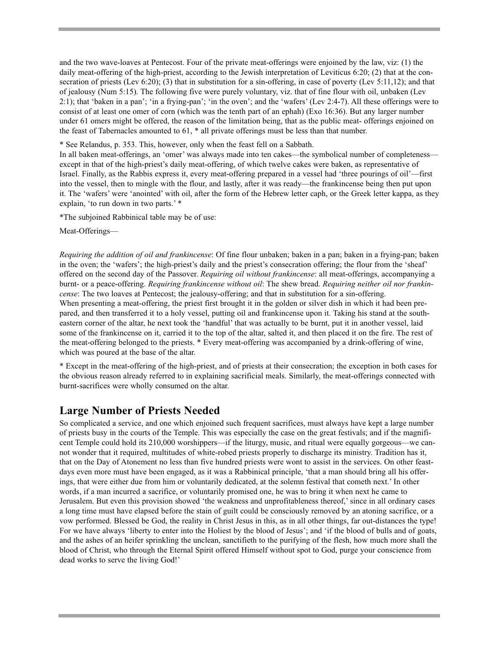and the two wave-loaves at Pentecost. Four of the private meat-offerings were enjoined by the law, viz: (1) the daily meat-offering of the high-priest, according to the Jewish interpretation of Leviticus 6:20; (2) that at the consecration of priests (Lev 6:20); (3) that in substitution for a sin-offering, in case of poverty (Lev 5:11,12); and that of jealousy (Num 5:15). The following five were purely voluntary, viz. that of fine flour with oil, unbaken (Lev 2:1); that 'baken in a pan'; 'in a frying-pan'; 'in the oven'; and the 'wafers' (Lev 2:4-7). All these offerings were to consist of at least one omer of corn (which was the tenth part of an ephah) (Exo 16:36). But any larger number under 61 omers might be offered, the reason of the limitation being, that as the public meat- offerings enjoined on the feast of Tabernacles amounted to 61, \* all private offerings must be less than that number.

\* See Relandus, p. 353. This, however, only when the feast fell on a Sabbath.

In all baken meat-offerings, an 'omer' was always made into ten cakes—the symbolical number of completeness except in that of the high-priest's daily meat-offering, of which twelve cakes were baken, as representative of Israel. Finally, as the Rabbis express it, every meat-offering prepared in a vessel had 'three pourings of oil'—first into the vessel, then to mingle with the flour, and lastly, after it was ready—the frankincense being then put upon it. The 'wafers' were 'anointed' with oil, after the form of the Hebrew letter caph, or the Greek letter kappa, as they explain, 'to run down in two parts.' \*

\*The subjoined Rabbinical table may be of use:

Meat-Offerings—

*Requiring the addition of oil and frankincense*: Of fine flour unbaken; baken in a pan; baken in a frying-pan; baken in the oven; the 'wafers'; the high-priest's daily and the priest's consecration offering; the flour from the 'sheaf' offered on the second day of the Passover. *Requiring oil without frankincense*: all meat-offerings, accompanying a burnt- or a peace-offering. *Requiring frankincense without oil*: The shew bread. *Requiring neither oil nor frankincense*: The two loaves at Pentecost; the jealousy-offering; and that in substitution for a sin-offering. When presenting a meat-offering, the priest first brought it in the golden or silver dish in which it had been prepared, and then transferred it to a holy vessel, putting oil and frankincense upon it. Taking his stand at the southeastern corner of the altar, he next took the 'handful' that was actually to be burnt, put it in another vessel, laid some of the frankincense on it, carried it to the top of the altar, salted it, and then placed it on the fire. The rest of the meat-offering belonged to the priests. \* Every meat-offering was accompanied by a drink-offering of wine, which was poured at the base of the altar.

\* Except in the meat-offering of the high-priest, and of priests at their consecration; the exception in both cases for the obvious reason already referred to in explaining sacrificial meals. Similarly, the meat-offerings connected with burnt-sacrifices were wholly consumed on the altar.

#### **Large Number of Priests Needed**

So complicated a service, and one which enjoined such frequent sacrifices, must always have kept a large number of priests busy in the courts of the Temple. This was especially the case on the great festivals; and if the magnificent Temple could hold its 210,000 worshippers—if the liturgy, music, and ritual were equally gorgeous—we cannot wonder that it required, multitudes of white-robed priests properly to discharge its ministry. Tradition has it, that on the Day of Atonement no less than five hundred priests were wont to assist in the services. On other feastdays even more must have been engaged, as it was a Rabbinical principle, 'that a man should bring all his offerings, that were either due from him or voluntarily dedicated, at the solemn festival that cometh next.' In other words, if a man incurred a sacrifice, or voluntarily promised one, he was to bring it when next he came to Jerusalem. But even this provision showed 'the weakness and unprofitableness thereof,' since in all ordinary cases a long time must have elapsed before the stain of guilt could be consciously removed by an atoning sacrifice, or a vow performed. Blessed be God, the reality in Christ Jesus in this, as in all other things, far out-distances the type! For we have always 'liberty to enter into the Holiest by the blood of Jesus'; and 'if the blood of bulls and of goats, and the ashes of an heifer sprinkling the unclean, sanctifieth to the purifying of the flesh, how much more shall the blood of Christ, who through the Eternal Spirit offered Himself without spot to God, purge your conscience from dead works to serve the living God!'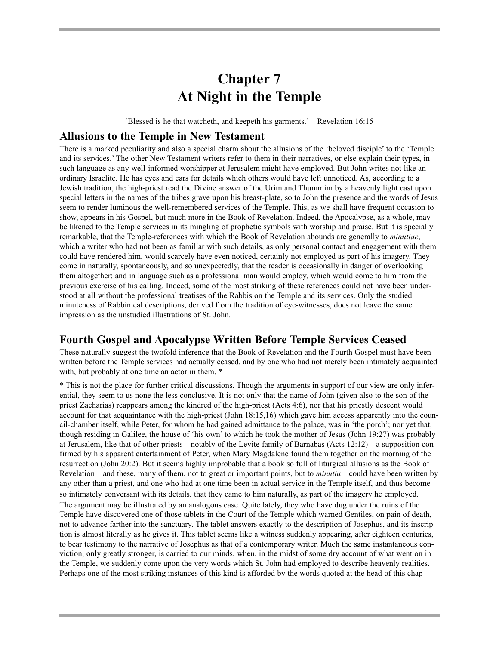# **Chapter 7 At Night in the Temple**

'Blessed is he that watcheth, and keepeth his garments.'—Revelation 16:15

#### **Allusions to the Temple in New Testament**

There is a marked peculiarity and also a special charm about the allusions of the 'beloved disciple' to the 'Temple and its services.' The other New Testament writers refer to them in their narratives, or else explain their types, in such language as any well-informed worshipper at Jerusalem might have employed. But John writes not like an ordinary Israelite. He has eyes and ears for details which others would have left unnoticed. As, according to a Jewish tradition, the high-priest read the Divine answer of the Urim and Thummim by a heavenly light cast upon special letters in the names of the tribes grave upon his breast-plate, so to John the presence and the words of Jesus seem to render luminous the well-remembered services of the Temple. This, as we shall have frequent occasion to show, appears in his Gospel, but much more in the Book of Revelation. Indeed, the Apocalypse, as a whole, may be likened to the Temple services in its mingling of prophetic symbols with worship and praise. But it is specially remarkable, that the Temple-references with which the Book of Revelation abounds are generally to *minutiae*, which a writer who had not been as familiar with such details, as only personal contact and engagement with them could have rendered him, would scarcely have even noticed, certainly not employed as part of his imagery. They come in naturally, spontaneously, and so unexpectedly, that the reader is occasionally in danger of overlooking them altogether; and in language such as a professional man would employ, which would come to him from the previous exercise of his calling. Indeed, some of the most striking of these references could not have been understood at all without the professional treatises of the Rabbis on the Temple and its services. Only the studied minuteness of Rabbinical descriptions, derived from the tradition of eye-witnesses, does not leave the same impression as the unstudied illustrations of St. John.

#### **Fourth Gospel and Apocalypse Written Before Temple Services Ceased**

These naturally suggest the twofold inference that the Book of Revelation and the Fourth Gospel must have been written before the Temple services had actually ceased, and by one who had not merely been intimately acquainted with, but probably at one time an actor in them. \*

\* This is not the place for further critical discussions. Though the arguments in support of our view are only inferential, they seem to us none the less conclusive. It is not only that the name of John (given also to the son of the priest Zacharias) reappears among the kindred of the high-priest (Acts 4:6), nor that his priestly descent would account for that acquaintance with the high-priest (John 18:15,16) which gave him access apparently into the council-chamber itself, while Peter, for whom he had gained admittance to the palace, was in 'the porch'; nor yet that, though residing in Galilee, the house of 'his own' to which he took the mother of Jesus (John 19:27) was probably at Jerusalem, like that of other priests—notably of the Levite family of Barnabas (Acts 12:12)—a supposition confirmed by his apparent entertainment of Peter, when Mary Magdalene found them together on the morning of the resurrection (John 20:2). But it seems highly improbable that a book so full of liturgical allusions as the Book of Revelation—and these, many of them, not to great or important points, but to *minutia*—could have been written by any other than a priest, and one who had at one time been in actual service in the Temple itself, and thus become so intimately conversant with its details, that they came to him naturally, as part of the imagery he employed. The argument may be illustrated by an analogous case. Quite lately, they who have dug under the ruins of the Temple have discovered one of those tablets in the Court of the Temple which warned Gentiles, on pain of death, not to advance farther into the sanctuary. The tablet answers exactly to the description of Josephus, and its inscription is almost literally as he gives it. This tablet seems like a witness suddenly appearing, after eighteen centuries, to bear testimony to the narrative of Josephus as that of a contemporary writer. Much the same instantaneous conviction, only greatly stronger, is carried to our minds, when, in the midst of some dry account of what went on in the Temple, we suddenly come upon the very words which St. John had employed to describe heavenly realities. Perhaps one of the most striking instances of this kind is afforded by the words quoted at the head of this chap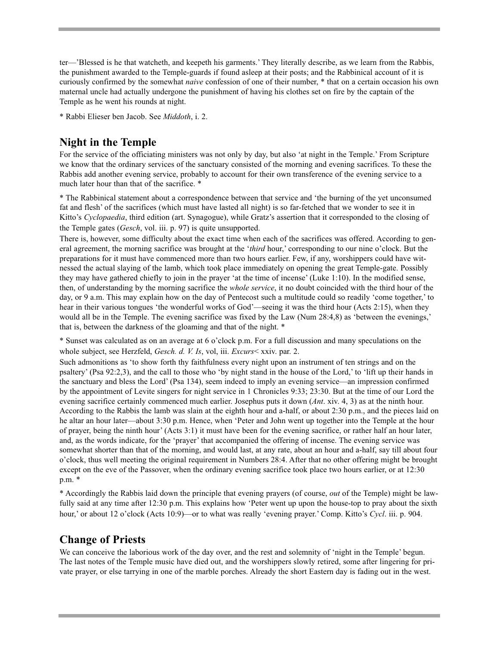ter—'Blessed is he that watcheth, and keepeth his garments.' They literally describe, as we learn from the Rabbis, the punishment awarded to the Temple-guards if found asleep at their posts; and the Rabbinical account of it is curiously confirmed by the somewhat *naive* confession of one of their number, \* that on a certain occasion his own maternal uncle had actually undergone the punishment of having his clothes set on fire by the captain of the Temple as he went his rounds at night.

\* Rabbi Elieser ben Jacob. See *Middoth*, i. 2.

# **Night in the Temple**

For the service of the officiating ministers was not only by day, but also 'at night in the Temple.' From Scripture we know that the ordinary services of the sanctuary consisted of the morning and evening sacrifices. To these the Rabbis add another evening service, probably to account for their own transference of the evening service to a much later hour than that of the sacrifice. \*

\* The Rabbinical statement about a correspondence between that service and 'the burning of the yet unconsumed fat and flesh' of the sacrifices (which must have lasted all night) is so far-fetched that we wonder to see it in Kitto's *Cyclopaedia*, third edition (art. Synagogue), while Gratz's assertion that it corresponded to the closing of the Temple gates (*Gesch*, vol. iii. p. 97) is quite unsupported.

There is, however, some difficulty about the exact time when each of the sacrifices was offered. According to general agreement, the morning sacrifice was brought at the '*third* hour,' corresponding to our nine o'clock. But the preparations for it must have commenced more than two hours earlier. Few, if any, worshippers could have witnessed the actual slaying of the lamb, which took place immediately on opening the great Temple-gate. Possibly they may have gathered chiefly to join in the prayer 'at the time of incense' (Luke 1:10). In the modified sense, then, of understanding by the morning sacrifice the *whole service*, it no doubt coincided with the third hour of the day, or 9 a.m. This may explain how on the day of Pentecost such a multitude could so readily 'come together,' to hear in their various tongues 'the wonderful works of God'—seeing it was the third hour (Acts 2:15), when they would all be in the Temple. The evening sacrifice was fixed by the Law (Num 28:4,8) as 'between the evenings,' that is, between the darkness of the gloaming and that of the night. \*

\* Sunset was calculated as on an average at 6 o'clock p.m. For a full discussion and many speculations on the whole subject, see Herzfeld, *Gesch. d. V. Is*, vol, iii. *Excurs*< xxiv. par. 2.

Such admonitions as 'to show forth thy faithfulness every night upon an instrument of ten strings and on the psaltery' (Psa 92:2,3), and the call to those who 'by night stand in the house of the Lord,' to 'lift up their hands in the sanctuary and bless the Lord' (Psa 134), seem indeed to imply an evening service—an impression confirmed by the appointment of Levite singers for night service in 1 Chronicles 9:33; 23:30. But at the time of our Lord the evening sacrifice certainly commenced much earlier. Josephus puts it down (*Ant*. xiv. 4, 3) as at the ninth hour. According to the Rabbis the lamb was slain at the eighth hour and a-half, or about 2:30 p.m., and the pieces laid on he altar an hour later—about 3:30 p.m. Hence, when 'Peter and John went up together into the Temple at the hour of prayer, being the ninth hour' (Acts 3:1) it must have been for the evening sacrifice, or rather half an hour later, and, as the words indicate, for the 'prayer' that accompanied the offering of incense. The evening service was somewhat shorter than that of the morning, and would last, at any rate, about an hour and a-half, say till about four o'clock, thus well meeting the original requirement in Numbers 28:4. After that no other offering might be brought except on the eve of the Passover, when the ordinary evening sacrifice took place two hours earlier, or at 12:30 p.m. \*

\* Accordingly the Rabbis laid down the principle that evening prayers (of course, *out* of the Temple) might be lawfully said at any time after 12:30 p.m. This explains how 'Peter went up upon the house-top to pray about the sixth hour,' or about 12 o'clock (Acts 10:9)—or to what was really 'evening prayer.' Comp. Kitto's *Cycl*. iii. p. 904.

# **Change of Priests**

We can conceive the laborious work of the day over, and the rest and solemnity of 'night in the Temple' begun. The last notes of the Temple music have died out, and the worshippers slowly retired, some after lingering for private prayer, or else tarrying in one of the marble porches. Already the short Eastern day is fading out in the west.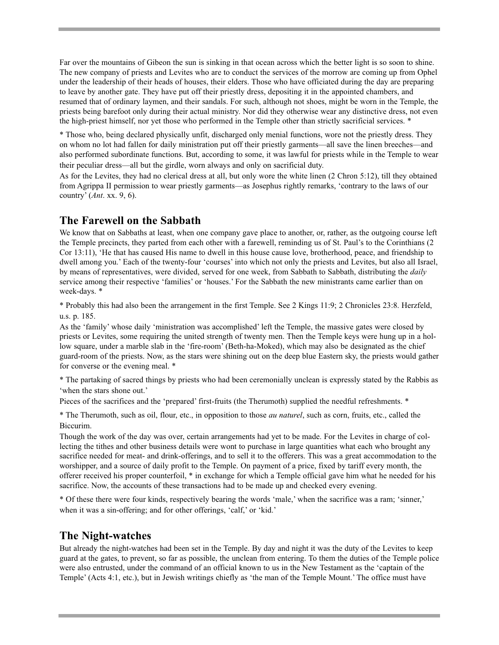Far over the mountains of Gibeon the sun is sinking in that ocean across which the better light is so soon to shine. The new company of priests and Levites who are to conduct the services of the morrow are coming up from Ophel under the leadership of their heads of houses, their elders. Those who have officiated during the day are preparing to leave by another gate. They have put off their priestly dress, depositing it in the appointed chambers, and resumed that of ordinary laymen, and their sandals. For such, although not shoes, might be worn in the Temple, the priests being barefoot only during their actual ministry. Nor did they otherwise wear any distinctive dress, not even the high-priest himself, nor yet those who performed in the Temple other than strictly sacrificial services. \*

\* Those who, being declared physically unfit, discharged only menial functions, wore not the priestly dress. They on whom no lot had fallen for daily ministration put off their priestly garments—all save the linen breeches—and also performed subordinate functions. But, according to some, it was lawful for priests while in the Temple to wear their peculiar dress—all but the girdle, worn always and only on sacrificial duty.

As for the Levites, they had no clerical dress at all, but only wore the white linen (2 Chron 5:12), till they obtained from Agrippa II permission to wear priestly garments—as Josephus rightly remarks, 'contrary to the laws of our country' (*Ant*. xx. 9, 6).

#### **The Farewell on the Sabbath**

We know that on Sabbaths at least, when one company gave place to another, or, rather, as the outgoing course left the Temple precincts, they parted from each other with a farewell, reminding us of St. Paul's to the Corinthians (2 Cor 13:11), 'He that has caused His name to dwell in this house cause love, brotherhood, peace, and friendship to dwell among you.' Each of the twenty-four 'courses' into which not only the priests and Levites, but also all Israel, by means of representatives, were divided, served for one week, from Sabbath to Sabbath, distributing the *daily* service among their respective 'families' or 'houses.' For the Sabbath the new ministrants came earlier than on week-days. \*

\* Probably this had also been the arrangement in the first Temple. See 2 Kings 11:9; 2 Chronicles 23:8. Herzfeld, u.s. p. 185.

As the 'family' whose daily 'ministration was accomplished' left the Temple, the massive gates were closed by priests or Levites, some requiring the united strength of twenty men. Then the Temple keys were hung up in a hollow square, under a marble slab in the 'fire-room' (Beth-ha-Moked), which may also be designated as the chief guard-room of the priests. Now, as the stars were shining out on the deep blue Eastern sky, the priests would gather for converse or the evening meal. \*

\* The partaking of sacred things by priests who had been ceremonially unclean is expressly stated by the Rabbis as 'when the stars shone out.'

Pieces of the sacrifices and the 'prepared' first-fruits (the Therumoth) supplied the needful refreshments. \*

\* The Therumoth, such as oil, flour, etc., in opposition to those *au naturel*, such as corn, fruits, etc., called the Biccurim.

Though the work of the day was over, certain arrangements had yet to be made. For the Levites in charge of collecting the tithes and other business details were wont to purchase in large quantities what each who brought any sacrifice needed for meat- and drink-offerings, and to sell it to the offerers. This was a great accommodation to the worshipper, and a source of daily profit to the Temple. On payment of a price, fixed by tariff every month, the offerer received his proper counterfoil, \* in exchange for which a Temple official gave him what he needed for his sacrifice. Now, the accounts of these transactions had to be made up and checked every evening.

\* Of these there were four kinds, respectively bearing the words 'male,' when the sacrifice was a ram; 'sinner,' when it was a sin-offering; and for other offerings, 'calf,' or 'kid.'

#### **The Night-watches**

But already the night-watches had been set in the Temple. By day and night it was the duty of the Levites to keep guard at the gates, to prevent, so far as possible, the unclean from entering. To them the duties of the Temple police were also entrusted, under the command of an official known to us in the New Testament as the 'captain of the Temple' (Acts 4:1, etc.), but in Jewish writings chiefly as 'the man of the Temple Mount.' The office must have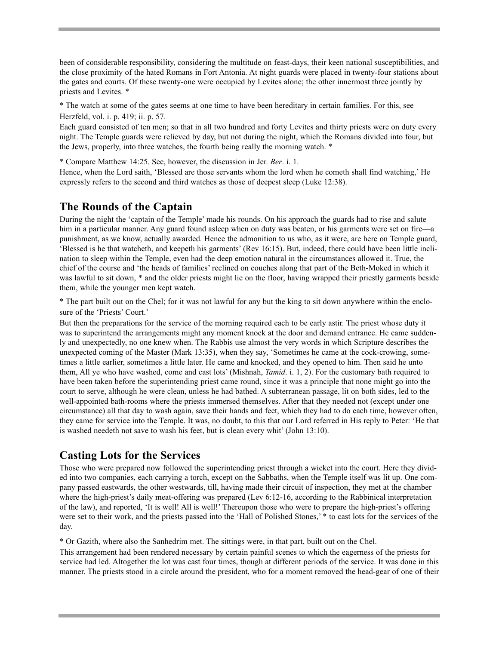been of considerable responsibility, considering the multitude on feast-days, their keen national susceptibilities, and the close proximity of the hated Romans in Fort Antonia. At night guards were placed in twenty-four stations about the gates and courts. Of these twenty-one were occupied by Levites alone; the other innermost three jointly by priests and Levites. \*

\* The watch at some of the gates seems at one time to have been hereditary in certain families. For this, see Herzfeld, vol. i. p. 419; ii. p. 57.

Each guard consisted of ten men; so that in all two hundred and forty Levites and thirty priests were on duty every night. The Temple guards were relieved by day, but not during the night, which the Romans divided into four, but the Jews, properly, into three watches, the fourth being really the morning watch. \*

\* Compare Matthew 14:25. See, however, the discussion in Jer. *Ber*. i. 1.

Hence, when the Lord saith, 'Blessed are those servants whom the lord when he cometh shall find watching,' He expressly refers to the second and third watches as those of deepest sleep (Luke 12:38).

### **The Rounds of the Captain**

During the night the 'captain of the Temple' made his rounds. On his approach the guards had to rise and salute him in a particular manner. Any guard found asleep when on duty was beaten, or his garments were set on fire—a punishment, as we know, actually awarded. Hence the admonition to us who, as it were, are here on Temple guard, 'Blessed is he that watcheth, and keepeth his garments' (Rev 16:15). But, indeed, there could have been little inclination to sleep within the Temple, even had the deep emotion natural in the circumstances allowed it. True, the chief of the course and 'the heads of families' reclined on couches along that part of the Beth-Moked in which it was lawful to sit down,  $*$  and the older priests might lie on the floor, having wrapped their priestly garments beside them, while the younger men kept watch.

\* The part built out on the Chel; for it was not lawful for any but the king to sit down anywhere within the enclosure of the 'Priests' Court.'

But then the preparations for the service of the morning required each to be early astir. The priest whose duty it was to superintend the arrangements might any moment knock at the door and demand entrance. He came suddenly and unexpectedly, no one knew when. The Rabbis use almost the very words in which Scripture describes the unexpected coming of the Master (Mark 13:35), when they say, 'Sometimes he came at the cock-crowing, sometimes a little earlier, sometimes a little later. He came and knocked, and they opened to him. Then said he unto them, All ye who have washed, come and cast lots' (Mishnah, *Tamid*. i. 1, 2). For the customary bath required to have been taken before the superintending priest came round, since it was a principle that none might go into the court to serve, although he were clean, unless he had bathed. A subterranean passage, lit on both sides, led to the well-appointed bath-rooms where the priests immersed themselves. After that they needed not (except under one circumstance) all that day to wash again, save their hands and feet, which they had to do each time, however often, they came for service into the Temple. It was, no doubt, to this that our Lord referred in His reply to Peter: 'He that is washed needeth not save to wash his feet, but is clean every whit' (John 13:10).

# **Casting Lots for the Services**

Those who were prepared now followed the superintending priest through a wicket into the court. Here they divided into two companies, each carrying a torch, except on the Sabbaths, when the Temple itself was lit up. One company passed eastwards, the other westwards, till, having made their circuit of inspection, they met at the chamber where the high-priest's daily meat-offering was prepared (Lev 6:12-16, according to the Rabbinical interpretation of the law), and reported, 'It is well! All is well!' Thereupon those who were to prepare the high-priest's offering were set to their work, and the priests passed into the 'Hall of Polished Stones,' \* to cast lots for the services of the day.

\* Or Gazith, where also the Sanhedrim met. The sittings were, in that part, built out on the Chel.

This arrangement had been rendered necessary by certain painful scenes to which the eagerness of the priests for service had led. Altogether the lot was cast four times, though at different periods of the service. It was done in this manner. The priests stood in a circle around the president, who for a moment removed the head-gear of one of their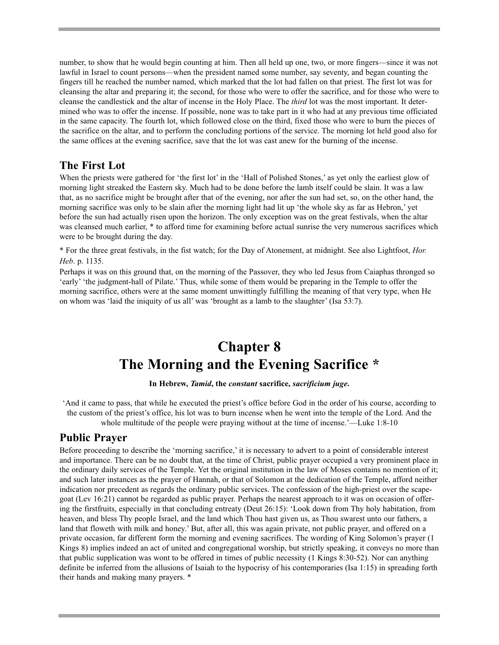number, to show that he would begin counting at him. Then all held up one, two, or more fingers—since it was not lawful in Israel to count persons—when the president named some number, say seventy, and began counting the fingers till he reached the number named, which marked that the lot had fallen on that priest. The first lot was for cleansing the altar and preparing it; the second, for those who were to offer the sacrifice, and for those who were to cleanse the candlestick and the altar of incense in the Holy Place. The *third* lot was the most important. It determined who was to offer the incense. If possible, none was to take part in it who had at any previous time officiated in the same capacity. The fourth lot, which followed close on the third, fixed those who were to burn the pieces of the sacrifice on the altar, and to perform the concluding portions of the service. The morning lot held good also for the same offices at the evening sacrifice, save that the lot was cast anew for the burning of the incense.

# **The First Lot**

When the priests were gathered for 'the first lot' in the 'Hall of Polished Stones,' as yet only the earliest glow of morning light streaked the Eastern sky. Much had to be done before the lamb itself could be slain. It was a law that, as no sacrifice might be brought after that of the evening, nor after the sun had set, so, on the other hand, the morning sacrifice was only to be slain after the morning light had lit up 'the whole sky as far as Hebron,' yet before the sun had actually risen upon the horizon. The only exception was on the great festivals, when the altar was cleansed much earlier, \* to afford time for examining before actual sunrise the very numerous sacrifices which were to be brought during the day.

\* For the three great festivals, in the fist watch; for the Day of Atonement, at midnight. See also Lightfoot, *Hor. Heb*. p. 1135.

Perhaps it was on this ground that, on the morning of the Passover, they who led Jesus from Caiaphas thronged so 'early' 'the judgment-hall of Pilate.' Thus, while some of them would be preparing in the Temple to offer the morning sacrifice, others were at the same moment unwittingly fulfilling the meaning of that very type, when He on whom was 'laid the iniquity of us all' was 'brought as a lamb to the slaughter' (Isa 53:7).

# **Chapter 8 The Morning and the Evening Sacrifice \***

#### **In Hebrew,** *Tamid***, the** *constant* **sacrifice,** *sacrificium juge***.**

'And it came to pass, that while he executed the priest's office before God in the order of his course, according to the custom of the priest's office, his lot was to burn incense when he went into the temple of the Lord. And the whole multitude of the people were praying without at the time of incense.'—Luke 1:8-10

#### **Public Prayer**

Before proceeding to describe the 'morning sacrifice,' it is necessary to advert to a point of considerable interest and importance. There can be no doubt that, at the time of Christ, public prayer occupied a very prominent place in the ordinary daily services of the Temple. Yet the original institution in the law of Moses contains no mention of it; and such later instances as the prayer of Hannah, or that of Solomon at the dedication of the Temple, afford neither indication nor precedent as regards the ordinary public services. The confession of the high-priest over the scapegoat (Lev 16:21) cannot be regarded as public prayer. Perhaps the nearest approach to it was on occasion of offering the firstfruits, especially in that concluding entreaty (Deut 26:15): 'Look down from Thy holy habitation, from heaven, and bless Thy people Israel, and the land which Thou hast given us, as Thou swarest unto our fathers, a land that floweth with milk and honey.' But, after all, this was again private, not public prayer, and offered on a private occasion, far different form the morning and evening sacrifices. The wording of King Solomon's prayer (1 Kings 8) implies indeed an act of united and congregational worship, but strictly speaking, it conveys no more than that public supplication was wont to be offered in times of public necessity (1 Kings 8:30-52). Nor can anything definite be inferred from the allusions of Isaiah to the hypocrisy of his contemporaries (Isa 1:15) in spreading forth their hands and making many prayers. \*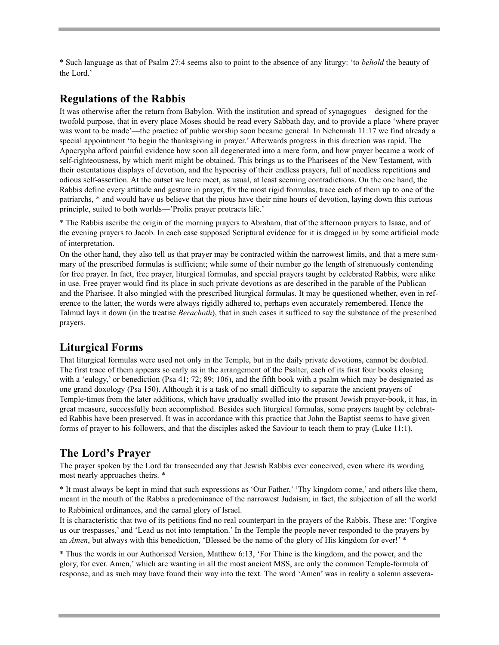\* Such language as that of Psalm 27:4 seems also to point to the absence of any liturgy: 'to *behold* the beauty of the Lord.'

# **Regulations of the Rabbis**

It was otherwise after the return from Babylon. With the institution and spread of synagogues—designed for the twofold purpose, that in every place Moses should be read every Sabbath day, and to provide a place 'where prayer was wont to be made'—the practice of public worship soon became general. In Nehemiah 11:17 we find already a special appointment 'to begin the thanksgiving in prayer.' Afterwards progress in this direction was rapid. The Apocrypha afford painful evidence how soon all degenerated into a mere form, and how prayer became a work of self-righteousness, by which merit might be obtained. This brings us to the Pharisees of the New Testament, with their ostentatious displays of devotion, and the hypocrisy of their endless prayers, full of needless repetitions and odious self-assertion. At the outset we here meet, as usual, at least seeming contradictions. On the one hand, the Rabbis define every attitude and gesture in prayer, fix the most rigid formulas, trace each of them up to one of the patriarchs, \* and would have us believe that the pious have their nine hours of devotion, laying down this curious principle, suited to both worlds—'Prolix prayer protracts life.'

\* The Rabbis ascribe the origin of the morning prayers to Abraham, that of the afternoon prayers to Isaac, and of the evening prayers to Jacob. In each case supposed Scriptural evidence for it is dragged in by some artificial mode of interpretation.

On the other hand, they also tell us that prayer may be contracted within the narrowest limits, and that a mere summary of the prescribed formulas is sufficient; while some of their number go the length of strenuously contending for free prayer. In fact, free prayer, liturgical formulas, and special prayers taught by celebrated Rabbis, were alike in use. Free prayer would find its place in such private devotions as are described in the parable of the Publican and the Pharisee. It also mingled with the prescribed liturgical formulas. It may be questioned whether, even in reference to the latter, the words were always rigidly adhered to, perhaps even accurately remembered. Hence the Talmud lays it down (in the treatise *Berachoth*), that in such cases it sufficed to say the substance of the prescribed prayers.

# **Liturgical Forms**

That liturgical formulas were used not only in the Temple, but in the daily private devotions, cannot be doubted. The first trace of them appears so early as in the arrangement of the Psalter, each of its first four books closing with a 'eulogy,' or benediction (Psa 41; 72; 89; 106), and the fifth book with a psalm which may be designated as one grand doxology (Psa 150). Although it is a task of no small difficulty to separate the ancient prayers of Temple-times from the later additions, which have gradually swelled into the present Jewish prayer-book, it has, in great measure, successfully been accomplished. Besides such liturgical formulas, some prayers taught by celebrated Rabbis have been preserved. It was in accordance with this practice that John the Baptist seems to have given forms of prayer to his followers, and that the disciples asked the Saviour to teach them to pray (Luke 11:1).

# **The Lord's Prayer**

The prayer spoken by the Lord far transcended any that Jewish Rabbis ever conceived, even where its wording most nearly approaches theirs. \*

\* It must always be kept in mind that such expressions as 'Our Father,' 'Thy kingdom come,' and others like them, meant in the mouth of the Rabbis a predominance of the narrowest Judaism; in fact, the subjection of all the world to Rabbinical ordinances, and the carnal glory of Israel.

It is characteristic that two of its petitions find no real counterpart in the prayers of the Rabbis. These are: 'Forgive us our trespasses,' and 'Lead us not into temptation.' In the Temple the people never responded to the prayers by an *Amen*, but always with this benediction, 'Blessed be the name of the glory of His kingdom for ever!' \*

\* Thus the words in our Authorised Version, Matthew 6:13, 'For Thine is the kingdom, and the power, and the glory, for ever. Amen,' which are wanting in all the most ancient MSS, are only the common Temple-formula of response, and as such may have found their way into the text. The word 'Amen' was in reality a solemn assevera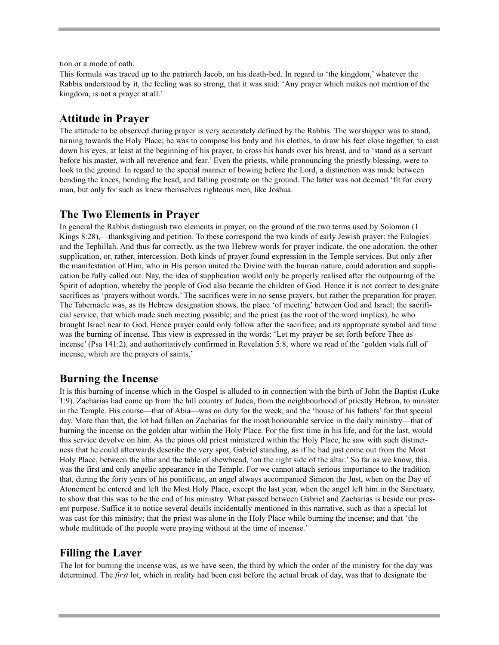tion or a mode of oath.

This formula was traced up to the patriarch Jacob, on his death-bed. In regard to 'the kingdom,' whatever the Rabbis understood by it, the feeling was so strong, that it was said: 'Any prayer which makes not mention of the kingdom, is not a prayer at all.'

#### **Attitude in Prayer**

The attitude to be observed during prayer is very accurately defined by the Rabbis. The worshipper was to stand, turning towards the Holy Place; he was to compose his body and his clothes, to draw his feet close together, to cast down his eyes, at least at the beginning of his prayer, to cross his hands over his breast, and to 'stand as a servant before his master, with all reverence and fear.' Even the priests, while pronouncing the priestly blessing, were to look to the ground. In regard to the special manner of bowing before the Lord, a distinction was made between bending the knees, bending the head, and falling prostrate on the ground. The latter was not deemed 'fit for every man, but only for such as knew themselves righteous men, like Joshua.

#### **The Two Elements in Prayer**

In general the Rabbis distinguish two elements in prayer, on the ground of the two terms used by Solomon (1 Kings 8:28),—thanksgiving and petition. To these correspond the two kinds of early Jewish prayer: the Eulogies and the Tephillah. And thus far correctly, as the two Hebrew words for prayer indicate, the one adoration, the other supplication, or, rather, intercession. Both kinds of prayer found expression in the Temple services. But only after the manifestation of Him, who in His person united the Divine with the human nature, could adoration and supplication be fully called out. Nay, the idea of supplication would only be properly realised after the outpouring of the Spirit of adoption, whereby the people of God also became the children of God. Hence it is not correct to designate sacrifices as 'prayers without words.' The sacrifices were in no sense prayers, but rather the preparation for prayer. The Tabernacle was, as its Hebrew designation shows, the place 'of meeting' between God and Israel; the sacrificial service, that which made such meeting possible; and the priest (as the root of the word implies), he who brought Israel near to God. Hence prayer could only follow after the sacrifice; and its appropriate symbol and time was the burning of incense. This view is expressed in the words: 'Let my prayer be set forth before Thee as incense' (Psa 141:2), and authoritatively confirmed in Revelation 5:8, where we read of the 'golden vials full of incense, which are the prayers of saints.'

#### **Burning the Incense**

It is this burning of incense which in the Gospel is alluded to in connection with the birth of John the Baptist (Luke 1:9). Zacharias had come up from the hill country of Judea, from the neighbourhood of priestly Hebron, to minister in the Temple. His course—that of Abia—was on duty for the week, and the 'house of his fathers' for that special day. More than that, the lot had fallen on Zacharias for the most honourable service in the daily ministry—that of burning the incense on the golden altar within the Holy Place. For the first time in his life, and for the last, would this service devolve on him. As the pious old priest ministered within the Holy Place, he saw with such distinctness that he could afterwards describe the very spot, Gabriel standing, as if he had just come out from the Most Holy Place, between the altar and the table of shewbread, 'on the right side of the altar.' So far as we know, this was the first and only angelic appearance in the Temple. For we cannot attach serious importance to the tradition that, during the forty years of his pontificate, an angel always accompanied Simeon the Just, when on the Day of Atonement he entered and left the Most Holy Place, except the last year, when the angel left him in the Sanctuary, to show that this was to be the end of his ministry. What passed between Gabriel and Zacharias is beside our present purpose. Suffice it to notice several details incidentally mentioned in this narrative, such as that a special lot was cast for this ministry; that the priest was alone in the Holy Place while burning the incense; and that 'the whole multitude of the people were praying without at the time of incense.'

#### **Filling the Laver**

The lot for burning the incense was, as we have seen, the third by which the order of the ministry for the day was determined. The *first* lot, which in reality had been cast before the actual break of day, was that to designate the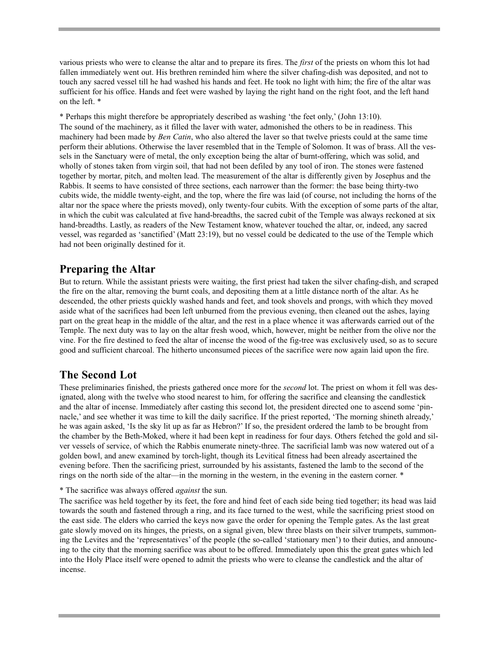various priests who were to cleanse the altar and to prepare its fires. The *first* of the priests on whom this lot had fallen immediately went out. His brethren reminded him where the silver chafing-dish was deposited, and not to touch any sacred vessel till he had washed his hands and feet. He took no light with him; the fire of the altar was sufficient for his office. Hands and feet were washed by laying the right hand on the right foot, and the left hand on the left. \*

\* Perhaps this might therefore be appropriately described as washing 'the feet only,' (John 13:10). The sound of the machinery, as it filled the laver with water, admonished the others to be in readiness. This machinery had been made by *Ben Catin*, who also altered the laver so that twelve priests could at the same time perform their ablutions. Otherwise the laver resembled that in the Temple of Solomon. It was of brass. All the vessels in the Sanctuary were of metal, the only exception being the altar of burnt-offering, which was solid, and wholly of stones taken from virgin soil, that had not been defiled by any tool of iron. The stones were fastened together by mortar, pitch, and molten lead. The measurement of the altar is differently given by Josephus and the Rabbis. It seems to have consisted of three sections, each narrower than the former: the base being thirty-two cubits wide, the middle twenty-eight, and the top, where the fire was laid (of course, not including the horns of the altar nor the space where the priests moved), only twenty-four cubits. With the exception of some parts of the altar, in which the cubit was calculated at five hand-breadths, the sacred cubit of the Temple was always reckoned at six hand-breadths. Lastly, as readers of the New Testament know, whatever touched the altar, or, indeed, any sacred vessel, was regarded as 'sanctified' (Matt 23:19), but no vessel could be dedicated to the use of the Temple which had not been originally destined for it.

### **Preparing the Altar**

But to return. While the assistant priests were waiting, the first priest had taken the silver chafing-dish, and scraped the fire on the altar, removing the burnt coals, and depositing them at a little distance north of the altar. As he descended, the other priests quickly washed hands and feet, and took shovels and prongs, with which they moved aside what of the sacrifices had been left unburned from the previous evening, then cleaned out the ashes, laying part on the great heap in the middle of the altar, and the rest in a place whence it was afterwards carried out of the Temple. The next duty was to lay on the altar fresh wood, which, however, might be neither from the olive nor the vine. For the fire destined to feed the altar of incense the wood of the fig-tree was exclusively used, so as to secure good and sufficient charcoal. The hitherto unconsumed pieces of the sacrifice were now again laid upon the fire.

# **The Second Lot**

These preliminaries finished, the priests gathered once more for the *second* lot. The priest on whom it fell was designated, along with the twelve who stood nearest to him, for offering the sacrifice and cleansing the candlestick and the altar of incense. Immediately after casting this second lot, the president directed one to ascend some 'pinnacle,' and see whether it was time to kill the daily sacrifice. If the priest reported, 'The morning shineth already,' he was again asked, 'Is the sky lit up as far as Hebron?' If so, the president ordered the lamb to be brought from the chamber by the Beth-Moked, where it had been kept in readiness for four days. Others fetched the gold and silver vessels of service, of which the Rabbis enumerate ninety-three. The sacrificial lamb was now watered out of a golden bowl, and anew examined by torch-light, though its Levitical fitness had been already ascertained the evening before. Then the sacrificing priest, surrounded by his assistants, fastened the lamb to the second of the rings on the north side of the altar—in the morning in the western, in the evening in the eastern corner. \*

\* The sacrifice was always offered *against* the sun.

The sacrifice was held together by its feet, the fore and hind feet of each side being tied together; its head was laid towards the south and fastened through a ring, and its face turned to the west, while the sacrificing priest stood on the east side. The elders who carried the keys now gave the order for opening the Temple gates. As the last great gate slowly moved on its hinges, the priests, on a signal given, blew three blasts on their silver trumpets, summoning the Levites and the 'representatives' of the people (the so-called 'stationary men') to their duties, and announcing to the city that the morning sacrifice was about to be offered. Immediately upon this the great gates which led into the Holy Place itself were opened to admit the priests who were to cleanse the candlestick and the altar of incense.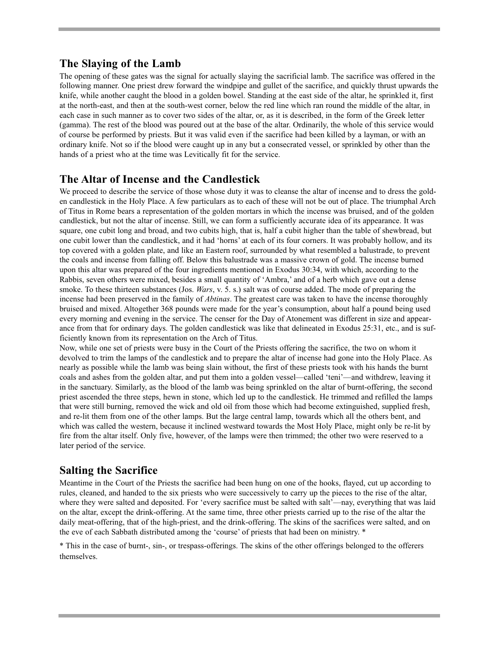# **The Slaying of the Lamb**

The opening of these gates was the signal for actually slaying the sacrificial lamb. The sacrifice was offered in the following manner. One priest drew forward the windpipe and gullet of the sacrifice, and quickly thrust upwards the knife, while another caught the blood in a golden bowel. Standing at the east side of the altar, he sprinkled it, first at the north-east, and then at the south-west corner, below the red line which ran round the middle of the altar, in each case in such manner as to cover two sides of the altar, or, as it is described, in the form of the Greek letter (gamma). The rest of the blood was poured out at the base of the altar. Ordinarily, the whole of this service would of course be performed by priests. But it was valid even if the sacrifice had been killed by a layman, or with an ordinary knife. Not so if the blood were caught up in any but a consecrated vessel, or sprinkled by other than the hands of a priest who at the time was Levitically fit for the service.

### **The Altar of Incense and the Candlestick**

We proceed to describe the service of those whose duty it was to cleanse the altar of incense and to dress the golden candlestick in the Holy Place. A few particulars as to each of these will not be out of place. The triumphal Arch of Titus in Rome bears a representation of the golden mortars in which the incense was bruised, and of the golden candlestick, but not the altar of incense. Still, we can form a sufficiently accurate idea of its appearance. It was square, one cubit long and broad, and two cubits high, that is, half a cubit higher than the table of shewbread, but one cubit lower than the candlestick, and it had 'horns' at each of its four corners. It was probably hollow, and its top covered with a golden plate, and like an Eastern roof, surrounded by what resembled a balustrade, to prevent the coals and incense from falling off. Below this balustrade was a massive crown of gold. The incense burned upon this altar was prepared of the four ingredients mentioned in Exodus 30:34, with which, according to the Rabbis, seven others were mixed, besides a small quantity of 'Ambra,' and of a herb which gave out a dense smoke. To these thirteen substances (Jos. *Wars*, v. 5. s.) salt was of course added. The mode of preparing the incense had been preserved in the family of *Abtinas*. The greatest care was taken to have the incense thoroughly bruised and mixed. Altogether 368 pounds were made for the year's consumption, about half a pound being used every morning and evening in the service. The censer for the Day of Atonement was different in size and appearance from that for ordinary days. The golden candlestick was like that delineated in Exodus 25:31, etc., and is sufficiently known from its representation on the Arch of Titus.

Now, while one set of priests were busy in the Court of the Priests offering the sacrifice, the two on whom it devolved to trim the lamps of the candlestick and to prepare the altar of incense had gone into the Holy Place. As nearly as possible while the lamb was being slain without, the first of these priests took with his hands the burnt coals and ashes from the golden altar, and put them into a golden vessel—called 'teni'—and withdrew, leaving it in the sanctuary. Similarly, as the blood of the lamb was being sprinkled on the altar of burnt-offering, the second priest ascended the three steps, hewn in stone, which led up to the candlestick. He trimmed and refilled the lamps that were still burning, removed the wick and old oil from those which had become extinguished, supplied fresh, and re-lit them from one of the other lamps. But the large central lamp, towards which all the others bent, and which was called the western, because it inclined westward towards the Most Holy Place, might only be re-lit by fire from the altar itself. Only five, however, of the lamps were then trimmed; the other two were reserved to a later period of the service.

# **Salting the Sacrifice**

Meantime in the Court of the Priests the sacrifice had been hung on one of the hooks, flayed, cut up according to rules, cleaned, and handed to the six priests who were successively to carry up the pieces to the rise of the altar, where they were salted and deposited. For 'every sacrifice must be salted with salt'—nay, everything that was laid on the altar, except the drink-offering. At the same time, three other priests carried up to the rise of the altar the daily meat-offering, that of the high-priest, and the drink-offering. The skins of the sacrifices were salted, and on the eve of each Sabbath distributed among the 'course' of priests that had been on ministry. \*

\* This in the case of burnt-, sin-, or trespass-offerings. The skins of the other offerings belonged to the offerers themselves.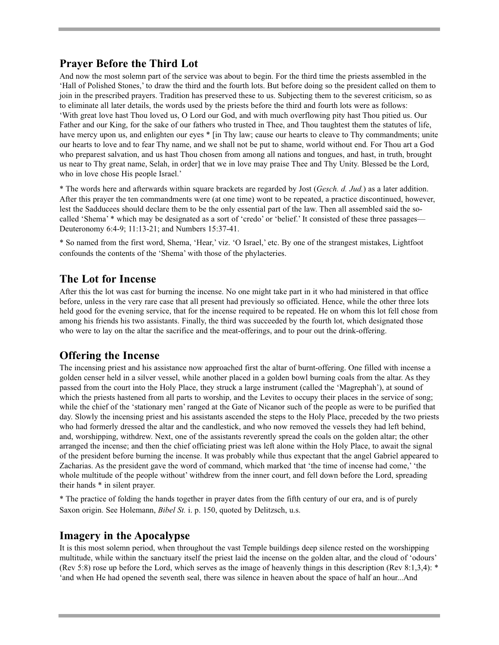# **Prayer Before the Third Lot**

And now the most solemn part of the service was about to begin. For the third time the priests assembled in the 'Hall of Polished Stones,' to draw the third and the fourth lots. But before doing so the president called on them to join in the prescribed prayers. Tradition has preserved these to us. Subjecting them to the severest criticism, so as to eliminate all later details, the words used by the priests before the third and fourth lots were as follows: 'With great love hast Thou loved us, O Lord our God, and with much overflowing pity hast Thou pitied us. Our Father and our King, for the sake of our fathers who trusted in Thee, and Thou taughtest them the statutes of life, have mercy upon us, and enlighten our eyes  $*$  [in Thy law; cause our hearts to cleave to Thy commandments; unite our hearts to love and to fear Thy name, and we shall not be put to shame, world without end. For Thou art a God who preparest salvation, and us hast Thou chosen from among all nations and tongues, and hast, in truth, brought us near to Thy great name, Selah, in order] that we in love may praise Thee and Thy Unity. Blessed be the Lord, who in love chose His people Israel.'

\* The words here and afterwards within square brackets are regarded by Jost (*Gesch. d. Jud.*) as a later addition. After this prayer the ten commandments were (at one time) wont to be repeated, a practice discontinued, however, lest the Sadducees should declare them to be the only essential part of the law. Then all assembled said the socalled 'Shema' \* which may be designated as a sort of 'credo' or 'belief.' It consisted of these three passages— Deuteronomy 6:4-9; 11:13-21; and Numbers 15:37-41.

\* So named from the first word, Shema, 'Hear,' viz. 'O Israel,' etc. By one of the strangest mistakes, Lightfoot confounds the contents of the 'Shema' with those of the phylacteries.

# **The Lot for Incense**

After this the lot was cast for burning the incense. No one might take part in it who had ministered in that office before, unless in the very rare case that all present had previously so officiated. Hence, while the other three lots held good for the evening service, that for the incense required to be repeated. He on whom this lot fell chose from among his friends his two assistants. Finally, the third was succeeded by the fourth lot, which designated those who were to lay on the altar the sacrifice and the meat-offerings, and to pour out the drink-offering.

# **Offering the Incense**

The incensing priest and his assistance now approached first the altar of burnt-offering. One filled with incense a golden censer held in a silver vessel, while another placed in a golden bowl burning coals from the altar. As they passed from the court into the Holy Place, they struck a large instrument (called the 'Magrephah'), at sound of which the priests hastened from all parts to worship, and the Levites to occupy their places in the service of song; while the chief of the 'stationary men' ranged at the Gate of Nicanor such of the people as were to be purified that day. Slowly the incensing priest and his assistants ascended the steps to the Holy Place, preceded by the two priests who had formerly dressed the altar and the candlestick, and who now removed the vessels they had left behind, and, worshipping, withdrew. Next, one of the assistants reverently spread the coals on the golden altar; the other arranged the incense; and then the chief officiating priest was left alone within the Holy Place, to await the signal of the president before burning the incense. It was probably while thus expectant that the angel Gabriel appeared to Zacharias. As the president gave the word of command, which marked that 'the time of incense had come,' 'the whole multitude of the people without' withdrew from the inner court, and fell down before the Lord, spreading their hands \* in silent prayer.

\* The practice of folding the hands together in prayer dates from the fifth century of our era, and is of purely Saxon origin. See Holemann, *Bibel St.* i. p. 150, quoted by Delitzsch, u.s.

# **Imagery in the Apocalypse**

It is this most solemn period, when throughout the vast Temple buildings deep silence rested on the worshipping multitude, while within the sanctuary itself the priest laid the incense on the golden altar, and the cloud of 'odours' (Rev 5:8) rose up before the Lord, which serves as the image of heavenly things in this description (Rev 8:1,3,4): \* 'and when He had opened the seventh seal, there was silence in heaven about the space of half an hour...And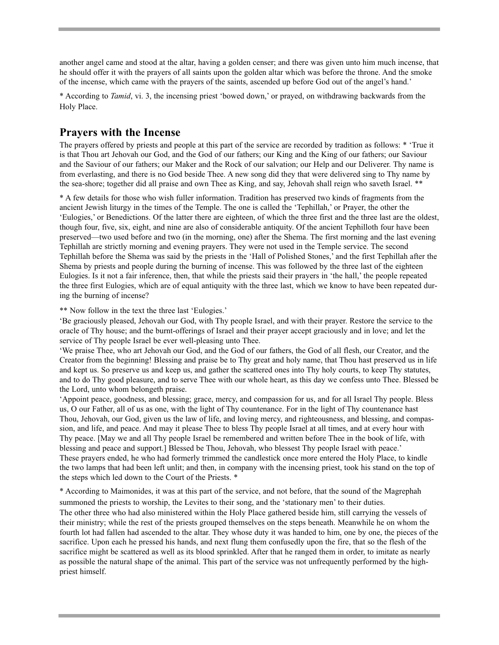another angel came and stood at the altar, having a golden censer; and there was given unto him much incense, that he should offer it with the prayers of all saints upon the golden altar which was before the throne. And the smoke of the incense, which came with the prayers of the saints, ascended up before God out of the angel's hand.'

\* According to *Tamid*, vi. 3, the incensing priest 'bowed down,' or prayed, on withdrawing backwards from the Holy Place.

#### **Prayers with the Incense**

The prayers offered by priests and people at this part of the service are recorded by tradition as follows: \* 'True it is that Thou art Jehovah our God, and the God of our fathers; our King and the King of our fathers; our Saviour and the Saviour of our fathers; our Maker and the Rock of our salvation; our Help and our Deliverer. Thy name is from everlasting, and there is no God beside Thee. A new song did they that were delivered sing to Thy name by the sea-shore; together did all praise and own Thee as King, and say, Jehovah shall reign who saveth Israel. \*\*

\* A few details for those who wish fuller information. Tradition has preserved two kinds of fragments from the ancient Jewish liturgy in the times of the Temple. The one is called the 'Tephillah,' or Prayer, the other the 'Eulogies,' or Benedictions. Of the latter there are eighteen, of which the three first and the three last are the oldest, though four, five, six, eight, and nine are also of considerable antiquity. Of the ancient Tephilloth four have been preserved—two used before and two (in the morning, one) after the Shema. The first morning and the last evening Tephillah are strictly morning and evening prayers. They were not used in the Temple service. The second Tephillah before the Shema was said by the priests in the 'Hall of Polished Stones,' and the first Tephillah after the Shema by priests and people during the burning of incense. This was followed by the three last of the eighteen Eulogies. Is it not a fair inference, then, that while the priests said their prayers in 'the hall,' the people repeated the three first Eulogies, which are of equal antiquity with the three last, which we know to have been repeated during the burning of incense?

\*\* Now follow in the text the three last 'Eulogies.'

'Be graciously pleased, Jehovah our God, with Thy people Israel, and with their prayer. Restore the service to the oracle of Thy house; and the burnt-offerings of Israel and their prayer accept graciously and in love; and let the service of Thy people Israel be ever well-pleasing unto Thee.

'We praise Thee, who art Jehovah our God, and the God of our fathers, the God of all flesh, our Creator, and the Creator from the beginning! Blessing and praise be to Thy great and holy name, that Thou hast preserved us in life and kept us. So preserve us and keep us, and gather the scattered ones into Thy holy courts, to keep Thy statutes, and to do Thy good pleasure, and to serve Thee with our whole heart, as this day we confess unto Thee. Blessed be the Lord, unto whom belongeth praise.

'Appoint peace, goodness, and blessing; grace, mercy, and compassion for us, and for all Israel Thy people. Bless us, O our Father, all of us as one, with the light of Thy countenance. For in the light of Thy countenance hast Thou, Jehovah, our God, given us the law of life, and loving mercy, and righteousness, and blessing, and compassion, and life, and peace. And may it please Thee to bless Thy people Israel at all times, and at every hour with Thy peace. [May we and all Thy people Israel be remembered and written before Thee in the book of life, with blessing and peace and support.] Blessed be Thou, Jehovah, who blessest Thy people Israel with peace.' These prayers ended, he who had formerly trimmed the candlestick once more entered the Holy Place, to kindle the two lamps that had been left unlit; and then, in company with the incensing priest, took his stand on the top of the steps which led down to the Court of the Priests. \*

\* According to Maimonides, it was at this part of the service, and not before, that the sound of the Magrephah summoned the priests to worship, the Levites to their song, and the 'stationary men' to their duties. The other three who had also ministered within the Holy Place gathered beside him, still carrying the vessels of their ministry; while the rest of the priests grouped themselves on the steps beneath. Meanwhile he on whom the fourth lot had fallen had ascended to the altar. They whose duty it was handed to him, one by one, the pieces of the sacrifice. Upon each he pressed his hands, and next flung them confusedly upon the fire, that so the flesh of the sacrifice might be scattered as well as its blood sprinkled. After that he ranged them in order, to imitate as nearly as possible the natural shape of the animal. This part of the service was not unfrequently performed by the highpriest himself.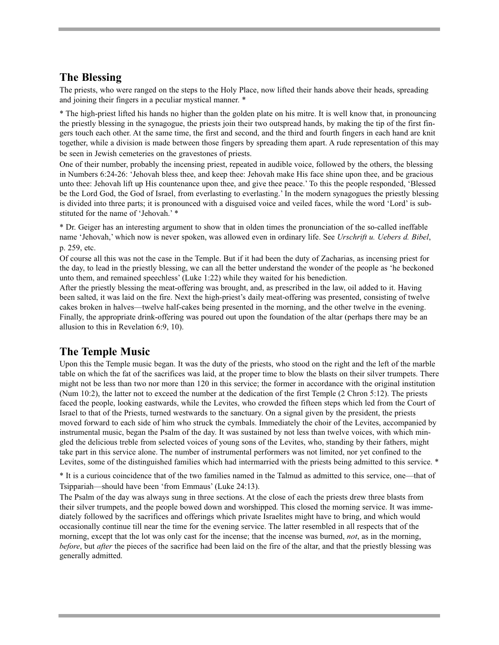# **The Blessing**

The priests, who were ranged on the steps to the Holy Place, now lifted their hands above their heads, spreading and joining their fingers in a peculiar mystical manner. \*

\* The high-priest lifted his hands no higher than the golden plate on his mitre. It is well know that, in pronouncing the priestly blessing in the synagogue, the priests join their two outspread hands, by making the tip of the first fingers touch each other. At the same time, the first and second, and the third and fourth fingers in each hand are knit together, while a division is made between those fingers by spreading them apart. A rude representation of this may be seen in Jewish cemeteries on the gravestones of priests.

One of their number, probably the incensing priest, repeated in audible voice, followed by the others, the blessing in Numbers 6:24-26: 'Jehovah bless thee, and keep thee: Jehovah make His face shine upon thee, and be gracious unto thee: Jehovah lift up His countenance upon thee, and give thee peace.' To this the people responded, 'Blessed be the Lord God, the God of Israel, from everlasting to everlasting.' In the modern synagogues the priestly blessing is divided into three parts; it is pronounced with a disguised voice and veiled faces, while the word 'Lord' is substituted for the name of 'Jehovah.' \*

\* Dr. Geiger has an interesting argument to show that in olden times the pronunciation of the so-called ineffable name 'Jehovah,' which now is never spoken, was allowed even in ordinary life. See *Urschrift u. Uebers d. Bibel*, p. 259, etc.

Of course all this was not the case in the Temple. But if it had been the duty of Zacharias, as incensing priest for the day, to lead in the priestly blessing, we can all the better understand the wonder of the people as 'he beckoned unto them, and remained speechless' (Luke 1:22) while they waited for his benediction.

After the priestly blessing the meat-offering was brought, and, as prescribed in the law, oil added to it. Having been salted, it was laid on the fire. Next the high-priest's daily meat-offering was presented, consisting of twelve cakes broken in halves—twelve half-cakes being presented in the morning, and the other twelve in the evening. Finally, the appropriate drink-offering was poured out upon the foundation of the altar (perhaps there may be an allusion to this in Revelation 6:9, 10).

# **The Temple Music**

Upon this the Temple music began. It was the duty of the priests, who stood on the right and the left of the marble table on which the fat of the sacrifices was laid, at the proper time to blow the blasts on their silver trumpets. There might not be less than two nor more than 120 in this service; the former in accordance with the original institution (Num 10:2), the latter not to exceed the number at the dedication of the first Temple (2 Chron 5:12). The priests faced the people, looking eastwards, while the Levites, who crowded the fifteen steps which led from the Court of Israel to that of the Priests, turned westwards to the sanctuary. On a signal given by the president, the priests moved forward to each side of him who struck the cymbals. Immediately the choir of the Levites, accompanied by instrumental music, began the Psalm of the day. It was sustained by not less than twelve voices, with which mingled the delicious treble from selected voices of young sons of the Levites, who, standing by their fathers, might take part in this service alone. The number of instrumental performers was not limited, nor yet confined to the Levites, some of the distinguished families which had intermarried with the priests being admitted to this service. \*

\* It is a curious coincidence that of the two families named in the Talmud as admitted to this service, one—that of Tsippariah—should have been 'from Emmaus' (Luke 24:13).

The Psalm of the day was always sung in three sections. At the close of each the priests drew three blasts from their silver trumpets, and the people bowed down and worshipped. This closed the morning service. It was immediately followed by the sacrifices and offerings which private Israelites might have to bring, and which would occasionally continue till near the time for the evening service. The latter resembled in all respects that of the morning, except that the lot was only cast for the incense; that the incense was burned, *not*, as in the morning, *before*, but *after* the pieces of the sacrifice had been laid on the fire of the altar, and that the priestly blessing was generally admitted.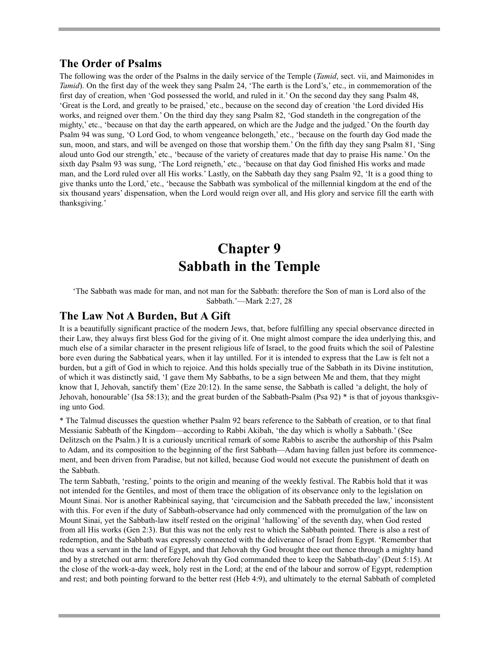#### **The Order of Psalms**

The following was the order of the Psalms in the daily service of the Temple (*Tamid*, sect. vii, and Maimonides in *Tamid*). On the first day of the week they sang Psalm 24, 'The earth is the Lord's,' etc., in commemoration of the first day of creation, when 'God possessed the world, and ruled in it.' On the second day they sang Psalm 48, 'Great is the Lord, and greatly to be praised,' etc., because on the second day of creation 'the Lord divided His works, and reigned over them.' On the third day they sang Psalm 82, 'God standeth in the congregation of the mighty,' etc., 'because on that day the earth appeared, on which are the Judge and the judged.' On the fourth day Psalm 94 was sung, 'O Lord God, to whom vengeance belongeth,' etc., 'because on the fourth day God made the sun, moon, and stars, and will be avenged on those that worship them.' On the fifth day they sang Psalm 81, 'Sing aloud unto God our strength,' etc., 'because of the variety of creatures made that day to praise His name.' On the sixth day Psalm 93 was sung, 'The Lord reigneth,' etc., 'because on that day God finished His works and made man, and the Lord ruled over all His works.' Lastly, on the Sabbath day they sang Psalm 92, 'It is a good thing to give thanks unto the Lord,' etc., 'because the Sabbath was symbolical of the millennial kingdom at the end of the six thousand years' dispensation, when the Lord would reign over all, and His glory and service fill the earth with thanksgiving.'

# **Chapter 9 Sabbath in the Temple**

'The Sabbath was made for man, and not man for the Sabbath: therefore the Son of man is Lord also of the Sabbath.'—Mark 2:27, 28

#### **The Law Not A Burden, But A Gift**

It is a beautifully significant practice of the modern Jews, that, before fulfilling any special observance directed in their Law, they always first bless God for the giving of it. One might almost compare the idea underlying this, and much else of a similar character in the present religious life of Israel, to the good fruits which the soil of Palestine bore even during the Sabbatical years, when it lay untilled. For it is intended to express that the Law is felt not a burden, but a gift of God in which to rejoice. And this holds specially true of the Sabbath in its Divine institution, of which it was distinctly said, 'I gave them My Sabbaths, to be a sign between Me and them, that they might know that I, Jehovah, sanctify them' (Eze 20:12). In the same sense, the Sabbath is called 'a delight, the holy of Jehovah, honourable' (Isa 58:13); and the great burden of the Sabbath-Psalm (Psa 92) \* is that of joyous thanksgiving unto God.

\* The Talmud discusses the question whether Psalm 92 bears reference to the Sabbath of creation, or to that final Messianic Sabbath of the Kingdom—according to Rabbi Akibah, 'the day which is wholly a Sabbath.' (See Delitzsch on the Psalm.) It is a curiously uncritical remark of some Rabbis to ascribe the authorship of this Psalm to Adam, and its composition to the beginning of the first Sabbath—Adam having fallen just before its commencement, and been driven from Paradise, but not killed, because God would not execute the punishment of death on the Sabbath.

The term Sabbath, 'resting,' points to the origin and meaning of the weekly festival. The Rabbis hold that it was not intended for the Gentiles, and most of them trace the obligation of its observance only to the legislation on Mount Sinai. Nor is another Rabbinical saying, that 'circumcision and the Sabbath preceded the law,' inconsistent with this. For even if the duty of Sabbath-observance had only commenced with the promulgation of the law on Mount Sinai, yet the Sabbath-law itself rested on the original 'hallowing' of the seventh day, when God rested from all His works (Gen 2:3). But this was not the only rest to which the Sabbath pointed. There is also a rest of redemption, and the Sabbath was expressly connected with the deliverance of Israel from Egypt. 'Remember that thou was a servant in the land of Egypt, and that Jehovah thy God brought thee out thence through a mighty hand and by a stretched out arm: therefore Jehovah thy God commanded thee to keep the Sabbath-day' (Deut 5:15). At the close of the work-a-day week, holy rest in the Lord; at the end of the labour and sorrow of Egypt, redemption and rest; and both pointing forward to the better rest (Heb 4:9), and ultimately to the eternal Sabbath of completed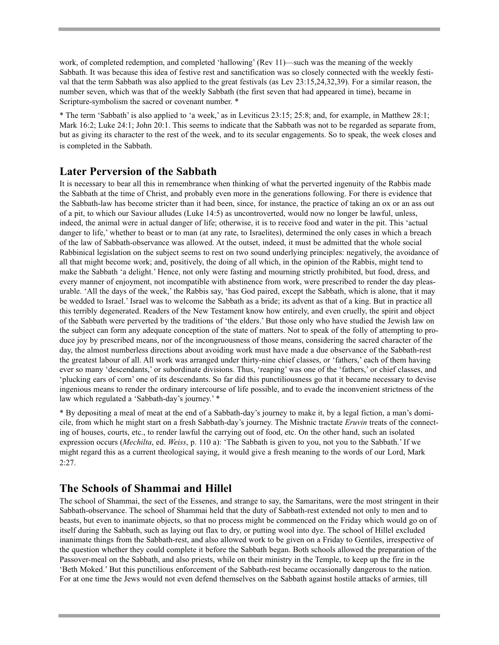work, of completed redemption, and completed 'hallowing' (Rev 11)—such was the meaning of the weekly Sabbath. It was because this idea of festive rest and sanctification was so closely connected with the weekly festival that the term Sabbath was also applied to the great festivals (as Lev 23:15,24,32,39). For a similar reason, the number seven, which was that of the weekly Sabbath (the first seven that had appeared in time), became in Scripture-symbolism the sacred or covenant number. \*

\* The term 'Sabbath' is also applied to 'a week,' as in Leviticus 23:15; 25:8; and, for example, in Matthew 28:1; Mark 16:2; Luke 24:1; John 20:1. This seems to indicate that the Sabbath was not to be regarded as separate from, but as giving its character to the rest of the week, and to its secular engagements. So to speak, the week closes and is completed in the Sabbath.

# **Later Perversion of the Sabbath**

It is necessary to bear all this in remembrance when thinking of what the perverted ingenuity of the Rabbis made the Sabbath at the time of Christ, and probably even more in the generations following. For there is evidence that the Sabbath-law has become stricter than it had been, since, for instance, the practice of taking an ox or an ass out of a pit, to which our Saviour alludes (Luke 14:5) as uncontroverted, would now no longer be lawful, unless, indeed, the animal were in actual danger of life; otherwise, it is to receive food and water in the pit. This 'actual danger to life,' whether to beast or to man (at any rate, to Israelites), determined the only cases in which a breach of the law of Sabbath-observance was allowed. At the outset, indeed, it must be admitted that the whole social Rabbinical legislation on the subject seems to rest on two sound underlying principles: negatively, the avoidance of all that might become work; and, positively, the doing of all which, in the opinion of the Rabbis, might tend to make the Sabbath 'a delight.' Hence, not only were fasting and mourning strictly prohibited, but food, dress, and every manner of enjoyment, not incompatible with abstinence from work, were prescribed to render the day pleasurable. 'All the days of the week,' the Rabbis say, 'has God paired, except the Sabbath, which is alone, that it may be wedded to Israel.' Israel was to welcome the Sabbath as a bride; its advent as that of a king. But in practice all this terribly degenerated. Readers of the New Testament know how entirely, and even cruelly, the spirit and object of the Sabbath were perverted by the traditions of 'the elders.' But those only who have studied the Jewish law on the subject can form any adequate conception of the state of matters. Not to speak of the folly of attempting to produce joy by prescribed means, nor of the incongruousness of those means, considering the sacred character of the day, the almost numberless directions about avoiding work must have made a due observance of the Sabbath-rest the greatest labour of all. All work was arranged under thirty-nine chief classes, or 'fathers,' each of them having ever so many 'descendants,' or subordinate divisions. Thus, 'reaping' was one of the 'fathers,' or chief classes, and 'plucking ears of corn' one of its descendants. So far did this punctiliousness go that it became necessary to devise ingenious means to render the ordinary intercourse of life possible, and to evade the inconvenient strictness of the law which regulated a 'Sabbath-day's journey.' \*

\* By depositing a meal of meat at the end of a Sabbath-day's journey to make it, by a legal fiction, a man's domicile, from which he might start on a fresh Sabbath-day's journey. The Mishnic tractate *Eruvin* treats of the connecting of houses, courts, etc., to render lawful the carrying out of food, etc. On the other hand, such an isolated expression occurs (*Mechilta*, ed. *Weiss*, p. 110 a): 'The Sabbath is given to you, not you to the Sabbath.' If we might regard this as a current theological saying, it would give a fresh meaning to the words of our Lord, Mark 2:27.

# **The Schools of Shammai and Hillel**

The school of Shammai, the sect of the Essenes, and strange to say, the Samaritans, were the most stringent in their Sabbath-observance. The school of Shammai held that the duty of Sabbath-rest extended not only to men and to beasts, but even to inanimate objects, so that no process might be commenced on the Friday which would go on of itself during the Sabbath, such as laying out flax to dry, or putting wool into dye. The school of Hillel excluded inanimate things from the Sabbath-rest, and also allowed work to be given on a Friday to Gentiles, irrespective of the question whether they could complete it before the Sabbath began. Both schools allowed the preparation of the Passover-meal on the Sabbath, and also priests, while on their ministry in the Temple, to keep up the fire in the 'Beth Moked.' But this punctilious enforcement of the Sabbath-rest became occasionally dangerous to the nation. For at one time the Jews would not even defend themselves on the Sabbath against hostile attacks of armies, till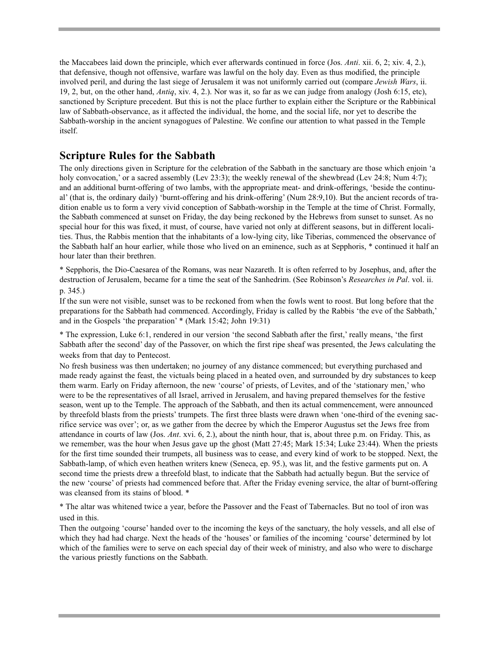the Maccabees laid down the principle, which ever afterwards continued in force (Jos. *Anti*. xii. 6, 2; xiv. 4, 2.), that defensive, though not offensive, warfare was lawful on the holy day. Even as thus modified, the principle involved peril, and during the last siege of Jerusalem it was not uniformly carried out (compare *Jewish Wars*, ii. 19, 2, but, on the other hand, *Antiq*, xiv. 4, 2.). Nor was it, so far as we can judge from analogy (Josh 6:15, etc), sanctioned by Scripture precedent. But this is not the place further to explain either the Scripture or the Rabbinical law of Sabbath-observance, as it affected the individual, the home, and the social life, nor yet to describe the Sabbath-worship in the ancient synagogues of Palestine. We confine our attention to what passed in the Temple itself.

### **Scripture Rules for the Sabbath**

The only directions given in Scripture for the celebration of the Sabbath in the sanctuary are those which enjoin 'a holy convocation,' or a sacred assembly (Lev 23:3); the weekly renewal of the shewbread (Lev 24:8; Num 4:7); and an additional burnt-offering of two lambs, with the appropriate meat- and drink-offerings, 'beside the continual' (that is, the ordinary daily) 'burnt-offering and his drink-offering' (Num 28:9,10). But the ancient records of tradition enable us to form a very vivid conception of Sabbath-worship in the Temple at the time of Christ. Formally, the Sabbath commenced at sunset on Friday, the day being reckoned by the Hebrews from sunset to sunset. As no special hour for this was fixed, it must, of course, have varied not only at different seasons, but in different localities. Thus, the Rabbis mention that the inhabitants of a low-lying city, like Tiberias, commenced the observance of the Sabbath half an hour earlier, while those who lived on an eminence, such as at Sepphoris, \* continued it half an hour later than their brethren.

\* Sepphoris, the Dio-Caesarea of the Romans, was near Nazareth. It is often referred to by Josephus, and, after the destruction of Jerusalem, became for a time the seat of the Sanhedrim. (See Robinson's *Researches in Pal*. vol. ii. p. 345.)

If the sun were not visible, sunset was to be reckoned from when the fowls went to roost. But long before that the preparations for the Sabbath had commenced. Accordingly, Friday is called by the Rabbis 'the eve of the Sabbath,' and in the Gospels 'the preparation' \* (Mark 15:42; John 19:31)

\* The expression, Luke 6:1, rendered in our version 'the second Sabbath after the first,' really means, 'the first Sabbath after the second' day of the Passover, on which the first ripe sheaf was presented, the Jews calculating the weeks from that day to Pentecost.

No fresh business was then undertaken; no journey of any distance commenced; but everything purchased and made ready against the feast, the victuals being placed in a heated oven, and surrounded by dry substances to keep them warm. Early on Friday afternoon, the new 'course' of priests, of Levites, and of the 'stationary men,' who were to be the representatives of all Israel, arrived in Jerusalem, and having prepared themselves for the festive season, went up to the Temple. The approach of the Sabbath, and then its actual commencement, were announced by threefold blasts from the priests' trumpets. The first three blasts were drawn when 'one-third of the evening sacrifice service was over'; or, as we gather from the decree by which the Emperor Augustus set the Jews free from attendance in courts of law (Jos. *Ant*. xvi. 6, 2.), about the ninth hour, that is, about three p.m. on Friday. This, as we remember, was the hour when Jesus gave up the ghost (Matt 27:45; Mark 15:34; Luke 23:44). When the priests for the first time sounded their trumpets, all business was to cease, and every kind of work to be stopped. Next, the Sabbath-lamp, of which even heathen writers knew (Seneca, ep. 95.), was lit, and the festive garments put on. A second time the priests drew a threefold blast, to indicate that the Sabbath had actually begun. But the service of the new 'course' of priests had commenced before that. After the Friday evening service, the altar of burnt-offering was cleansed from its stains of blood. \*

\* The altar was whitened twice a year, before the Passover and the Feast of Tabernacles. But no tool of iron was used in this.

Then the outgoing 'course' handed over to the incoming the keys of the sanctuary, the holy vessels, and all else of which they had had charge. Next the heads of the 'houses' or families of the incoming 'course' determined by lot which of the families were to serve on each special day of their week of ministry, and also who were to discharge the various priestly functions on the Sabbath.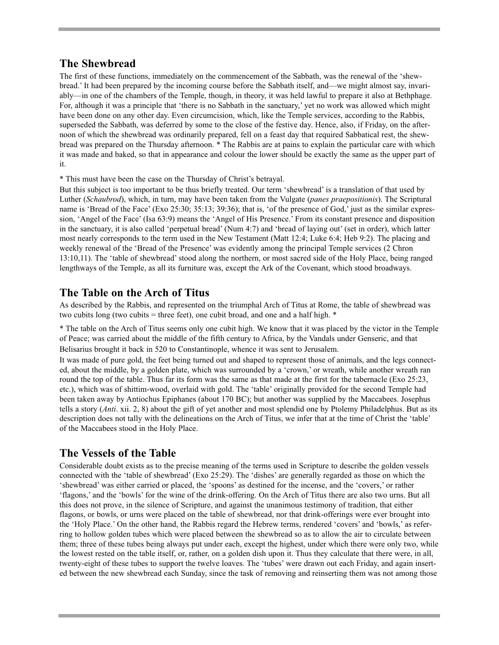# **The Shewbread**

The first of these functions, immediately on the commencement of the Sabbath, was the renewal of the 'shewbread.' It had been prepared by the incoming course before the Sabbath itself, and—we might almost say, invariably—in one of the chambers of the Temple, though, in theory, it was held lawful to prepare it also at Bethphage. For, although it was a principle that 'there is no Sabbath in the sanctuary,' yet no work was allowed which might have been done on any other day. Even circumcision, which, like the Temple services, according to the Rabbis, superseded the Sabbath, was deferred by some to the close of the festive day. Hence, also, if Friday, on the afternoon of which the shewbread was ordinarily prepared, fell on a feast day that required Sabbatical rest, the shewbread was prepared on the Thursday afternoon. \* The Rabbis are at pains to explain the particular care with which it was made and baked, so that in appearance and colour the lower should be exactly the same as the upper part of it.

\* This must have been the case on the Thursday of Christ's betrayal.

But this subject is too important to be thus briefly treated. Our term 'shewbread' is a translation of that used by Luther (*Schaubrod*), which, in turn, may have been taken from the Vulgate (*panes praepositionis*). The Scriptural name is 'Bread of the Face' (Exo 25:30; 35:13; 39:36); that is, 'of the presence of God,' just as the similar expression, 'Angel of the Face' (Isa 63:9) means the 'Angel of His Presence.' From its constant presence and disposition in the sanctuary, it is also called 'perpetual bread' (Num 4:7) and 'bread of laying out' (set in order), which latter most nearly corresponds to the term used in the New Testament (Matt 12:4; Luke 6:4; Heb 9:2). The placing and weekly renewal of the 'Bread of the Presence' was evidently among the principal Temple services (2 Chron 13:10,11). The 'table of shewbread' stood along the northern, or most sacred side of the Holy Place, being ranged lengthways of the Temple, as all its furniture was, except the Ark of the Covenant, which stood broadways.

# **The Table on the Arch of Titus**

As described by the Rabbis, and represented on the triumphal Arch of Titus at Rome, the table of shewbread was two cubits long (two cubits = three feet), one cubit broad, and one and a half high.  $*$ 

\* The table on the Arch of Titus seems only one cubit high. We know that it was placed by the victor in the Temple of Peace; was carried about the middle of the fifth century to Africa, by the Vandals under Genseric, and that Belisarius brought it back in 520 to Constantinople, whence it was sent to Jerusalem.

It was made of pure gold, the feet being turned out and shaped to represent those of animals, and the legs connected, about the middle, by a golden plate, which was surrounded by a 'crown,' or wreath, while another wreath ran round the top of the table. Thus far its form was the same as that made at the first for the tabernacle (Exo 25:23, etc.), which was of shittim-wood, overlaid with gold. The 'table' originally provided for the second Temple had been taken away by Antiochus Epiphanes (about 170 BC); but another was supplied by the Maccabees. Josephus tells a story (*Anti*. xii. 2, 8) about the gift of yet another and most splendid one by Ptolemy Philadelphus. But as its description does not tally with the delineations on the Arch of Titus, we infer that at the time of Christ the 'table' of the Maccabees stood in the Holy Place.

# **The Vessels of the Table**

Considerable doubt exists as to the precise meaning of the terms used in Scripture to describe the golden vessels connected with the 'table of shewbread' (Exo 25:29). The 'dishes' are generally regarded as those on which the 'shewbread' was either carried or placed, the 'spoons' as destined for the incense, and the 'covers,' or rather 'flagons,' and the 'bowls' for the wine of the drink-offering. On the Arch of Titus there are also two urns. But all this does not prove, in the silence of Scripture, and against the unanimous testimony of tradition, that either flagons, or bowls, or urns were placed on the table of shewbread, nor that drink-offerings were ever brought into the 'Holy Place.' On the other hand, the Rabbis regard the Hebrew terms, rendered 'covers' and 'bowls,' as referring to hollow golden tubes which were placed between the shewbread so as to allow the air to circulate between them; three of these tubes being always put under each, except the highest, under which there were only two, while the lowest rested on the table itself, or, rather, on a golden dish upon it. Thus they calculate that there were, in all, twenty-eight of these tubes to support the twelve loaves. The 'tubes' were drawn out each Friday, and again inserted between the new shewbread each Sunday, since the task of removing and reinserting them was not among those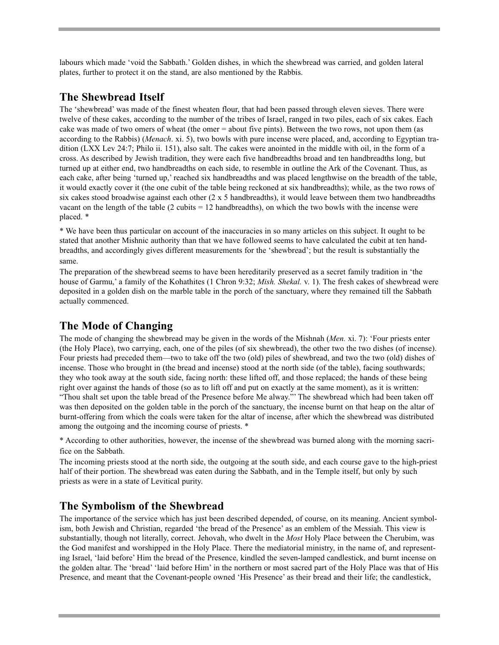labours which made 'void the Sabbath.' Golden dishes, in which the shewbread was carried, and golden lateral plates, further to protect it on the stand, are also mentioned by the Rabbis.

# **The Shewbread Itself**

The 'shewbread' was made of the finest wheaten flour, that had been passed through eleven sieves. There were twelve of these cakes, according to the number of the tribes of Israel, ranged in two piles, each of six cakes. Each cake was made of two omers of wheat (the omer = about five pints). Between the two rows, not upon them (as according to the Rabbis) (*Menach*. xi. 5), two bowls with pure incense were placed, and, according to Egyptian tradition (LXX Lev 24:7; Philo ii. 151), also salt. The cakes were anointed in the middle with oil, in the form of a cross. As described by Jewish tradition, they were each five handbreadths broad and ten handbreadths long, but turned up at either end, two handbreadths on each side, to resemble in outline the Ark of the Covenant. Thus, as each cake, after being 'turned up,' reached six handbreadths and was placed lengthwise on the breadth of the table, it would exactly cover it (the one cubit of the table being reckoned at six handbreadths); while, as the two rows of six cakes stood broadwise against each other (2 x 5 handbreadths), it would leave between them two handbreadths vacant on the length of the table (2 cubits = 12 handbreadths), on which the two bowls with the incense were placed. \*

\* We have been thus particular on account of the inaccuracies in so many articles on this subject. It ought to be stated that another Mishnic authority than that we have followed seems to have calculated the cubit at ten handbreadths, and accordingly gives different measurements for the 'shewbread'; but the result is substantially the same.

The preparation of the shewbread seems to have been hereditarily preserved as a secret family tradition in 'the house of Garmu,' a family of the Kohathites (1 Chron 9:32; *Mish. Shekal.* v. 1). The fresh cakes of shewbread were deposited in a golden dish on the marble table in the porch of the sanctuary, where they remained till the Sabbath actually commenced.

# **The Mode of Changing**

The mode of changing the shewbread may be given in the words of the Mishnah (*Men.* xi. 7): 'Four priests enter (the Holy Place), two carrying, each, one of the piles (of six shewbread), the other two the two dishes (of incense). Four priests had preceded them—two to take off the two (old) piles of shewbread, and two the two (old) dishes of incense. Those who brought in (the bread and incense) stood at the north side (of the table), facing southwards; they who took away at the south side, facing north: these lifted off, and those replaced; the hands of these being right over against the hands of those (so as to lift off and put on exactly at the same moment), as it is written: "Thou shalt set upon the table bread of the Presence before Me alway."' The shewbread which had been taken off was then deposited on the golden table in the porch of the sanctuary, the incense burnt on that heap on the altar of burnt-offering from which the coals were taken for the altar of incense, after which the shewbread was distributed among the outgoing and the incoming course of priests. \*

\* According to other authorities, however, the incense of the shewbread was burned along with the morning sacrifice on the Sabbath.

The incoming priests stood at the north side, the outgoing at the south side, and each course gave to the high-priest half of their portion. The shewbread was eaten during the Sabbath, and in the Temple itself, but only by such priests as were in a state of Levitical purity.

# **The Symbolism of the Shewbread**

The importance of the service which has just been described depended, of course, on its meaning. Ancient symbolism, both Jewish and Christian, regarded 'the bread of the Presence' as an emblem of the Messiah. This view is substantially, though not literally, correct. Jehovah, who dwelt in the *Most* Holy Place between the Cherubim, was the God manifest and worshipped in the Holy Place. There the mediatorial ministry, in the name of, and representing Israel, 'laid before' Him the bread of the Presence, kindled the seven-lamped candlestick, and burnt incense on the golden altar. The 'bread' 'laid before Him' in the northern or most sacred part of the Holy Place was that of His Presence, and meant that the Covenant-people owned 'His Presence' as their bread and their life; the candlestick,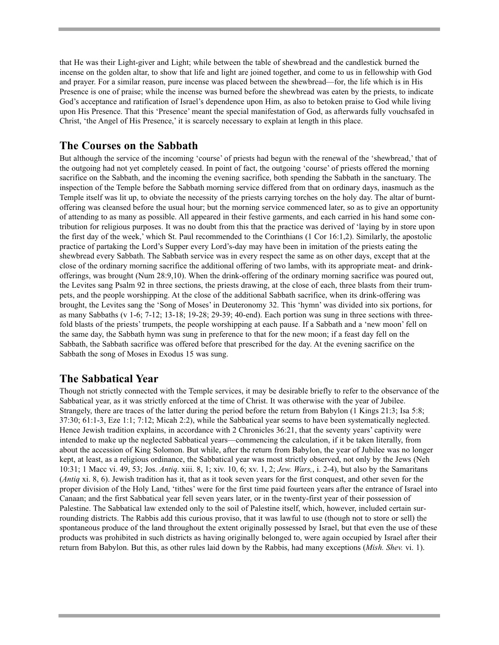that He was their Light-giver and Light; while between the table of shewbread and the candlestick burned the incense on the golden altar, to show that life and light are joined together, and come to us in fellowship with God and prayer. For a similar reason, pure incense was placed between the shewbread—for, the life which is in His Presence is one of praise; while the incense was burned before the shewbread was eaten by the priests, to indicate God's acceptance and ratification of Israel's dependence upon Him, as also to betoken praise to God while living upon His Presence. That this 'Presence' meant the special manifestation of God, as afterwards fully vouchsafed in Christ, 'the Angel of His Presence,' it is scarcely necessary to explain at length in this place.

### **The Courses on the Sabbath**

But although the service of the incoming 'course' of priests had begun with the renewal of the 'shewbread,' that of the outgoing had not yet completely ceased. In point of fact, the outgoing 'course' of priests offered the morning sacrifice on the Sabbath, and the incoming the evening sacrifice, both spending the Sabbath in the sanctuary. The inspection of the Temple before the Sabbath morning service differed from that on ordinary days, inasmuch as the Temple itself was lit up, to obviate the necessity of the priests carrying torches on the holy day. The altar of burntoffering was cleansed before the usual hour; but the morning service commenced later, so as to give an opportunity of attending to as many as possible. All appeared in their festive garments, and each carried in his hand some contribution for religious purposes. It was no doubt from this that the practice was derived of 'laying by in store upon the first day of the week,' which St. Paul recommended to the Corinthians (1 Cor 16:1,2). Similarly, the apostolic practice of partaking the Lord's Supper every Lord's-day may have been in imitation of the priests eating the shewbread every Sabbath. The Sabbath service was in every respect the same as on other days, except that at the close of the ordinary morning sacrifice the additional offering of two lambs, with its appropriate meat- and drinkofferings, was brought (Num 28:9,10). When the drink-offering of the ordinary morning sacrifice was poured out, the Levites sang Psalm 92 in three sections, the priests drawing, at the close of each, three blasts from their trumpets, and the people worshipping. At the close of the additional Sabbath sacrifice, when its drink-offering was brought, the Levites sang the 'Song of Moses' in Deuteronomy 32. This 'hymn' was divided into six portions, for as many Sabbaths (v 1-6; 7-12; 13-18; 19-28; 29-39; 40-end). Each portion was sung in three sections with threefold blasts of the priests' trumpets, the people worshipping at each pause. If a Sabbath and a 'new moon' fell on the same day, the Sabbath hymn was sung in preference to that for the new moon; if a feast day fell on the Sabbath, the Sabbath sacrifice was offered before that prescribed for the day. At the evening sacrifice on the Sabbath the song of Moses in Exodus 15 was sung.

# **The Sabbatical Year**

Though not strictly connected with the Temple services, it may be desirable briefly to refer to the observance of the Sabbatical year, as it was strictly enforced at the time of Christ. It was otherwise with the year of Jubilee. Strangely, there are traces of the latter during the period before the return from Babylon (1 Kings 21:3; Isa 5:8; 37:30; 61:1-3, Eze 1:1; 7:12; Micah 2:2), while the Sabbatical year seems to have been systematically neglected. Hence Jewish tradition explains, in accordance with 2 Chronicles 36:21, that the seventy years' captivity were intended to make up the neglected Sabbatical years—commencing the calculation, if it be taken literally, from about the accession of King Solomon. But while, after the return from Babylon, the year of Jubilee was no longer kept, at least, as a religious ordinance, the Sabbatical year was most strictly observed, not only by the Jews (Neh 10:31; 1 Macc vi. 49, 53; Jos. *Antiq*. xiii. 8, 1; xiv. 10, 6; xv. 1, 2; *Jew. Wars,*, i. 2-4), but also by the Samaritans (*Antiq* xi. 8, 6). Jewish tradition has it, that as it took seven years for the first conquest, and other seven for the proper division of the Holy Land, 'tithes' were for the first time paid fourteen years after the entrance of Israel into Canaan; and the first Sabbatical year fell seven years later, or in the twenty-first year of their possession of Palestine. The Sabbatical law extended only to the soil of Palestine itself, which, however, included certain surrounding districts. The Rabbis add this curious proviso, that it was lawful to use (though not to store or sell) the spontaneous produce of the land throughout the extent originally possessed by Israel, but that even the use of these products was prohibited in such districts as having originally belonged to, were again occupied by Israel after their return from Babylon. But this, as other rules laid down by the Rabbis, had many exceptions (*Mish. Shev.* vi. 1).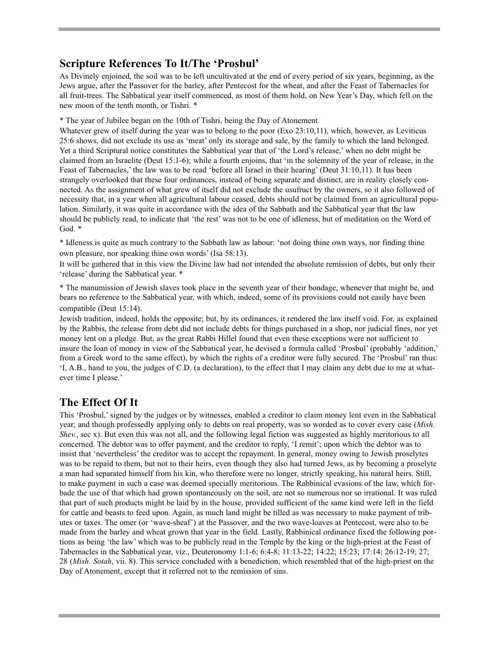# **Scripture References To It/The 'Prosbul'**

As Divinely enjoined, the soil was to be left uncultivated at the end of every period of six years, beginning, as the Jews argue, after the Passover for the barley, after Pentecost for the wheat, and after the Feast of Tabernacles for all fruit-trees. The Sabbatical year itself commenced, as most of them hold, on New Year's Day, which fell on the new moon of the tenth month, or Tishri. \*

\* The year of Jubilee began on the 10th of Tishri, being the Day of Atonement.

Whatever grew of itself during the year was to belong to the poor (Exo 23:10,11), which, however, as Leviticus 25:6 shows, did not exclude its use as 'meat' only its storage and sale, by the family to which the land belonged. Yet a third Scriptural notice constitutes the Sabbatical year that of 'the Lord's release,' when no debt might be claimed from an Israelite (Deut 15:1-6); while a fourth enjoins, that 'in the solemnity of the year of release, in the Feast of Tabernacles,' the law was to be read 'before all Israel in their hearing' (Deut 31:10,11). It has been strangely overlooked that these four ordinances, instead of being separate and distinct, are in reality closely connected. As the assignment of what grew of itself did not exclude the usufruct by the owners, so it also followed of necessity that, in a year when all agricultural labour ceased, debts should not be claimed from an agricultural population. Similarly, it was quite in accordance with the idea of the Sabbath and the Sabbatical year that the law should be publicly read, to indicate that 'the rest' was not to be one of idleness, but of meditation on the Word of God. \*

\* Idleness is quite as much contrary to the Sabbath law as labour: 'not doing thine own ways, nor finding thine own pleasure, nor speaking thine own words' (Isa 58:13).

It will be gathered that in this view the Divine law had not intended the absolute remission of debts, but only their 'release' during the Sabbatical year. \*

\* The manumission of Jewish slaves took place in the seventh year of their bondage, whenever that might be, and bears no reference to the Sabbatical year, with which, indeed, some of its provisions could not easily have been compatible (Deut 15:14).

Jewish tradition, indeed, holds the opposite; but, by its ordinances, it rendered the law itself void. For, as explained by the Rabbis, the release from debt did not include debts for things purchased in a shop, nor judicial fines, nor yet money lent on a pledge. But, as the great Rabbi Hillel found that even these exceptions were not sufficient to insure the loan of money in view of the Sabbatical year, he devised a formula called 'Prosbul' (probably 'addition,' from a Greek word to the same effect), by which the rights of a creditor were fully secured. The 'Prosbul' ran thus: 'I, A.B., hand to you, the judges of C.D. (a declaration), to the effect that I may claim any debt due to me at whatever time I please.'

# **The Effect Of It**

This 'Prosbul,' signed by the judges or by witnesses, enabled a creditor to claim money lent even in the Sabbatical year; and though professedly applying only to debts on real property, was so worded as to cover every case (*Mish. Shev.*, sec x). But even this was not all, and the following legal fiction was suggested as highly meritorious to all concerned. The debtor was to offer payment, and the creditor to reply, 'I remit'; upon which the debtor was to insist that 'nevertheless' the creditor was to accept the repayment. In general, money owing to Jewish proselytes was to be repaid to them, but not to their heirs, even though they also had turned Jews, as by becoming a proselyte a man had separated himself from his kin, who therefore were no longer, strictly speaking, his natural heirs. Still, to make payment in such a case was deemed specially meritorious. The Rabbinical evasions of the law, which forbade the use of that which had grown spontaneously on the soil, are not so numerous nor so irrational. It was ruled that part of such products might be laid by in the house, provided sufficient of the same kind were left in the field for cattle and beasts to feed upon. Again, as much land might be tilled as was necessary to make payment of tributes or taxes. The omer (or 'wave-sheaf') at the Passover, and the two wave-loaves at Pentecost, were also to be made from the barley and wheat grown that year in the field. Lastly, Rabbinical ordinance fixed the following portions as being 'the law' which was to be publicly read in the Temple by the king or the high-priest at the Feast of Tabernacles in the Sabbatical year, viz., Deuteronomy 1:1-6; 6:4-8; 11:13-22; 14:22; 15:23; 17:14; 26:12-19; 27; 28 (*Mish. Sotah*, vii. 8). This service concluded with a benediction, which resembled that of the high-priest on the Day of Atonement, except that it referred not to the remission of sins.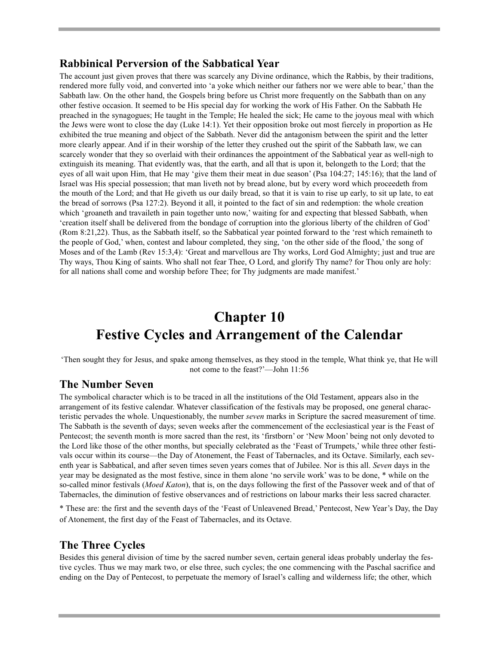### **Rabbinical Perversion of the Sabbatical Year**

The account just given proves that there was scarcely any Divine ordinance, which the Rabbis, by their traditions, rendered more fully void, and converted into 'a yoke which neither our fathers nor we were able to bear,' than the Sabbath law. On the other hand, the Gospels bring before us Christ more frequently on the Sabbath than on any other festive occasion. It seemed to be His special day for working the work of His Father. On the Sabbath He preached in the synagogues; He taught in the Temple; He healed the sick; He came to the joyous meal with which the Jews were wont to close the day (Luke 14:1). Yet their opposition broke out most fiercely in proportion as He exhibited the true meaning and object of the Sabbath. Never did the antagonism between the spirit and the letter more clearly appear. And if in their worship of the letter they crushed out the spirit of the Sabbath law, we can scarcely wonder that they so overlaid with their ordinances the appointment of the Sabbatical year as well-nigh to extinguish its meaning. That evidently was, that the earth, and all that is upon it, belongeth to the Lord; that the eyes of all wait upon Him, that He may 'give them their meat in due season' (Psa 104:27; 145:16); that the land of Israel was His special possession; that man liveth not by bread alone, but by every word which proceedeth from the mouth of the Lord; and that He giveth us our daily bread, so that it is vain to rise up early, to sit up late, to eat the bread of sorrows (Psa 127:2). Beyond it all, it pointed to the fact of sin and redemption: the whole creation which 'groaneth and travaileth in pain together unto now,' waiting for and expecting that blessed Sabbath, when 'creation itself shall be delivered from the bondage of corruption into the glorious liberty of the children of God' (Rom 8:21,22). Thus, as the Sabbath itself, so the Sabbatical year pointed forward to the 'rest which remaineth to the people of God,' when, contest and labour completed, they sing, 'on the other side of the flood,' the song of Moses and of the Lamb (Rev 15:3,4): 'Great and marvellous are Thy works, Lord God Almighty; just and true are Thy ways, Thou King of saints. Who shall not fear Thee, O Lord, and glorify Thy name? for Thou only are holy: for all nations shall come and worship before Thee; for Thy judgments are made manifest.'

# **Chapter 10 Festive Cycles and Arrangement of the Calendar**

'Then sought they for Jesus, and spake among themselves, as they stood in the temple, What think ye, that He will not come to the feast?'—John 11:56

#### **The Number Seven**

The symbolical character which is to be traced in all the institutions of the Old Testament, appears also in the arrangement of its festive calendar. Whatever classification of the festivals may be proposed, one general characteristic pervades the whole. Unquestionably, the number *seven* marks in Scripture the sacred measurement of time. The Sabbath is the seventh of days; seven weeks after the commencement of the ecclesiastical year is the Feast of Pentecost; the seventh month is more sacred than the rest, its 'firstborn' or 'New Moon' being not only devoted to the Lord like those of the other months, but specially celebrated as the 'Feast of Trumpets,' while three other festivals occur within its course—the Day of Atonement, the Feast of Tabernacles, and its Octave. Similarly, each seventh year is Sabbatical, and after seven times seven years comes that of Jubilee. Nor is this all. *Seven* days in the year may be designated as the most festive, since in them alone 'no servile work' was to be done, \* while on the so-called minor festivals (*Moed Katon*), that is, on the days following the first of the Passover week and of that of Tabernacles, the diminution of festive observances and of restrictions on labour marks their less sacred character.

\* These are: the first and the seventh days of the 'Feast of Unleavened Bread,' Pentecost, New Year's Day, the Day of Atonement, the first day of the Feast of Tabernacles, and its Octave.

# **The Three Cycles**

Besides this general division of time by the sacred number seven, certain general ideas probably underlay the festive cycles. Thus we may mark two, or else three, such cycles; the one commencing with the Paschal sacrifice and ending on the Day of Pentecost, to perpetuate the memory of Israel's calling and wilderness life; the other, which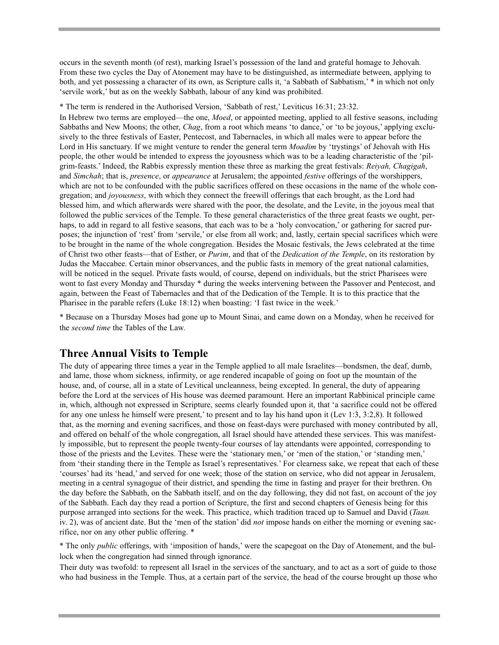occurs in the seventh month (of rest), marking Israel's possession of the land and grateful homage to Jehovah. From these two cycles the Day of Atonement may have to be distinguished, as intermediate between, applying to both, and yet possessing a character of its own, as Scripture calls it, 'a Sabbath of Sabbatism,' \* in which not only 'servile work,' but as on the weekly Sabbath, labour of any kind was prohibited.

\* The term is rendered in the Authorised Version, 'Sabbath of rest,' Leviticus 16:31; 23:32.

In Hebrew two terms are employed—the one, *Moed*, or appointed meeting, applied to all festive seasons, including Sabbaths and New Moons; the other, *Chag*, from a root which means 'to dance,' or 'to be joyous,' applying exclusively to the three festivals of Easter, Pentecost, and Tabernacles, in which all males were to appear before the Lord in His sanctuary. If we might venture to render the general term *Moadim* by 'trystings' of Jehovah with His people, the other would be intended to express the joyousness which was to be a leading characteristic of the 'pilgrim-feasts.' Indeed, the Rabbis expressly mention these three as marking the great festivals: *Reiyah, Chagigah*, and *Simchah*; that is, *presence*, or *appearance* at Jerusalem; the appointed *festive* offerings of the worshippers, which are not to be confounded with the public sacrifices offered on these occasions in the name of the whole congregation; and *joyousness*, with which they connect the freewill offerings that each brought, as the Lord had blessed him, and which afterwards were shared with the poor, the desolate, and the Levite, in the joyous meal that followed the public services of the Temple. To these general characteristics of the three great feasts we ought, perhaps, to add in regard to all festive seasons, that each was to be a 'holy convocation,' or gathering for sacred purposes; the injunction of 'rest' from 'servile,' or else from all work; and, lastly, certain special sacrifices which were to be brought in the name of the whole congregation. Besides the Mosaic festivals, the Jews celebrated at the time of Christ two other feasts—that of Esther, or *Purim*, and that of the *Dedication of the Temple*, on its restoration by Judas the Maccabee. Certain minor observances, and the public fasts in memory of the great national calamities, will be noticed in the sequel. Private fasts would, of course, depend on individuals, but the strict Pharisees were wont to fast every Monday and Thursday \* during the weeks intervening between the Passover and Pentecost, and again, between the Feast of Tabernacles and that of the Dedication of the Temple. It is to this practice that the Pharisee in the parable refers (Luke 18:12) when boasting: 'I fast twice in the week.'

\* Because on a Thursday Moses had gone up to Mount Sinai, and came down on a Monday, when he received for the *second time* the Tables of the Law.

#### **Three Annual Visits to Temple**

The duty of appearing three times a year in the Temple applied to all male Israelites—bondsmen, the deaf, dumb, and lame, those whom sickness, infirmity, or age rendered incapable of going on foot up the mountain of the house, and, of course, all in a state of Levitical uncleanness, being excepted. In general, the duty of appearing before the Lord at the services of His house was deemed paramount. Here an important Rabbinical principle came in, which, although not expressed in Scripture, seems clearly founded upon it, that 'a sacrifice could not be offered for any one unless he himself were present,' to present and to lay his hand upon it (Lev 1:3, 3:2,8). It followed that, as the morning and evening sacrifices, and those on feast-days were purchased with money contributed by all, and offered on behalf of the whole congregation, all Israel should have attended these services. This was manifestly impossible, but to represent the people twenty-four courses of lay attendants were appointed, corresponding to those of the priests and the Levites. These were the 'stationary men,' or 'men of the station,' or 'standing men,' from 'their standing there in the Temple as Israel's representatives.' For clearness sake, we repeat that each of these 'courses' had its 'head,' and served for one week; those of the station on service, who did not appear in Jerusalem, meeting in a central synagogue of their district, and spending the time in fasting and prayer for their brethren. On the day before the Sabbath, on the Sabbath itself, and on the day following, they did not fast, on account of the joy of the Sabbath. Each day they read a portion of Scripture, the first and second chapters of Genesis being for this purpose arranged into sections for the week. This practice, which tradition traced up to Samuel and David (*Taan.* iv. 2), was of ancient date. But the 'men of the station' did *not* impose hands on either the morning or evening sacrifice, nor on any other public offering. \*

\* The only *public* offerings, with 'imposition of hands,' were the scapegoat on the Day of Atonement, and the bullock when the congregation had sinned through ignorance.

Their duty was twofold: to represent all Israel in the services of the sanctuary, and to act as a sort of guide to those who had business in the Temple. Thus, at a certain part of the service, the head of the course brought up those who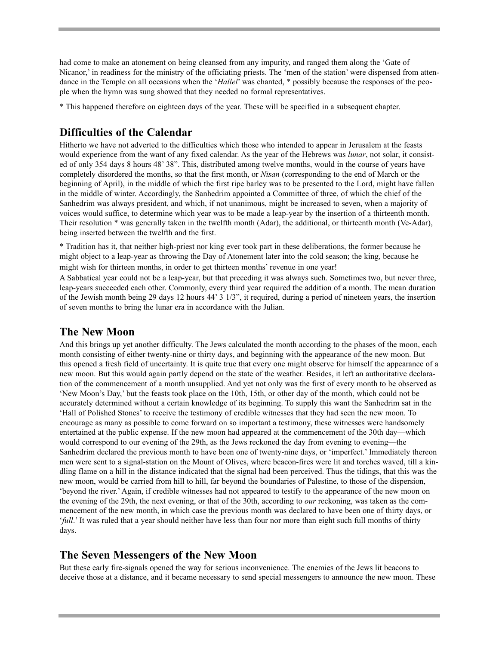had come to make an atonement on being cleansed from any impurity, and ranged them along the 'Gate of Nicanor,' in readiness for the ministry of the officiating priests. The 'men of the station' were dispensed from attendance in the Temple on all occasions when the '*Hallel*' was chanted, \* possibly because the responses of the people when the hymn was sung showed that they needed no formal representatives.

\* This happened therefore on eighteen days of the year. These will be specified in a subsequent chapter.

#### **Difficulties of the Calendar**

Hitherto we have not adverted to the difficulties which those who intended to appear in Jerusalem at the feasts would experience from the want of any fixed calendar. As the year of the Hebrews was *lunar*, not solar, it consisted of only 354 days 8 hours 48' 38". This, distributed among twelve months, would in the course of years have completely disordered the months, so that the first month, or *Nisan* (corresponding to the end of March or the beginning of April), in the middle of which the first ripe barley was to be presented to the Lord, might have fallen in the middle of winter. Accordingly, the Sanhedrim appointed a Committee of three, of which the chief of the Sanhedrim was always president, and which, if not unanimous, might be increased to seven, when a majority of voices would suffice, to determine which year was to be made a leap-year by the insertion of a thirteenth month. Their resolution \* was generally taken in the twelfth month (Adar), the additional, or thirteenth month (Ve-Adar), being inserted between the twelfth and the first.

\* Tradition has it, that neither high-priest nor king ever took part in these deliberations, the former because he might object to a leap-year as throwing the Day of Atonement later into the cold season; the king, because he might wish for thirteen months, in order to get thirteen months' revenue in one year!

A Sabbatical year could not be a leap-year, but that preceding it was always such. Sometimes two, but never three, leap-years succeeded each other. Commonly, every third year required the addition of a month. The mean duration of the Jewish month being 29 days 12 hours 44' 3 1/3", it required, during a period of nineteen years, the insertion of seven months to bring the lunar era in accordance with the Julian.

#### **The New Moon**

And this brings up yet another difficulty. The Jews calculated the month according to the phases of the moon, each month consisting of either twenty-nine or thirty days, and beginning with the appearance of the new moon. But this opened a fresh field of uncertainty. It is quite true that every one might observe for himself the appearance of a new moon. But this would again partly depend on the state of the weather. Besides, it left an authoritative declaration of the commencement of a month unsupplied. And yet not only was the first of every month to be observed as 'New Moon's Day,' but the feasts took place on the 10th, 15th, or other day of the month, which could not be accurately determined without a certain knowledge of its beginning. To supply this want the Sanhedrim sat in the 'Hall of Polished Stones' to receive the testimony of credible witnesses that they had seen the new moon. To encourage as many as possible to come forward on so important a testimony, these witnesses were handsomely entertained at the public expense. If the new moon had appeared at the commencement of the 30th day—which would correspond to our evening of the 29th, as the Jews reckoned the day from evening to evening—the Sanhedrim declared the previous month to have been one of twenty-nine days, or 'imperfect.' Immediately thereon men were sent to a signal-station on the Mount of Olives, where beacon-fires were lit and torches waved, till a kindling flame on a hill in the distance indicated that the signal had been perceived. Thus the tidings, that this was the new moon, would be carried from hill to hill, far beyond the boundaries of Palestine, to those of the dispersion, 'beyond the river.' Again, if credible witnesses had not appeared to testify to the appearance of the new moon on the evening of the 29th, the next evening, or that of the 30th, according to *our* reckoning, was taken as the commencement of the new month, in which case the previous month was declared to have been one of thirty days, or '*full*.' It was ruled that a year should neither have less than four nor more than eight such full months of thirty days.

#### **The Seven Messengers of the New Moon**

But these early fire-signals opened the way for serious inconvenience. The enemies of the Jews lit beacons to deceive those at a distance, and it became necessary to send special messengers to announce the new moon. These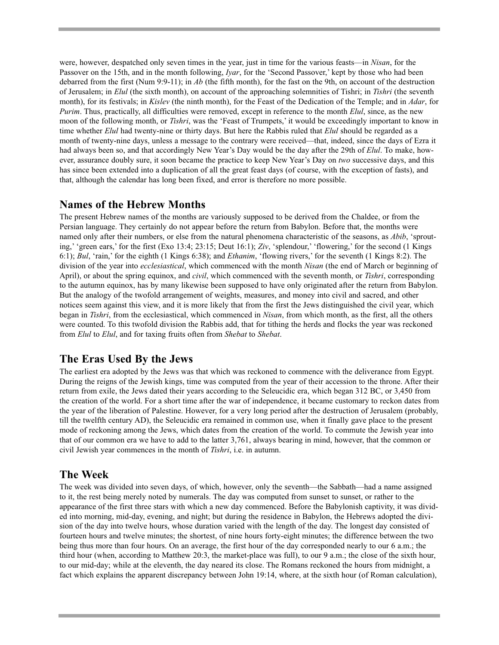were, however, despatched only seven times in the year, just in time for the various feasts—in *Nisan*, for the Passover on the 15th, and in the month following, *Iyar*, for the 'Second Passover,' kept by those who had been debarred from the first (Num 9:9-11); in *Ab* (the fifth month), for the fast on the 9th, on account of the destruction of Jerusalem; in *Elul* (the sixth month), on account of the approaching solemnities of Tishri; in *Tishri* (the seventh month), for its festivals; in *Kislev* (the ninth month), for the Feast of the Dedication of the Temple; and in *Adar*, for *Purim*. Thus, practically, all difficulties were removed, except in reference to the month *Elul*, since, as the new moon of the following month, or *Tishri*, was the 'Feast of Trumpets,' it would be exceedingly important to know in time whether *Elul* had twenty-nine or thirty days. But here the Rabbis ruled that *Elul* should be regarded as a month of twenty-nine days, unless a message to the contrary were received—that, indeed, since the days of Ezra it had always been so, and that accordingly New Year's Day would be the day after the 29th of *Elul*. To make, however, assurance doubly sure, it soon became the practice to keep New Year's Day on *two* successive days, and this has since been extended into a duplication of all the great feast days (of course, with the exception of fasts), and that, although the calendar has long been fixed, and error is therefore no more possible.

#### **Names of the Hebrew Months**

The present Hebrew names of the months are variously supposed to be derived from the Chaldee, or from the Persian language. They certainly do not appear before the return from Babylon. Before that, the months were named only after their numbers, or else from the natural phenomena characteristic of the seasons, as *Abib*, 'sprouting,' 'green ears,' for the first (Exo 13:4; 23:15; Deut 16:1); *Ziv*, 'splendour,' 'flowering,' for the second (1 Kings 6:1); *Bul*, 'rain,' for the eighth (1 Kings 6:38); and *Ethanim*, 'flowing rivers,' for the seventh (1 Kings 8:2). The division of the year into *ecclesiastical*, which commenced with the month *Nisan* (the end of March or beginning of April), or about the spring equinox, and *civil*, which commenced with the seventh month, or *Tishri*, corresponding to the autumn equinox, has by many likewise been supposed to have only originated after the return from Babylon. But the analogy of the twofold arrangement of weights, measures, and money into civil and sacred, and other notices seem against this view, and it is more likely that from the first the Jews distinguished the civil year, which began in *Tishri*, from the ecclesiastical, which commenced in *Nisan*, from which month, as the first, all the others were counted. To this twofold division the Rabbis add, that for tithing the herds and flocks the year was reckoned from *Elul* to *Elul*, and for taxing fruits often from *Shebat* to *Shebat*.

#### **The Eras Used By the Jews**

The earliest era adopted by the Jews was that which was reckoned to commence with the deliverance from Egypt. During the reigns of the Jewish kings, time was computed from the year of their accession to the throne. After their return from exile, the Jews dated their years according to the Seleucidic era, which began 312 BC, or 3,450 from the creation of the world. For a short time after the war of independence, it became customary to reckon dates from the year of the liberation of Palestine. However, for a very long period after the destruction of Jerusalem (probably, till the twelfth century AD), the Seleucidic era remained in common use, when it finally gave place to the present mode of reckoning among the Jews, which dates from the creation of the world. To commute the Jewish year into that of our common era we have to add to the latter 3,761, always bearing in mind, however, that the common or civil Jewish year commences in the month of *Tishri*, i.e. in autumn.

#### **The Week**

The week was divided into seven days, of which, however, only the seventh—the Sabbath—had a name assigned to it, the rest being merely noted by numerals. The day was computed from sunset to sunset, or rather to the appearance of the first three stars with which a new day commenced. Before the Babylonish captivity, it was divided into morning, mid-day, evening, and night; but during the residence in Babylon, the Hebrews adopted the division of the day into twelve hours, whose duration varied with the length of the day. The longest day consisted of fourteen hours and twelve minutes; the shortest, of nine hours forty-eight minutes; the difference between the two being thus more than four hours. On an average, the first hour of the day corresponded nearly to our 6 a.m.; the third hour (when, according to Matthew 20:3, the market-place was full), to our 9 a.m.; the close of the sixth hour, to our mid-day; while at the eleventh, the day neared its close. The Romans reckoned the hours from midnight, a fact which explains the apparent discrepancy between John 19:14, where, at the sixth hour (of Roman calculation),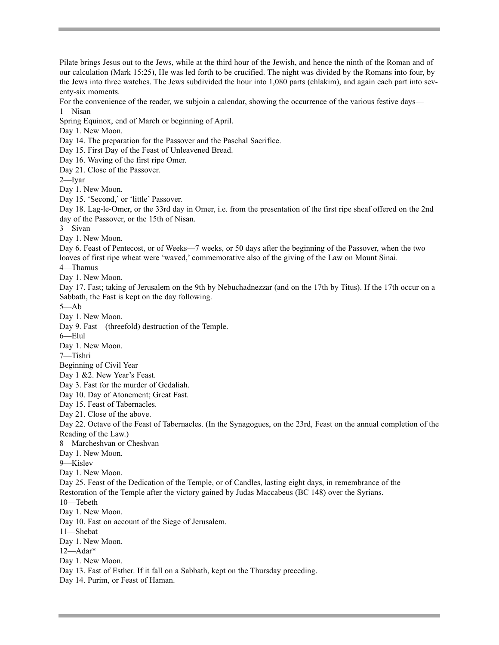Pilate brings Jesus out to the Jews, while at the third hour of the Jewish, and hence the ninth of the Roman and of our calculation (Mark 15:25), He was led forth to be crucified. The night was divided by the Romans into four, by the Jews into three watches. The Jews subdivided the hour into 1,080 parts (chlakim), and again each part into seventy-six moments. For the convenience of the reader, we subjoin a calendar, showing the occurrence of the various festive days— 1—Nisan Spring Equinox, end of March or beginning of April. Day 1. New Moon. Day 14. The preparation for the Passover and the Paschal Sacrifice. Day 15. First Day of the Feast of Unleavened Bread. Day 16. Waving of the first ripe Omer. Day 21. Close of the Passover. 2—Iyar Day 1. New Moon. Day 15. 'Second,' or 'little' Passover. Day 18. Lag-le-Omer, or the 33rd day in Omer, i.e. from the presentation of the first ripe sheaf offered on the 2nd day of the Passover, or the 15th of Nisan. 3—Sivan Day 1. New Moon. Day 6. Feast of Pentecost, or of Weeks—7 weeks, or 50 days after the beginning of the Passover, when the two loaves of first ripe wheat were 'waved,' commemorative also of the giving of the Law on Mount Sinai. 4—Thamus Day 1. New Moon. Day 17. Fast; taking of Jerusalem on the 9th by Nebuchadnezzar (and on the 17th by Titus). If the 17th occur on a Sabbath, the Fast is kept on the day following. 5—Ab Day 1. New Moon. Day 9. Fast—(threefold) destruction of the Temple. 6—Elul Day 1. New Moon. 7—Tishri Beginning of Civil Year Day 1 &2. New Year's Feast. Day 3. Fast for the murder of Gedaliah. Day 10. Day of Atonement; Great Fast. Day 15. Feast of Tabernacles. Day 21. Close of the above. Day 22. Octave of the Feast of Tabernacles. (In the Synagogues, on the 23rd, Feast on the annual completion of the Reading of the Law.) 8—Marcheshvan or Cheshvan Day 1. New Moon. 9—Kislev Day 1. New Moon. Day 25. Feast of the Dedication of the Temple, or of Candles, lasting eight days, in remembrance of the Restoration of the Temple after the victory gained by Judas Maccabeus (BC 148) over the Syrians. 10—Tebeth Day 1. New Moon. Day 10. Fast on account of the Siege of Jerusalem. 11—Shebat Day 1. New Moon. 12—Adar\* Day 1. New Moon. Day 13. Fast of Esther. If it fall on a Sabbath, kept on the Thursday preceding. Day 14. Purim, or Feast of Haman.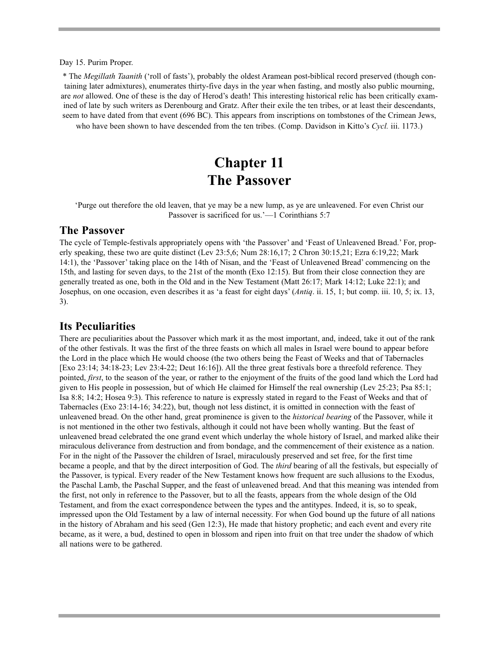Day 15. Purim Proper.

\* The *Megillath Taanith* ('roll of fasts'), probably the oldest Aramean post-biblical record preserved (though containing later admixtures), enumerates thirty-five days in the year when fasting, and mostly also public mourning, are *not* allowed. One of these is the day of Herod's death! This interesting historical relic has been critically examined of late by such writers as Derenbourg and Gratz. After their exile the ten tribes, or at least their descendants, seem to have dated from that event (696 BC). This appears from inscriptions on tombstones of the Crimean Jews,

who have been shown to have descended from the ten tribes. (Comp. Davidson in Kitto's *Cycl.* iii. 1173.)

# **Chapter 11 The Passover**

'Purge out therefore the old leaven, that ye may be a new lump, as ye are unleavened. For even Christ our Passover is sacrificed for us.'—1 Corinthians 5:7

#### **The Passover**

The cycle of Temple-festivals appropriately opens with 'the Passover' and 'Feast of Unleavened Bread.' For, properly speaking, these two are quite distinct (Lev 23:5,6; Num 28:16,17; 2 Chron 30:15,21; Ezra 6:19,22; Mark 14:1), the 'Passover' taking place on the 14th of Nisan, and the 'Feast of Unleavened Bread' commencing on the 15th, and lasting for seven days, to the 21st of the month (Exo 12:15). But from their close connection they are generally treated as one, both in the Old and in the New Testament (Matt 26:17; Mark 14:12; Luke 22:1); and Josephus, on one occasion, even describes it as 'a feast for eight days' (*Antiq*. ii. 15, 1; but comp. iii. 10, 5; ix. 13, 3).

#### **Its Peculiarities**

There are peculiarities about the Passover which mark it as the most important, and, indeed, take it out of the rank of the other festivals. It was the first of the three feasts on which all males in Israel were bound to appear before the Lord in the place which He would choose (the two others being the Feast of Weeks and that of Tabernacles [Exo 23:14; 34:18-23; Lev 23:4-22; Deut 16:16]). All the three great festivals bore a threefold reference. They pointed, *first*, to the season of the year, or rather to the enjoyment of the fruits of the good land which the Lord had given to His people in possession, but of which He claimed for Himself the real ownership (Lev 25:23; Psa 85:1; Isa 8:8; 14:2; Hosea 9:3). This reference to nature is expressly stated in regard to the Feast of Weeks and that of Tabernacles (Exo 23:14-16; 34:22), but, though not less distinct, it is omitted in connection with the feast of unleavened bread. On the other hand, great prominence is given to the *historical bearing* of the Passover, while it is not mentioned in the other two festivals, although it could not have been wholly wanting. But the feast of unleavened bread celebrated the one grand event which underlay the whole history of Israel, and marked alike their miraculous deliverance from destruction and from bondage, and the commencement of their existence as a nation. For in the night of the Passover the children of Israel, miraculously preserved and set free, for the first time became a people, and that by the direct interposition of God. The *third* bearing of all the festivals, but especially of the Passover, is typical. Every reader of the New Testament knows how frequent are such allusions to the Exodus, the Paschal Lamb, the Paschal Supper, and the feast of unleavened bread. And that this meaning was intended from the first, not only in reference to the Passover, but to all the feasts, appears from the whole design of the Old Testament, and from the exact correspondence between the types and the antitypes. Indeed, it is, so to speak, impressed upon the Old Testament by a law of internal necessity. For when God bound up the future of all nations in the history of Abraham and his seed (Gen 12:3), He made that history prophetic; and each event and every rite became, as it were, a bud, destined to open in blossom and ripen into fruit on that tree under the shadow of which all nations were to be gathered.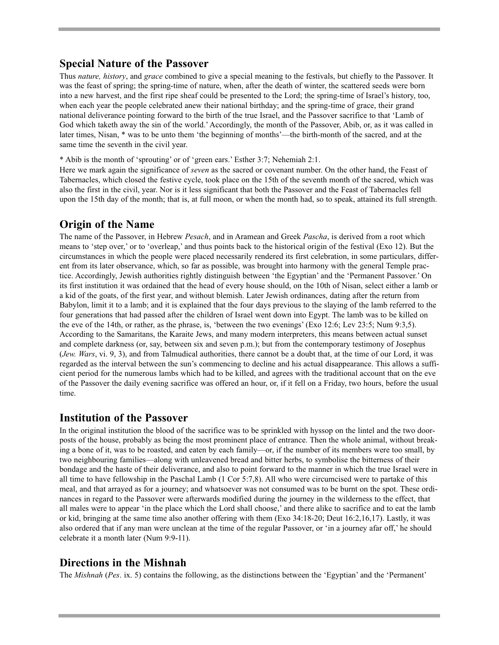### **Special Nature of the Passover**

Thus *nature, history*, and *grace* combined to give a special meaning to the festivals, but chiefly to the Passover. It was the feast of spring; the spring-time of nature, when, after the death of winter, the scattered seeds were born into a new harvest, and the first ripe sheaf could be presented to the Lord; the spring-time of Israel's history, too, when each year the people celebrated anew their national birthday; and the spring-time of grace, their grand national deliverance pointing forward to the birth of the true Israel, and the Passover sacrifice to that 'Lamb of God which taketh away the sin of the world.' Accordingly, the month of the Passover, Abib, or, as it was called in later times, Nisan, \* was to be unto them 'the beginning of months'—the birth-month of the sacred, and at the same time the seventh in the civil year.

\* Abib is the month of 'sprouting' or of 'green ears.' Esther 3:7; Nehemiah 2:1.

Here we mark again the significance of *seven* as the sacred or covenant number. On the other hand, the Feast of Tabernacles, which closed the festive cycle, took place on the 15th of the seventh month of the sacred, which was also the first in the civil, year. Nor is it less significant that both the Passover and the Feast of Tabernacles fell upon the 15th day of the month; that is, at full moon, or when the month had, so to speak, attained its full strength.

# **Origin of the Name**

The name of the Passover, in Hebrew *Pesach*, and in Aramean and Greek *Pascha*, is derived from a root which means to 'step over,' or to 'overleap,' and thus points back to the historical origin of the festival (Exo 12). But the circumstances in which the people were placed necessarily rendered its first celebration, in some particulars, different from its later observance, which, so far as possible, was brought into harmony with the general Temple practice. Accordingly, Jewish authorities rightly distinguish between 'the Egyptian' and the 'Permanent Passover.' On its first institution it was ordained that the head of every house should, on the 10th of Nisan, select either a lamb or a kid of the goats, of the first year, and without blemish. Later Jewish ordinances, dating after the return from Babylon, limit it to a lamb; and it is explained that the four days previous to the slaying of the lamb referred to the four generations that had passed after the children of Israel went down into Egypt. The lamb was to be killed on the eve of the 14th, or rather, as the phrase, is, 'between the two evenings' (Exo 12:6; Lev 23:5; Num 9:3,5). According to the Samaritans, the Karaite Jews, and many modern interpreters, this means between actual sunset and complete darkness (or, say, between six and seven p.m.); but from the contemporary testimony of Josephus (*Jew. Wars*, vi. 9, 3), and from Talmudical authorities, there cannot be a doubt that, at the time of our Lord, it was regarded as the interval between the sun's commencing to decline and his actual disappearance. This allows a sufficient period for the numerous lambs which had to be killed, and agrees with the traditional account that on the eve of the Passover the daily evening sacrifice was offered an hour, or, if it fell on a Friday, two hours, before the usual time.

#### **Institution of the Passover**

In the original institution the blood of the sacrifice was to be sprinkled with hyssop on the lintel and the two doorposts of the house, probably as being the most prominent place of entrance. Then the whole animal, without breaking a bone of it, was to be roasted, and eaten by each family—or, if the number of its members were too small, by two neighbouring families—along with unleavened bread and bitter herbs, to symbolise the bitterness of their bondage and the haste of their deliverance, and also to point forward to the manner in which the true Israel were in all time to have fellowship in the Paschal Lamb (1 Cor 5:7,8). All who were circumcised were to partake of this meal, and that arrayed as for a journey; and whatsoever was not consumed was to be burnt on the spot. These ordinances in regard to the Passover were afterwards modified during the journey in the wilderness to the effect, that all males were to appear 'in the place which the Lord shall choose,' and there alike to sacrifice and to eat the lamb or kid, bringing at the same time also another offering with them (Exo 34:18-20; Deut 16:2,16,17). Lastly, it was also ordered that if any man were unclean at the time of the regular Passover, or 'in a journey afar off,' he should celebrate it a month later (Num 9:9-11).

#### **Directions in the Mishnah**

The *Mishnah* (*Pes*. ix. 5) contains the following, as the distinctions between the 'Egyptian' and the 'Permanent'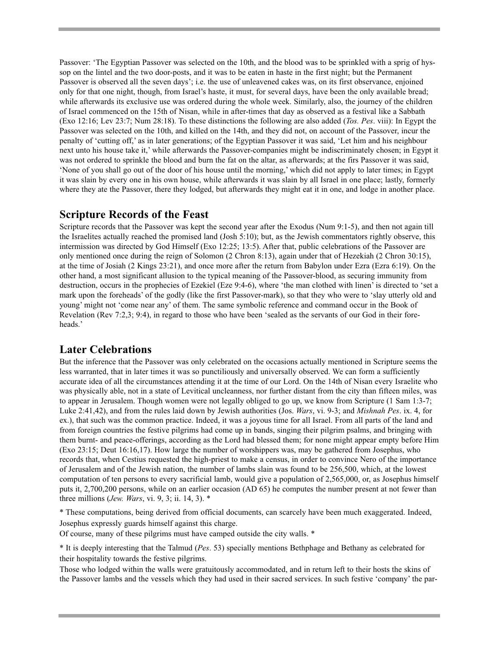Passover: 'The Egyptian Passover was selected on the 10th, and the blood was to be sprinkled with a sprig of hyssop on the lintel and the two door-posts, and it was to be eaten in haste in the first night; but the Permanent Passover is observed all the seven days'; i.e. the use of unleavened cakes was, on its first observance, enjoined only for that one night, though, from Israel's haste, it must, for several days, have been the only available bread; while afterwards its exclusive use was ordered during the whole week. Similarly, also, the journey of the children of Israel commenced on the 15th of Nisan, while in after-times that day as observed as a festival like a Sabbath (Exo 12:16; Lev 23:7; Num 28:18). To these distinctions the following are also added (*Tos. Pes*. viii): In Egypt the Passover was selected on the 10th, and killed on the 14th, and they did not, on account of the Passover, incur the penalty of 'cutting off,' as in later generations; of the Egyptian Passover it was said, 'Let him and his neighbour next unto his house take it,' while afterwards the Passover-companies might be indiscriminately chosen; in Egypt it was not ordered to sprinkle the blood and burn the fat on the altar, as afterwards; at the firs Passover it was said, 'None of you shall go out of the door of his house until the morning,' which did not apply to later times; in Egypt it was slain by every one in his own house, while afterwards it was slain by all Israel in one place; lastly, formerly where they ate the Passover, there they lodged, but afterwards they might eat it in one, and lodge in another place.

#### **Scripture Records of the Feast**

Scripture records that the Passover was kept the second year after the Exodus (Num 9:1-5), and then not again till the Israelites actually reached the promised land (Josh 5:10); but, as the Jewish commentators rightly observe, this intermission was directed by God Himself (Exo 12:25; 13:5). After that, public celebrations of the Passover are only mentioned once during the reign of Solomon (2 Chron 8:13), again under that of Hezekiah (2 Chron 30:15), at the time of Josiah (2 Kings 23:21), and once more after the return from Babylon under Ezra (Ezra 6:19). On the other hand, a most significant allusion to the typical meaning of the Passover-blood, as securing immunity from destruction, occurs in the prophecies of Ezekiel (Eze 9:4-6), where 'the man clothed with linen' is directed to 'set a mark upon the foreheads' of the godly (like the first Passover-mark), so that they who were to 'slay utterly old and young' might not 'come near any' of them. The same symbolic reference and command occur in the Book of Revelation (Rev 7:2,3; 9:4), in regard to those who have been 'sealed as the servants of our God in their foreheads.'

#### **Later Celebrations**

But the inference that the Passover was only celebrated on the occasions actually mentioned in Scripture seems the less warranted, that in later times it was so punctiliously and universally observed. We can form a sufficiently accurate idea of all the circumstances attending it at the time of our Lord. On the 14th of Nisan every Israelite who was physically able, not in a state of Levitical uncleanness, nor further distant from the city than fifteen miles, was to appear in Jerusalem. Though women were not legally obliged to go up, we know from Scripture (1 Sam 1:3-7; Luke 2:41,42), and from the rules laid down by Jewish authorities (Jos. *Wars*, vi. 9-3; and *Mishnah Pes*. ix. 4, for ex.), that such was the common practice. Indeed, it was a joyous time for all Israel. From all parts of the land and from foreign countries the festive pilgrims had come up in bands, singing their pilgrim psalms, and bringing with them burnt- and peace-offerings, according as the Lord had blessed them; for none might appear empty before Him (Exo 23:15; Deut 16:16,17). How large the number of worshippers was, may be gathered from Josephus, who records that, when Cestius requested the high-priest to make a census, in order to convince Nero of the importance of Jerusalem and of the Jewish nation, the number of lambs slain was found to be 256,500, which, at the lowest computation of ten persons to every sacrificial lamb, would give a population of 2,565,000, or, as Josephus himself puts it, 2,700,200 persons, while on an earlier occasion (AD 65) he computes the number present at not fewer than three millions (*Jew. Wars*, vi. 9, 3; ii. 14, 3). \*

\* These computations, being derived from official documents, can scarcely have been much exaggerated. Indeed, Josephus expressly guards himself against this charge.

Of course, many of these pilgrims must have camped outside the city walls. \*

\* It is deeply interesting that the Talmud (*Pes*. 53) specially mentions Bethphage and Bethany as celebrated for their hospitality towards the festive pilgrims.

Those who lodged within the walls were gratuitously accommodated, and in return left to their hosts the skins of the Passover lambs and the vessels which they had used in their sacred services. In such festive 'company' the par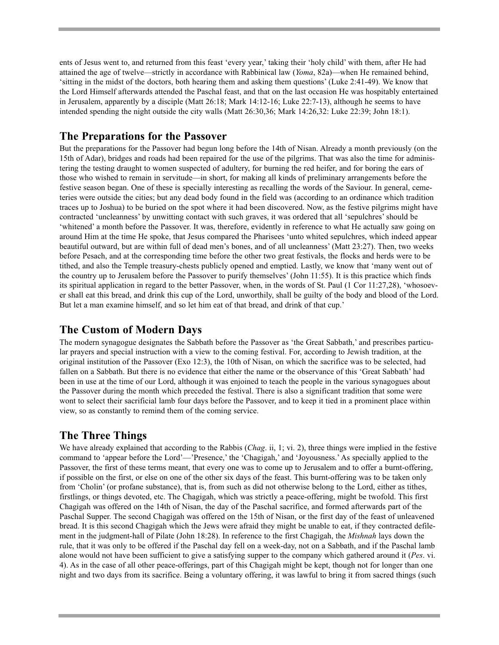ents of Jesus went to, and returned from this feast 'every year,' taking their 'holy child' with them, after He had attained the age of twelve—strictly in accordance with Rabbinical law (*Yoma*, 82a)—when He remained behind, 'sitting in the midst of the doctors, both hearing them and asking them questions' (Luke 2:41-49). We know that the Lord Himself afterwards attended the Paschal feast, and that on the last occasion He was hospitably entertained in Jerusalem, apparently by a disciple (Matt 26:18; Mark 14:12-16; Luke 22:7-13), although he seems to have intended spending the night outside the city walls (Matt 26:30,36; Mark 14:26,32: Luke 22:39; John 18:1).

# **The Preparations for the Passover**

But the preparations for the Passover had begun long before the 14th of Nisan. Already a month previously (on the 15th of Adar), bridges and roads had been repaired for the use of the pilgrims. That was also the time for administering the testing draught to women suspected of adultery, for burning the red heifer, and for boring the ears of those who wished to remain in servitude—in short, for making all kinds of preliminary arrangements before the festive season began. One of these is specially interesting as recalling the words of the Saviour. In general, cemeteries were outside the cities; but any dead body found in the field was (according to an ordinance which tradition traces up to Joshua) to be buried on the spot where it had been discovered. Now, as the festive pilgrims might have contracted 'uncleanness' by unwitting contact with such graves, it was ordered that all 'sepulchres' should be 'whitened' a month before the Passover. It was, therefore, evidently in reference to what He actually saw going on around Him at the time He spoke, that Jesus compared the Pharisees 'unto whited sepulchres, which indeed appear beautiful outward, but are within full of dead men's bones, and of all uncleanness' (Matt 23:27). Then, two weeks before Pesach, and at the corresponding time before the other two great festivals, the flocks and herds were to be tithed, and also the Temple treasury-chests publicly opened and emptied. Lastly, we know that 'many went out of the country up to Jerusalem before the Passover to purify themselves' (John 11:55). It is this practice which finds its spiritual application in regard to the better Passover, when, in the words of St. Paul (1 Cor 11:27,28), 'whosoever shall eat this bread, and drink this cup of the Lord, unworthily, shall be guilty of the body and blood of the Lord. But let a man examine himself, and so let him eat of that bread, and drink of that cup.'

# **The Custom of Modern Days**

The modern synagogue designates the Sabbath before the Passover as 'the Great Sabbath,' and prescribes particular prayers and special instruction with a view to the coming festival. For, according to Jewish tradition, at the original institution of the Passover (Exo 12:3), the 10th of Nisan, on which the sacrifice was to be selected, had fallen on a Sabbath. But there is no evidence that either the name or the observance of this 'Great Sabbath' had been in use at the time of our Lord, although it was enjoined to teach the people in the various synagogues about the Passover during the month which preceded the festival. There is also a significant tradition that some were wont to select their sacrificial lamb four days before the Passover, and to keep it tied in a prominent place within view, so as constantly to remind them of the coming service.

# **The Three Things**

We have already explained that according to the Rabbis (*Chag*. ii, 1; vi. 2), three things were implied in the festive command to 'appear before the Lord'—'Presence,' the 'Chagigah,' and 'Joyousness.' As specially applied to the Passover, the first of these terms meant, that every one was to come up to Jerusalem and to offer a burnt-offering, if possible on the first, or else on one of the other six days of the feast. This burnt-offering was to be taken only from 'Cholin' (or profane substance), that is, from such as did not otherwise belong to the Lord, either as tithes, firstlings, or things devoted, etc. The Chagigah, which was strictly a peace-offering, might be twofold. This first Chagigah was offered on the 14th of Nisan, the day of the Paschal sacrifice, and formed afterwards part of the Paschal Supper. The second Chagigah was offered on the 15th of Nisan, or the first day of the feast of unleavened bread. It is this second Chagigah which the Jews were afraid they might be unable to eat, if they contracted defilement in the judgment-hall of Pilate (John 18:28). In reference to the first Chagigah, the *Mishnah* lays down the rule, that it was only to be offered if the Paschal day fell on a week-day, not on a Sabbath, and if the Paschal lamb alone would not have been sufficient to give a satisfying supper to the company which gathered around it (*Pes*. vi. 4). As in the case of all other peace-offerings, part of this Chagigah might be kept, though not for longer than one night and two days from its sacrifice. Being a voluntary offering, it was lawful to bring it from sacred things (such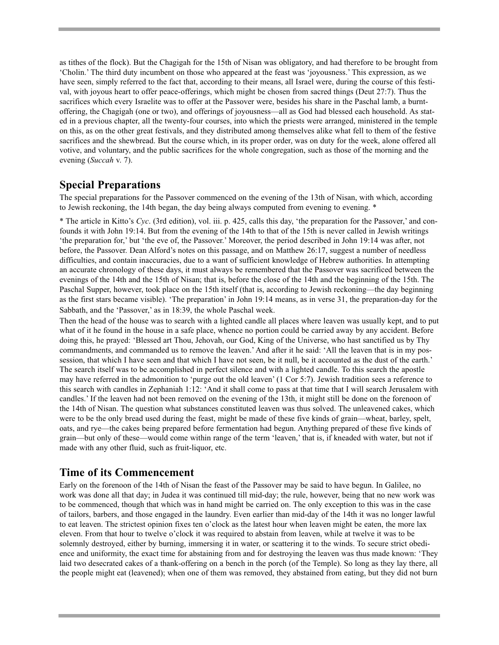as tithes of the flock). But the Chagigah for the 15th of Nisan was obligatory, and had therefore to be brought from 'Cholin.' The third duty incumbent on those who appeared at the feast was 'joyousness.' This expression, as we have seen, simply referred to the fact that, according to their means, all Israel were, during the course of this festival, with joyous heart to offer peace-offerings, which might be chosen from sacred things (Deut 27:7). Thus the sacrifices which every Israelite was to offer at the Passover were, besides his share in the Paschal lamb, a burntoffering, the Chagigah (one or two), and offerings of joyousness—all as God had blessed each household. As stated in a previous chapter, all the twenty-four courses, into which the priests were arranged, ministered in the temple on this, as on the other great festivals, and they distributed among themselves alike what fell to them of the festive sacrifices and the shewbread. But the course which, in its proper order, was on duty for the week, alone offered all votive, and voluntary, and the public sacrifices for the whole congregation, such as those of the morning and the evening (*Succah* v. 7).

# **Special Preparations**

The special preparations for the Passover commenced on the evening of the 13th of Nisan, with which, according to Jewish reckoning, the 14th began, the day being always computed from evening to evening. \*

\* The article in Kitto's *Cyc*. (3rd edition), vol. iii. p. 425, calls this day, 'the preparation for the Passover,' and confounds it with John 19:14. But from the evening of the 14th to that of the 15th is never called in Jewish writings 'the preparation for,' but 'the eve of, the Passover.' Moreover, the period described in John 19:14 was after, not before, the Passover. Dean Alford's notes on this passage, and on Matthew 26:17, suggest a number of needless difficulties, and contain inaccuracies, due to a want of sufficient knowledge of Hebrew authorities. In attempting an accurate chronology of these days, it must always be remembered that the Passover was sacrificed between the evenings of the 14th and the 15th of Nisan; that is, before the close of the 14th and the beginning of the 15th. The Paschal Supper, however, took place on the 15th itself (that is, according to Jewish reckoning—the day beginning as the first stars became visible). 'The preparation' in John 19:14 means, as in verse 31, the preparation-day for the Sabbath, and the 'Passover,' as in 18:39, the whole Paschal week.

Then the head of the house was to search with a lighted candle all places where leaven was usually kept, and to put what of it he found in the house in a safe place, whence no portion could be carried away by any accident. Before doing this, he prayed: 'Blessed art Thou, Jehovah, our God, King of the Universe, who hast sanctified us by Thy commandments, and commanded us to remove the leaven.' And after it he said: 'All the leaven that is in my possession, that which I have seen and that which I have not seen, be it null, be it accounted as the dust of the earth.' The search itself was to be accomplished in perfect silence and with a lighted candle. To this search the apostle may have referred in the admonition to 'purge out the old leaven' (1 Cor 5:7). Jewish tradition sees a reference to this search with candles in Zephaniah 1:12: 'And it shall come to pass at that time that I will search Jerusalem with candles.' If the leaven had not been removed on the evening of the 13th, it might still be done on the forenoon of the 14th of Nisan. The question what substances constituted leaven was thus solved. The unleavened cakes, which were to be the only bread used during the feast, might be made of these five kinds of grain—wheat, barley, spelt, oats, and rye—the cakes being prepared before fermentation had begun. Anything prepared of these five kinds of grain—but only of these—would come within range of the term 'leaven,' that is, if kneaded with water, but not if made with any other fluid, such as fruit-liquor, etc.

#### **Time of its Commencement**

Early on the forenoon of the 14th of Nisan the feast of the Passover may be said to have begun. In Galilee, no work was done all that day; in Judea it was continued till mid-day; the rule, however, being that no new work was to be commenced, though that which was in hand might be carried on. The only exception to this was in the case of tailors, barbers, and those engaged in the laundry. Even earlier than mid-day of the 14th it was no longer lawful to eat leaven. The strictest opinion fixes ten o'clock as the latest hour when leaven might be eaten, the more lax eleven. From that hour to twelve o'clock it was required to abstain from leaven, while at twelve it was to be solemnly destroyed, either by burning, immersing it in water, or scattering it to the winds. To secure strict obedience and uniformity, the exact time for abstaining from and for destroying the leaven was thus made known: 'They laid two desecrated cakes of a thank-offering on a bench in the porch (of the Temple). So long as they lay there, all the people might eat (leavened); when one of them was removed, they abstained from eating, but they did not burn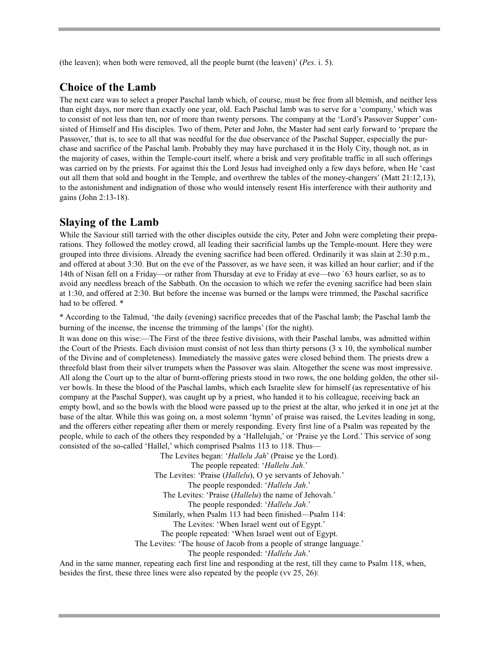(the leaven); when both were removed, all the people burnt (the leaven)' (*Pes*. i. 5).

# **Choice of the Lamb**

The next care was to select a proper Paschal lamb which, of course, must be free from all blemish, and neither less than eight days, nor more than exactly one year, old. Each Paschal lamb was to serve for a 'company,' which was to consist of not less than ten, nor of more than twenty persons. The company at the 'Lord's Passover Supper' consisted of Himself and His disciples. Two of them, Peter and John, the Master had sent early forward to 'prepare the Passover,' that is, to see to all that was needful for the due observance of the Paschal Supper, especially the purchase and sacrifice of the Paschal lamb. Probably they may have purchased it in the Holy City, though not, as in the majority of cases, within the Temple-court itself, where a brisk and very profitable traffic in all such offerings was carried on by the priests. For against this the Lord Jesus had inveighed only a few days before, when He 'cast out all them that sold and bought in the Temple, and overthrew the tables of the money-changers' (Matt 21:12,13), to the astonishment and indignation of those who would intensely resent His interference with their authority and gains (John 2:13-18).

# **Slaying of the Lamb**

While the Saviour still tarried with the other disciples outside the city, Peter and John were completing their preparations. They followed the motley crowd, all leading their sacrificial lambs up the Temple-mount. Here they were grouped into three divisions. Already the evening sacrifice had been offered. Ordinarily it was slain at 2:30 p.m., and offered at about 3:30. But on the eve of the Passover, as we have seen, it was killed an hour earlier; and if the 14th of Nisan fell on a Friday—or rather from Thursday at eve to Friday at eve—two `63 hours earlier, so as to avoid any needless breach of the Sabbath. On the occasion to which we refer the evening sacrifice had been slain at 1:30, and offered at 2:30. But before the incense was burned or the lamps were trimmed, the Paschal sacrifice had to be offered. \*

\* According to the Talmud, 'the daily (evening) sacrifice precedes that of the Paschal lamb; the Paschal lamb the burning of the incense, the incense the trimming of the lamps' (for the night).

It was done on this wise:—The First of the three festive divisions, with their Paschal lambs, was admitted within the Court of the Priests. Each division must consist of not less than thirty persons (3 x 10, the symbolical number of the Divine and of completeness). Immediately the massive gates were closed behind them. The priests drew a threefold blast from their silver trumpets when the Passover was slain. Altogether the scene was most impressive. All along the Court up to the altar of burnt-offering priests stood in two rows, the one holding golden, the other silver bowls. In these the blood of the Paschal lambs, which each Israelite slew for himself (as representative of his company at the Paschal Supper), was caught up by a priest, who handed it to his colleague, receiving back an empty bowl, and so the bowls with the blood were passed up to the priest at the altar, who jerked it in one jet at the base of the altar. While this was going on, a most solemn 'hymn' of praise was raised, the Levites leading in song, and the offerers either repeating after them or merely responding. Every first line of a Psalm was repeated by the people, while to each of the others they responded by a 'Hallelujah,' or 'Praise ye the Lord.' This service of song consisted of the so-called 'Hallel,' which comprised Psalms 113 to 118. Thus—

> The Levites began: '*Hallelu Jah*' (Praise ye the Lord). The people repeated: '*Hallelu Jah*.' The Levites: 'Praise (*Hallelu*), O ye servants of Jehovah.' The people responded: '*Hallelu Jah*.' The Levites: 'Praise (*Hallelu*) the name of Jehovah.' The people responded: '*Hallelu Jah*.' Similarly, when Psalm 113 had been finished—Psalm 114: The Levites: 'When Israel went out of Egypt.' The people repeated: 'When Israel went out of Egypt. The Levites: 'The house of Jacob from a people of strange language.' The people responded: '*Hallelu Jah*.'

And in the same manner, repeating each first line and responding at the rest, till they came to Psalm 118, when, besides the first, these three lines were also repeated by the people (vv 25, 26):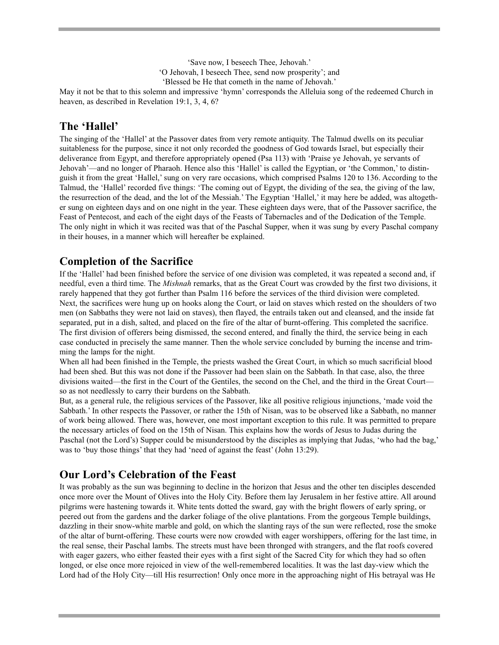'Save now, I beseech Thee, Jehovah.' 'O Jehovah, I beseech Thee, send now prosperity'; and

'Blessed be He that cometh in the name of Jehovah.'

May it not be that to this solemn and impressive 'hymn' corresponds the Alleluia song of the redeemed Church in heaven, as described in Revelation 19:1, 3, 4, 6?

## **The 'Hallel'**

The singing of the 'Hallel' at the Passover dates from very remote antiquity. The Talmud dwells on its peculiar suitableness for the purpose, since it not only recorded the goodness of God towards Israel, but especially their deliverance from Egypt, and therefore appropriately opened (Psa 113) with 'Praise ye Jehovah, ye servants of Jehovah'—and no longer of Pharaoh. Hence also this 'Hallel' is called the Egyptian, or 'the Common,' to distinguish it from the great 'Hallel,' sung on very rare occasions, which comprised Psalms 120 to 136. According to the Talmud, the 'Hallel' recorded five things: 'The coming out of Egypt, the dividing of the sea, the giving of the law, the resurrection of the dead, and the lot of the Messiah.' The Egyptian 'Hallel,' it may here be added, was altogether sung on eighteen days and on one night in the year. These eighteen days were, that of the Passover sacrifice, the Feast of Pentecost, and each of the eight days of the Feasts of Tabernacles and of the Dedication of the Temple. The only night in which it was recited was that of the Paschal Supper, when it was sung by every Paschal company in their houses, in a manner which will hereafter be explained.

# **Completion of the Sacrifice**

If the 'Hallel' had been finished before the service of one division was completed, it was repeated a second and, if needful, even a third time. The *Mishnah* remarks, that as the Great Court was crowded by the first two divisions, it rarely happened that they got further than Psalm 116 before the services of the third division were completed. Next, the sacrifices were hung up on hooks along the Court, or laid on staves which rested on the shoulders of two men (on Sabbaths they were not laid on staves), then flayed, the entrails taken out and cleansed, and the inside fat separated, put in a dish, salted, and placed on the fire of the altar of burnt-offering. This completed the sacrifice. The first division of offerers being dismissed, the second entered, and finally the third, the service being in each case conducted in precisely the same manner. Then the whole service concluded by burning the incense and trimming the lamps for the night.

When all had been finished in the Temple, the priests washed the Great Court, in which so much sacrificial blood had been shed. But this was not done if the Passover had been slain on the Sabbath. In that case, also, the three divisions waited—the first in the Court of the Gentiles, the second on the Chel, and the third in the Great Court so as not needlessly to carry their burdens on the Sabbath.

But, as a general rule, the religious services of the Passover, like all positive religious injunctions, 'made void the Sabbath.' In other respects the Passover, or rather the 15th of Nisan, was to be observed like a Sabbath, no manner of work being allowed. There was, however, one most important exception to this rule. It was permitted to prepare the necessary articles of food on the 15th of Nisan. This explains how the words of Jesus to Judas during the Paschal (not the Lord's) Supper could be misunderstood by the disciples as implying that Judas, 'who had the bag,' was to 'buy those things' that they had 'need of against the feast' (John 13:29).

# **Our Lord's Celebration of the Feast**

It was probably as the sun was beginning to decline in the horizon that Jesus and the other ten disciples descended once more over the Mount of Olives into the Holy City. Before them lay Jerusalem in her festive attire. All around pilgrims were hastening towards it. White tents dotted the sward, gay with the bright flowers of early spring, or peered out from the gardens and the darker foliage of the olive plantations. From the gorgeous Temple buildings, dazzling in their snow-white marble and gold, on which the slanting rays of the sun were reflected, rose the smoke of the altar of burnt-offering. These courts were now crowded with eager worshippers, offering for the last time, in the real sense, their Paschal lambs. The streets must have been thronged with strangers, and the flat roofs covered with eager gazers, who either feasted their eyes with a first sight of the Sacred City for which they had so often longed, or else once more rejoiced in view of the well-remembered localities. It was the last day-view which the Lord had of the Holy City—till His resurrection! Only once more in the approaching night of His betrayal was He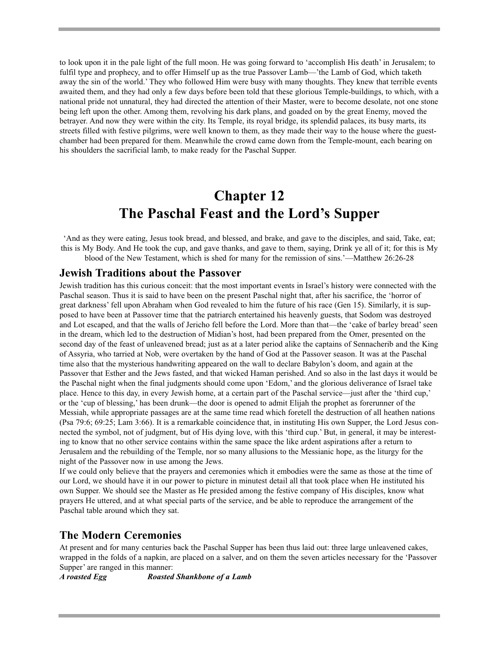to look upon it in the pale light of the full moon. He was going forward to 'accomplish His death' in Jerusalem; to fulfil type and prophecy, and to offer Himself up as the true Passover Lamb—'the Lamb of God, which taketh away the sin of the world.' They who followed Him were busy with many thoughts. They knew that terrible events awaited them, and they had only a few days before been told that these glorious Temple-buildings, to which, with a national pride not unnatural, they had directed the attention of their Master, were to become desolate, not one stone being left upon the other. Among them, revolving his dark plans, and goaded on by the great Enemy, moved the betrayer. And now they were within the city. Its Temple, its royal bridge, its splendid palaces, its busy marts, its streets filled with festive pilgrims, were well known to them, as they made their way to the house where the guestchamber had been prepared for them. Meanwhile the crowd came down from the Temple-mount, each bearing on his shoulders the sacrificial lamb, to make ready for the Paschal Supper.

# **Chapter 12 The Paschal Feast and the Lord's Supper**

'And as they were eating, Jesus took bread, and blessed, and brake, and gave to the disciples, and said, Take, eat; this is My Body. And He took the cup, and gave thanks, and gave to them, saying, Drink ye all of it; for this is My blood of the New Testament, which is shed for many for the remission of sins.'—Matthew 26:26-28

#### **Jewish Traditions about the Passover**

Jewish tradition has this curious conceit: that the most important events in Israel's history were connected with the Paschal season. Thus it is said to have been on the present Paschal night that, after his sacrifice, the 'horror of great darkness' fell upon Abraham when God revealed to him the future of his race (Gen 15). Similarly, it is supposed to have been at Passover time that the patriarch entertained his heavenly guests, that Sodom was destroyed and Lot escaped, and that the walls of Jericho fell before the Lord. More than that—the 'cake of barley bread' seen in the dream, which led to the destruction of Midian's host, had been prepared from the Omer, presented on the second day of the feast of unleavened bread; just as at a later period alike the captains of Sennacherib and the King of Assyria, who tarried at Nob, were overtaken by the hand of God at the Passover season. It was at the Paschal time also that the mysterious handwriting appeared on the wall to declare Babylon's doom, and again at the Passover that Esther and the Jews fasted, and that wicked Haman perished. And so also in the last days it would be the Paschal night when the final judgments should come upon 'Edom,' and the glorious deliverance of Israel take place. Hence to this day, in every Jewish home, at a certain part of the Paschal service—just after the 'third cup,' or the 'cup of blessing,' has been drunk—the door is opened to admit Elijah the prophet as forerunner of the Messiah, while appropriate passages are at the same time read which foretell the destruction of all heathen nations (Psa 79:6; 69:25; Lam 3:66). It is a remarkable coincidence that, in instituting His own Supper, the Lord Jesus connected the symbol, not of judgment, but of His dying love, with this 'third cup.' But, in general, it may be interesting to know that no other service contains within the same space the like ardent aspirations after a return to Jerusalem and the rebuilding of the Temple, nor so many allusions to the Messianic hope, as the liturgy for the night of the Passover now in use among the Jews.

If we could only believe that the prayers and ceremonies which it embodies were the same as those at the time of our Lord, we should have it in our power to picture in minutest detail all that took place when He instituted his own Supper. We should see the Master as He presided among the festive company of His disciples, know what prayers He uttered, and at what special parts of the service, and be able to reproduce the arrangement of the Paschal table around which they sat.

#### **The Modern Ceremonies**

At present and for many centuries back the Paschal Supper has been thus laid out: three large unleavened cakes, wrapped in the folds of a napkin, are placed on a salver, and on them the seven articles necessary for the 'Passover Supper' are ranged in this manner:

*A roasted Egg Roasted Shankbone of a Lamb*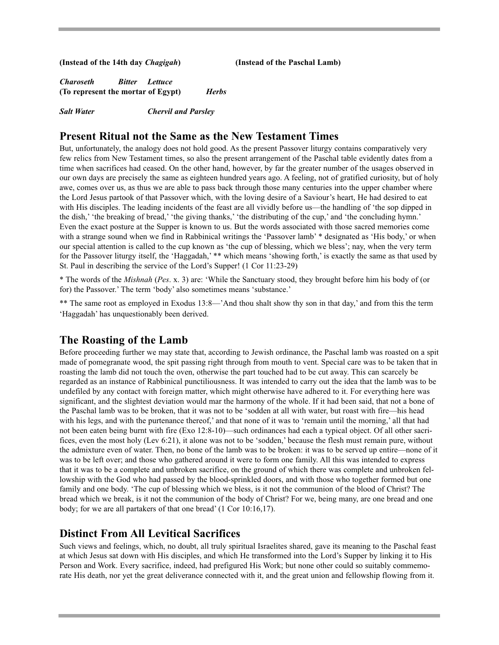**(Instead of the 14th day** *Chagigah***) (Instead of the Paschal Lamb)** 

*Charoseth Bitter Lettuce* **(To represent the mortar of Egypt)** *Herbs*

*Salt Water Chervil and Parsley*

### **Present Ritual not the Same as the New Testament Times**

But, unfortunately, the analogy does not hold good. As the present Passover liturgy contains comparatively very few relics from New Testament times, so also the present arrangement of the Paschal table evidently dates from a time when sacrifices had ceased. On the other hand, however, by far the greater number of the usages observed in our own days are precisely the same as eighteen hundred years ago. A feeling, not of gratified curiosity, but of holy awe, comes over us, as thus we are able to pass back through those many centuries into the upper chamber where the Lord Jesus partook of that Passover which, with the loving desire of a Saviour's heart, He had desired to eat with His disciples. The leading incidents of the feast are all vividly before us—the handling of 'the sop dipped in the dish,' 'the breaking of bread,' 'the giving thanks,' 'the distributing of the cup,' and 'the concluding hymn.' Even the exact posture at the Supper is known to us. But the words associated with those sacred memories come with a strange sound when we find in Rabbinical writings the 'Passover lamb' \* designated as 'His body,' or when our special attention is called to the cup known as 'the cup of blessing, which we bless'; nay, when the very term for the Passover liturgy itself, the 'Haggadah,' \*\* which means 'showing forth,' is exactly the same as that used by St. Paul in describing the service of the Lord's Supper! (1 Cor 11:23-29)

\* The words of the *Mishnah* (*Pes*. x. 3) are: 'While the Sanctuary stood, they brought before him his body of (or for) the Passover.' The term 'body' also sometimes means 'substance.'

\*\* The same root as employed in Exodus 13:8—'And thou shalt show thy son in that day,' and from this the term 'Haggadah' has unquestionably been derived.

#### **The Roasting of the Lamb**

Before proceeding further we may state that, according to Jewish ordinance, the Paschal lamb was roasted on a spit made of pomegranate wood, the spit passing right through from mouth to vent. Special care was to be taken that in roasting the lamb did not touch the oven, otherwise the part touched had to be cut away. This can scarcely be regarded as an instance of Rabbinical punctiliousness. It was intended to carry out the idea that the lamb was to be undefiled by any contact with foreign matter, which might otherwise have adhered to it. For everything here was significant, and the slightest deviation would mar the harmony of the whole. If it had been said, that not a bone of the Paschal lamb was to be broken, that it was not to be 'sodden at all with water, but roast with fire—his head with his legs, and with the purtenance thereof,' and that none of it was to 'remain until the morning,' all that had not been eaten being burnt with fire (Exo 12:8-10)—such ordinances had each a typical object. Of all other sacrifices, even the most holy (Lev 6:21), it alone was not to be 'sodden,' because the flesh must remain pure, without the admixture even of water. Then, no bone of the lamb was to be broken: it was to be served up entire—none of it was to be left over; and those who gathered around it were to form one family. All this was intended to express that it was to be a complete and unbroken sacrifice, on the ground of which there was complete and unbroken fellowship with the God who had passed by the blood-sprinkled doors, and with those who together formed but one family and one body. 'The cup of blessing which we bless, is it not the communion of the blood of Christ? The bread which we break, is it not the communion of the body of Christ? For we, being many, are one bread and one body; for we are all partakers of that one bread' (1 Cor 10:16,17).

# **Distinct From All Levitical Sacrifices**

Such views and feelings, which, no doubt, all truly spiritual Israelites shared, gave its meaning to the Paschal feast at which Jesus sat down with His disciples, and which He transformed into the Lord's Supper by linking it to His Person and Work. Every sacrifice, indeed, had prefigured His Work; but none other could so suitably commemorate His death, nor yet the great deliverance connected with it, and the great union and fellowship flowing from it.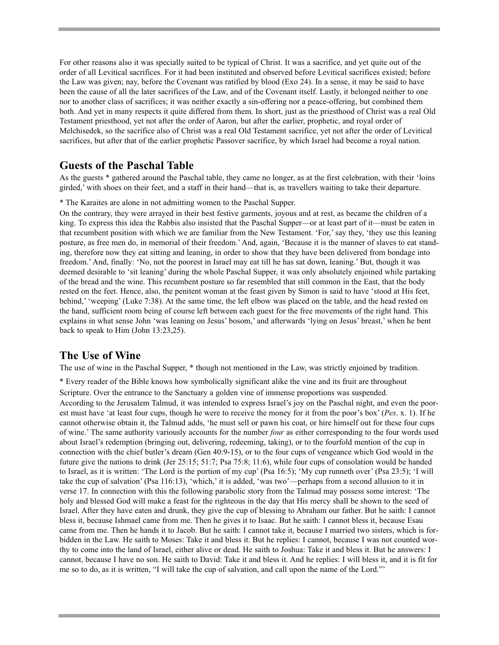For other reasons also it was specially suited to be typical of Christ. It was a sacrifice, and yet quite out of the order of all Levitical sacrifices. For it had been instituted and observed before Levitical sacrifices existed; before the Law was given; nay, before the Covenant was ratified by blood (Exo 24). In a sense, it may be said to have been the cause of all the later sacrifices of the Law, and of the Covenant itself. Lastly, it belonged neither to one nor to another class of sacrifices; it was neither exactly a sin-offering nor a peace-offering, but combined them both. And yet in many respects it quite differed from them. In short, just as the priesthood of Christ was a real Old Testament priesthood, yet not after the order of Aaron, but after the earlier, prophetic, and royal order of Melchisedek, so the sacrifice also of Christ was a real Old Testament sacrifice, yet not after the order of Levitical sacrifices, but after that of the earlier prophetic Passover sacrifice, by which Israel had become a royal nation.

#### **Guests of the Paschal Table**

As the guests \* gathered around the Paschal table, they came no longer, as at the first celebration, with their 'loins girded,' with shoes on their feet, and a staff in their hand—that is, as travellers waiting to take their departure.

\* The Karaites are alone in not admitting women to the Paschal Supper.

On the contrary, they were arrayed in their best festive garments, joyous and at rest, as became the children of a king. To express this idea the Rabbis also insisted that the Paschal Supper—or at least part of it—must be eaten in that recumbent position with which we are familiar from the New Testament. 'For,' say they, 'they use this leaning posture, as free men do, in memorial of their freedom.' And, again, 'Because it is the manner of slaves to eat standing, therefore now they eat sitting and leaning, in order to show that they have been delivered from bondage into freedom.' And, finally: 'No, not the poorest in Israel may eat till he has sat down, leaning.' But, though it was deemed desirable to 'sit leaning' during the whole Paschal Supper, it was only absolutely enjoined while partaking of the bread and the wine. This recumbent posture so far resembled that still common in the East, that the body rested on the feet. Hence, also, the penitent woman at the feast given by Simon is said to have 'stood at His feet, behind,' 'weeping' (Luke 7:38). At the same time, the left elbow was placed on the table, and the head rested on the hand, sufficient room being of course left between each guest for the free movements of the right hand. This explains in what sense John 'was leaning on Jesus' bosom,' and afterwards 'lying on Jesus' breast,' when he bent back to speak to Him (John 13:23,25).

#### **The Use of Wine**

The use of wine in the Paschal Supper, \* though not mentioned in the Law, was strictly enjoined by tradition.

\* Every reader of the Bible knows how symbolically significant alike the vine and its fruit are throughout Scripture. Over the entrance to the Sanctuary a golden vine of immense proportions was suspended. According to the Jerusalem Talmud, it was intended to express Israel's joy on the Paschal night, and even the poorest must have 'at least four cups, though he were to receive the money for it from the poor's box' (*Pes*. x. 1). If he cannot otherwise obtain it, the Talmud adds, 'he must sell or pawn his coat, or hire himself out for these four cups of wine.' The same authority variously accounts for the number *four* as either corresponding to the four words used about Israel's redemption (bringing out, delivering, redeeming, taking), or to the fourfold mention of the cup in connection with the chief butler's dream (Gen 40:9-15), or to the four cups of vengeance which God would in the future give the nations to drink (Jer 25:15; 51:7; Psa 75:8; 11:6), while four cups of consolation would be handed to Israel, as it is written: 'The Lord is the portion of my cup' (Psa 16:5); 'My cup runneth over' (Psa 23:5); 'I will take the cup of salvation' (Psa 116:13), 'which,' it is added, 'was two'—perhaps from a second allusion to it in verse 17. In connection with this the following parabolic story from the Talmud may possess some interest: 'The holy and blessed God will make a feast for the righteous in the day that His mercy shall be shown to the seed of Israel. After they have eaten and drunk, they give the cup of blessing to Abraham our father. But he saith: I cannot bless it, because Ishmael came from me. Then he gives it to Isaac. But he saith: I cannot bless it, because Esau came from me. Then he hands it to Jacob. But he saith: I cannot take it, because I married two sisters, which is forbidden in the Law. He saith to Moses: Take it and bless it. But he replies: I cannot, because I was not counted worthy to come into the land of Israel, either alive or dead. He saith to Joshua: Take it and bless it. But he answers: I cannot, because I have no son. He saith to David: Take it and bless it. And he replies: I will bless it, and it is fit for me so to do, as it is written, "I will take the cup of salvation, and call upon the name of the Lord."'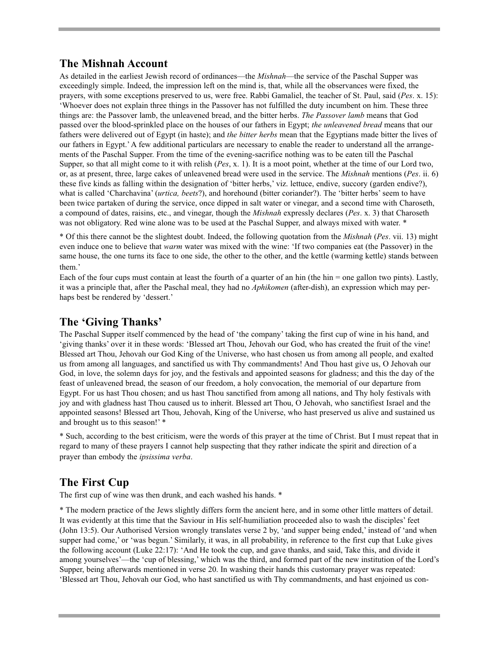#### **The Mishnah Account**

As detailed in the earliest Jewish record of ordinances—the *Mishnah*—the service of the Paschal Supper was exceedingly simple. Indeed, the impression left on the mind is, that, while all the observances were fixed, the prayers, with some exceptions preserved to us, were free. Rabbi Gamaliel, the teacher of St. Paul, said (*Pes*. x. 15): 'Whoever does not explain three things in the Passover has not fulfilled the duty incumbent on him. These three things are: the Passover lamb, the unleavened bread, and the bitter herbs. *The Passover lamb* means that God passed over the blood-sprinkled place on the houses of our fathers in Egypt; *the unleavened bread* means that our fathers were delivered out of Egypt (in haste); and *the bitter herbs* mean that the Egyptians made bitter the lives of our fathers in Egypt.' A few additional particulars are necessary to enable the reader to understand all the arrangements of the Paschal Supper. From the time of the evening-sacrifice nothing was to be eaten till the Paschal Supper, so that all might come to it with relish (*Pes*, x. 1). It is a moot point, whether at the time of our Lord two, or, as at present, three, large cakes of unleavened bread were used in the service. The *Mishnah* mentions (*Pes*. ii. 6) these five kinds as falling within the designation of 'bitter herbs,' viz. lettuce, endive, succory (garden endive?), what is called 'Charchavina' (*urtica, beets*?), and horehound (bitter coriander?). The 'bitter herbs' seem to have been twice partaken of during the service, once dipped in salt water or vinegar, and a second time with Charoseth, a compound of dates, raisins, etc., and vinegar, though the *Mishnah* expressly declares (*Pes*. x. 3) that Charoseth was not obligatory. Red wine alone was to be used at the Paschal Supper, and always mixed with water. \*

\* Of this there cannot be the slightest doubt. Indeed, the following quotation from the *Mishnah* (*Pes*. vii. 13) might even induce one to believe that *warm* water was mixed with the wine: 'If two companies eat (the Passover) in the same house, the one turns its face to one side, the other to the other, and the kettle (warming kettle) stands between them.'

Each of the four cups must contain at least the fourth of a quarter of an hin (the hin = one gallon two pints). Lastly, it was a principle that, after the Paschal meal, they had no *Aphikomen* (after-dish), an expression which may perhaps best be rendered by 'dessert.'

#### **The 'Giving Thanks'**

The Paschal Supper itself commenced by the head of 'the company' taking the first cup of wine in his hand, and 'giving thanks' over it in these words: 'Blessed art Thou, Jehovah our God, who has created the fruit of the vine! Blessed art Thou, Jehovah our God King of the Universe, who hast chosen us from among all people, and exalted us from among all languages, and sanctified us with Thy commandments! And Thou hast give us, O Jehovah our God, in love, the solemn days for joy, and the festivals and appointed seasons for gladness; and this the day of the feast of unleavened bread, the season of our freedom, a holy convocation, the memorial of our departure from Egypt. For us hast Thou chosen; and us hast Thou sanctified from among all nations, and Thy holy festivals with joy and with gladness hast Thou caused us to inherit. Blessed art Thou, O Jehovah, who sanctifiest Israel and the appointed seasons! Blessed art Thou, Jehovah, King of the Universe, who hast preserved us alive and sustained us and brought us to this season!' \*

\* Such, according to the best criticism, were the words of this prayer at the time of Christ. But I must repeat that in regard to many of these prayers I cannot help suspecting that they rather indicate the spirit and direction of a prayer than embody the *ipsissima verba*.

# **The First Cup**

The first cup of wine was then drunk, and each washed his hands. \*

\* The modern practice of the Jews slightly differs form the ancient here, and in some other little matters of detail. It was evidently at this time that the Saviour in His self-humiliation proceeded also to wash the disciples' feet (John 13:5). Our Authorised Version wrongly translates verse 2 by, 'and supper being ended,' instead of 'and when supper had come,' or 'was begun.' Similarly, it was, in all probability, in reference to the first cup that Luke gives the following account (Luke 22:17): 'And He took the cup, and gave thanks, and said, Take this, and divide it among yourselves'—the 'cup of blessing,' which was the third, and formed part of the new institution of the Lord's Supper, being afterwards mentioned in verse 20. In washing their hands this customary prayer was repeated: 'Blessed art Thou, Jehovah our God, who hast sanctified us with Thy commandments, and hast enjoined us con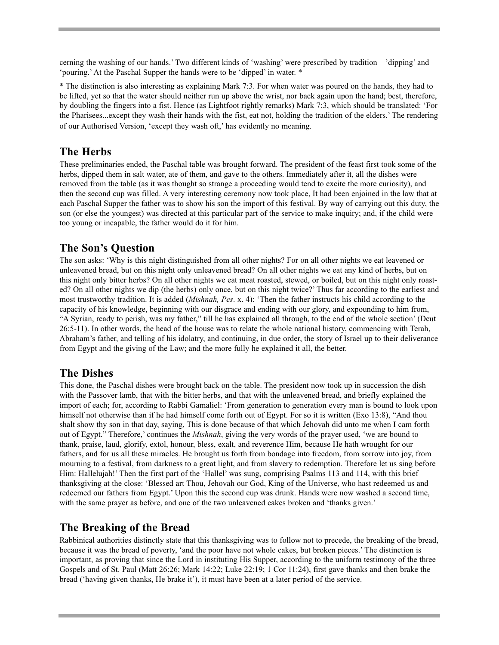cerning the washing of our hands.' Two different kinds of 'washing' were prescribed by tradition—'dipping' and 'pouring.' At the Paschal Supper the hands were to be 'dipped' in water. \*

\* The distinction is also interesting as explaining Mark 7:3. For when water was poured on the hands, they had to be lifted, yet so that the water should neither run up above the wrist, nor back again upon the hand; best, therefore, by doubling the fingers into a fist. Hence (as Lightfoot rightly remarks) Mark 7:3, which should be translated: 'For the Pharisees...except they wash their hands with the fist, eat not, holding the tradition of the elders.' The rendering of our Authorised Version, 'except they wash oft,' has evidently no meaning.

#### **The Herbs**

These preliminaries ended, the Paschal table was brought forward. The president of the feast first took some of the herbs, dipped them in salt water, ate of them, and gave to the others. Immediately after it, all the dishes were removed from the table (as it was thought so strange a proceeding would tend to excite the more curiosity), and then the second cup was filled. A very interesting ceremony now took place, It had been enjoined in the law that at each Paschal Supper the father was to show his son the import of this festival. By way of carrying out this duty, the son (or else the youngest) was directed at this particular part of the service to make inquiry; and, if the child were too young or incapable, the father would do it for him.

### **The Son's Question**

The son asks: 'Why is this night distinguished from all other nights? For on all other nights we eat leavened or unleavened bread, but on this night only unleavened bread? On all other nights we eat any kind of herbs, but on this night only bitter herbs? On all other nights we eat meat roasted, stewed, or boiled, but on this night only roasted? On all other nights we dip (the herbs) only once, but on this night twice?' Thus far according to the earliest and most trustworthy tradition. It is added (*Mishnah, Pes*. x. 4): 'Then the father instructs his child according to the capacity of his knowledge, beginning with our disgrace and ending with our glory, and expounding to him from, "A Syrian, ready to perish, was my father," till he has explained all through, to the end of the whole section' (Deut 26:5-11). In other words, the head of the house was to relate the whole national history, commencing with Terah, Abraham's father, and telling of his idolatry, and continuing, in due order, the story of Israel up to their deliverance from Egypt and the giving of the Law; and the more fully he explained it all, the better.

#### **The Dishes**

This done, the Paschal dishes were brought back on the table. The president now took up in succession the dish with the Passover lamb, that with the bitter herbs, and that with the unleavened bread, and briefly explained the import of each; for, according to Rabbi Gamaliel: 'From generation to generation every man is bound to look upon himself not otherwise than if he had himself come forth out of Egypt. For so it is written (Exo 13:8), "And thou shalt show thy son in that day, saying, This is done because of that which Jehovah did unto me when I cam forth out of Egypt." Therefore,' continues the *Mishnah*, giving the very words of the prayer used, 'we are bound to thank, praise, laud, glorify, extol, honour, bless, exalt, and reverence Him, because He hath wrought for our fathers, and for us all these miracles. He brought us forth from bondage into freedom, from sorrow into joy, from mourning to a festival, from darkness to a great light, and from slavery to redemption. Therefore let us sing before Him: Hallelujah!' Then the first part of the 'Hallel' was sung, comprising Psalms 113 and 114, with this brief thanksgiving at the close: 'Blessed art Thou, Jehovah our God, King of the Universe, who hast redeemed us and redeemed our fathers from Egypt.' Upon this the second cup was drunk. Hands were now washed a second time, with the same prayer as before, and one of the two unleavened cakes broken and 'thanks given.'

# **The Breaking of the Bread**

Rabbinical authorities distinctly state that this thanksgiving was to follow not to precede, the breaking of the bread, because it was the bread of poverty, 'and the poor have not whole cakes, but broken pieces.' The distinction is important, as proving that since the Lord in instituting His Supper, according to the uniform testimony of the three Gospels and of St. Paul (Matt 26:26; Mark 14:22; Luke 22:19; 1 Cor 11:24), first gave thanks and then brake the bread ('having given thanks, He brake it'), it must have been at a later period of the service.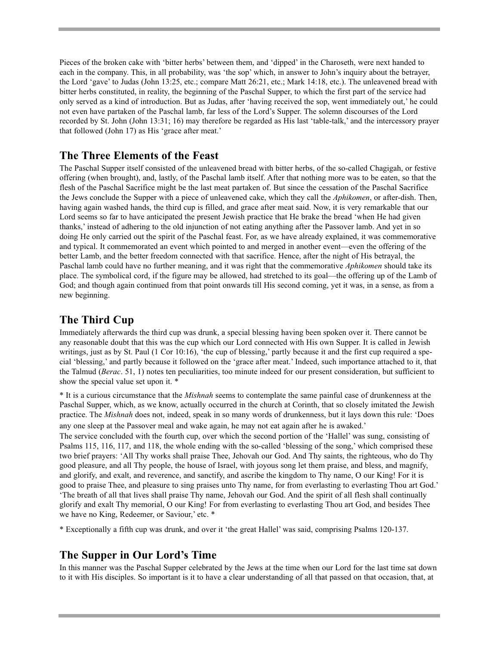Pieces of the broken cake with 'bitter herbs' between them, and 'dipped' in the Charoseth, were next handed to each in the company. This, in all probability, was 'the sop' which, in answer to John's inquiry about the betrayer, the Lord 'gave' to Judas (John 13:25, etc.; compare Matt 26:21, etc.; Mark 14:18, etc.). The unleavened bread with bitter herbs constituted, in reality, the beginning of the Paschal Supper, to which the first part of the service had only served as a kind of introduction. But as Judas, after 'having received the sop, went immediately out,' he could not even have partaken of the Paschal lamb, far less of the Lord's Supper. The solemn discourses of the Lord recorded by St. John (John 13:31; 16) may therefore be regarded as His last 'table-talk,' and the intercessory prayer that followed (John 17) as His 'grace after meat.'

#### **The Three Elements of the Feast**

The Paschal Supper itself consisted of the unleavened bread with bitter herbs, of the so-called Chagigah, or festive offering (when brought), and, lastly, of the Paschal lamb itself. After that nothing more was to be eaten, so that the flesh of the Paschal Sacrifice might be the last meat partaken of. But since the cessation of the Paschal Sacrifice the Jews conclude the Supper with a piece of unleavened cake, which they call the *Aphikomen*, or after-dish. Then, having again washed hands, the third cup is filled, and grace after meat said. Now, it is very remarkable that our Lord seems so far to have anticipated the present Jewish practice that He brake the bread 'when He had given thanks,' instead of adhering to the old injunction of not eating anything after the Passover lamb. And yet in so doing He only carried out the spirit of the Paschal feast. For, as we have already explained, it was commemorative and typical. It commemorated an event which pointed to and merged in another event—even the offering of the better Lamb, and the better freedom connected with that sacrifice. Hence, after the night of His betrayal, the Paschal lamb could have no further meaning, and it was right that the commemorative *Aphikomen* should take its place. The symbolical cord, if the figure may be allowed, had stretched to its goal—the offering up of the Lamb of God; and though again continued from that point onwards till His second coming, yet it was, in a sense, as from a new beginning.

## **The Third Cup**

Immediately afterwards the third cup was drunk, a special blessing having been spoken over it. There cannot be any reasonable doubt that this was the cup which our Lord connected with His own Supper. It is called in Jewish writings, just as by St. Paul (1 Cor 10:16), 'the cup of blessing,' partly because it and the first cup required a special 'blessing,' and partly because it followed on the 'grace after meat.' Indeed, such importance attached to it, that the Talmud (*Berac*. 51, 1) notes ten peculiarities, too minute indeed for our present consideration, but sufficient to show the special value set upon it. \*

\* It is a curious circumstance that the *Mishnah* seems to contemplate the same painful case of drunkenness at the Paschal Supper, which, as we know, actually occurred in the church at Corinth, that so closely imitated the Jewish practice. The *Mishnah* does not, indeed, speak in so many words of drunkenness, but it lays down this rule: 'Does any one sleep at the Passover meal and wake again, he may not eat again after he is awaked.'

The service concluded with the fourth cup, over which the second portion of the 'Hallel' was sung, consisting of Psalms 115, 116, 117, and 118, the whole ending with the so-called 'blessing of the song,' which comprised these two brief prayers: 'All Thy works shall praise Thee, Jehovah our God. And Thy saints, the righteous, who do Thy good pleasure, and all Thy people, the house of Israel, with joyous song let them praise, and bless, and magnify, and glorify, and exalt, and reverence, and sanctify, and ascribe the kingdom to Thy name, O our King! For it is good to praise Thee, and pleasure to sing praises unto Thy name, for from everlasting to everlasting Thou art God.' 'The breath of all that lives shall praise Thy name, Jehovah our God. And the spirit of all flesh shall continually glorify and exalt Thy memorial, O our King! For from everlasting to everlasting Thou art God, and besides Thee we have no King, Redeemer, or Saviour,' etc. \*

\* Exceptionally a fifth cup was drunk, and over it 'the great Hallel' was said, comprising Psalms 120-137.

# **The Supper in Our Lord's Time**

In this manner was the Paschal Supper celebrated by the Jews at the time when our Lord for the last time sat down to it with His disciples. So important is it to have a clear understanding of all that passed on that occasion, that, at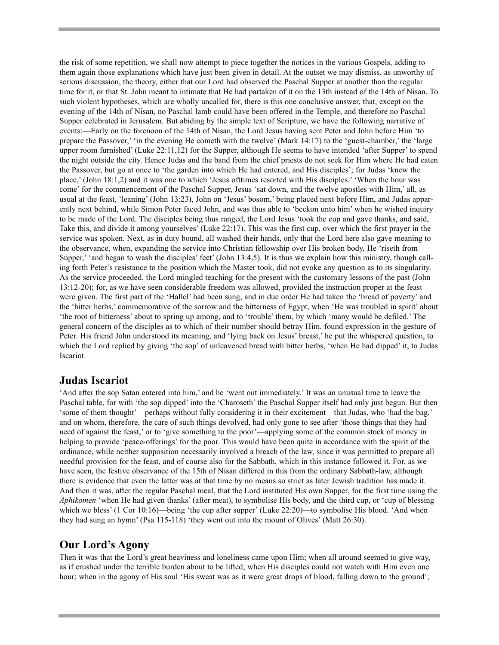the risk of some repetition, we shall now attempt to piece together the notices in the various Gospels, adding to them again those explanations which have just been given in detail. At the outset we may dismiss, as unworthy of serious discussion, the theory, either that our Lord had observed the Paschal Supper at another than the regular time for it, or that St. John meant to intimate that He had partaken of it on the 13th instead of the 14th of Nisan. To such violent hypotheses, which are wholly uncalled for, there is this one conclusive answer, that, except on the evening of the 14th of Nisan, no Paschal lamb could have been offered in the Temple, and therefore no Paschal Supper celebrated in Jerusalem. But abiding by the simple text of Scripture, we have the following narrative of events:—Early on the forenoon of the 14th of Nisan, the Lord Jesus having sent Peter and John before Him 'to prepare the Passover,' 'in the evening He cometh with the twelve' (Mark 14:17) to the 'guest-chamber,' the 'large upper room furnished' (Luke 22:11,12) for the Supper, although He seems to have intended 'after Supper' to spend the night outside the city. Hence Judas and the band from the chief priests do not seek for Him where He had eaten the Passover, but go at once to 'the garden into which He had entered, and His disciples'; for Judas 'knew the place,' (John 18:1,2) and it was one to which 'Jesus ofttimes resorted with His disciples.' 'When the hour was come' for the commencement of the Paschal Supper, Jesus 'sat down, and the twelve apostles with Him,' all, as usual at the feast, 'leaning' (John 13:23), John on 'Jesus' bosom,' being placed next before Him, and Judas apparently next behind, while Simon Peter faced John, and was thus able to 'beckon unto him' when he wished inquiry to be made of the Lord. The disciples being thus ranged, the Lord Jesus 'took the cup and gave thanks, and said, Take this, and divide it among yourselves' (Luke 22:17). This was the first cup, over which the first prayer in the service was spoken. Next, as in duty bound, all washed their hands, only that the Lord here also gave meaning to the observance, when, expanding the service into Christian fellowship over His broken body, He 'riseth from Supper,' 'and began to wash the disciples' feet' (John 13:4,5). It is thus we explain how this ministry, though calling forth Peter's resistance to the position which the Master took, did not evoke any question as to its singularity. As the service proceeded, the Lord mingled teaching for the present with the customary lessons of the past (John 13:12-20); for, as we have seen considerable freedom was allowed, provided the instruction proper at the feast were given. The first part of the 'Hallel' had been sung, and in due order He had taken the 'bread of poverty' and the 'bitter herbs,' commemorative of the sorrow and the bitterness of Egypt, when 'He was troubled in spirit' about 'the root of bitterness' about to spring up among, and to 'trouble' them, by which 'many would be defiled.' The general concern of the disciples as to which of their number should betray Him, found expression in the gesture of Peter. His friend John understood its meaning, and 'lying back on Jesus' breast,' he put the whispered question, to which the Lord replied by giving 'the sop' of unleavened bread with bitter herbs, 'when He had dipped' it, to Judas Iscariot.

#### **Judas Iscariot**

'And after the sop Satan entered into him,' and he 'went out immediately.' It was an unusual time to leave the Paschal table, for with 'the sop dipped' into the 'Charoseth' the Paschal Supper itself had only just begun. But then 'some of them thought'—perhaps without fully considering it in their excitement—that Judas, who 'had the bag,' and on whom, therefore, the care of such things devolved, had only gone to see after 'those things that they had need of against the feast,' or to 'give something to the poor'—applying some of the common stock of money in helping to provide 'peace-offerings' for the poor. This would have been quite in accordance with the spirit of the ordinance, while neither supposition necessarily involved a breach of the law, since it was permitted to prepare all needful provision for the feast, and of course also for the Sabbath, which in this instance followed it. For, as we have seen, the festive observance of the 15th of Nisan differed in this from the ordinary Sabbath-law, although there is evidence that even the latter was at that time by no means so strict as later Jewish tradition has made it. And then it was, after the regular Paschal meal, that the Lord instituted His own Supper, for the first time using the *Aphikomen* 'when He had given thanks' (after meat), to symbolise His body, and the third cup, or 'cup of blessing which we bless' (1 Cor 10:16)—being 'the cup after supper' (Luke 22:20)—to symbolise His blood. 'And when they had sung an hymn' (Psa 115-118) 'they went out into the mount of Olives' (Matt 26:30).

#### **Our Lord's Agony**

Then it was that the Lord's great heaviness and loneliness came upon Him; when all around seemed to give way, as if crushed under the terrible burden about to be lifted; when His disciples could not watch with Him even one hour; when in the agony of His soul 'His sweat was as it were great drops of blood, falling down to the ground';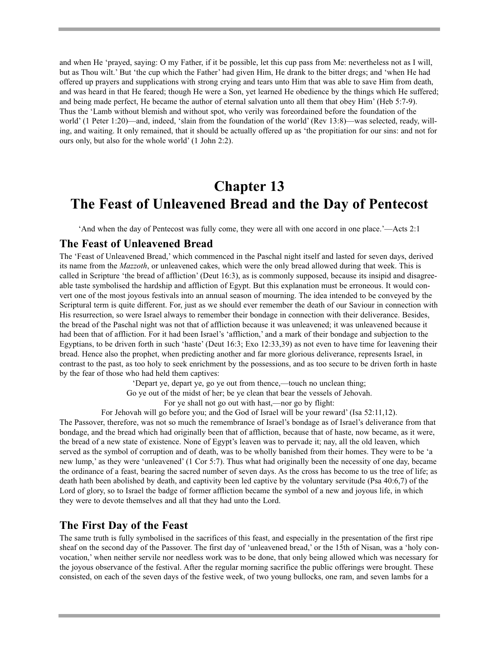and when He 'prayed, saying: O my Father, if it be possible, let this cup pass from Me: nevertheless not as I will, but as Thou wilt.' But 'the cup which the Father' had given Him, He drank to the bitter dregs; and 'when He had offered up prayers and supplications with strong crying and tears unto Him that was able to save Him from death, and was heard in that He feared; though He were a Son, yet learned He obedience by the things which He suffered; and being made perfect, He became the author of eternal salvation unto all them that obey Him' (Heb 5:7-9). Thus the 'Lamb without blemish and without spot, who verily was foreordained before the foundation of the world' (1 Peter 1:20)—and, indeed, 'slain from the foundation of the world' (Rev 13:8)—was selected, ready, willing, and waiting. It only remained, that it should be actually offered up as 'the propitiation for our sins: and not for ours only, but also for the whole world' (1 John 2:2).

# **Chapter 13 The Feast of Unleavened Bread and the Day of Pentecost**

'And when the day of Pentecost was fully come, they were all with one accord in one place.'—Acts 2:1

#### **The Feast of Unleavened Bread**

The 'Feast of Unleavened Bread,' which commenced in the Paschal night itself and lasted for seven days, derived its name from the *Mazzoth*, or unleavened cakes, which were the only bread allowed during that week. This is called in Scripture 'the bread of affliction' (Deut 16:3), as is commonly supposed, because its insipid and disagreeable taste symbolised the hardship and affliction of Egypt. But this explanation must be erroneous. It would convert one of the most joyous festivals into an annual season of mourning. The idea intended to be conveyed by the Scriptural term is quite different. For, just as we should ever remember the death of our Saviour in connection with His resurrection, so were Israel always to remember their bondage in connection with their deliverance. Besides, the bread of the Paschal night was not that of affliction because it was unleavened; it was unleavened because it had been that of affliction. For it had been Israel's 'affliction,' and a mark of their bondage and subjection to the Egyptians, to be driven forth in such 'haste' (Deut 16:3; Exo 12:33,39) as not even to have time for leavening their bread. Hence also the prophet, when predicting another and far more glorious deliverance, represents Israel, in contrast to the past, as too holy to seek enrichment by the possessions, and as too secure to be driven forth in haste by the fear of those who had held them captives:

> 'Depart ye, depart ye, go ye out from thence,—touch no unclean thing; Go ye out of the midst of her; be ye clean that bear the vessels of Jehovah.

> > For ye shall not go out with hast,—nor go by flight:

For Jehovah will go before you; and the God of Israel will be your reward' (Isa 52:11,12).

The Passover, therefore, was not so much the remembrance of Israel's bondage as of Israel's deliverance from that bondage, and the bread which had originally been that of affliction, because that of haste, now became, as it were, the bread of a new state of existence. None of Egypt's leaven was to pervade it; nay, all the old leaven, which served as the symbol of corruption and of death, was to be wholly banished from their homes. They were to be 'a new lump,' as they were 'unleavened' (1 Cor 5:7). Thus what had originally been the necessity of one day, became the ordinance of a feast, bearing the sacred number of seven days. As the cross has become to us the tree of life; as death hath been abolished by death, and captivity been led captive by the voluntary servitude (Psa 40:6,7) of the Lord of glory, so to Israel the badge of former affliction became the symbol of a new and joyous life, in which they were to devote themselves and all that they had unto the Lord.

#### **The First Day of the Feast**

The same truth is fully symbolised in the sacrifices of this feast, and especially in the presentation of the first ripe sheaf on the second day of the Passover. The first day of 'unleavened bread,' or the 15th of Nisan, was a 'holy convocation,' when neither servile nor needless work was to be done, that only being allowed which was necessary for the joyous observance of the festival. After the regular morning sacrifice the public offerings were brought. These consisted, on each of the seven days of the festive week, of two young bullocks, one ram, and seven lambs for a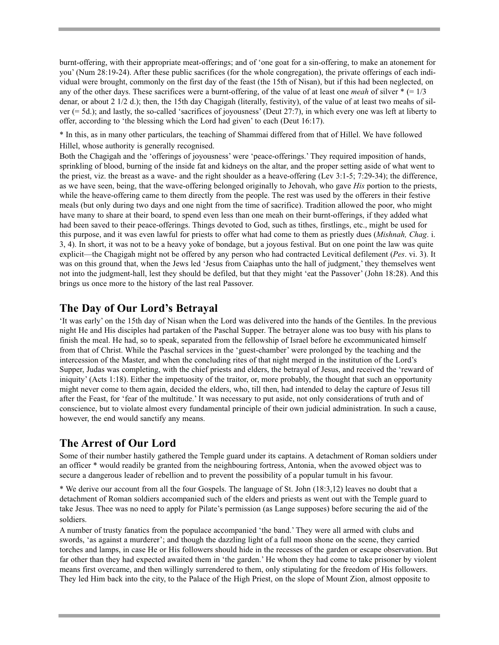burnt-offering, with their appropriate meat-offerings; and of 'one goat for a sin-offering, to make an atonement for you' (Num 28:19-24). After these public sacrifices (for the whole congregation), the private offerings of each individual were brought, commonly on the first day of the feast (the 15th of Nisan), but if this had been neglected, on any of the other days. These sacrifices were a burnt-offering, of the value of at least one *meah* of silver \* (= 1/3 denar, or about 2 1/2 d.); then, the 15th day Chagigah (literally, festivity), of the value of at least two meahs of silver (= 5d.); and lastly, the so-called 'sacrifices of joyousness' (Deut 27:7), in which every one was left at liberty to offer, according to 'the blessing which the Lord had given' to each (Deut 16:17).

\* In this, as in many other particulars, the teaching of Shammai differed from that of Hillel. We have followed Hillel, whose authority is generally recognised.

Both the Chagigah and the 'offerings of joyousness' were 'peace-offerings.' They required imposition of hands, sprinkling of blood, burning of the inside fat and kidneys on the altar, and the proper setting aside of what went to the priest, viz. the breast as a wave- and the right shoulder as a heave-offering (Lev 3:1-5; 7:29-34); the difference, as we have seen, being, that the wave-offering belonged originally to Jehovah, who gave *His* portion to the priests, while the heave-offering came to them directly from the people. The rest was used by the offerers in their festive meals (but only during two days and one night from the time of sacrifice). Tradition allowed the poor, who might have many to share at their board, to spend even less than one meah on their burnt-offerings, if they added what had been saved to their peace-offerings. Things devoted to God, such as tithes, firstlings, etc., might be used for this purpose, and it was even lawful for priests to offer what had come to them as priestly dues (*Mishnah, Chag*. i. 3, 4). In short, it was not to be a heavy yoke of bondage, but a joyous festival. But on one point the law was quite explicit—the Chagigah might not be offered by any person who had contracted Levitical defilement (*Pes*. vi. 3). It was on this ground that, when the Jews led 'Jesus from Caiaphas unto the hall of judgment,' they themselves went not into the judgment-hall, lest they should be defiled, but that they might 'eat the Passover' (John 18:28). And this brings us once more to the history of the last real Passover.

#### **The Day of Our Lord's Betrayal**

'It was early' on the 15th day of Nisan when the Lord was delivered into the hands of the Gentiles. In the previous night He and His disciples had partaken of the Paschal Supper. The betrayer alone was too busy with his plans to finish the meal. He had, so to speak, separated from the fellowship of Israel before he excommunicated himself from that of Christ. While the Paschal services in the 'guest-chamber' were prolonged by the teaching and the intercession of the Master, and when the concluding rites of that night merged in the institution of the Lord's Supper, Judas was completing, with the chief priests and elders, the betrayal of Jesus, and received the 'reward of iniquity' (Acts 1:18). Either the impetuosity of the traitor, or, more probably, the thought that such an opportunity might never come to them again, decided the elders, who, till then, had intended to delay the capture of Jesus till after the Feast, for 'fear of the multitude.' It was necessary to put aside, not only considerations of truth and of conscience, but to violate almost every fundamental principle of their own judicial administration. In such a cause, however, the end would sanctify any means.

#### **The Arrest of Our Lord**

Some of their number hastily gathered the Temple guard under its captains. A detachment of Roman soldiers under an officer \* would readily be granted from the neighbouring fortress, Antonia, when the avowed object was to secure a dangerous leader of rebellion and to prevent the possibility of a popular tumult in his favour.

\* We derive our account from all the four Gospels. The language of St. John (18:3,12) leaves no doubt that a detachment of Roman soldiers accompanied such of the elders and priests as went out with the Temple guard to take Jesus. Thee was no need to apply for Pilate's permission (as Lange supposes) before securing the aid of the soldiers.

A number of trusty fanatics from the populace accompanied 'the band.' They were all armed with clubs and swords, 'as against a murderer'; and though the dazzling light of a full moon shone on the scene, they carried torches and lamps, in case He or His followers should hide in the recesses of the garden or escape observation. But far other than they had expected awaited them in 'the garden.' He whom they had come to take prisoner by violent means first overcame, and then willingly surrendered to them, only stipulating for the freedom of His followers. They led Him back into the city, to the Palace of the High Priest, on the slope of Mount Zion, almost opposite to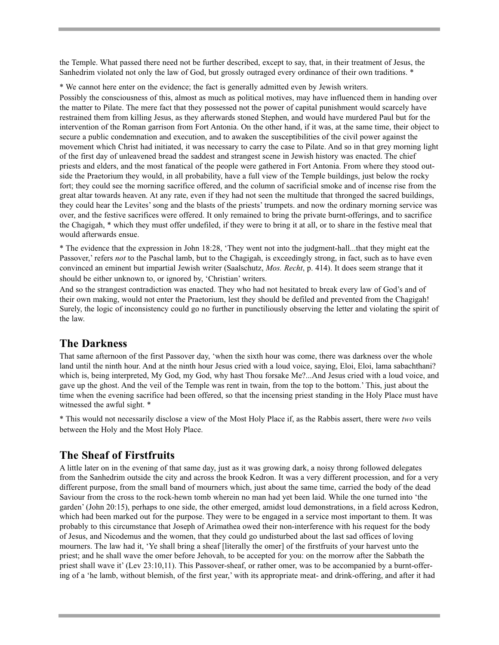the Temple. What passed there need not be further described, except to say, that, in their treatment of Jesus, the Sanhedrim violated not only the law of God, but grossly outraged every ordinance of their own traditions. \*

\* We cannot here enter on the evidence; the fact is generally admitted even by Jewish writers.

Possibly the consciousness of this, almost as much as political motives, may have influenced them in handing over the matter to Pilate. The mere fact that they possessed not the power of capital punishment would scarcely have restrained them from killing Jesus, as they afterwards stoned Stephen, and would have murdered Paul but for the intervention of the Roman garrison from Fort Antonia. On the other hand, if it was, at the same time, their object to secure a public condemnation and execution, and to awaken the susceptibilities of the civil power against the movement which Christ had initiated, it was necessary to carry the case to Pilate. And so in that grey morning light of the first day of unleavened bread the saddest and strangest scene in Jewish history was enacted. The chief priests and elders, and the most fanatical of the people were gathered in Fort Antonia. From where they stood outside the Praetorium they would, in all probability, have a full view of the Temple buildings, just below the rocky fort; they could see the morning sacrifice offered, and the column of sacrificial smoke and of incense rise from the great altar towards heaven. At any rate, even if they had not seen the multitude that thronged the sacred buildings, they could hear the Levites' song and the blasts of the priests' trumpets. and now the ordinary morning service was over, and the festive sacrifices were offered. It only remained to bring the private burnt-offerings, and to sacrifice the Chagigah, \* which they must offer undefiled, if they were to bring it at all, or to share in the festive meal that would afterwards ensue.

\* The evidence that the expression in John 18:28, 'They went not into the judgment-hall...that they might eat the Passover,' refers *not* to the Paschal lamb, but to the Chagigah, is exceedingly strong, in fact, such as to have even convinced an eminent but impartial Jewish writer (Saalschutz, *Mos. Recht*, p. 414). It does seem strange that it should be either unknown to, or ignored by, 'Christian' writers.

And so the strangest contradiction was enacted. They who had not hesitated to break every law of God's and of their own making, would not enter the Praetorium, lest they should be defiled and prevented from the Chagigah! Surely, the logic of inconsistency could go no further in punctiliously observing the letter and violating the spirit of the law.

#### **The Darkness**

That same afternoon of the first Passover day, 'when the sixth hour was come, there was darkness over the whole land until the ninth hour. And at the ninth hour Jesus cried with a loud voice, saying, Eloi, Eloi, lama sabachthani? which is, being interpreted, My God, my God, why hast Thou forsake Me?...And Jesus cried with a loud voice, and gave up the ghost. And the veil of the Temple was rent in twain, from the top to the bottom.' This, just about the time when the evening sacrifice had been offered, so that the incensing priest standing in the Holy Place must have witnessed the awful sight. \*

\* This would not necessarily disclose a view of the Most Holy Place if, as the Rabbis assert, there were *two* veils between the Holy and the Most Holy Place.

# **The Sheaf of Firstfruits**

A little later on in the evening of that same day, just as it was growing dark, a noisy throng followed delegates from the Sanhedrim outside the city and across the brook Kedron. It was a very different procession, and for a very different purpose, from the small band of mourners which, just about the same time, carried the body of the dead Saviour from the cross to the rock-hewn tomb wherein no man had yet been laid. While the one turned into 'the garden' (John 20:15), perhaps to one side, the other emerged, amidst loud demonstrations, in a field across Kedron, which had been marked out for the purpose. They were to be engaged in a service most important to them. It was probably to this circumstance that Joseph of Arimathea owed their non-interference with his request for the body of Jesus, and Nicodemus and the women, that they could go undisturbed about the last sad offices of loving mourners. The law had it, 'Ye shall bring a sheaf [literally the omer] of the firstfruits of your harvest unto the priest; and he shall wave the omer before Jehovah, to be accepted for you: on the morrow after the Sabbath the priest shall wave it' (Lev 23:10,11). This Passover-sheaf, or rather omer, was to be accompanied by a burnt-offering of a 'he lamb, without blemish, of the first year,' with its appropriate meat- and drink-offering, and after it had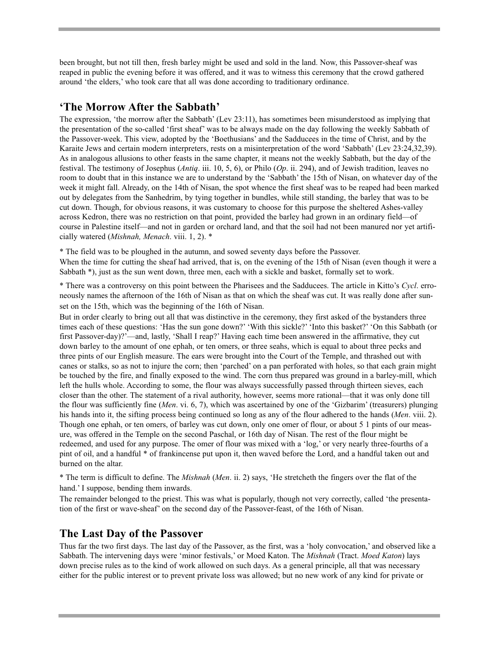been brought, but not till then, fresh barley might be used and sold in the land. Now, this Passover-sheaf was reaped in public the evening before it was offered, and it was to witness this ceremony that the crowd gathered around 'the elders,' who took care that all was done according to traditionary ordinance.

#### **'The Morrow After the Sabbath'**

The expression, 'the morrow after the Sabbath' (Lev 23:11), has sometimes been misunderstood as implying that the presentation of the so-called 'first sheaf' was to be always made on the day following the weekly Sabbath of the Passover-week. This view, adopted by the 'Boethusians' and the Sadducees in the time of Christ, and by the Karaite Jews and certain modern interpreters, rests on a misinterpretation of the word 'Sabbath' (Lev 23:24,32,39). As in analogous allusions to other feasts in the same chapter, it means not the weekly Sabbath, but the day of the festival. The testimony of Josephus (*Antiq*. iii. 10, 5, 6), or Philo (*Op*. ii. 294), and of Jewish tradition, leaves no room to doubt that in this instance we are to understand by the 'Sabbath' the 15th of Nisan, on whatever day of the week it might fall. Already, on the 14th of Nisan, the spot whence the first sheaf was to be reaped had been marked out by delegates from the Sanhedrim, by tying together in bundles, while still standing, the barley that was to be cut down. Though, for obvious reasons, it was customary to choose for this purpose the sheltered Ashes-valley across Kedron, there was no restriction on that point, provided the barley had grown in an ordinary field—of course in Palestine itself—and not in garden or orchard land, and that the soil had not been manured nor yet artificially watered (*Mishnah, Menach*. viii. 1, 2). \*

\* The field was to be ploughed in the autumn, and sowed seventy days before the Passover.

When the time for cutting the sheaf had arrived, that is, on the evening of the 15th of Nisan (even though it were a Sabbath \*), just as the sun went down, three men, each with a sickle and basket, formally set to work.

\* There was a controversy on this point between the Pharisees and the Sadducees. The article in Kitto's *Cycl*. erroneously names the afternoon of the 16th of Nisan as that on which the sheaf was cut. It was really done after sunset on the 15th, which was the beginning of the 16th of Nisan.

But in order clearly to bring out all that was distinctive in the ceremony, they first asked of the bystanders three times each of these questions: 'Has the sun gone down?' 'With this sickle?' 'Into this basket?' 'On this Sabbath (or first Passover-day)?'—and, lastly, 'Shall I reap?' Having each time been answered in the affirmative, they cut down barley to the amount of one ephah, or ten omers, or three seahs, which is equal to about three pecks and three pints of our English measure. The ears were brought into the Court of the Temple, and thrashed out with canes or stalks, so as not to injure the corn; then 'parched' on a pan perforated with holes, so that each grain might be touched by the fire, and finally exposed to the wind. The corn thus prepared was ground in a barley-mill, which left the hulls whole. According to some, the flour was always successfully passed through thirteen sieves, each closer than the other. The statement of a rival authority, however, seems more rational—that it was only done till the flour was sufficiently fine (*Men*. vi. 6, 7), which was ascertained by one of the 'Gizbarim' (treasurers) plunging his hands into it, the sifting process being continued so long as any of the flour adhered to the hands (*Men*. viii. 2). Though one ephah, or ten omers, of barley was cut down, only one omer of flour, or about 5 1 pints of our measure, was offered in the Temple on the second Paschal, or 16th day of Nisan. The rest of the flour might be redeemed, and used for any purpose. The omer of flour was mixed with a 'log,' or very nearly three-fourths of a pint of oil, and a handful \* of frankincense put upon it, then waved before the Lord, and a handful taken out and burned on the altar.

\* The term is difficult to define. The *Mishnah* (*Men*. ii. 2) says, 'He stretcheth the fingers over the flat of the hand.' I suppose, bending them inwards.

The remainder belonged to the priest. This was what is popularly, though not very correctly, called 'the presentation of the first or wave-sheaf' on the second day of the Passover-feast, of the 16th of Nisan.

#### **The Last Day of the Passover**

Thus far the two first days. The last day of the Passover, as the first, was a 'holy convocation,' and observed like a Sabbath. The intervening days were 'minor festivals,' or Moed Katon. The *Mishnah* (Tract. *Moed Katon*) lays down precise rules as to the kind of work allowed on such days. As a general principle, all that was necessary either for the public interest or to prevent private loss was allowed; but no new work of any kind for private or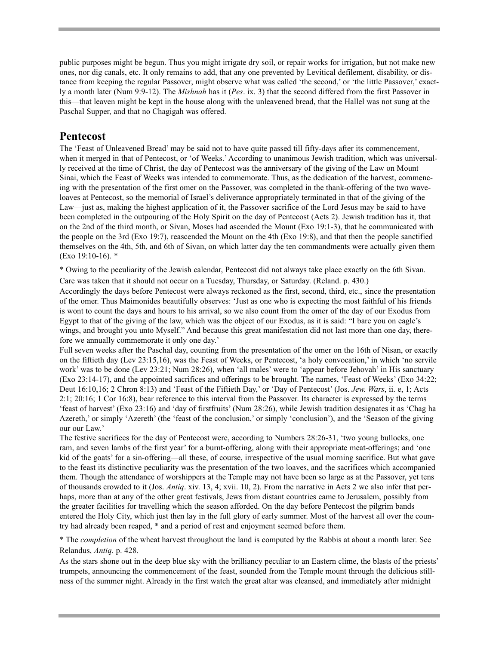public purposes might be begun. Thus you might irrigate dry soil, or repair works for irrigation, but not make new ones, nor dig canals, etc. It only remains to add, that any one prevented by Levitical defilement, disability, or distance from keeping the regular Passover, might observe what was called 'the second,' or 'the little Passover,' exactly a month later (Num 9:9-12). The *Mishnah* has it (*Pes*. ix. 3) that the second differed from the first Passover in this—that leaven might be kept in the house along with the unleavened bread, that the Hallel was not sung at the Paschal Supper, and that no Chagigah was offered.

#### **Pentecost**

The 'Feast of Unleavened Bread' may be said not to have quite passed till fifty-days after its commencement, when it merged in that of Pentecost, or 'of Weeks.' According to unanimous Jewish tradition, which was universally received at the time of Christ, the day of Pentecost was the anniversary of the giving of the Law on Mount Sinai, which the Feast of Weeks was intended to commemorate. Thus, as the dedication of the harvest, commencing with the presentation of the first omer on the Passover, was completed in the thank-offering of the two waveloaves at Pentecost, so the memorial of Israel's deliverance appropriately terminated in that of the giving of the Law—just as, making the highest application of it, the Passover sacrifice of the Lord Jesus may be said to have been completed in the outpouring of the Holy Spirit on the day of Pentecost (Acts 2). Jewish tradition has it, that on the 2nd of the third month, or Sivan, Moses had ascended the Mount (Exo 19:1-3), that he communicated with the people on the 3rd (Exo 19:7), reascended the Mount on the 4th (Exo 19:8), and that then the people sanctified themselves on the 4th, 5th, and 6th of Sivan, on which latter day the ten commandments were actually given them (Exo 19:10-16). \*

\* Owing to the peculiarity of the Jewish calendar, Pentecost did not always take place exactly on the 6th Sivan. Care was taken that it should not occur on a Tuesday, Thursday, or Saturday. (Reland. p. 430.)

Accordingly the days before Pentecost were always reckoned as the first, second, third, etc., since the presentation of the omer. Thus Maimonides beautifully observes: 'Just as one who is expecting the most faithful of his friends is wont to count the days and hours to his arrival, so we also count from the omer of the day of our Exodus from Egypt to that of the giving of the law, which was the object of our Exodus, as it is said: "I bare you on eagle's wings, and brought you unto Myself." And because this great manifestation did not last more than one day, therefore we annually commemorate it only one day.'

Full seven weeks after the Paschal day, counting from the presentation of the omer on the 16th of Nisan, or exactly on the fiftieth day (Lev 23:15,16), was the Feast of Weeks, or Pentecost, 'a holy convocation,' in which 'no servile work' was to be done (Lev 23:21; Num 28:26), when 'all males' were to 'appear before Jehovah' in His sanctuary (Exo 23:14-17), and the appointed sacrifices and offerings to be brought. The names, 'Feast of Weeks' (Exo 34:22; Deut 16:10,16; 2 Chron 8:13) and 'Feast of the Fiftieth Day,' or 'Day of Pentecost' (Jos. *Jew. Wars*, ii. e, 1; Acts 2:1; 20:16; 1 Cor 16:8), bear reference to this interval from the Passover. Its character is expressed by the terms 'feast of harvest' (Exo 23:16) and 'day of firstfruits' (Num 28:26), while Jewish tradition designates it as 'Chag ha Azereth,' or simply 'Azereth' (the 'feast of the conclusion,' or simply 'conclusion'), and the 'Season of the giving our our Law.'

The festive sacrifices for the day of Pentecost were, according to Numbers 28:26-31, 'two young bullocks, one ram, and seven lambs of the first year' for a burnt-offering, along with their appropriate meat-offerings; and 'one kid of the goats' for a sin-offering—all these, of course, irrespective of the usual morning sacrifice. But what gave to the feast its distinctive peculiarity was the presentation of the two loaves, and the sacrifices which accompanied them. Though the attendance of worshippers at the Temple may not have been so large as at the Passover, yet tens of thousands crowded to it (Jos. *Antiq*. xiv. 13, 4; xvii. 10, 2). From the narrative in Acts 2 we also infer that perhaps, more than at any of the other great festivals, Jews from distant countries came to Jerusalem, possibly from the greater facilities for travelling which the season afforded. On the day before Pentecost the pilgrim bands entered the Holy City, which just then lay in the full glory of early summer. Most of the harvest all over the country had already been reaped, \* and a period of rest and enjoyment seemed before them.

\* The *completion* of the wheat harvest throughout the land is computed by the Rabbis at about a month later. See Relandus, *Antiq*. p. 428.

As the stars shone out in the deep blue sky with the brilliancy peculiar to an Eastern clime, the blasts of the priests' trumpets, announcing the commencement of the feast, sounded from the Temple mount through the delicious stillness of the summer night. Already in the first watch the great altar was cleansed, and immediately after midnight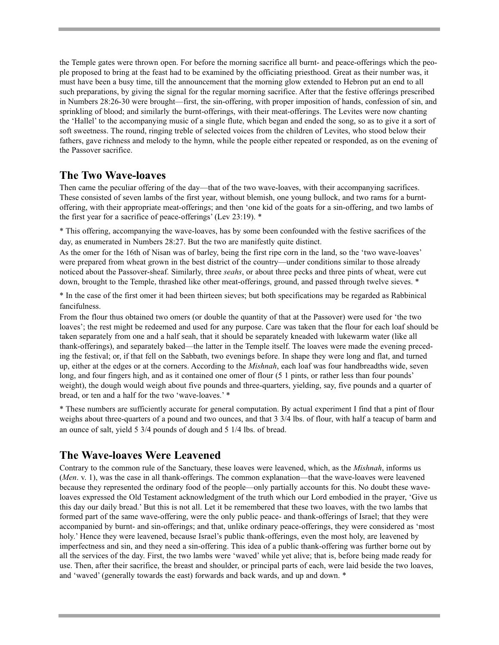the Temple gates were thrown open. For before the morning sacrifice all burnt- and peace-offerings which the people proposed to bring at the feast had to be examined by the officiating priesthood. Great as their number was, it must have been a busy time, till the announcement that the morning glow extended to Hebron put an end to all such preparations, by giving the signal for the regular morning sacrifice. After that the festive offerings prescribed in Numbers 28:26-30 were brought—first, the sin-offering, with proper imposition of hands, confession of sin, and sprinkling of blood; and similarly the burnt-offerings, with their meat-offerings. The Levites were now chanting the 'Hallel' to the accompanying music of a single flute, which began and ended the song, so as to give it a sort of soft sweetness. The round, ringing treble of selected voices from the children of Levites, who stood below their fathers, gave richness and melody to the hymn, while the people either repeated or responded, as on the evening of the Passover sacrifice.

#### **The Two Wave-loaves**

Then came the peculiar offering of the day—that of the two wave-loaves, with their accompanying sacrifices. These consisted of seven lambs of the first year, without blemish, one young bullock, and two rams for a burntoffering, with their appropriate meat-offerings; and then 'one kid of the goats for a sin-offering, and two lambs of the first year for a sacrifice of peace-offerings' (Lev 23:19). \*

\* This offering, accompanying the wave-loaves, has by some been confounded with the festive sacrifices of the day, as enumerated in Numbers 28:27. But the two are manifestly quite distinct.

As the omer for the 16th of Nisan was of barley, being the first ripe corn in the land, so the 'two wave-loaves' were prepared from wheat grown in the best district of the country—under conditions similar to those already noticed about the Passover-sheaf. Similarly, three *seahs*, or about three pecks and three pints of wheat, were cut down, brought to the Temple, thrashed like other meat-offerings, ground, and passed through twelve sieves. \*

\* In the case of the first omer it had been thirteen sieves; but both specifications may be regarded as Rabbinical fancifulness.

From the flour thus obtained two omers (or double the quantity of that at the Passover) were used for 'the two loaves'; the rest might be redeemed and used for any purpose. Care was taken that the flour for each loaf should be taken separately from one and a half seah, that it should be separately kneaded with lukewarm water (like all thank-offerings), and separately baked—the latter in the Temple itself. The loaves were made the evening preceding the festival; or, if that fell on the Sabbath, two evenings before. In shape they were long and flat, and turned up, either at the edges or at the corners. According to the *Mishnah*, each loaf was four handbreadths wide, seven long, and four fingers high, and as it contained one omer of flour (5 1 pints, or rather less than four pounds' weight), the dough would weigh about five pounds and three-quarters, yielding, say, five pounds and a quarter of bread, or ten and a half for the two 'wave-loaves.' \*

\* These numbers are sufficiently accurate for general computation. By actual experiment I find that a pint of flour weighs about three-quarters of a pound and two ounces, and that 3 3/4 lbs. of flour, with half a teacup of barm and an ounce of salt, yield 5 3/4 pounds of dough and 5 1/4 lbs. of bread.

#### **The Wave-loaves Were Leavened**

Contrary to the common rule of the Sanctuary, these loaves were leavened, which, as the *Mishnah*, informs us (*Men*. v. 1), was the case in all thank-offerings. The common explanation—that the wave-loaves were leavened because they represented the ordinary food of the people—only partially accounts for this. No doubt these waveloaves expressed the Old Testament acknowledgment of the truth which our Lord embodied in the prayer, 'Give us this day our daily bread.' But this is not all. Let it be remembered that these two loaves, with the two lambs that formed part of the same wave-offering, were the only public peace- and thank-offerings of Israel; that they were accompanied by burnt- and sin-offerings; and that, unlike ordinary peace-offerings, they were considered as 'most holy.' Hence they were leavened, because Israel's public thank-offerings, even the most holy, are leavened by imperfectness and sin, and they need a sin-offering. This idea of a public thank-offering was further borne out by all the services of the day. First, the two lambs were 'waved' while yet alive; that is, before being made ready for use. Then, after their sacrifice, the breast and shoulder, or principal parts of each, were laid beside the two loaves, and 'waved' (generally towards the east) forwards and back wards, and up and down. \*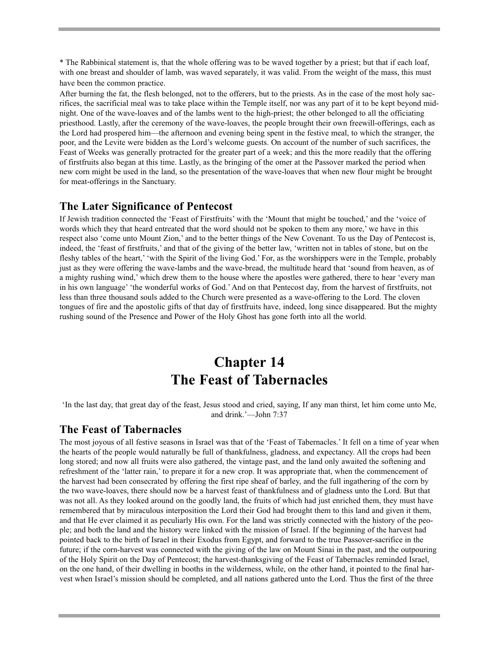\* The Rabbinical statement is, that the whole offering was to be waved together by a priest; but that if each loaf, with one breast and shoulder of lamb, was waved separately, it was valid. From the weight of the mass, this must have been the common practice.

After burning the fat, the flesh belonged, not to the offerers, but to the priests. As in the case of the most holy sacrifices, the sacrificial meal was to take place within the Temple itself, nor was any part of it to be kept beyond midnight. One of the wave-loaves and of the lambs went to the high-priest; the other belonged to all the officiating priesthood. Lastly, after the ceremony of the wave-loaves, the people brought their own freewill-offerings, each as the Lord had prospered him—the afternoon and evening being spent in the festive meal, to which the stranger, the poor, and the Levite were bidden as the Lord's welcome guests. On account of the number of such sacrifices, the Feast of Weeks was generally protracted for the greater part of a week; and this the more readily that the offering of firstfruits also began at this time. Lastly, as the bringing of the omer at the Passover marked the period when new corn might be used in the land, so the presentation of the wave-loaves that when new flour might be brought for meat-offerings in the Sanctuary.

#### **The Later Significance of Pentecost**

If Jewish tradition connected the 'Feast of Firstfruits' with the 'Mount that might be touched,' and the 'voice of words which they that heard entreated that the word should not be spoken to them any more,' we have in this respect also 'come unto Mount Zion,' and to the better things of the New Covenant. To us the Day of Pentecost is, indeed, the 'feast of firstfruits,' and that of the giving of the better law, 'written not in tables of stone, but on the fleshy tables of the heart,' 'with the Spirit of the living God.' For, as the worshippers were in the Temple, probably just as they were offering the wave-lambs and the wave-bread, the multitude heard that 'sound from heaven, as of a mighty rushing wind,' which drew them to the house where the apostles were gathered, there to hear 'every man in his own language' 'the wonderful works of God.' And on that Pentecost day, from the harvest of firstfruits, not less than three thousand souls added to the Church were presented as a wave-offering to the Lord. The cloven tongues of fire and the apostolic gifts of that day of firstfruits have, indeed, long since disappeared. But the mighty rushing sound of the Presence and Power of the Holy Ghost has gone forth into all the world.

# **Chapter 14 The Feast of Tabernacles**

'In the last day, that great day of the feast, Jesus stood and cried, saying, If any man thirst, let him come unto Me, and drink.'—John 7:37

#### **The Feast of Tabernacles**

The most joyous of all festive seasons in Israel was that of the 'Feast of Tabernacles.' It fell on a time of year when the hearts of the people would naturally be full of thankfulness, gladness, and expectancy. All the crops had been long stored; and now all fruits were also gathered, the vintage past, and the land only awaited the softening and refreshment of the 'latter rain,' to prepare it for a new crop. It was appropriate that, when the commencement of the harvest had been consecrated by offering the first ripe sheaf of barley, and the full ingathering of the corn by the two wave-loaves, there should now be a harvest feast of thankfulness and of gladness unto the Lord. But that was not all. As they looked around on the goodly land, the fruits of which had just enriched them, they must have remembered that by miraculous interposition the Lord their God had brought them to this land and given it them, and that He ever claimed it as peculiarly His own. For the land was strictly connected with the history of the people; and both the land and the history were linked with the mission of Israel. If the beginning of the harvest had pointed back to the birth of Israel in their Exodus from Egypt, and forward to the true Passover-sacrifice in the future; if the corn-harvest was connected with the giving of the law on Mount Sinai in the past, and the outpouring of the Holy Spirit on the Day of Pentecost; the harvest-thanksgiving of the Feast of Tabernacles reminded Israel, on the one hand, of their dwelling in booths in the wilderness, while, on the other hand, it pointed to the final harvest when Israel's mission should be completed, and all nations gathered unto the Lord. Thus the first of the three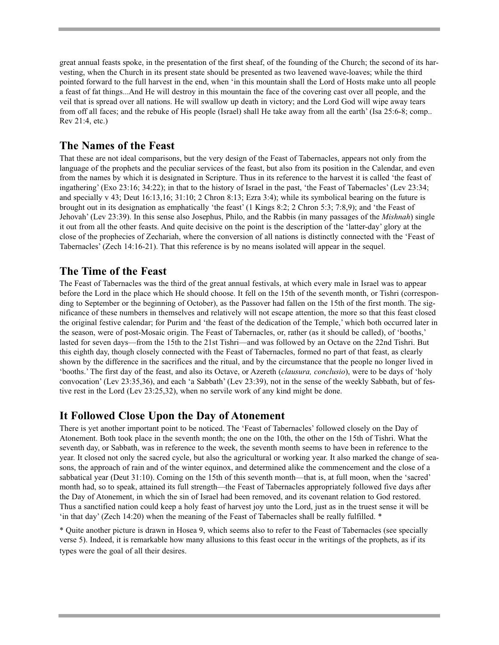great annual feasts spoke, in the presentation of the first sheaf, of the founding of the Church; the second of its harvesting, when the Church in its present state should be presented as two leavened wave-loaves; while the third pointed forward to the full harvest in the end, when 'in this mountain shall the Lord of Hosts make unto all people a feast of fat things...And He will destroy in this mountain the face of the covering cast over all people, and the veil that is spread over all nations. He will swallow up death in victory; and the Lord God will wipe away tears from off all faces; and the rebuke of His people (Israel) shall He take away from all the earth' (Isa 25:6-8; comp.. Rev 21:4, etc.)

#### **The Names of the Feast**

That these are not ideal comparisons, but the very design of the Feast of Tabernacles, appears not only from the language of the prophets and the peculiar services of the feast, but also from its position in the Calendar, and even from the names by which it is designated in Scripture. Thus in its reference to the harvest it is called 'the feast of ingathering' (Exo 23:16; 34:22); in that to the history of Israel in the past, 'the Feast of Tabernacles' (Lev 23:34; and specially v 43; Deut 16:13,16; 31:10; 2 Chron 8:13; Ezra 3:4); while its symbolical bearing on the future is brought out in its designation as emphatically 'the feast' (1 Kings 8:2; 2 Chron 5:3; 7:8,9); and 'the Feast of Jehovah' (Lev 23:39). In this sense also Josephus, Philo, and the Rabbis (in many passages of the *Mishnah*) single it out from all the other feasts. And quite decisive on the point is the description of the 'latter-day' glory at the close of the prophecies of Zechariah, where the conversion of all nations is distinctly connected with the 'Feast of Tabernacles' (Zech 14:16-21). That this reference is by no means isolated will appear in the sequel.

#### **The Time of the Feast**

The Feast of Tabernacles was the third of the great annual festivals, at which every male in Israel was to appear before the Lord in the place which He should choose. It fell on the 15th of the seventh month, or Tishri (corresponding to September or the beginning of October), as the Passover had fallen on the 15th of the first month. The significance of these numbers in themselves and relatively will not escape attention, the more so that this feast closed the original festive calendar; for Purim and 'the feast of the dedication of the Temple,' which both occurred later in the season, were of post-Mosaic origin. The Feast of Tabernacles, or, rather (as it should be called), of 'booths,' lasted for seven days—from the 15th to the 21st Tishri—and was followed by an Octave on the 22nd Tishri. But this eighth day, though closely connected with the Feast of Tabernacles, formed no part of that feast, as clearly shown by the difference in the sacrifices and the ritual, and by the circumstance that the people no longer lived in 'booths.' The first day of the feast, and also its Octave, or Azereth (*clausura, conclusio*), were to be days of 'holy convocation' (Lev 23:35,36), and each 'a Sabbath' (Lev 23:39), not in the sense of the weekly Sabbath, but of festive rest in the Lord (Lev 23:25,32), when no servile work of any kind might be done.

# **It Followed Close Upon the Day of Atonement**

There is yet another important point to be noticed. The 'Feast of Tabernacles' followed closely on the Day of Atonement. Both took place in the seventh month; the one on the 10th, the other on the 15th of Tishri. What the seventh day, or Sabbath, was in reference to the week, the seventh month seems to have been in reference to the year. It closed not only the sacred cycle, but also the agricultural or working year. It also marked the change of seasons, the approach of rain and of the winter equinox, and determined alike the commencement and the close of a sabbatical year (Deut 31:10). Coming on the 15th of this seventh month—that is, at full moon, when the 'sacred' month had, so to speak, attained its full strength—the Feast of Tabernacles appropriately followed five days after the Day of Atonement, in which the sin of Israel had been removed, and its covenant relation to God restored. Thus a sanctified nation could keep a holy feast of harvest joy unto the Lord, just as in the truest sense it will be 'in that day' (Zech 14:20) when the meaning of the Feast of Tabernacles shall be really fulfilled. \*

\* Quite another picture is drawn in Hosea 9, which seems also to refer to the Feast of Tabernacles (see specially verse 5). Indeed, it is remarkable how many allusions to this feast occur in the writings of the prophets, as if its types were the goal of all their desires.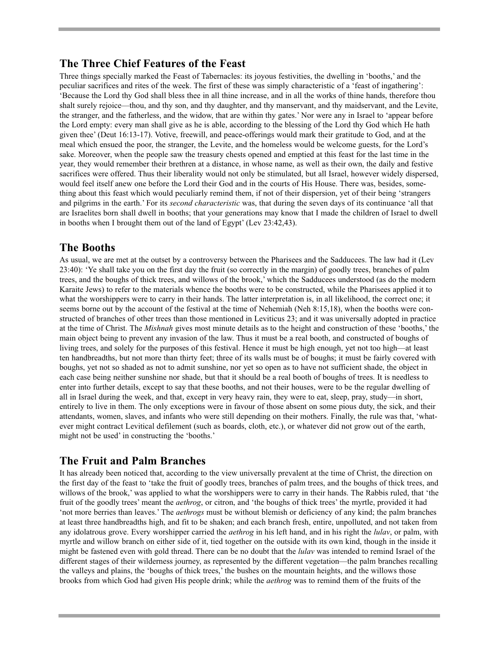#### **The Three Chief Features of the Feast**

Three things specially marked the Feast of Tabernacles: its joyous festivities, the dwelling in 'booths,' and the peculiar sacrifices and rites of the week. The first of these was simply characteristic of a 'feast of ingathering': 'Because the Lord thy God shall bless thee in all thine increase, and in all the works of thine hands, therefore thou shalt surely rejoice—thou, and thy son, and thy daughter, and thy manservant, and thy maidservant, and the Levite, the stranger, and the fatherless, and the widow, that are within thy gates.' Nor were any in Israel to 'appear before the Lord empty: every man shall give as he is able, according to the blessing of the Lord thy God which He hath given thee' (Deut 16:13-17). Votive, freewill, and peace-offerings would mark their gratitude to God, and at the meal which ensued the poor, the stranger, the Levite, and the homeless would be welcome guests, for the Lord's sake. Moreover, when the people saw the treasury chests opened and emptied at this feast for the last time in the year, they would remember their brethren at a distance, in whose name, as well as their own, the daily and festive sacrifices were offered. Thus their liberality would not only be stimulated, but all Israel, however widely dispersed, would feel itself anew one before the Lord their God and in the courts of His House. There was, besides, something about this feast which would peculiarly remind them, if not of their dispersion, yet of their being 'strangers and pilgrims in the earth.' For its *second characteristic* was, that during the seven days of its continuance 'all that are Israelites born shall dwell in booths; that your generations may know that I made the children of Israel to dwell in booths when I brought them out of the land of Egypt' (Lev 23:42,43).

#### **The Booths**

As usual, we are met at the outset by a controversy between the Pharisees and the Sadducees. The law had it (Lev 23:40): 'Ye shall take you on the first day the fruit (so correctly in the margin) of goodly trees, branches of palm trees, and the boughs of thick trees, and willows of the brook,' which the Sadducees understood (as do the modern Karaite Jews) to refer to the materials whence the booths were to be constructed, while the Pharisees applied it to what the worshippers were to carry in their hands. The latter interpretation is, in all likelihood, the correct one; it seems borne out by the account of the festival at the time of Nehemiah (Neh 8:15,18), when the booths were constructed of branches of other trees than those mentioned in Leviticus 23; and it was universally adopted in practice at the time of Christ. The *Mishnah* gives most minute details as to the height and construction of these 'booths,' the main object being to prevent any invasion of the law. Thus it must be a real booth, and constructed of boughs of living trees, and solely for the purposes of this festival. Hence it must be high enough, yet not too high—at least ten handbreadths, but not more than thirty feet; three of its walls must be of boughs; it must be fairly covered with boughs, yet not so shaded as not to admit sunshine, nor yet so open as to have not sufficient shade, the object in each case being neither sunshine nor shade, but that it should be a real booth of boughs of trees. It is needless to enter into further details, except to say that these booths, and not their houses, were to be the regular dwelling of all in Israel during the week, and that, except in very heavy rain, they were to eat, sleep, pray, study—in short, entirely to live in them. The only exceptions were in favour of those absent on some pious duty, the sick, and their attendants, women, slaves, and infants who were still depending on their mothers. Finally, the rule was that, 'whatever might contract Levitical defilement (such as boards, cloth, etc.), or whatever did not grow out of the earth, might not be used' in constructing the 'booths.'

#### **The Fruit and Palm Branches**

It has already been noticed that, according to the view universally prevalent at the time of Christ, the direction on the first day of the feast to 'take the fruit of goodly trees, branches of palm trees, and the boughs of thick trees, and willows of the brook,' was applied to what the worshippers were to carry in their hands. The Rabbis ruled, that 'the fruit of the goodly trees' meant the *aethrog*, or citron, and 'the boughs of thick trees' the myrtle, provided it had 'not more berries than leaves.' The *aethrogs* must be without blemish or deficiency of any kind; the palm branches at least three handbreadths high, and fit to be shaken; and each branch fresh, entire, unpolluted, and not taken from any idolatrous grove. Every worshipper carried the *aethrog* in his left hand, and in his right the *lulav*, or palm, with myrtle and willow branch on either side of it, tied together on the outside with its own kind, though in the inside it might be fastened even with gold thread. There can be no doubt that the *lulav* was intended to remind Israel of the different stages of their wilderness journey, as represented by the different vegetation—the palm branches recalling the valleys and plains, the 'boughs of thick trees,' the bushes on the mountain heights, and the willows those brooks from which God had given His people drink; while the *aethrog* was to remind them of the fruits of the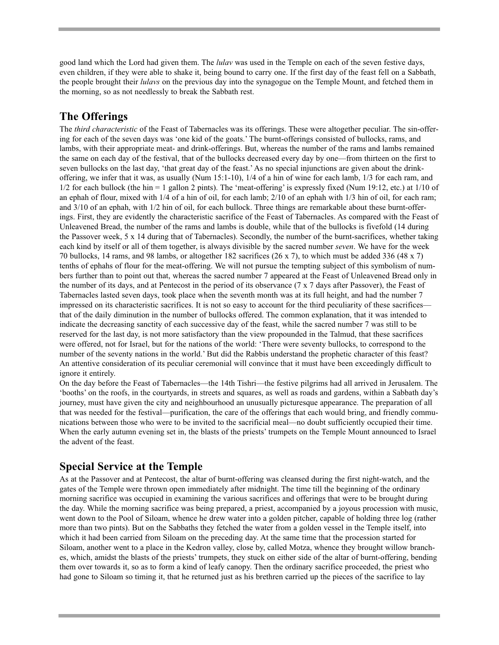good land which the Lord had given them. The *lulav* was used in the Temple on each of the seven festive days, even children, if they were able to shake it, being bound to carry one. If the first day of the feast fell on a Sabbath, the people brought their *lulavs* on the previous day into the synagogue on the Temple Mount, and fetched them in the morning, so as not needlessly to break the Sabbath rest.

# **The Offerings**

The *third characteristic* of the Feast of Tabernacles was its offerings. These were altogether peculiar. The sin-offering for each of the seven days was 'one kid of the goats.' The burnt-offerings consisted of bullocks, rams, and lambs, with their appropriate meat- and drink-offerings. But, whereas the number of the rams and lambs remained the same on each day of the festival, that of the bullocks decreased every day by one—from thirteen on the first to seven bullocks on the last day, 'that great day of the feast.' As no special injunctions are given about the drinkoffering, we infer that it was, as usually (Num 15:1-10), 1/4 of a hin of wine for each lamb, 1/3 for each ram, and 1/2 for each bullock (the hin = 1 gallon 2 pints). The 'meat-offering' is expressly fixed (Num 19:12, etc.) at 1/10 of an ephah of flour, mixed with 1/4 of a hin of oil, for each lamb; 2/10 of an ephah with 1/3 hin of oil, for each ram; and 3/10 of an ephah, with 1/2 hin of oil, for each bullock. Three things are remarkable about these burnt-offerings. First, they are evidently the characteristic sacrifice of the Feast of Tabernacles. As compared with the Feast of Unleavened Bread, the number of the rams and lambs is double, while that of the bullocks is fivefold (14 during the Passover week, 5 x 14 during that of Tabernacles). Secondly, the number of the burnt-sacrifices, whether taking each kind by itself or all of them together, is always divisible by the sacred number *seven*. We have for the week 70 bullocks, 14 rams, and 98 lambs, or altogether 182 sacrifices (26 x 7), to which must be added 336 (48 x 7) tenths of ephahs of flour for the meat-offering. We will not pursue the tempting subject of this symbolism of numbers further than to point out that, whereas the sacred number 7 appeared at the Feast of Unleavened Bread only in the number of its days, and at Pentecost in the period of its observance (7 x 7 days after Passover), the Feast of Tabernacles lasted seven days, took place when the seventh month was at its full height, and had the number 7 impressed on its characteristic sacrifices. It is not so easy to account for the third peculiarity of these sacrifices that of the daily diminution in the number of bullocks offered. The common explanation, that it was intended to indicate the decreasing sanctity of each successive day of the feast, while the sacred number 7 was still to be reserved for the last day, is not more satisfactory than the view propounded in the Talmud, that these sacrifices were offered, not for Israel, but for the nations of the world: 'There were seventy bullocks, to correspond to the number of the seventy nations in the world.' But did the Rabbis understand the prophetic character of this feast? An attentive consideration of its peculiar ceremonial will convince that it must have been exceedingly difficult to ignore it entirely.

On the day before the Feast of Tabernacles—the 14th Tishri—the festive pilgrims had all arrived in Jerusalem. The 'booths' on the roofs, in the courtyards, in streets and squares, as well as roads and gardens, within a Sabbath day's journey, must have given the city and neighbourhood an unusually picturesque appearance. The preparation of all that was needed for the festival—purification, the care of the offerings that each would bring, and friendly communications between those who were to be invited to the sacrificial meal—no doubt sufficiently occupied their time. When the early autumn evening set in, the blasts of the priests' trumpets on the Temple Mount announced to Israel the advent of the feast.

# **Special Service at the Temple**

As at the Passover and at Pentecost, the altar of burnt-offering was cleansed during the first night-watch, and the gates of the Temple were thrown open immediately after midnight. The time till the beginning of the ordinary morning sacrifice was occupied in examining the various sacrifices and offerings that were to be brought during the day. While the morning sacrifice was being prepared, a priest, accompanied by a joyous procession with music, went down to the Pool of Siloam, whence he drew water into a golden pitcher, capable of holding three log (rather more than two pints). But on the Sabbaths they fetched the water from a golden vessel in the Temple itself, into which it had been carried from Siloam on the preceding day. At the same time that the procession started for Siloam, another went to a place in the Kedron valley, close by, called Motza, whence they brought willow branches, which, amidst the blasts of the priests' trumpets, they stuck on either side of the altar of burnt-offering, bending them over towards it, so as to form a kind of leafy canopy. Then the ordinary sacrifice proceeded, the priest who had gone to Siloam so timing it, that he returned just as his brethren carried up the pieces of the sacrifice to lay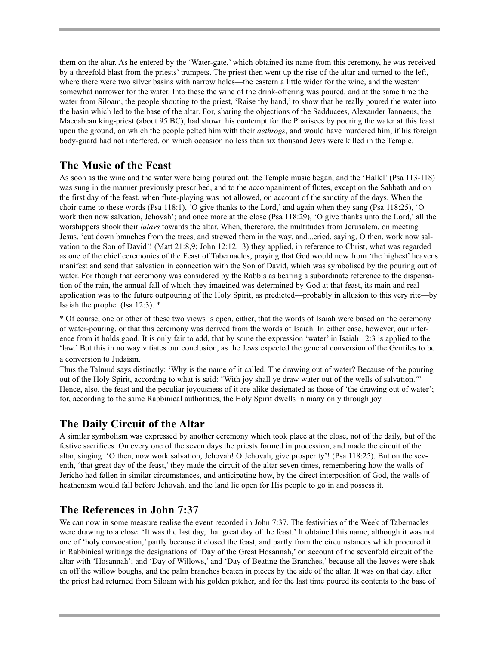them on the altar. As he entered by the 'Water-gate,' which obtained its name from this ceremony, he was received by a threefold blast from the priests' trumpets. The priest then went up the rise of the altar and turned to the left, where there were two silver basins with narrow holes—the eastern a little wider for the wine, and the western somewhat narrower for the water. Into these the wine of the drink-offering was poured, and at the same time the water from Siloam, the people shouting to the priest, 'Raise thy hand,' to show that he really poured the water into the basin which led to the base of the altar. For, sharing the objections of the Sadducees, Alexander Jannaeus, the Maccabean king-priest (about 95 BC), had shown his contempt for the Pharisees by pouring the water at this feast upon the ground, on which the people pelted him with their *aethrogs*, and would have murdered him, if his foreign body-guard had not interfered, on which occasion no less than six thousand Jews were killed in the Temple.

# **The Music of the Feast**

As soon as the wine and the water were being poured out, the Temple music began, and the 'Hallel' (Psa 113-118) was sung in the manner previously prescribed, and to the accompaniment of flutes, except on the Sabbath and on the first day of the feast, when flute-playing was not allowed, on account of the sanctity of the days. When the choir came to these words (Psa 118:1), 'O give thanks to the Lord,' and again when they sang (Psa 118:25), 'O work then now salvation, Jehovah'; and once more at the close (Psa 118:29), 'O give thanks unto the Lord,' all the worshippers shook their *lulavs* towards the altar. When, therefore, the multitudes from Jerusalem, on meeting Jesus, 'cut down branches from the trees, and strewed them in the way, and...cried, saying, O then, work now salvation to the Son of David'! (Matt 21:8,9; John 12:12,13) they applied, in reference to Christ, what was regarded as one of the chief ceremonies of the Feast of Tabernacles, praying that God would now from 'the highest' heavens manifest and send that salvation in connection with the Son of David, which was symbolised by the pouring out of water. For though that ceremony was considered by the Rabbis as bearing a subordinate reference to the dispensation of the rain, the annual fall of which they imagined was determined by God at that feast, its main and real application was to the future outpouring of the Holy Spirit, as predicted—probably in allusion to this very rite—by Isaiah the prophet (Isa 12:3). \*

\* Of course, one or other of these two views is open, either, that the words of Isaiah were based on the ceremony of water-pouring, or that this ceremony was derived from the words of Isaiah. In either case, however, our inference from it holds good. It is only fair to add, that by some the expression 'water' in Isaiah 12:3 is applied to the 'law.' But this in no way vitiates our conclusion, as the Jews expected the general conversion of the Gentiles to be a conversion to Judaism.

Thus the Talmud says distinctly: 'Why is the name of it called, The drawing out of water? Because of the pouring out of the Holy Spirit, according to what is said: "With joy shall ye draw water out of the wells of salvation."' Hence, also, the feast and the peculiar joyousness of it are alike designated as those of 'the drawing out of water'; for, according to the same Rabbinical authorities, the Holy Spirit dwells in many only through joy.

# **The Daily Circuit of the Altar**

A similar symbolism was expressed by another ceremony which took place at the close, not of the daily, but of the festive sacrifices. On every one of the seven days the priests formed in procession, and made the circuit of the altar, singing: 'O then, now work salvation, Jehovah! O Jehovah, give prosperity'! (Psa 118:25). But on the seventh, 'that great day of the feast,' they made the circuit of the altar seven times, remembering how the walls of Jericho had fallen in similar circumstances, and anticipating how, by the direct interposition of God, the walls of heathenism would fall before Jehovah, and the land lie open for His people to go in and possess it.

# **The References in John 7:37**

We can now in some measure realise the event recorded in John 7:37. The festivities of the Week of Tabernacles were drawing to a close. 'It was the last day, that great day of the feast.' It obtained this name, although it was not one of 'holy convocation,' partly because it closed the feast, and partly from the circumstances which procured it in Rabbinical writings the designations of 'Day of the Great Hosannah,' on account of the sevenfold circuit of the altar with 'Hosannah'; and 'Day of Willows,' and 'Day of Beating the Branches,' because all the leaves were shaken off the willow boughs, and the palm branches beaten in pieces by the side of the altar. It was on that day, after the priest had returned from Siloam with his golden pitcher, and for the last time poured its contents to the base of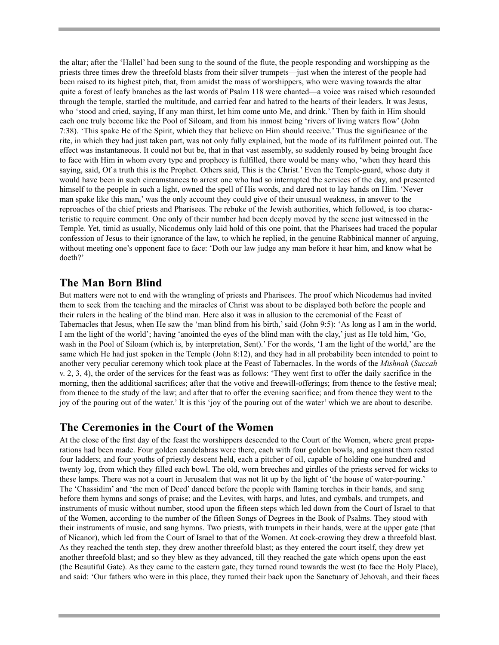the altar; after the 'Hallel' had been sung to the sound of the flute, the people responding and worshipping as the priests three times drew the threefold blasts from their silver trumpets—just when the interest of the people had been raised to its highest pitch, that, from amidst the mass of worshippers, who were waving towards the altar quite a forest of leafy branches as the last words of Psalm 118 were chanted—a voice was raised which resounded through the temple, startled the multitude, and carried fear and hatred to the hearts of their leaders. It was Jesus, who 'stood and cried, saying, If any man thirst, let him come unto Me, and drink.' Then by faith in Him should each one truly become like the Pool of Siloam, and from his inmost being 'rivers of living waters flow' (John 7:38). 'This spake He of the Spirit, which they that believe on Him should receive.' Thus the significance of the rite, in which they had just taken part, was not only fully explained, but the mode of its fulfilment pointed out. The effect was instantaneous. It could not but be, that in that vast assembly, so suddenly roused by being brought face to face with Him in whom every type and prophecy is fulfilled, there would be many who, 'when they heard this saying, said, Of a truth this is the Prophet. Others said, This is the Christ.' Even the Temple-guard, whose duty it would have been in such circumstances to arrest one who had so interrupted the services of the day, and presented himself to the people in such a light, owned the spell of His words, and dared not to lay hands on Him. 'Never man spake like this man,' was the only account they could give of their unusual weakness, in answer to the reproaches of the chief priests and Pharisees. The rebuke of the Jewish authorities, which followed, is too characteristic to require comment. One only of their number had been deeply moved by the scene just witnessed in the Temple. Yet, timid as usually, Nicodemus only laid hold of this one point, that the Pharisees had traced the popular confession of Jesus to their ignorance of the law, to which he replied, in the genuine Rabbinical manner of arguing, without meeting one's opponent face to face: 'Doth our law judge any man before it hear him, and know what he doeth?'

#### **The Man Born Blind**

But matters were not to end with the wrangling of priests and Pharisees. The proof which Nicodemus had invited them to seek from the teaching and the miracles of Christ was about to be displayed both before the people and their rulers in the healing of the blind man. Here also it was in allusion to the ceremonial of the Feast of Tabernacles that Jesus, when He saw the 'man blind from his birth,' said (John 9:5): 'As long as I am in the world, I am the light of the world'; having 'anointed the eyes of the blind man with the clay,' just as He told him, 'Go, wash in the Pool of Siloam (which is, by interpretation, Sent).' For the words, 'I am the light of the world,' are the same which He had just spoken in the Temple (John 8:12), and they had in all probability been intended to point to another very peculiar ceremony which took place at the Feast of Tabernacles. In the words of the *Mishnah* (*Succah* v. 2, 3, 4), the order of the services for the feast was as follows: 'They went first to offer the daily sacrifice in the morning, then the additional sacrifices; after that the votive and freewill-offerings; from thence to the festive meal; from thence to the study of the law; and after that to offer the evening sacrifice; and from thence they went to the joy of the pouring out of the water.' It is this 'joy of the pouring out of the water' which we are about to describe.

#### **The Ceremonies in the Court of the Women**

At the close of the first day of the feast the worshippers descended to the Court of the Women, where great preparations had been made. Four golden candelabras were there, each with four golden bowls, and against them rested four ladders; and four youths of priestly descent held, each a pitcher of oil, capable of holding one hundred and twenty log, from which they filled each bowl. The old, worn breeches and girdles of the priests served for wicks to these lamps. There was not a court in Jerusalem that was not lit up by the light of 'the house of water-pouring.' The 'Chassidim' and 'the men of Deed' danced before the people with flaming torches in their hands, and sang before them hymns and songs of praise; and the Levites, with harps, and lutes, and cymbals, and trumpets, and instruments of music without number, stood upon the fifteen steps which led down from the Court of Israel to that of the Women, according to the number of the fifteen Songs of Degrees in the Book of Psalms. They stood with their instruments of music, and sang hymns. Two priests, with trumpets in their hands, were at the upper gate (that of Nicanor), which led from the Court of Israel to that of the Women. At cock-crowing they drew a threefold blast. As they reached the tenth step, they drew another threefold blast; as they entered the court itself, they drew yet another threefold blast; and so they blew as they advanced, till they reached the gate which opens upon the east (the Beautiful Gate). As they came to the eastern gate, they turned round towards the west (to face the Holy Place), and said: 'Our fathers who were in this place, they turned their back upon the Sanctuary of Jehovah, and their faces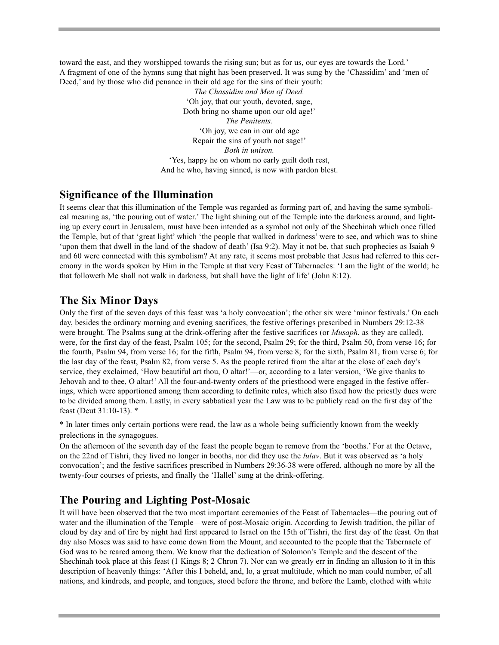toward the east, and they worshipped towards the rising sun; but as for us, our eyes are towards the Lord.' A fragment of one of the hymns sung that night has been preserved. It was sung by the 'Chassidim' and 'men of Deed,' and by those who did penance in their old age for the sins of their youth:

> *The Chassidim and Men of Deed.* 'Oh joy, that our youth, devoted, sage, Doth bring no shame upon our old age!' *The Penitents.* 'Oh joy, we can in our old age Repair the sins of youth not sage!' *Both in unison.* 'Yes, happy he on whom no early guilt doth rest, And he who, having sinned, is now with pardon blest.

### **Significance of the Illumination**

It seems clear that this illumination of the Temple was regarded as forming part of, and having the same symbolical meaning as, 'the pouring out of water.' The light shining out of the Temple into the darkness around, and lighting up every court in Jerusalem, must have been intended as a symbol not only of the Shechinah which once filled the Temple, but of that 'great light' which 'the people that walked in darkness' were to see, and which was to shine 'upon them that dwell in the land of the shadow of death' (Isa 9:2). May it not be, that such prophecies as Isaiah 9 and 60 were connected with this symbolism? At any rate, it seems most probable that Jesus had referred to this ceremony in the words spoken by Him in the Temple at that very Feast of Tabernacles: 'I am the light of the world; he that followeth Me shall not walk in darkness, but shall have the light of life' (John 8:12).

#### **The Six Minor Days**

Only the first of the seven days of this feast was 'a holy convocation'; the other six were 'minor festivals.' On each day, besides the ordinary morning and evening sacrifices, the festive offerings prescribed in Numbers 29:12-38 were brought. The Psalms sung at the drink-offering after the festive sacrifices (or *Musaph*, as they are called), were, for the first day of the feast, Psalm 105; for the second, Psalm 29; for the third, Psalm 50, from verse 16; for the fourth, Psalm 94, from verse 16; for the fifth, Psalm 94, from verse 8; for the sixth, Psalm 81, from verse 6; for the last day of the feast, Psalm 82, from verse 5. As the people retired from the altar at the close of each day's service, they exclaimed, 'How beautiful art thou, O altar!'—or, according to a later version, 'We give thanks to Jehovah and to thee, O altar!' All the four-and-twenty orders of the priesthood were engaged in the festive offerings, which were apportioned among them according to definite rules, which also fixed how the priestly dues were to be divided among them. Lastly, in every sabbatical year the Law was to be publicly read on the first day of the feast (Deut 31:10-13). \*

\* In later times only certain portions were read, the law as a whole being sufficiently known from the weekly prelections in the synagogues.

On the afternoon of the seventh day of the feast the people began to remove from the 'booths.' For at the Octave, on the 22nd of Tishri, they lived no longer in booths, nor did they use the *lulav*. But it was observed as 'a holy convocation'; and the festive sacrifices prescribed in Numbers 29:36-38 were offered, although no more by all the twenty-four courses of priests, and finally the 'Hallel' sung at the drink-offering.

# **The Pouring and Lighting Post-Mosaic**

It will have been observed that the two most important ceremonies of the Feast of Tabernacles—the pouring out of water and the illumination of the Temple—were of post-Mosaic origin. According to Jewish tradition, the pillar of cloud by day and of fire by night had first appeared to Israel on the 15th of Tishri, the first day of the feast. On that day also Moses was said to have come down from the Mount, and accounted to the people that the Tabernacle of God was to be reared among them. We know that the dedication of Solomon's Temple and the descent of the Shechinah took place at this feast (1 Kings 8; 2 Chron 7). Nor can we greatly err in finding an allusion to it in this description of heavenly things: 'After this I beheld, and, lo, a great multitude, which no man could number, of all nations, and kindreds, and people, and tongues, stood before the throne, and before the Lamb, clothed with white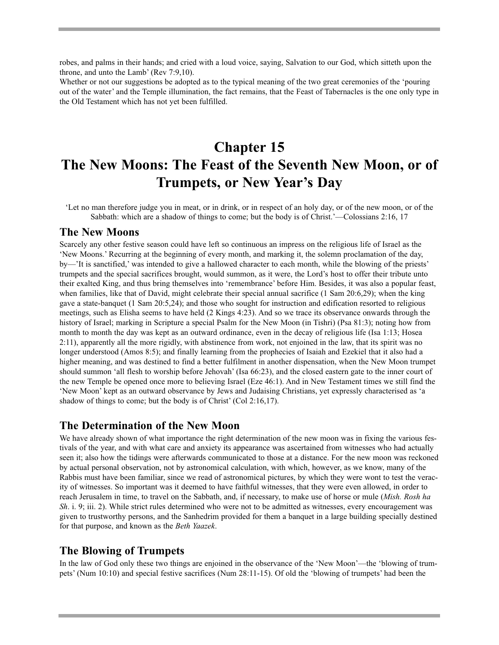robes, and palms in their hands; and cried with a loud voice, saying, Salvation to our God, which sitteth upon the throne, and unto the Lamb' (Rev 7:9,10).

Whether or not our suggestions be adopted as to the typical meaning of the two great ceremonies of the 'pouring out of the water' and the Temple illumination, the fact remains, that the Feast of Tabernacles is the one only type in the Old Testament which has not yet been fulfilled.

# **Chapter 15 The New Moons: The Feast of the Seventh New Moon, or of Trumpets, or New Year's Day**

'Let no man therefore judge you in meat, or in drink, or in respect of an holy day, or of the new moon, or of the Sabbath: which are a shadow of things to come; but the body is of Christ.'—Colossians 2:16, 17

#### **The New Moons**

Scarcely any other festive season could have left so continuous an impress on the religious life of Israel as the 'New Moons.' Recurring at the beginning of every month, and marking it, the solemn proclamation of the day, by—'It is sanctified,' was intended to give a hallowed character to each month, while the blowing of the priests' trumpets and the special sacrifices brought, would summon, as it were, the Lord's host to offer their tribute unto their exalted King, and thus bring themselves into 'remembrance' before Him. Besides, it was also a popular feast, when families, like that of David, might celebrate their special annual sacrifice (1 Sam 20:6,29); when the king gave a state-banquet (1 Sam 20:5,24); and those who sought for instruction and edification resorted to religious meetings, such as Elisha seems to have held (2 Kings 4:23). And so we trace its observance onwards through the history of Israel; marking in Scripture a special Psalm for the New Moon (in Tishri) (Psa 81:3); noting how from month to month the day was kept as an outward ordinance, even in the decay of religious life (Isa 1:13; Hosea 2:11), apparently all the more rigidly, with abstinence from work, not enjoined in the law, that its spirit was no longer understood (Amos 8:5); and finally learning from the prophecies of Isaiah and Ezekiel that it also had a higher meaning, and was destined to find a better fulfilment in another dispensation, when the New Moon trumpet should summon 'all flesh to worship before Jehovah' (Isa 66:23), and the closed eastern gate to the inner court of the new Temple be opened once more to believing Israel (Eze 46:1). And in New Testament times we still find the 'New Moon' kept as an outward observance by Jews and Judaising Christians, yet expressly characterised as 'a shadow of things to come; but the body is of Christ' (Col 2:16,17).

#### **The Determination of the New Moon**

We have already shown of what importance the right determination of the new moon was in fixing the various festivals of the year, and with what care and anxiety its appearance was ascertained from witnesses who had actually seen it; also how the tidings were afterwards communicated to those at a distance. For the new moon was reckoned by actual personal observation, not by astronomical calculation, with which, however, as we know, many of the Rabbis must have been familiar, since we read of astronomical pictures, by which they were wont to test the veracity of witnesses. So important was it deemed to have faithful witnesses, that they were even allowed, in order to reach Jerusalem in time, to travel on the Sabbath, and, if necessary, to make use of horse or mule (*Mish. Rosh ha Sh*. i. 9; iii. 2). While strict rules determined who were not to be admitted as witnesses, every encouragement was given to trustworthy persons, and the Sanhedrim provided for them a banquet in a large building specially destined for that purpose, and known as the *Beth Yaazek*.

#### **The Blowing of Trumpets**

In the law of God only these two things are enjoined in the observance of the 'New Moon'—the 'blowing of trumpets' (Num 10:10) and special festive sacrifices (Num 28:11-15). Of old the 'blowing of trumpets' had been the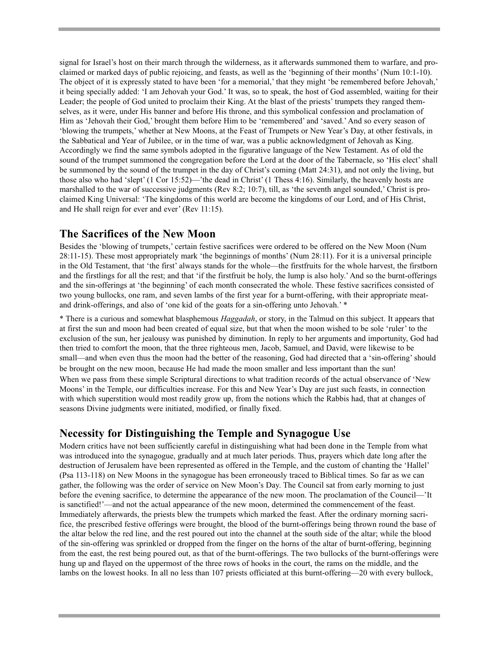signal for Israel's host on their march through the wilderness, as it afterwards summoned them to warfare, and proclaimed or marked days of public rejoicing, and feasts, as well as the 'beginning of their months' (Num 10:1-10). The object of it is expressly stated to have been 'for a memorial,' that they might 'be remembered before Jehovah,' it being specially added: 'I am Jehovah your God.' It was, so to speak, the host of God assembled, waiting for their Leader; the people of God united to proclaim their King. At the blast of the priests' trumpets they ranged themselves, as it were, under His banner and before His throne, and this symbolical confession and proclamation of Him as 'Jehovah their God,' brought them before Him to be 'remembered' and 'saved.' And so every season of 'blowing the trumpets,' whether at New Moons, at the Feast of Trumpets or New Year's Day, at other festivals, in the Sabbatical and Year of Jubilee, or in the time of war, was a public acknowledgment of Jehovah as King. Accordingly we find the same symbols adopted in the figurative language of the New Testament. As of old the sound of the trumpet summoned the congregation before the Lord at the door of the Tabernacle, so 'His elect' shall be summoned by the sound of the trumpet in the day of Christ's coming (Matt 24:31), and not only the living, but those also who had 'slept' (1 Cor 15:52)—'the dead in Christ' (1 Thess 4:16). Similarly, the heavenly hosts are marshalled to the war of successive judgments (Rev 8:2; 10:7), till, as 'the seventh angel sounded,' Christ is proclaimed King Universal: 'The kingdoms of this world are become the kingdoms of our Lord, and of His Christ, and He shall reign for ever and ever' (Rev 11:15).

#### **The Sacrifices of the New Moon**

Besides the 'blowing of trumpets,' certain festive sacrifices were ordered to be offered on the New Moon (Num 28:11-15). These most appropriately mark 'the beginnings of months' (Num 28:11). For it is a universal principle in the Old Testament, that 'the first' always stands for the whole—the firstfruits for the whole harvest, the firstborn and the firstlings for all the rest; and that 'if the firstfruit be holy, the lump is also holy.' And so the burnt-offerings and the sin-offerings at 'the beginning' of each month consecrated the whole. These festive sacrifices consisted of two young bullocks, one ram, and seven lambs of the first year for a burnt-offering, with their appropriate meatand drink-offerings, and also of 'one kid of the goats for a sin-offering unto Jehovah.' \*

\* There is a curious and somewhat blasphemous *Haggadah*, or story, in the Talmud on this subject. It appears that at first the sun and moon had been created of equal size, but that when the moon wished to be sole 'ruler' to the exclusion of the sun, her jealousy was punished by diminution. In reply to her arguments and importunity, God had then tried to comfort the moon, that the three righteous men, Jacob, Samuel, and David, were likewise to be small—and when even thus the moon had the better of the reasoning, God had directed that a 'sin-offering' should be brought on the new moon, because He had made the moon smaller and less important than the sun!

When we pass from these simple Scriptural directions to what tradition records of the actual observance of 'New Moons' in the Temple, our difficulties increase. For this and New Year's Day are just such feasts, in connection with which superstition would most readily grow up, from the notions which the Rabbis had, that at changes of seasons Divine judgments were initiated, modified, or finally fixed.

# **Necessity for Distinguishing the Temple and Synagogue Use**

Modern critics have not been sufficiently careful in distinguishing what had been done in the Temple from what was introduced into the synagogue, gradually and at much later periods. Thus, prayers which date long after the destruction of Jerusalem have been represented as offered in the Temple, and the custom of chanting the 'Hallel' (Psa 113-118) on New Moons in the synagogue has been erroneously traced to Biblical times. So far as we can gather, the following was the order of service on New Moon's Day. The Council sat from early morning to just before the evening sacrifice, to determine the appearance of the new moon. The proclamation of the Council—'It is sanctified!'—and not the actual appearance of the new moon, determined the commencement of the feast. Immediately afterwards, the priests blew the trumpets which marked the feast. After the ordinary morning sacrifice, the prescribed festive offerings were brought, the blood of the burnt-offerings being thrown round the base of the altar below the red line, and the rest poured out into the channel at the south side of the altar; while the blood of the sin-offering was sprinkled or dropped from the finger on the horns of the altar of burnt-offering, beginning from the east, the rest being poured out, as that of the burnt-offerings. The two bullocks of the burnt-offerings were hung up and flayed on the uppermost of the three rows of hooks in the court, the rams on the middle, and the lambs on the lowest hooks. In all no less than 107 priests officiated at this burnt-offering—20 with every bullock,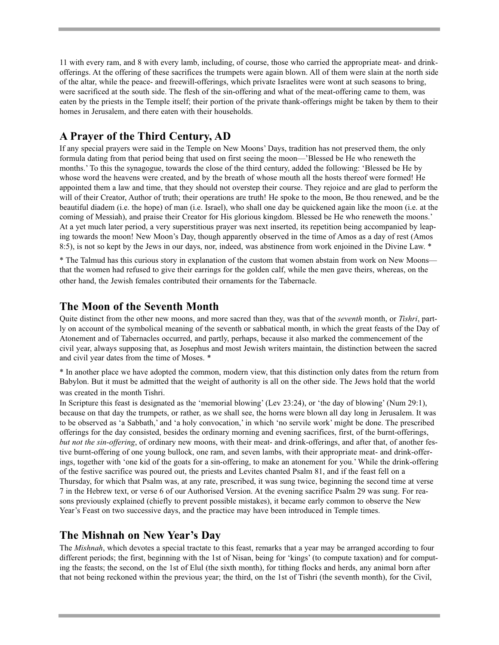11 with every ram, and 8 with every lamb, including, of course, those who carried the appropriate meat- and drinkofferings. At the offering of these sacrifices the trumpets were again blown. All of them were slain at the north side of the altar, while the peace- and freewill-offerings, which private Israelites were wont at such seasons to bring, were sacrificed at the south side. The flesh of the sin-offering and what of the meat-offering came to them, was eaten by the priests in the Temple itself; their portion of the private thank-offerings might be taken by them to their homes in Jerusalem, and there eaten with their households.

# **A Prayer of the Third Century, AD**

If any special prayers were said in the Temple on New Moons' Days, tradition has not preserved them, the only formula dating from that period being that used on first seeing the moon—'Blessed be He who reneweth the months.' To this the synagogue, towards the close of the third century, added the following: 'Blessed be He by whose word the heavens were created, and by the breath of whose mouth all the hosts thereof were formed! He appointed them a law and time, that they should not overstep their course. They rejoice and are glad to perform the will of their Creator, Author of truth; their operations are truth! He spoke to the moon, Be thou renewed, and be the beautiful diadem (i.e. the hope) of man (i.e. Israel), who shall one day be quickened again like the moon (i.e. at the coming of Messiah), and praise their Creator for His glorious kingdom. Blessed be He who reneweth the moons.' At a yet much later period, a very superstitious prayer was next inserted, its repetition being accompanied by leaping towards the moon! New Moon's Day, though apparently observed in the time of Amos as a day of rest (Amos 8:5), is not so kept by the Jews in our days, nor, indeed, was abstinence from work enjoined in the Divine Law. \*

\* The Talmud has this curious story in explanation of the custom that women abstain from work on New Moons that the women had refused to give their earrings for the golden calf, while the men gave theirs, whereas, on the other hand, the Jewish females contributed their ornaments for the Tabernacle.

# **The Moon of the Seventh Month**

Quite distinct from the other new moons, and more sacred than they, was that of the *seventh* month, or *Tishri*, partly on account of the symbolical meaning of the seventh or sabbatical month, in which the great feasts of the Day of Atonement and of Tabernacles occurred, and partly, perhaps, because it also marked the commencement of the civil year, always supposing that, as Josephus and most Jewish writers maintain, the distinction between the sacred and civil year dates from the time of Moses. \*

\* In another place we have adopted the common, modern view, that this distinction only dates from the return from Babylon. But it must be admitted that the weight of authority is all on the other side. The Jews hold that the world was created in the month Tishri.

In Scripture this feast is designated as the 'memorial blowing' (Lev 23:24), or 'the day of blowing' (Num 29:1), because on that day the trumpets, or rather, as we shall see, the horns were blown all day long in Jerusalem. It was to be observed as 'a Sabbath,' and 'a holy convocation,' in which 'no servile work' might be done. The prescribed offerings for the day consisted, besides the ordinary morning and evening sacrifices, first, of the burnt-offerings, *but not the sin-offering*, of ordinary new moons, with their meat- and drink-offerings, and after that, of another festive burnt-offering of one young bullock, one ram, and seven lambs, with their appropriate meat- and drink-offerings, together with 'one kid of the goats for a sin-offering, to make an atonement for you.' While the drink-offering of the festive sacrifice was poured out, the priests and Levites chanted Psalm 81, and if the feast fell on a Thursday, for which that Psalm was, at any rate, prescribed, it was sung twice, beginning the second time at verse 7 in the Hebrew text, or verse 6 of our Authorised Version. At the evening sacrifice Psalm 29 was sung. For reasons previously explained (chiefly to prevent possible mistakes), it became early common to observe the New Year's Feast on two successive days, and the practice may have been introduced in Temple times.

#### **The Mishnah on New Year's Day**

The *Mishnah*, which devotes a special tractate to this feast, remarks that a year may be arranged according to four different periods; the first, beginning with the 1st of Nisan, being for 'kings' (to compute taxation) and for computing the feasts; the second, on the 1st of Elul (the sixth month), for tithing flocks and herds, any animal born after that not being reckoned within the previous year; the third, on the 1st of Tishri (the seventh month), for the Civil,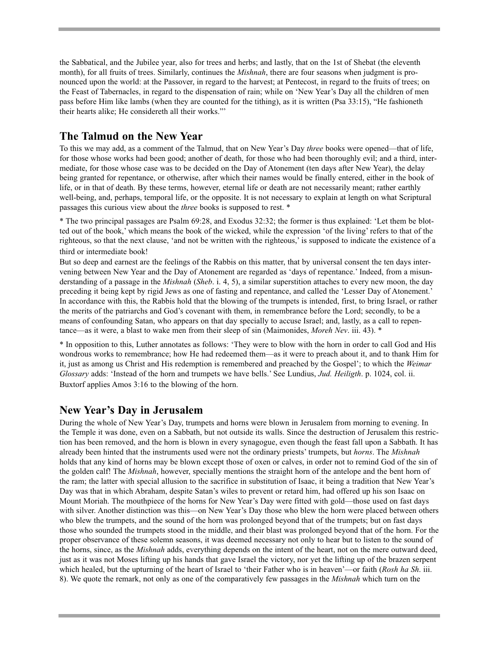the Sabbatical, and the Jubilee year, also for trees and herbs; and lastly, that on the 1st of Shebat (the eleventh month), for all fruits of trees. Similarly, continues the *Mishnah*, there are four seasons when judgment is pronounced upon the world: at the Passover, in regard to the harvest; at Pentecost, in regard to the fruits of trees; on the Feast of Tabernacles, in regard to the dispensation of rain; while on 'New Year's Day all the children of men pass before Him like lambs (when they are counted for the tithing), as it is written (Psa 33:15), "He fashioneth their hearts alike; He considereth all their works."'

## **The Talmud on the New Year**

To this we may add, as a comment of the Talmud, that on New Year's Day *three* books were opened—that of life, for those whose works had been good; another of death, for those who had been thoroughly evil; and a third, intermediate, for those whose case was to be decided on the Day of Atonement (ten days after New Year), the delay being granted for repentance, or otherwise, after which their names would be finally entered, either in the book of life, or in that of death. By these terms, however, eternal life or death are not necessarily meant; rather earthly well-being, and, perhaps, temporal life, or the opposite. It is not necessary to explain at length on what Scriptural passages this curious view about the *three* books is supposed to rest. \*

\* The two principal passages are Psalm 69:28, and Exodus 32:32; the former is thus explained: 'Let them be blotted out of the book,' which means the book of the wicked, while the expression 'of the living' refers to that of the righteous, so that the next clause, 'and not be written with the righteous,' is supposed to indicate the existence of a third or intermediate book!

But so deep and earnest are the feelings of the Rabbis on this matter, that by universal consent the ten days intervening between New Year and the Day of Atonement are regarded as 'days of repentance.' Indeed, from a misunderstanding of a passage in the *Mishnah* (*Sheb*. i. 4, 5), a similar superstition attaches to every new moon, the day preceding it being kept by rigid Jews as one of fasting and repentance, and called the 'Lesser Day of Atonement.' In accordance with this, the Rabbis hold that the blowing of the trumpets is intended, first, to bring Israel, or rather the merits of the patriarchs and God's covenant with them, in remembrance before the Lord; secondly, to be a means of confounding Satan, who appears on that day specially to accuse Israel; and, lastly, as a call to repentance—as it were, a blast to wake men from their sleep of sin (Maimonides, *Moreh Nev*. iii. 43). \*

\* In opposition to this, Luther annotates as follows: 'They were to blow with the horn in order to call God and His wondrous works to remembrance; how He had redeemed them—as it were to preach about it, and to thank Him for it, just as among us Christ and His redemption is remembered and preached by the Gospel'; to which the *Weimar Glossary* adds: 'Instead of the horn and trumpets we have bells.' See Lundius, *Jud. Heiligth*. p. 1024, col. ii. Buxtorf applies Amos 3:16 to the blowing of the horn.

#### **New Year's Day in Jerusalem**

During the whole of New Year's Day, trumpets and horns were blown in Jerusalem from morning to evening. In the Temple it was done, even on a Sabbath, but not outside its walls. Since the destruction of Jerusalem this restriction has been removed, and the horn is blown in every synagogue, even though the feast fall upon a Sabbath. It has already been hinted that the instruments used were not the ordinary priests' trumpets, but *horns*. The *Mishnah* holds that any kind of horns may be blown except those of oxen or calves, in order not to remind God of the sin of the golden calf! The *Mishnah*, however, specially mentions the straight horn of the antelope and the bent horn of the ram; the latter with special allusion to the sacrifice in substitution of Isaac, it being a tradition that New Year's Day was that in which Abraham, despite Satan's wiles to prevent or retard him, had offered up his son Isaac on Mount Moriah. The mouthpiece of the horns for New Year's Day were fitted with gold—those used on fast days with silver. Another distinction was this—on New Year's Day those who blew the horn were placed between others who blew the trumpets, and the sound of the horn was prolonged beyond that of the trumpets; but on fast days those who sounded the trumpets stood in the middle, and their blast was prolonged beyond that of the horn. For the proper observance of these solemn seasons, it was deemed necessary not only to hear but to listen to the sound of the horns, since, as the *Mishnah* adds, everything depends on the intent of the heart, not on the mere outward deed, just as it was not Moses lifting up his hands that gave Israel the victory, nor yet the lifting up of the brazen serpent which healed, but the upturning of the heart of Israel to 'their Father who is in heaven'—or faith (*Rosh ha Sh*. iii. 8). We quote the remark, not only as one of the comparatively few passages in the *Mishnah* which turn on the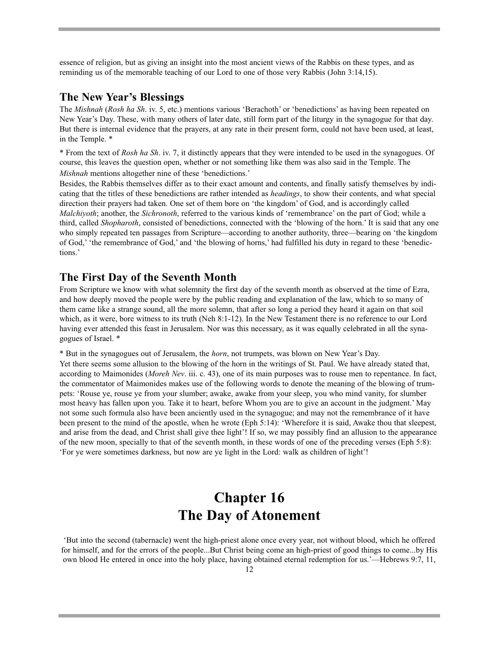essence of religion, but as giving an insight into the most ancient views of the Rabbis on these types, and as reminding us of the memorable teaching of our Lord to one of those very Rabbis (John 3:14,15).

#### **The New Year's Blessings**

The *Mishnah* (*Rosh ha Sh*. iv. 5, etc.) mentions various 'Berachoth' or 'benedictions' as having been repeated on New Year's Day. These, with many others of later date, still form part of the liturgy in the synagogue for that day. But there is internal evidence that the prayers, at any rate in their present form, could not have been used, at least, in the Temple. \*

\* From the text of *Rosh ha Sh*. iv. 7, it distinctly appears that they were intended to be used in the synagogues. Of course, this leaves the question open, whether or not something like them was also said in the Temple. The *Mishnah* mentions altogether nine of these 'benedictions.'

Besides, the Rabbis themselves differ as to their exact amount and contents, and finally satisfy themselves by indicating that the titles of these benedictions are rather intended as *headings*, to show their contents, and what special direction their prayers had taken. One set of them bore on 'the kingdom' of God, and is accordingly called *Malchiyoth*; another, the *Sichronoth*, referred to the various kinds of 'remembrance' on the part of God; while a third, called *Shopharoth*, consisted of benedictions, connected with the 'blowing of the horn.' It is said that any one who simply repeated ten passages from Scripture—according to another authority, three—bearing on 'the kingdom of God,' 'the remembrance of God,' and 'the blowing of horns,' had fulfilled his duty in regard to these 'benedictions.'

#### **The First Day of the Seventh Month**

From Scripture we know with what solemnity the first day of the seventh month as observed at the time of Ezra, and how deeply moved the people were by the public reading and explanation of the law, which to so many of them came like a strange sound, all the more solemn, that after so long a period they heard it again on that soil which, as it were, bore witness to its truth (Neh 8:1-12). In the New Testament there is no reference to our Lord having ever attended this feast in Jerusalem. Nor was this necessary, as it was equally celebrated in all the synagogues of Israel. \*

\* But in the synagogues out of Jerusalem, the *horn*, not trumpets, was blown on New Year's Day.

Yet there seems some allusion to the blowing of the horn in the writings of St. Paul. We have already stated that, according to Maimonides (*Moreh Nev*. iii. c. 43), one of its main purposes was to rouse men to repentance. In fact, the commentator of Maimonides makes use of the following words to denote the meaning of the blowing of trumpets: 'Rouse ye, rouse ye from your slumber; awake, awake from your sleep, you who mind vanity, for slumber most heavy has fallen upon you. Take it to heart, before Whom you are to give an account in the judgment.' May not some such formula also have been anciently used in the synagogue; and may not the remembrance of it have been present to the mind of the apostle, when he wrote (Eph 5:14): 'Wherefore it is said, Awake thou that sleepest, and arise from the dead, and Christ shall give thee light'! If so, we may possibly find an allusion to the appearance of the new moon, specially to that of the seventh month, in these words of one of the preceding verses (Eph 5:8): 'For ye were sometimes darkness, but now are ye light in the Lord: walk as children of light'!

# **Chapter 16 The Day of Atonement**

'But into the second (tabernacle) went the high-priest alone once every year, not without blood, which he offered for himself, and for the errors of the people...But Christ being come an high-priest of good things to come...by His own blood He entered in once into the holy place, having obtained eternal redemption for us.'—Hebrews 9:7, 11,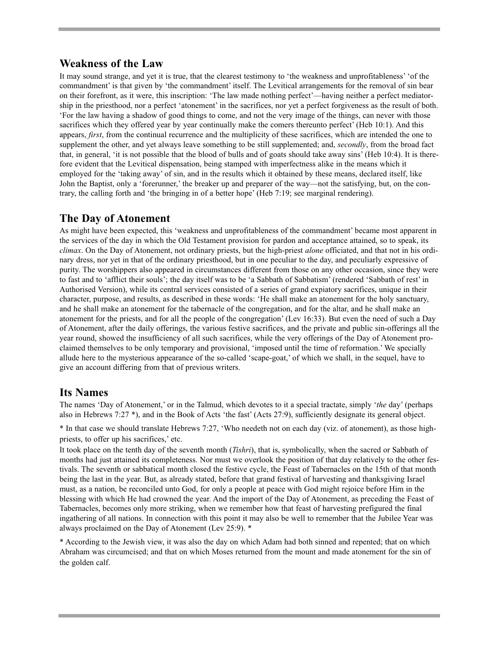#### **Weakness of the Law**

It may sound strange, and yet it is true, that the clearest testimony to 'the weakness and unprofitableness' 'of the commandment' is that given by 'the commandment' itself. The Levitical arrangements for the removal of sin bear on their forefront, as it were, this inscription: 'The law made nothing perfect'—having neither a perfect mediatorship in the priesthood, nor a perfect 'atonement' in the sacrifices, nor yet a perfect forgiveness as the result of both. 'For the law having a shadow of good things to come, and not the very image of the things, can never with those sacrifices which they offered year by year continually make the comers thereunto perfect' (Heb 10:1). And this appears, *first*, from the continual recurrence and the multiplicity of these sacrifices, which are intended the one to supplement the other, and yet always leave something to be still supplemented; and, *secondly*, from the broad fact that, in general, 'it is not possible that the blood of bulls and of goats should take away sins' (Heb 10:4). It is therefore evident that the Levitical dispensation, being stamped with imperfectness alike in the means which it employed for the 'taking away' of sin, and in the results which it obtained by these means, declared itself, like John the Baptist, only a 'forerunner,' the breaker up and preparer of the way—not the satisfying, but, on the contrary, the calling forth and 'the bringing in of a better hope' (Heb 7:19; see marginal rendering).

#### **The Day of Atonement**

As might have been expected, this 'weakness and unprofitableness of the commandment' became most apparent in the services of the day in which the Old Testament provision for pardon and acceptance attained, so to speak, its *climax*. On the Day of Atonement, not ordinary priests, but the high-priest *alone* officiated, and that not in his ordinary dress, nor yet in that of the ordinary priesthood, but in one peculiar to the day, and peculiarly expressive of purity. The worshippers also appeared in circumstances different from those on any other occasion, since they were to fast and to 'afflict their souls'; the day itself was to be 'a Sabbath of Sabbatism' (rendered 'Sabbath of rest' in Authorised Version), while its central services consisted of a series of grand expiatory sacrifices, unique in their character, purpose, and results, as described in these words: 'He shall make an atonement for the holy sanctuary, and he shall make an atonement for the tabernacle of the congregation, and for the altar, and he shall make an atonement for the priests, and for all the people of the congregation' (Lev 16:33). But even the need of such a Day of Atonement, after the daily offerings, the various festive sacrifices, and the private and public sin-offerings all the year round, showed the insufficiency of all such sacrifices, while the very offerings of the Day of Atonement proclaimed themselves to be only temporary and provisional, 'imposed until the time of reformation.' We specially allude here to the mysterious appearance of the so-called 'scape-goat,' of which we shall, in the sequel, have to give an account differing from that of previous writers.

#### **Its Names**

The names 'Day of Atonement,' or in the Talmud, which devotes to it a special tractate, simply '*the* day' (perhaps also in Hebrews 7:27 \*), and in the Book of Acts 'the fast' (Acts 27:9), sufficiently designate its general object.

\* In that case we should translate Hebrews 7:27, 'Who needeth not on each day (viz. of atonement), as those highpriests, to offer up his sacrifices,' etc.

It took place on the tenth day of the seventh month (*Tishri*), that is, symbolically, when the sacred or Sabbath of months had just attained its completeness. Nor must we overlook the position of that day relatively to the other festivals. The seventh or sabbatical month closed the festive cycle, the Feast of Tabernacles on the 15th of that month being the last in the year. But, as already stated, before that grand festival of harvesting and thanksgiving Israel must, as a nation, be reconciled unto God, for only a people at peace with God might rejoice before Him in the blessing with which He had crowned the year. And the import of the Day of Atonement, as preceding the Feast of Tabernacles, becomes only more striking, when we remember how that feast of harvesting prefigured the final ingathering of all nations. In connection with this point it may also be well to remember that the Jubilee Year was always proclaimed on the Day of Atonement (Lev 25:9). \*

\* According to the Jewish view, it was also the day on which Adam had both sinned and repented; that on which Abraham was circumcised; and that on which Moses returned from the mount and made atonement for the sin of the golden calf.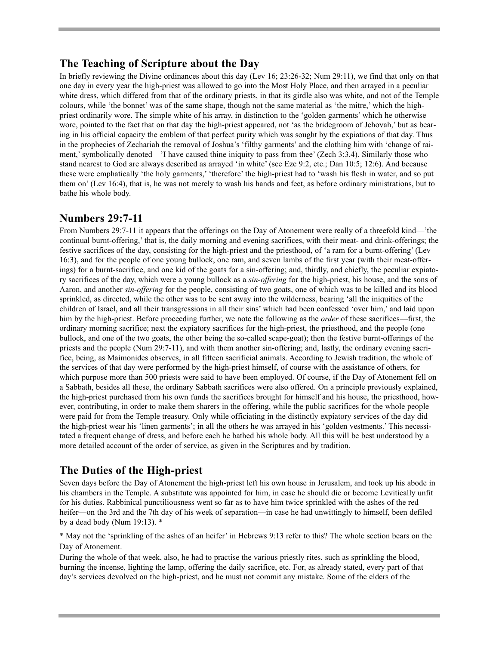## **The Teaching of Scripture about the Day**

In briefly reviewing the Divine ordinances about this day (Lev 16; 23:26-32; Num 29:11), we find that only on that one day in every year the high-priest was allowed to go into the Most Holy Place, and then arrayed in a peculiar white dress, which differed from that of the ordinary priests, in that its girdle also was white, and not of the Temple colours, while 'the bonnet' was of the same shape, though not the same material as 'the mitre,' which the highpriest ordinarily wore. The simple white of his array, in distinction to the 'golden garments' which he otherwise wore, pointed to the fact that on that day the high-priest appeared, not 'as the bridegroom of Jehovah,' but as bearing in his official capacity the emblem of that perfect purity which was sought by the expiations of that day. Thus in the prophecies of Zechariah the removal of Joshua's 'filthy garments' and the clothing him with 'change of raiment,' symbolically denoted—'I have caused thine iniquity to pass from thee' (Zech 3:3,4). Similarly those who stand nearest to God are always described as arrayed 'in white' (see Eze 9:2, etc.; Dan 10:5; 12:6). And because these were emphatically 'the holy garments,' 'therefore' the high-priest had to 'wash his flesh in water, and so put them on' (Lev 16:4), that is, he was not merely to wash his hands and feet, as before ordinary ministrations, but to bathe his whole body.

#### **Numbers 29:7-11**

From Numbers 29:7-11 it appears that the offerings on the Day of Atonement were really of a threefold kind—'the continual burnt-offering,' that is, the daily morning and evening sacrifices, with their meat- and drink-offerings; the festive sacrifices of the day, consisting for the high-priest and the priesthood, of 'a ram for a burnt-offering' (Lev 16:3), and for the people of one young bullock, one ram, and seven lambs of the first year (with their meat-offerings) for a burnt-sacrifice, and one kid of the goats for a sin-offering; and, thirdly, and chiefly, the peculiar expiatory sacrifices of the day, which were a young bullock as a *sin-offering* for the high-priest, his house, and the sons of Aaron, and another *sin-offering* for the people, consisting of two goats, one of which was to be killed and its blood sprinkled, as directed, while the other was to be sent away into the wilderness, bearing 'all the iniquities of the children of Israel, and all their transgressions in all their sins' which had been confessed 'over him,' and laid upon him by the high-priest. Before proceeding further, we note the following as the *order* of these sacrifices—first, the ordinary morning sacrifice; next the expiatory sacrifices for the high-priest, the priesthood, and the people (one bullock, and one of the two goats, the other being the so-called scape-goat); then the festive burnt-offerings of the priests and the people (Num 29:7-11), and with them another sin-offering; and, lastly, the ordinary evening sacrifice, being, as Maimonides observes, in all fifteen sacrificial animals. According to Jewish tradition, the whole of the services of that day were performed by the high-priest himself, of course with the assistance of others, for which purpose more than 500 priests were said to have been employed. Of course, if the Day of Atonement fell on a Sabbath, besides all these, the ordinary Sabbath sacrifices were also offered. On a principle previously explained, the high-priest purchased from his own funds the sacrifices brought for himself and his house, the priesthood, however, contributing, in order to make them sharers in the offering, while the public sacrifices for the whole people were paid for from the Temple treasury. Only while officiating in the distinctly expiatory services of the day did the high-priest wear his 'linen garments'; in all the others he was arrayed in his 'golden vestments.' This necessitated a frequent change of dress, and before each he bathed his whole body. All this will be best understood by a more detailed account of the order of service, as given in the Scriptures and by tradition.

#### **The Duties of the High-priest**

Seven days before the Day of Atonement the high-priest left his own house in Jerusalem, and took up his abode in his chambers in the Temple. A substitute was appointed for him, in case he should die or become Levitically unfit for his duties. Rabbinical punctiliousness went so far as to have him twice sprinkled with the ashes of the red heifer—on the 3rd and the 7th day of his week of separation—in case he had unwittingly to himself, been defiled by a dead body (Num 19:13). \*

\* May not the 'sprinkling of the ashes of an heifer' in Hebrews 9:13 refer to this? The whole section bears on the Day of Atonement.

During the whole of that week, also, he had to practise the various priestly rites, such as sprinkling the blood, burning the incense, lighting the lamp, offering the daily sacrifice, etc. For, as already stated, every part of that day's services devolved on the high-priest, and he must not commit any mistake. Some of the elders of the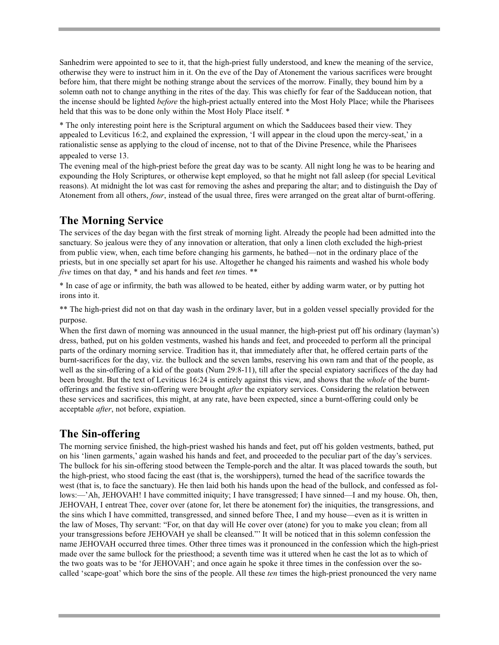Sanhedrim were appointed to see to it, that the high-priest fully understood, and knew the meaning of the service, otherwise they were to instruct him in it. On the eve of the Day of Atonement the various sacrifices were brought before him, that there might be nothing strange about the services of the morrow. Finally, they bound him by a solemn oath not to change anything in the rites of the day. This was chiefly for fear of the Sadducean notion, that the incense should be lighted *before* the high-priest actually entered into the Most Holy Place; while the Pharisees held that this was to be done only within the Most Holy Place itself.  $*$ 

\* The only interesting point here is the Scriptural argument on which the Sadducees based their view. They appealed to Leviticus 16:2, and explained the expression, 'I will appear in the cloud upon the mercy-seat,' in a rationalistic sense as applying to the cloud of incense, not to that of the Divine Presence, while the Pharisees appealed to verse 13.

The evening meal of the high-priest before the great day was to be scanty. All night long he was to be hearing and expounding the Holy Scriptures, or otherwise kept employed, so that he might not fall asleep (for special Levitical reasons). At midnight the lot was cast for removing the ashes and preparing the altar; and to distinguish the Day of Atonement from all others, *four*, instead of the usual three, fires were arranged on the great altar of burnt-offering.

# **The Morning Service**

The services of the day began with the first streak of morning light. Already the people had been admitted into the sanctuary. So jealous were they of any innovation or alteration, that only a linen cloth excluded the high-priest from public view, when, each time before changing his garments, he bathed—not in the ordinary place of the priests, but in one specially set apart for his use. Altogether he changed his raiments and washed his whole body *five* times on that day, \* and his hands and feet *ten* times. \*\*

\* In case of age or infirmity, the bath was allowed to be heated, either by adding warm water, or by putting hot irons into it.

\*\* The high-priest did not on that day wash in the ordinary laver, but in a golden vessel specially provided for the purpose.

When the first dawn of morning was announced in the usual manner, the high-priest put off his ordinary (layman's) dress, bathed, put on his golden vestments, washed his hands and feet, and proceeded to perform all the principal parts of the ordinary morning service. Tradition has it, that immediately after that, he offered certain parts of the burnt-sacrifices for the day, viz. the bullock and the seven lambs, reserving his own ram and that of the people, as well as the sin-offering of a kid of the goats (Num 29:8-11), till after the special expiatory sacrifices of the day had been brought. But the text of Leviticus 16:24 is entirely against this view, and shows that the *whole* of the burntofferings and the festive sin-offering were brought *after* the expiatory services. Considering the relation between these services and sacrifices, this might, at any rate, have been expected, since a burnt-offering could only be acceptable *after*, not before, expiation.

# **The Sin-offering**

The morning service finished, the high-priest washed his hands and feet, put off his golden vestments, bathed, put on his 'linen garments,' again washed his hands and feet, and proceeded to the peculiar part of the day's services. The bullock for his sin-offering stood between the Temple-porch and the altar. It was placed towards the south, but the high-priest, who stood facing the east (that is, the worshippers), turned the head of the sacrifice towards the west (that is, to face the sanctuary). He then laid both his hands upon the head of the bullock, and confessed as follows:—'Ah, JEHOVAH! I have committed iniquity; I have transgressed; I have sinned—I and my house. Oh, then, JEHOVAH, I entreat Thee, cover over (atone for, let there be atonement for) the iniquities, the transgressions, and the sins which I have committed, transgressed, and sinned before Thee, I and my house—even as it is written in the law of Moses, Thy servant: "For, on that day will He cover over (atone) for you to make you clean; from all your transgressions before JEHOVAH ye shall be cleansed."' It will be noticed that in this solemn confession the name JEHOVAH occurred three times. Other three times was it pronounced in the confession which the high-priest made over the same bullock for the priesthood; a seventh time was it uttered when he cast the lot as to which of the two goats was to be 'for JEHOVAH'; and once again he spoke it three times in the confession over the socalled 'scape-goat' which bore the sins of the people. All these *ten* times the high-priest pronounced the very name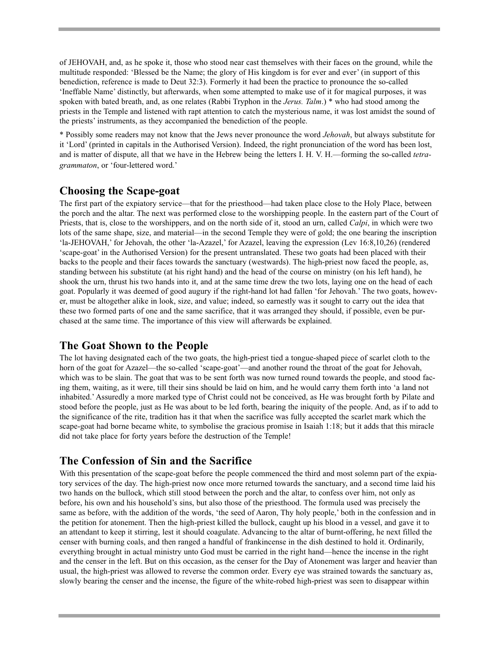of JEHOVAH, and, as he spoke it, those who stood near cast themselves with their faces on the ground, while the multitude responded: 'Blessed be the Name; the glory of His kingdom is for ever and ever' (in support of this benediction, reference is made to Deut 32:3). Formerly it had been the practice to pronounce the so-called 'Ineffable Name' distinctly, but afterwards, when some attempted to make use of it for magical purposes, it was spoken with bated breath, and, as one relates (Rabbi Tryphon in the *Jerus. Talm*.) \* who had stood among the priests in the Temple and listened with rapt attention to catch the mysterious name, it was lost amidst the sound of the priests' instruments, as they accompanied the benediction of the people.

\* Possibly some readers may not know that the Jews never pronounce the word *Jehovah*, but always substitute for it 'Lord' (printed in capitals in the Authorised Version). Indeed, the right pronunciation of the word has been lost, and is matter of dispute, all that we have in the Hebrew being the letters I. H. V. H.—forming the so-called *tetragrammaton*, or 'four-lettered word.'

#### **Choosing the Scape-goat**

The first part of the expiatory service—that for the priesthood—had taken place close to the Holy Place, between the porch and the altar. The next was performed close to the worshipping people. In the eastern part of the Court of Priests, that is, close to the worshippers, and on the north side of it, stood an urn, called *Calpi*, in which were two lots of the same shape, size, and material—in the second Temple they were of gold; the one bearing the inscription 'la-JEHOVAH,' for Jehovah, the other 'la-Azazel,' for Azazel, leaving the expression (Lev 16:8,10,26) (rendered 'scape-goat' in the Authorised Version) for the present untranslated. These two goats had been placed with their backs to the people and their faces towards the sanctuary (westwards). The high-priest now faced the people, as, standing between his substitute (at his right hand) and the head of the course on ministry (on his left hand), he shook the urn, thrust his two hands into it, and at the same time drew the two lots, laying one on the head of each goat. Popularly it was deemed of good augury if the right-hand lot had fallen 'for Jehovah.' The two goats, however, must be altogether alike in look, size, and value; indeed, so earnestly was it sought to carry out the idea that these two formed parts of one and the same sacrifice, that it was arranged they should, if possible, even be purchased at the same time. The importance of this view will afterwards be explained.

# **The Goat Shown to the People**

The lot having designated each of the two goats, the high-priest tied a tongue-shaped piece of scarlet cloth to the horn of the goat for Azazel—the so-called 'scape-goat'—and another round the throat of the goat for Jehovah, which was to be slain. The goat that was to be sent forth was now turned round towards the people, and stood facing them, waiting, as it were, till their sins should be laid on him, and he would carry them forth into 'a land not inhabited.' Assuredly a more marked type of Christ could not be conceived, as He was brought forth by Pilate and stood before the people, just as He was about to be led forth, bearing the iniquity of the people. And, as if to add to the significance of the rite, tradition has it that when the sacrifice was fully accepted the scarlet mark which the scape-goat had borne became white, to symbolise the gracious promise in Isaiah 1:18; but it adds that this miracle did not take place for forty years before the destruction of the Temple!

# **The Confession of Sin and the Sacrifice**

With this presentation of the scape-goat before the people commenced the third and most solemn part of the expiatory services of the day. The high-priest now once more returned towards the sanctuary, and a second time laid his two hands on the bullock, which still stood between the porch and the altar, to confess over him, not only as before, his own and his household's sins, but also those of the priesthood. The formula used was precisely the same as before, with the addition of the words, 'the seed of Aaron, Thy holy people,' both in the confession and in the petition for atonement. Then the high-priest killed the bullock, caught up his blood in a vessel, and gave it to an attendant to keep it stirring, lest it should coagulate. Advancing to the altar of burnt-offering, he next filled the censer with burning coals, and then ranged a handful of frankincense in the dish destined to hold it. Ordinarily, everything brought in actual ministry unto God must be carried in the right hand—hence the incense in the right and the censer in the left. But on this occasion, as the censer for the Day of Atonement was larger and heavier than usual, the high-priest was allowed to reverse the common order. Every eye was strained towards the sanctuary as, slowly bearing the censer and the incense, the figure of the white-robed high-priest was seen to disappear within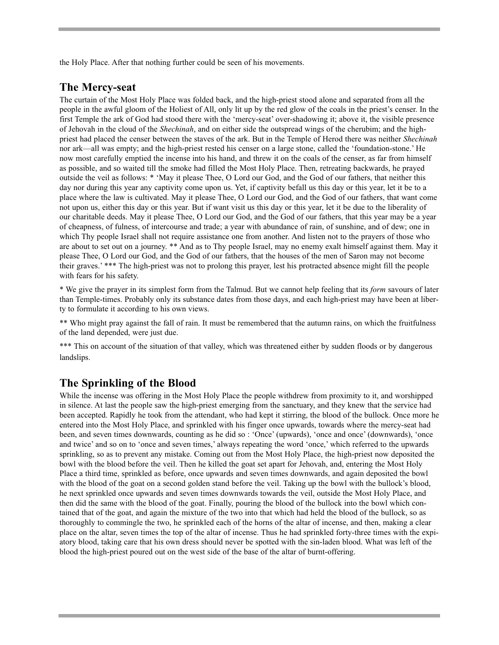the Holy Place. After that nothing further could be seen of his movements.

#### **The Mercy-seat**

The curtain of the Most Holy Place was folded back, and the high-priest stood alone and separated from all the people in the awful gloom of the Holiest of All, only lit up by the red glow of the coals in the priest's censer. In the first Temple the ark of God had stood there with the 'mercy-seat' over-shadowing it; above it, the visible presence of Jehovah in the cloud of the *Shechinah*, and on either side the outspread wings of the cherubim; and the highpriest had placed the censer between the staves of the ark. But in the Temple of Herod there was neither *Shechinah* nor ark—all was empty; and the high-priest rested his censer on a large stone, called the 'foundation-stone.' He now most carefully emptied the incense into his hand, and threw it on the coals of the censer, as far from himself as possible, and so waited till the smoke had filled the Most Holy Place. Then, retreating backwards, he prayed outside the veil as follows: \* 'May it please Thee, O Lord our God, and the God of our fathers, that neither this day nor during this year any captivity come upon us. Yet, if captivity befall us this day or this year, let it be to a place where the law is cultivated. May it please Thee, O Lord our God, and the God of our fathers, that want come not upon us, either this day or this year. But if want visit us this day or this year, let it be due to the liberality of our charitable deeds. May it please Thee, O Lord our God, and the God of our fathers, that this year may be a year of cheapness, of fulness, of intercourse and trade; a year with abundance of rain, of sunshine, and of dew; one in which Thy people Israel shall not require assistance one from another. And listen not to the prayers of those who are about to set out on a journey. \*\* And as to Thy people Israel, may no enemy exalt himself against them. May it please Thee, O Lord our God, and the God of our fathers, that the houses of the men of Saron may not become their graves.' \*\*\* The high-priest was not to prolong this prayer, lest his protracted absence might fill the people with fears for his safety.

\* We give the prayer in its simplest form from the Talmud. But we cannot help feeling that its *form* savours of later than Temple-times. Probably only its substance dates from those days, and each high-priest may have been at liberty to formulate it according to his own views.

\*\* Who might pray against the fall of rain. It must be remembered that the autumn rains, on which the fruitfulness of the land depended, were just due.

\*\*\* This on account of the situation of that valley, which was threatened either by sudden floods or by dangerous landslips.

#### **The Sprinkling of the Blood**

While the incense was offering in the Most Holy Place the people withdrew from proximity to it, and worshipped in silence. At last the people saw the high-priest emerging from the sanctuary, and they knew that the service had been accepted. Rapidly he took from the attendant, who had kept it stirring, the blood of the bullock. Once more he entered into the Most Holy Place, and sprinkled with his finger once upwards, towards where the mercy-seat had been, and seven times downwards, counting as he did so : 'Once' (upwards), 'once and once' (downwards), 'once and twice' and so on to 'once and seven times,' always repeating the word 'once,' which referred to the upwards sprinkling, so as to prevent any mistake. Coming out from the Most Holy Place, the high-priest now deposited the bowl with the blood before the veil. Then he killed the goat set apart for Jehovah, and, entering the Most Holy Place a third time, sprinkled as before, once upwards and seven times downwards, and again deposited the bowl with the blood of the goat on a second golden stand before the veil. Taking up the bowl with the bullock's blood, he next sprinkled once upwards and seven times downwards towards the veil, outside the Most Holy Place, and then did the same with the blood of the goat. Finally, pouring the blood of the bullock into the bowl which contained that of the goat, and again the mixture of the two into that which had held the blood of the bullock, so as thoroughly to commingle the two, he sprinkled each of the horns of the altar of incense, and then, making a clear place on the altar, seven times the top of the altar of incense. Thus he had sprinkled forty-three times with the expiatory blood, taking care that his own dress should never be spotted with the sin-laden blood. What was left of the blood the high-priest poured out on the west side of the base of the altar of burnt-offering.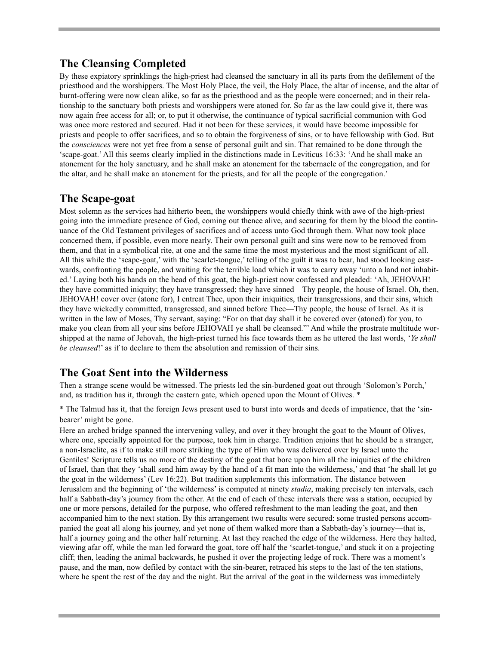### **The Cleansing Completed**

By these expiatory sprinklings the high-priest had cleansed the sanctuary in all its parts from the defilement of the priesthood and the worshippers. The Most Holy Place, the veil, the Holy Place, the altar of incense, and the altar of burnt-offering were now clean alike, so far as the priesthood and as the people were concerned; and in their relationship to the sanctuary both priests and worshippers were atoned for. So far as the law could give it, there was now again free access for all; or, to put it otherwise, the continuance of typical sacrificial communion with God was once more restored and secured. Had it not been for these services, it would have become impossible for priests and people to offer sacrifices, and so to obtain the forgiveness of sins, or to have fellowship with God. But the *consciences* were not yet free from a sense of personal guilt and sin. That remained to be done through the 'scape-goat.' All this seems clearly implied in the distinctions made in Leviticus 16:33: 'And he shall make an atonement for the holy sanctuary, and he shall make an atonement for the tabernacle of the congregation, and for the altar, and he shall make an atonement for the priests, and for all the people of the congregation.'

#### **The Scape-goat**

Most solemn as the services had hitherto been, the worshippers would chiefly think with awe of the high-priest going into the immediate presence of God, coming out thence alive, and securing for them by the blood the continuance of the Old Testament privileges of sacrifices and of access unto God through them. What now took place concerned them, if possible, even more nearly. Their own personal guilt and sins were now to be removed from them, and that in a symbolical rite, at one and the same time the most mysterious and the most significant of all. All this while the 'scape-goat,' with the 'scarlet-tongue,' telling of the guilt it was to bear, had stood looking eastwards, confronting the people, and waiting for the terrible load which it was to carry away 'unto a land not inhabited.' Laying both his hands on the head of this goat, the high-priest now confessed and pleaded: 'Ah, JEHOVAH! they have committed iniquity; they have transgressed; they have sinned—Thy people, the house of Israel. Oh, then, JEHOVAH! cover over (atone for), I entreat Thee, upon their iniquities, their transgressions, and their sins, which they have wickedly committed, transgressed, and sinned before Thee—Thy people, the house of Israel. As it is written in the law of Moses, Thy servant, saying: "For on that day shall it be covered over (atoned) for you, to make you clean from all your sins before JEHOVAH ye shall be cleansed."' And while the prostrate multitude worshipped at the name of Jehovah, the high-priest turned his face towards them as he uttered the last words, '*Ye shall be cleansed*!' as if to declare to them the absolution and remission of their sins.

# **The Goat Sent into the Wilderness**

Then a strange scene would be witnessed. The priests led the sin-burdened goat out through 'Solomon's Porch,' and, as tradition has it, through the eastern gate, which opened upon the Mount of Olives. \*

\* The Talmud has it, that the foreign Jews present used to burst into words and deeds of impatience, that the 'sinbearer' might be gone.

Here an arched bridge spanned the intervening valley, and over it they brought the goat to the Mount of Olives, where one, specially appointed for the purpose, took him in charge. Tradition enjoins that he should be a stranger, a non-Israelite, as if to make still more striking the type of Him who was delivered over by Israel unto the Gentiles! Scripture tells us no more of the destiny of the goat that bore upon him all the iniquities of the children of Israel, than that they 'shall send him away by the hand of a fit man into the wilderness,' and that 'he shall let go the goat in the wilderness' (Lev 16:22). But tradition supplements this information. The distance between Jerusalem and the beginning of 'the wilderness' is computed at ninety *stadia*, making precisely ten intervals, each half a Sabbath-day's journey from the other. At the end of each of these intervals there was a station, occupied by one or more persons, detailed for the purpose, who offered refreshment to the man leading the goat, and then accompanied him to the next station. By this arrangement two results were secured: some trusted persons accompanied the goat all along his journey, and yet none of them walked more than a Sabbath-day's journey—that is, half a journey going and the other half returning. At last they reached the edge of the wilderness. Here they halted, viewing afar off, while the man led forward the goat, tore off half the 'scarlet-tongue,' and stuck it on a projecting cliff; then, leading the animal backwards, he pushed it over the projecting ledge of rock. There was a moment's pause, and the man, now defiled by contact with the sin-bearer, retraced his steps to the last of the ten stations, where he spent the rest of the day and the night. But the arrival of the goat in the wilderness was immediately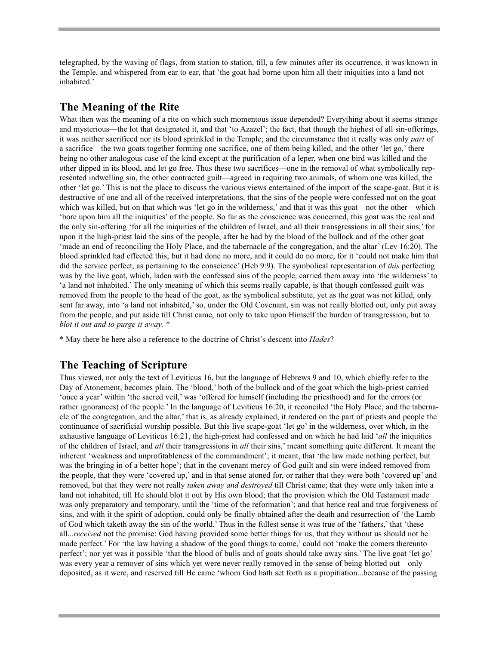telegraphed, by the waving of flags, from station to station, till, a few minutes after its occurrence, it was known in the Temple, and whispered from ear to ear, that 'the goat had borne upon him all their iniquities into a land not inhabited.'

### **The Meaning of the Rite**

What then was the meaning of a rite on which such momentous issue depended? Everything about it seems strange and mysterious—the lot that designated it, and that 'to Azazel'; the fact, that though the highest of all sin-offerings, it was neither sacrificed nor its blood sprinkled in the Temple; and the circumstance that it really was only *part* of a sacrifice—the two goats together forming one sacrifice, one of them being killed, and the other 'let go,' there being no other analogous case of the kind except at the purification of a leper, when one bird was killed and the other dipped in its blood, and let go free. Thus these two sacrifices—one in the removal of what symbolically represented indwelling sin, the other contracted guilt—agreed in requiring two animals, of whom one was killed, the other 'let go.' This is not the place to discuss the various views entertained of the import of the scape-goat. But it is destructive of one and all of the received interpretations, that the sins of the people were confessed not on the goat which was killed, but on that which was 'let go in the wilderness,' and that it was this goat—not the other—which 'bore upon him all the iniquities' of the people. So far as the conscience was concerned, this goat was the real and the only sin-offering 'for all the iniquities of the children of Israel, and all their transgressions in all their sins,' for upon it the high-priest laid the sins of the people, after he had by the blood of the bullock and of the other goat 'made an end of reconciling the Holy Place, and the tabernacle of the congregation, and the altar' (Lev 16:20). The blood sprinkled had effected this; but it had done no more, and it could do no more, for it 'could not make him that did the service perfect, as pertaining to the conscience' (Heb 9:9). The symbolical representation of *this* perfecting was by the live goat, which, laden with the confessed sins of the people, carried them away into 'the wilderness' to 'a land not inhabited.' The only meaning of which this seems really capable, is that though confessed guilt was removed from the people to the head of the goat, as the symbolical substitute, yet as the goat was not killed, only sent far away, into 'a land not inhabited,' so, under the Old Covenant, sin was not really blotted out, only put away from the people, and put aside till Christ came, not only to take upon Himself the burden of transgression, but to *blot it out and to purge it away*. \*

\* May there be here also a reference to the doctrine of Christ's descent into *Hades*?

# **The Teaching of Scripture**

Thus viewed, not only the text of Leviticus 16, but the language of Hebrews 9 and 10, which chiefly refer to the Day of Atonement, becomes plain. The 'blood,' both of the bullock and of the goat which the high-priest carried 'once a year' within 'the sacred veil,' was 'offered for himself (including the priesthood) and for the errors (or rather ignorances) of the people.' In the language of Leviticus 16:20, it reconciled 'the Holy Place, and the tabernacle of the congregation, and the altar,' that is, as already explained, it rendered on the part of priests and people the continuance of sacrificial worship possible. But this live scape-goat 'let go' in the wilderness, over which, in the exhaustive language of Leviticus 16:21, the high-priest had confessed and on which he had laid '*all* the iniquities of the children of Israel, and *all* their transgressions in *all* their sins,' meant something quite different. It meant the inherent 'weakness and unprofitableness of the commandment'; it meant, that 'the law made nothing perfect, but was the bringing in of a better hope'; that in the covenant mercy of God guilt and sin were indeed removed from the people, that they were 'covered up,' and in that sense atoned for, or rather that they were both 'covered up' and removed, but that they were not really *taken away and destroyed* till Christ came; that they were only taken into a land not inhabited, till He should blot it out by His own blood; that the provision which the Old Testament made was only preparatory and temporary, until the 'time of the reformation'; and that hence real and true forgiveness of sins, and with it the spirit of adoption, could only be finally obtained after the death and resurrection of 'the Lamb of God which taketh away the sin of the world.' Thus in the fullest sense it was true of the 'fathers,' that 'these all...*received* not the promise: God having provided some better things for us, that they without us should not be made perfect.' For 'the law having a shadow of the good things to come,' could not 'make the comers thereunto perfect'; nor yet was it possible 'that the blood of bulls and of goats should take away sins.' The live goat 'let go' was every year a remover of sins which yet were never really removed in the sense of being blotted out—only deposited, as it were, and reserved till He came 'whom God hath set forth as a propitiation...because of the passing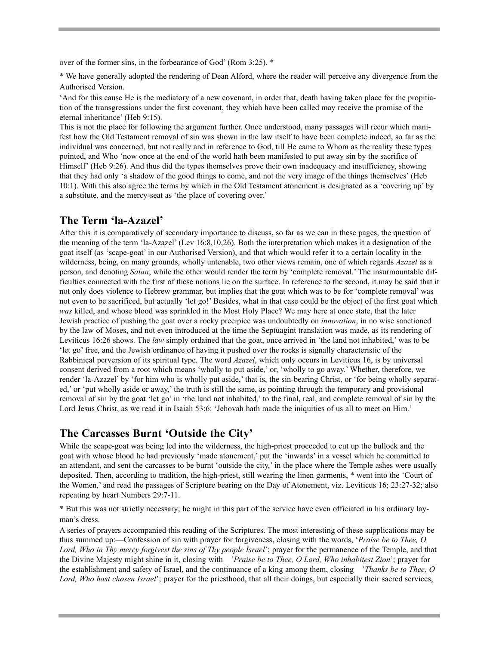over of the former sins, in the forbearance of God' (Rom 3:25). \*

\* We have generally adopted the rendering of Dean Alford, where the reader will perceive any divergence from the Authorised Version.

'And for this cause He is the mediatory of a new covenant, in order that, death having taken place for the propitiation of the transgressions under the first covenant, they which have been called may receive the promise of the eternal inheritance' (Heb 9:15).

This is not the place for following the argument further. Once understood, many passages will recur which manifest how the Old Testament removal of sin was shown in the law itself to have been complete indeed, so far as the individual was concerned, but not really and in reference to God, till He came to Whom as the reality these types pointed, and Who 'now once at the end of the world hath been manifested to put away sin by the sacrifice of Himself' (Heb 9:26). And thus did the types themselves prove their own inadequacy and insufficiency, showing that they had only 'a shadow of the good things to come, and not the very image of the things themselves' (Heb 10:1). With this also agree the terms by which in the Old Testament atonement is designated as a 'covering up' by a substitute, and the mercy-seat as 'the place of covering over.'

#### **The Term 'la-Azazel'**

After this it is comparatively of secondary importance to discuss, so far as we can in these pages, the question of the meaning of the term 'la-Azazel' (Lev 16:8,10,26). Both the interpretation which makes it a designation of the goat itself (as 'scape-goat' in our Authorised Version), and that which would refer it to a certain locality in the wilderness, being, on many grounds, wholly untenable, two other views remain, one of which regards *Azazel* as a person, and denoting *Satan*; while the other would render the term by 'complete removal.' The insurmountable difficulties connected with the first of these notions lie on the surface. In reference to the second, it may be said that it not only does violence to Hebrew grammar, but implies that the goat which was to be for 'complete removal' was not even to be sacrificed, but actually 'let go!' Besides, what in that case could be the object of the first goat which *was* killed, and whose blood was sprinkled in the Most Holy Place? We may here at once state, that the later Jewish practice of pushing the goat over a rocky precipice was undoubtedly on *innovation*, in no wise sanctioned by the law of Moses, and not even introduced at the time the Septuagint translation was made, as its rendering of Leviticus 16:26 shows. The *law* simply ordained that the goat, once arrived in 'the land not inhabited,' was to be 'let go' free, and the Jewish ordinance of having it pushed over the rocks is signally characteristic of the Rabbinical perversion of its spiritual type. The word *Azazel*, which only occurs in Leviticus 16, is by universal consent derived from a root which means 'wholly to put aside,' or, 'wholly to go away.' Whether, therefore, we render 'la-Azazel' by 'for him who is wholly put aside,' that is, the sin-bearing Christ, or 'for being wholly separated,' or 'put wholly aside or away,' the truth is still the same, as pointing through the temporary and provisional removal of sin by the goat 'let go' in 'the land not inhabited,' to the final, real, and complete removal of sin by the Lord Jesus Christ, as we read it in Isaiah 53:6: 'Jehovah hath made the iniquities of us all to meet on Him.'

#### **The Carcasses Burnt 'Outside the City'**

While the scape-goat was being led into the wilderness, the high-priest proceeded to cut up the bullock and the goat with whose blood he had previously 'made atonement,' put the 'inwards' in a vessel which he committed to an attendant, and sent the carcasses to be burnt 'outside the city,' in the place where the Temple ashes were usually deposited. Then, according to tradition, the high-priest, still wearing the linen garments, \* went into the 'Court of the Women,' and read the passages of Scripture bearing on the Day of Atonement, viz. Leviticus 16; 23:27-32; also repeating by heart Numbers 29:7-11.

\* But this was not strictly necessary; he might in this part of the service have even officiated in his ordinary layman's dress.

A series of prayers accompanied this reading of the Scriptures. The most interesting of these supplications may be thus summed up:—Confession of sin with prayer for forgiveness, closing with the words, '*Praise be to Thee, O Lord, Who in Thy mercy forgivest the sins of Thy people Israel*'; prayer for the permanence of the Temple, and that the Divine Majesty might shine in it, closing with—'*Praise be to Thee, O Lord, Who inhabitest Zion*'; prayer for the establishment and safety of Israel, and the continuance of a king among them, closing—'*Thanks be to Thee, O Lord, Who hast chosen Israel*'; prayer for the priesthood, that all their doings, but especially their sacred services,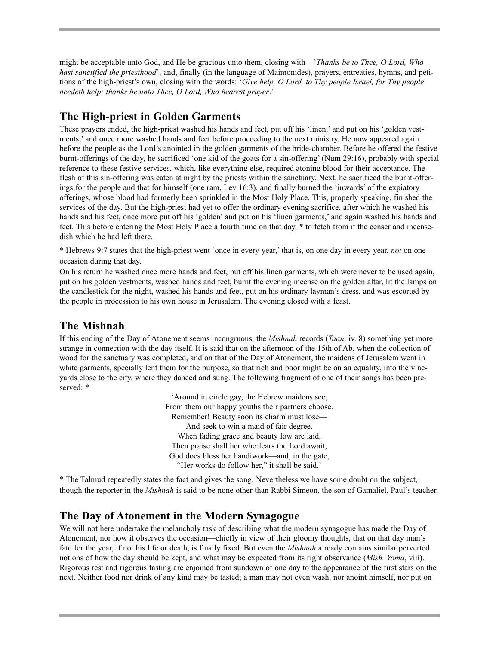might be acceptable unto God, and He be gracious unto them, closing with—'*Thanks be to Thee, O Lord, Who hast sanctified the priesthood*'; and, finally (in the language of Maimonides), prayers, entreaties, hymns, and petitions of the high-priest's own, closing with the words: '*Give help, O Lord, to Thy people Israel, for Thy people needeth help; thanks be unto Thee, O Lord, Who hearest prayer*.'

## **The High-priest in Golden Garments**

These prayers ended, the high-priest washed his hands and feet, put off his 'linen,' and put on his 'golden vestments,' and once more washed hands and feet before proceeding to the next ministry. He now appeared again before the people as the Lord's anointed in the golden garments of the bride-chamber. Before he offered the festive burnt-offerings of the day, he sacrificed 'one kid of the goats for a sin-offering' (Num 29:16), probably with special reference to these festive services, which, like everything else, required atoning blood for their acceptance. The flesh of this sin-offering was eaten at night by the priests within the sanctuary. Next, he sacrificed the burnt-offerings for the people and that for himself (one ram, Lev 16:3), and finally burned the 'inwards' of the expiatory offerings, whose blood had formerly been sprinkled in the Most Holy Place. This, properly speaking, finished the services of the day. But the high-priest had yet to offer the ordinary evening sacrifice, after which he washed his hands and his feet, once more put off his 'golden' and put on his 'linen garments,' and again washed his hands and feet. This before entering the Most Holy Place a fourth time on that day, \* to fetch from it the censer and incensedish which he had left there.

\* Hebrews 9:7 states that the high-priest went 'once in every year,' that is, on one day in every year, *not* on one occasion during that day.

On his return he washed once more hands and feet, put off his linen garments, which were never to be used again, put on his golden vestments, washed hands and feet, burnt the evening incense on the golden altar, lit the lamps on the candlestick for the night, washed his hands and feet, put on his ordinary layman's dress, and was escorted by the people in procession to his own house in Jerusalem. The evening closed with a feast.

# **The Mishnah**

If this ending of the Day of Atonement seems incongruous, the *Mishnah* records (*Taan*. iv. 8) something yet more strange in connection with the day itself. It is said that on the afternoon of the 15th of Ab, when the collection of wood for the sanctuary was completed, and on that of the Day of Atonement, the maidens of Jerusalem went in white garments, specially lent them for the purpose, so that rich and poor might be on an equality, into the vineyards close to the city, where they danced and sung. The following fragment of one of their songs has been preserved: \*

> 'Around in circle gay, the Hebrew maidens see; From them our happy youths their partners choose. Remember! Beauty soon its charm must lose— And seek to win a maid of fair degree. When fading grace and beauty low are laid, Then praise shall her who fears the Lord await; God does bless her handiwork—and, in the gate, "Her works do follow her," it shall be said."

\* The Talmud repeatedly states the fact and gives the song. Nevertheless we have some doubt on the subject, though the reporter in the *Mishnah* is said to be none other than Rabbi Simeon, the son of Gamaliel, Paul's teacher.

#### **The Day of Atonement in the Modern Synagogue**

We will not here undertake the melancholy task of describing what the modern synagogue has made the Day of Atonement, nor how it observes the occasion—chiefly in view of their gloomy thoughts, that on that day man's fate for the year, if not his life or death, is finally fixed. But even the *Mishnah* already contains similar perverted notions of how the day should be kept, and what may be expected from its right observance (*Mish. Yoma*, viii). Rigorous rest and rigorous fasting are enjoined from sundown of one day to the appearance of the first stars on the next. Neither food nor drink of any kind may be tasted; a man may not even wash, nor anoint himself, nor put on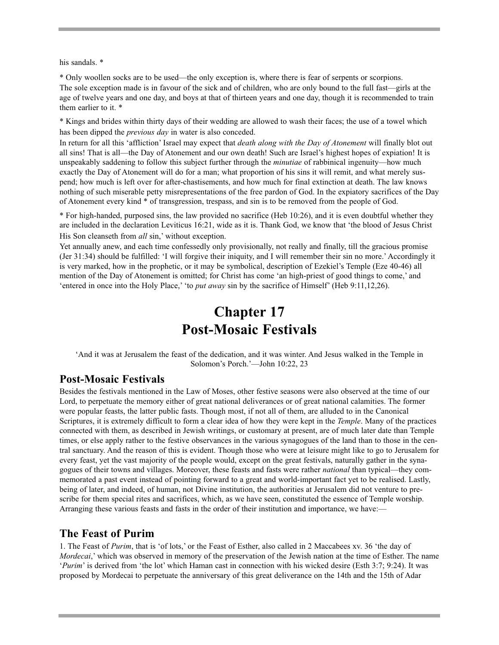his sandals. \*

\* Only woollen socks are to be used—the only exception is, where there is fear of serpents or scorpions. The sole exception made is in favour of the sick and of children, who are only bound to the full fast—girls at the age of twelve years and one day, and boys at that of thirteen years and one day, though it is recommended to train them earlier to it. \*

\* Kings and brides within thirty days of their wedding are allowed to wash their faces; the use of a towel which has been dipped the *previous day* in water is also conceded.

In return for all this 'affliction' Israel may expect that *death along with the Day of Atonement* will finally blot out all sins! That is all—the Day of Atonement and our own death! Such are Israel's highest hopes of expiation! It is unspeakably saddening to follow this subject further through the *minutiae* of rabbinical ingenuity—how much exactly the Day of Atonement will do for a man; what proportion of his sins it will remit, and what merely suspend; how much is left over for after-chastisements, and how much for final extinction at death. The law knows nothing of such miserable petty misrepresentations of the free pardon of God. In the expiatory sacrifices of the Day of Atonement every kind \* of transgression, trespass, and sin is to be removed from the people of God.

\* For high-handed, purposed sins, the law provided no sacrifice (Heb 10:26), and it is even doubtful whether they are included in the declaration Leviticus 16:21, wide as it is. Thank God, we know that 'the blood of Jesus Christ His Son cleanseth from *all* sin,' without exception.

Yet annually anew, and each time confessedly only provisionally, not really and finally, till the gracious promise (Jer 31:34) should be fulfilled: 'I will forgive their iniquity, and I will remember their sin no more.' Accordingly it is very marked, how in the prophetic, or it may be symbolical, description of Ezekiel's Temple (Eze 40-46) all mention of the Day of Atonement is omitted; for Christ has come 'an high-priest of good things to come,' and 'entered in once into the Holy Place,' 'to *put away* sin by the sacrifice of Himself' (Heb 9:11,12,26).

# **Chapter 17 Post-Mosaic Festivals**

'And it was at Jerusalem the feast of the dedication, and it was winter. And Jesus walked in the Temple in Solomon's Porch.'—John 10:22, 23

#### **Post-Mosaic Festivals**

Besides the festivals mentioned in the Law of Moses, other festive seasons were also observed at the time of our Lord, to perpetuate the memory either of great national deliverances or of great national calamities. The former were popular feasts, the latter public fasts. Though most, if not all of them, are alluded to in the Canonical Scriptures, it is extremely difficult to form a clear idea of how they were kept in the *Temple*. Many of the practices connected with them, as described in Jewish writings, or customary at present, are of much later date than Temple times, or else apply rather to the festive observances in the various synagogues of the land than to those in the central sanctuary. And the reason of this is evident. Though those who were at leisure might like to go to Jerusalem for every feast, yet the vast majority of the people would, except on the great festivals, naturally gather in the synagogues of their towns and villages. Moreover, these feasts and fasts were rather *national* than typical—they commemorated a past event instead of pointing forward to a great and world-important fact yet to be realised. Lastly, being of later, and indeed, of human, not Divine institution, the authorities at Jerusalem did not venture to prescribe for them special rites and sacrifices, which, as we have seen, constituted the essence of Temple worship. Arranging these various feasts and fasts in the order of their institution and importance, we have:—

#### **The Feast of Purim**

1. The Feast of *Purim*, that is 'of lots,' or the Feast of Esther, also called in 2 Maccabees xv. 36 'the day of *Mordecai*,' which was observed in memory of the preservation of the Jewish nation at the time of Esther. The name '*Purim*' is derived from 'the lot' which Haman cast in connection with his wicked desire (Esth 3:7; 9:24). It was proposed by Mordecai to perpetuate the anniversary of this great deliverance on the 14th and the 15th of Adar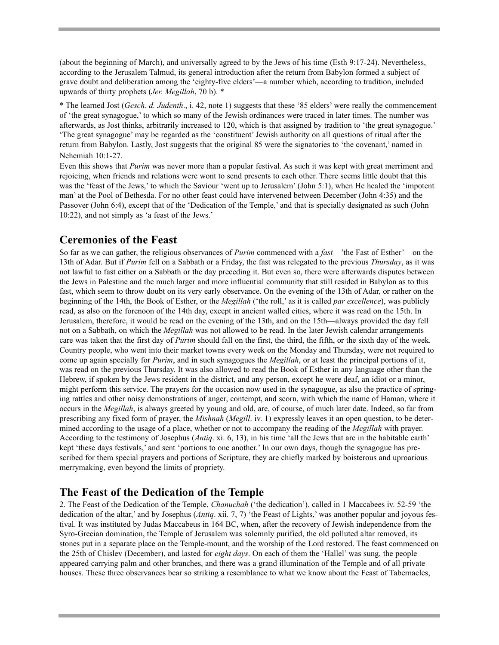(about the beginning of March), and universally agreed to by the Jews of his time (Esth 9:17-24). Nevertheless, according to the Jerusalem Talmud, its general introduction after the return from Babylon formed a subject of grave doubt and deliberation among the 'eighty-five elders'—a number which, according to tradition, included upwards of thirty prophets (*Jer. Megillah*, 70 b). \*

\* The learned Jost (*Gesch. d. Judenth*., i. 42, note 1) suggests that these '85 elders' were really the commencement of 'the great synagogue,' to which so many of the Jewish ordinances were traced in later times. The number was afterwards, as Jost thinks, arbitrarily increased to 120, which is that assigned by tradition to 'the great synagogue.' 'The great synagogue' may be regarded as the 'constituent' Jewish authority on all questions of ritual after the return from Babylon. Lastly, Jost suggests that the original 85 were the signatories to 'the covenant,' named in Nehemiah 10:1-27.

Even this shows that *Purim* was never more than a popular festival. As such it was kept with great merriment and rejoicing, when friends and relations were wont to send presents to each other. There seems little doubt that this was the 'feast of the Jews,' to which the Saviour 'went up to Jerusalem' (John 5:1), when He healed the 'impotent man' at the Pool of Bethesda. For no other feast could have intervened between December (John 4:35) and the Passover (John 6:4), except that of the 'Dedication of the Temple,' and that is specially designated as such (John 10:22), and not simply as 'a feast of the Jews.'

### **Ceremonies of the Feast**

So far as we can gather, the religious observances of *Purim* commenced with a *fast*—'the Fast of Esther'—on the 13th of Adar. But if *Purim* fell on a Sabbath or a Friday, the fast was relegated to the previous *Thursday*, as it was not lawful to fast either on a Sabbath or the day preceding it. But even so, there were afterwards disputes between the Jews in Palestine and the much larger and more influential community that still resided in Babylon as to this fast, which seem to throw doubt on its very early observance. On the evening of the 13th of Adar, or rather on the beginning of the 14th, the Book of Esther, or the *Megillah* ('the roll,' as it is called *par excellence*), was publicly read, as also on the forenoon of the 14th day, except in ancient walled cities, where it was read on the 15th. In Jerusalem, therefore, it would be read on the evening of the 13th, and on the 15th—always provided the day fell not on a Sabbath, on which the *Megillah* was not allowed to be read. In the later Jewish calendar arrangements care was taken that the first day of *Purim* should fall on the first, the third, the fifth, or the sixth day of the week. Country people, who went into their market towns every week on the Monday and Thursday, were not required to come up again specially for *Purim*, and in such synagogues the *Megillah*, or at least the principal portions of it, was read on the previous Thursday. It was also allowed to read the Book of Esther in any language other than the Hebrew, if spoken by the Jews resident in the district, and any person, except he were deaf, an idiot or a minor, might perform this service. The prayers for the occasion now used in the synagogue, as also the practice of springing rattles and other noisy demonstrations of anger, contempt, and scorn, with which the name of Haman, where it occurs in the *Megillah*, is always greeted by young and old, are, of course, of much later date. Indeed, so far from prescribing any fixed form of prayer, the *Mishnah* (*Megill*. iv. 1) expressly leaves it an open question, to be determined according to the usage of a place, whether or not to accompany the reading of the *Megillah* with prayer. According to the testimony of Josephus (*Antiq*. xi. 6, 13), in his time 'all the Jews that are in the habitable earth' kept 'these days festivals,' and sent 'portions to one another.' In our own days, though the synagogue has prescribed for them special prayers and portions of Scripture, they are chiefly marked by boisterous and uproarious merrymaking, even beyond the limits of propriety.

### **The Feast of the Dedication of the Temple**

2. The Feast of the Dedication of the Temple, *Chanuchah* ('the dedication'), called in 1 Maccabees iv. 52-59 'the dedication of the altar,' and by Josephus (*Antiq*. xii. 7, 7) 'the Feast of Lights,' was another popular and joyous festival. It was instituted by Judas Maccabeus in 164 BC, when, after the recovery of Jewish independence from the Syro-Grecian domination, the Temple of Jerusalem was solemnly purified, the old polluted altar removed, its stones put in a separate place on the Temple-mount, and the worship of the Lord restored. The feast commenced on the 25th of Chislev (December), and lasted for *eight days*. On each of them the 'Hallel' was sung, the people appeared carrying palm and other branches, and there was a grand illumination of the Temple and of all private houses. These three observances bear so striking a resemblance to what we know about the Feast of Tabernacles,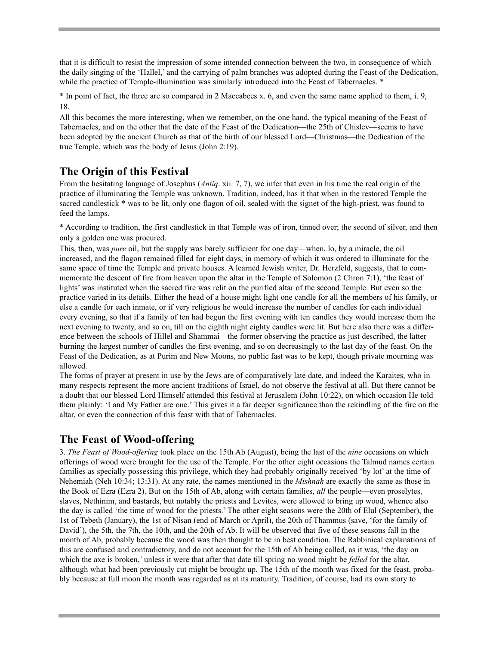that it is difficult to resist the impression of some intended connection between the two, in consequence of which the daily singing of the 'Hallel,' and the carrying of palm branches was adopted during the Feast of the Dedication, while the practice of Temple-illumination was similarly introduced into the Feast of Tabernacles.  $*$ 

\* In point of fact, the three are so compared in 2 Maccabees x. 6, and even the same name applied to them, i. 9, 18.

All this becomes the more interesting, when we remember, on the one hand, the typical meaning of the Feast of Tabernacles, and on the other that the date of the Feast of the Dedication—the 25th of Chislev—seems to have been adopted by the ancient Church as that of the birth of our blessed Lord—Christmas—the Dedication of the true Temple, which was the body of Jesus (John 2:19).

### **The Origin of this Festival**

From the hesitating language of Josephus (*Antiq*. xii. 7, 7), we infer that even in his time the real origin of the practice of illuminating the Temple was unknown. Tradition, indeed, has it that when in the restored Temple the sacred candlestick \* was to be lit, only one flagon of oil, sealed with the signet of the high-priest, was found to feed the lamps.

\* According to tradition, the first candlestick in that Temple was of iron, tinned over; the second of silver, and then only a golden one was procured.

This, then, was *pure* oil, but the supply was barely sufficient for one day—when, lo, by a miracle, the oil increased, and the flagon remained filled for eight days, in memory of which it was ordered to illuminate for the same space of time the Temple and private houses. A learned Jewish writer, Dr. Herzfeld, suggests, that to commemorate the descent of fire from heaven upon the altar in the Temple of Solomon (2 Chron 7:1), 'the feast of lights' was instituted when the sacred fire was relit on the purified altar of the second Temple. But even so the practice varied in its details. Either the head of a house might light one candle for all the members of his family, or else a candle for each inmate, or if very religious he would increase the number of candles for each individual every evening, so that if a family of ten had begun the first evening with ten candles they would increase them the next evening to twenty, and so on, till on the eighth night eighty candles were lit. But here also there was a difference between the schools of Hillel and Shammai—the former observing the practice as just described, the latter burning the largest number of candles the first evening, and so on decreasingly to the last day of the feast. On the Feast of the Dedication, as at Purim and New Moons, no public fast was to be kept, though private mourning was allowed.

The forms of prayer at present in use by the Jews are of comparatively late date, and indeed the Karaites, who in many respects represent the more ancient traditions of Israel, do not observe the festival at all. But there cannot be a doubt that our blessed Lord Himself attended this festival at Jerusalem (John 10:22), on which occasion He told them plainly: 'I and My Father are one.' This gives it a far deeper significance than the rekindling of the fire on the altar, or even the connection of this feast with that of Tabernacles.

### **The Feast of Wood-offering**

3. *The Feast of Wood-offering* took place on the 15th Ab (August), being the last of the *nine* occasions on which offerings of wood were brought for the use of the Temple. For the other eight occasions the Talmud names certain families as specially possessing this privilege, which they had probably originally received 'by lot' at the time of Nehemiah (Neh 10:34; 13:31). At any rate, the names mentioned in the *Mishnah* are exactly the same as those in the Book of Ezra (Ezra 2). But on the 15th of Ab, along with certain families, *all* the people—even proselytes, slaves, Nethinim, and bastards, but notably the priests and Levites, were allowed to bring up wood, whence also the day is called 'the time of wood for the priests.' The other eight seasons were the 20th of Elul (September), the 1st of Tebeth (January), the 1st of Nisan (end of March or April), the 20th of Thammus (save, 'for the family of David'), the 5th, the 7th, the 10th, and the 20th of Ab. It will be observed that five of these seasons fall in the month of Ab, probably because the wood was then thought to be in best condition. The Rabbinical explanations of this are confused and contradictory, and do not account for the 15th of Ab being called, as it was, 'the day on which the axe is broken,' unless it were that after that date till spring no wood might be *felled* for the altar, although what had been previously cut might be brought up. The 15th of the month was fixed for the feast, probably because at full moon the month was regarded as at its maturity. Tradition, of course, had its own story to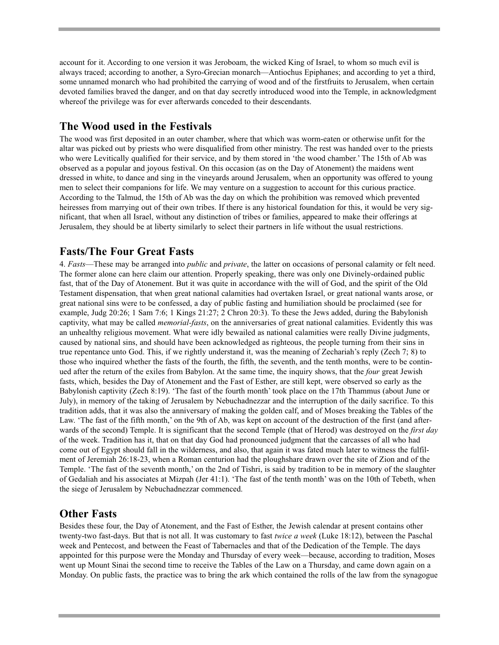account for it. According to one version it was Jeroboam, the wicked King of Israel, to whom so much evil is always traced; according to another, a Syro-Grecian monarch—Antiochus Epiphanes; and according to yet a third, some unnamed monarch who had prohibited the carrying of wood and of the firstfruits to Jerusalem, when certain devoted families braved the danger, and on that day secretly introduced wood into the Temple, in acknowledgment whereof the privilege was for ever afterwards conceded to their descendants.

### **The Wood used in the Festivals**

The wood was first deposited in an outer chamber, where that which was worm-eaten or otherwise unfit for the altar was picked out by priests who were disqualified from other ministry. The rest was handed over to the priests who were Levitically qualified for their service, and by them stored in 'the wood chamber.' The 15th of Ab was observed as a popular and joyous festival. On this occasion (as on the Day of Atonement) the maidens went dressed in white, to dance and sing in the vineyards around Jerusalem, when an opportunity was offered to young men to select their companions for life. We may venture on a suggestion to account for this curious practice. According to the Talmud, the 15th of Ab was the day on which the prohibition was removed which prevented heiresses from marrying out of their own tribes. If there is any historical foundation for this, it would be very significant, that when all Israel, without any distinction of tribes or families, appeared to make their offerings at Jerusalem, they should be at liberty similarly to select their partners in life without the usual restrictions.

### **Fasts/The Four Great Fasts**

4. *Fasts*—These may be arranged into *public* and *private*, the latter on occasions of personal calamity or felt need. The former alone can here claim our attention. Properly speaking, there was only one Divinely-ordained public fast, that of the Day of Atonement. But it was quite in accordance with the will of God, and the spirit of the Old Testament dispensation, that when great national calamities had overtaken Israel, or great national wants arose, or great national sins were to be confessed, a day of public fasting and humiliation should be proclaimed (see for example, Judg 20:26; 1 Sam 7:6; 1 Kings 21:27; 2 Chron 20:3). To these the Jews added, during the Babylonish captivity, what may be called *memorial-fasts*, on the anniversaries of great national calamities. Evidently this was an unhealthy religious movement. What were idly bewailed as national calamities were really Divine judgments, caused by national sins, and should have been acknowledged as righteous, the people turning from their sins in true repentance unto God. This, if we rightly understand it, was the meaning of Zechariah's reply (Zech 7; 8) to those who inquired whether the fasts of the fourth, the fifth, the seventh, and the tenth months, were to be continued after the return of the exiles from Babylon. At the same time, the inquiry shows, that the *four* great Jewish fasts, which, besides the Day of Atonement and the Fast of Esther, are still kept, were observed so early as the Babylonish captivity (Zech 8:19). 'The fast of the fourth month' took place on the 17th Thammus (about June or July), in memory of the taking of Jerusalem by Nebuchadnezzar and the interruption of the daily sacrifice. To this tradition adds, that it was also the anniversary of making the golden calf, and of Moses breaking the Tables of the Law. 'The fast of the fifth month,' on the 9th of Ab, was kept on account of the destruction of the first (and afterwards of the second) Temple. It is significant that the second Temple (that of Herod) was destroyed on the *first day* of the week. Tradition has it, that on that day God had pronounced judgment that the carcasses of all who had come out of Egypt should fall in the wilderness, and also, that again it was fated much later to witness the fulfilment of Jeremiah 26:18-23, when a Roman centurion had the ploughshare drawn over the site of Zion and of the Temple. 'The fast of the seventh month,' on the 2nd of Tishri, is said by tradition to be in memory of the slaughter of Gedaliah and his associates at Mizpah (Jer 41:1). 'The fast of the tenth month' was on the 10th of Tebeth, when the siege of Jerusalem by Nebuchadnezzar commenced.

### **Other Fasts**

Besides these four, the Day of Atonement, and the Fast of Esther, the Jewish calendar at present contains other twenty-two fast-days. But that is not all. It was customary to fast *twice a week* (Luke 18:12), between the Paschal week and Pentecost, and between the Feast of Tabernacles and that of the Dedication of the Temple. The days appointed for this purpose were the Monday and Thursday of every week—because, according to tradition, Moses went up Mount Sinai the second time to receive the Tables of the Law on a Thursday, and came down again on a Monday. On public fasts, the practice was to bring the ark which contained the rolls of the law from the synagogue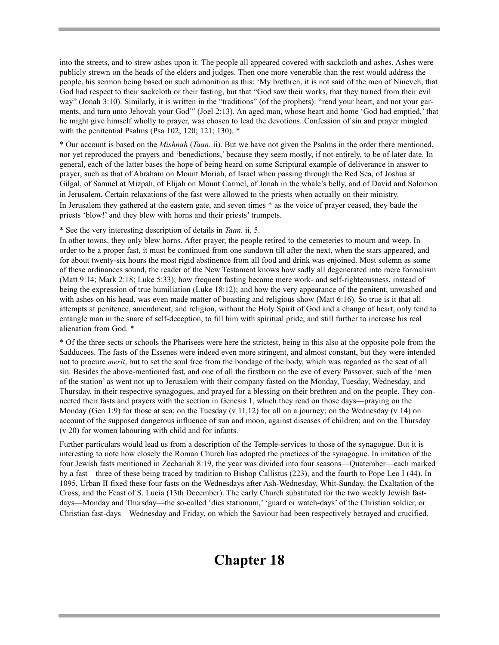into the streets, and to strew ashes upon it. The people all appeared covered with sackcloth and ashes. Ashes were publicly strewn on the heads of the elders and judges. Then one more venerable than the rest would address the people, his sermon being based on such admonition as this: 'My brethren, it is not said of the men of Nineveh, that God had respect to their sackcloth or their fasting, but that "God saw their works, that they turned from their evil way" (Jonah 3:10). Similarly, it is written in the "traditions" (of the prophets): "rend your heart, and not your garments, and turn unto Jehovah your God"' (Joel 2:13). An aged man, whose heart and home 'God had emptied,' that he might give himself wholly to prayer, was chosen to lead the devotions. Confession of sin and prayer mingled with the penitential Psalms (Psa 102; 120; 121; 130). \*

\* Our account is based on the *Mishnah* (*Taan*. ii). But we have not given the Psalms in the order there mentioned, nor yet reproduced the prayers and 'benedictions,' because they seem mostly, if not entirely, to be of later date. In general, each of the latter bases the hope of being heard on some Scriptural example of deliverance in answer to prayer, such as that of Abraham on Mount Moriah, of Israel when passing through the Red Sea, of Joshua at Gilgal, of Samuel at Mizpah, of Elijah on Mount Carmel, of Jonah in the whale's belly, and of David and Solomon in Jerusalem. Certain relaxations of the fast were allowed to the priests when actually on their ministry. In Jerusalem they gathered at the eastern gate, and seven times \* as the voice of prayer ceased, they bade the priests 'blow!' and they blew with horns and their priests' trumpets.

\* See the very interesting description of details in *Taan*. ii. 5.

In other towns, they only blew horns. After prayer, the people retired to the cemeteries to mourn and weep. In order to be a proper fast, it must be continued from one sundown till after the next, when the stars appeared, and for about twenty-six hours the most rigid abstinence from all food and drink was enjoined. Most solemn as some of these ordinances sound, the reader of the New Testament knows how sadly all degenerated into mere formalism (Matt 9:14; Mark 2:18; Luke 5:33); how frequent fasting became mere work- and self-righteousness, instead of being the expression of true humiliation (Luke 18:12); and how the very appearance of the penitent, unwashed and with ashes on his head, was even made matter of boasting and religious show (Matt 6:16). So true is it that all attempts at penitence, amendment, and religion, without the Holy Spirit of God and a change of heart, only tend to entangle man in the snare of self-deception, to fill him with spiritual pride, and still further to increase his real alienation from God. \*

\* Of the three sects or schools the Pharisees were here the strictest, being in this also at the opposite pole from the Sadducees. The fasts of the Essenes were indeed even more stringent, and almost constant, but they were intended not to procure *merit*, but to set the soul free from the bondage of the body, which was regarded as the seat of all sin. Besides the above-mentioned fast, and one of all the firstborn on the eve of every Passover, such of the 'men of the station' as went not up to Jerusalem with their company fasted on the Monday, Tuesday, Wednesday, and Thursday, in their respective synagogues, and prayed for a blessing on their brethren and on the people. They connected their fasts and prayers with the section in Genesis 1, which they read on those days—praying on the Monday (Gen 1:9) for those at sea; on the Tuesday (v 11,12) for all on a journey; on the Wednesday (v 14) on account of the supposed dangerous influence of sun and moon, against diseases of children; and on the Thursday (v 20) for women labouring with child and for infants.

Further particulars would lead us from a description of the Temple-services to those of the synagogue. But it is interesting to note how closely the Roman Church has adopted the practices of the synagogue. In imitation of the four Jewish fasts mentioned in Zechariah 8:19, the year was divided into four seasons—Quatember—each marked by a fast—three of these being traced by tradition to Bishop Callistus (223), and the fourth to Pope Leo I (44). In 1095, Urban II fixed these four fasts on the Wednesdays after Ash-Wednesday, Whit-Sunday, the Exaltation of the Cross, and the Feast of S. Lucia (13th December). The early Church substituted for the two weekly Jewish fastdays—Monday and Thursday—the so-called 'dies stationum,' 'guard or watch-days' of the Christian soldier, or Christian fast-days—Wednesday and Friday, on which the Saviour had been respectively betrayed and crucified.

## **Chapter 18**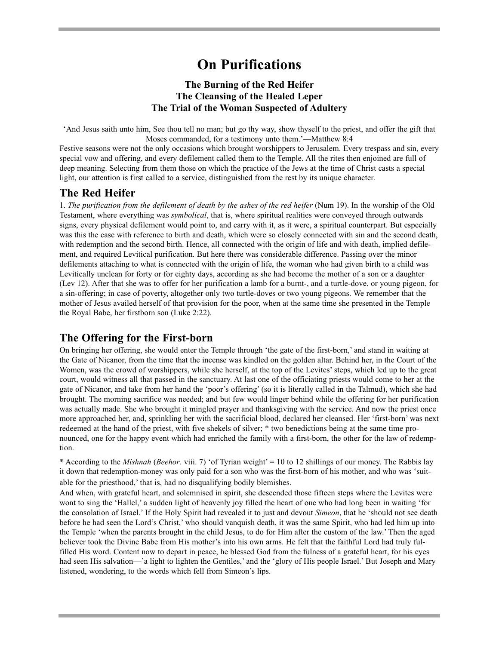# **On Purifications**

#### **The Burning of the Red Heifer The Cleansing of the Healed Leper The Trial of the Woman Suspected of Adultery**

'And Jesus saith unto him, See thou tell no man; but go thy way, show thyself to the priest, and offer the gift that Moses commanded, for a testimony unto them.'—Matthew 8:4

Festive seasons were not the only occasions which brought worshippers to Jerusalem. Every trespass and sin, every special vow and offering, and every defilement called them to the Temple. All the rites then enjoined are full of deep meaning. Selecting from them those on which the practice of the Jews at the time of Christ casts a special light, our attention is first called to a service, distinguished from the rest by its unique character.

#### **The Red Heifer**

1. *The purification from the defilement of death by the ashes of the red heifer* (Num 19). In the worship of the Old Testament, where everything was *symbolical*, that is, where spiritual realities were conveyed through outwards signs, every physical defilement would point to, and carry with it, as it were, a spiritual counterpart. But especially was this the case with reference to birth and death, which were so closely connected with sin and the second death, with redemption and the second birth. Hence, all connected with the origin of life and with death, implied defilement, and required Levitical purification. But here there was considerable difference. Passing over the minor defilements attaching to what is connected with the origin of life, the woman who had given birth to a child was Levitically unclean for forty or for eighty days, according as she had become the mother of a son or a daughter (Lev 12). After that she was to offer for her purification a lamb for a burnt-, and a turtle-dove, or young pigeon, for a sin-offering; in case of poverty, altogether only two turtle-doves or two young pigeons. We remember that the mother of Jesus availed herself of that provision for the poor, when at the same time she presented in the Temple the Royal Babe, her firstborn son (Luke 2:22).

#### **The Offering for the First-born**

On bringing her offering, she would enter the Temple through 'the gate of the first-born,' and stand in waiting at the Gate of Nicanor, from the time that the incense was kindled on the golden altar. Behind her, in the Court of the Women, was the crowd of worshippers, while she herself, at the top of the Levites' steps, which led up to the great court, would witness all that passed in the sanctuary. At last one of the officiating priests would come to her at the gate of Nicanor, and take from her hand the 'poor's offering' (so it is literally called in the Talmud), which she had brought. The morning sacrifice was needed; and but few would linger behind while the offering for her purification was actually made. She who brought it mingled prayer and thanksgiving with the service. And now the priest once more approached her, and, sprinkling her with the sacrificial blood, declared her cleansed. Her 'first-born' was next redeemed at the hand of the priest, with five shekels of silver; \* two benedictions being at the same time pronounced, one for the happy event which had enriched the family with a first-born, the other for the law of redemption.

\* According to the *Mishnah* (*Beehor*. viii. 7) 'of Tyrian weight' = 10 to 12 shillings of our money. The Rabbis lay it down that redemption-money was only paid for a son who was the first-born of his mother, and who was 'suitable for the priesthood,' that is, had no disqualifying bodily blemishes.

And when, with grateful heart, and solemnised in spirit, she descended those fifteen steps where the Levites were wont to sing the 'Hallel,' a sudden light of heavenly joy filled the heart of one who had long been in waiting 'for the consolation of Israel.' If the Holy Spirit had revealed it to just and devout *Simeon*, that he 'should not see death before he had seen the Lord's Christ,' who should vanquish death, it was the same Spirit, who had led him up into the Temple 'when the parents brought in the child Jesus, to do for Him after the custom of the law.' Then the aged believer took the Divine Babe from His mother's into his own arms. He felt that the faithful Lord had truly fulfilled His word. Content now to depart in peace, he blessed God from the fulness of a grateful heart, for his eyes had seen His salvation—'a light to lighten the Gentiles,' and the 'glory of His people Israel.' But Joseph and Mary listened, wondering, to the words which fell from Simeon's lips.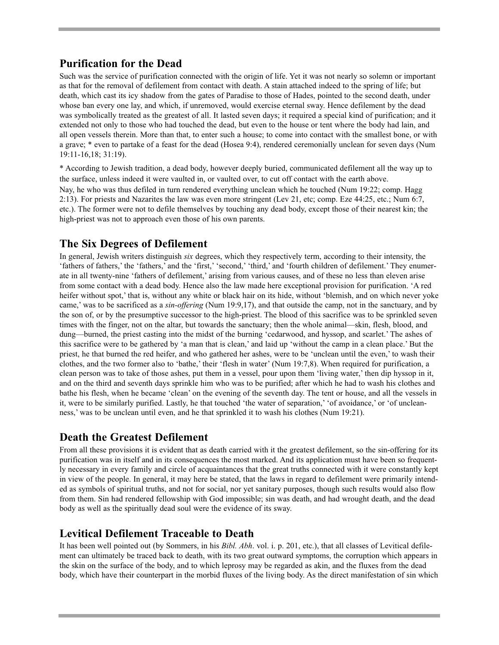### **Purification for the Dead**

Such was the service of purification connected with the origin of life. Yet it was not nearly so solemn or important as that for the removal of defilement from contact with death. A stain attached indeed to the spring of life; but death, which cast its icy shadow from the gates of Paradise to those of Hades, pointed to the second death, under whose ban every one lay, and which, if unremoved, would exercise eternal sway. Hence defilement by the dead was symbolically treated as the greatest of all. It lasted seven days; it required a special kind of purification; and it extended not only to those who had touched the dead, but even to the house or tent where the body had lain, and all open vessels therein. More than that, to enter such a house; to come into contact with the smallest bone, or with a grave; \* even to partake of a feast for the dead (Hosea 9:4), rendered ceremonially unclean for seven days (Num 19:11-16,18; 31:19).

\* According to Jewish tradition, a dead body, however deeply buried, communicated defilement all the way up to the surface, unless indeed it were vaulted in, or vaulted over, to cut off contact with the earth above. Nay, he who was thus defiled in turn rendered everything unclean which he touched (Num 19:22; comp. Hagg 2:13). For priests and Nazarites the law was even more stringent (Lev 21, etc; comp. Eze 44:25, etc.; Num 6:7, etc.). The former were not to defile themselves by touching any dead body, except those of their nearest kin; the high-priest was not to approach even those of his own parents.

### **The Six Degrees of Defilement**

In general, Jewish writers distinguish *six* degrees, which they respectively term, according to their intensity, the 'fathers of fathers,' the 'fathers,' and the 'first,' 'second,' 'third,' and 'fourth children of defilement.' They enumerate in all twenty-nine 'fathers of defilement,' arising from various causes, and of these no less than eleven arise from some contact with a dead body. Hence also the law made here exceptional provision for purification. 'A red heifer without spot,' that is, without any white or black hair on its hide, without 'blemish, and on which never yoke came,' was to be sacrificed as a *sin-offering* (Num 19:9,17), and that outside the camp, not in the sanctuary, and by the son of, or by the presumptive successor to the high-priest. The blood of this sacrifice was to be sprinkled seven times with the finger, not on the altar, but towards the sanctuary; then the whole animal—skin, flesh, blood, and dung—burned, the priest casting into the midst of the burning 'cedarwood, and hyssop, and scarlet.' The ashes of this sacrifice were to be gathered by 'a man that is clean,' and laid up 'without the camp in a clean place.' But the priest, he that burned the red heifer, and who gathered her ashes, were to be 'unclean until the even,' to wash their clothes, and the two former also to 'bathe,' their 'flesh in water' (Num 19:7,8). When required for purification, a clean person was to take of those ashes, put them in a vessel, pour upon them 'living water,' then dip hyssop in it, and on the third and seventh days sprinkle him who was to be purified; after which he had to wash his clothes and bathe his flesh, when he became 'clean' on the evening of the seventh day. The tent or house, and all the vessels in it, were to be similarly purified. Lastly, he that touched 'the water of separation,' 'of avoidance,' or 'of uncleanness,' was to be unclean until even, and he that sprinkled it to wash his clothes (Num 19:21).

### **Death the Greatest Defilement**

From all these provisions it is evident that as death carried with it the greatest defilement, so the sin-offering for its purification was in itself and in its consequences the most marked. And its application must have been so frequently necessary in every family and circle of acquaintances that the great truths connected with it were constantly kept in view of the people. In general, it may here be stated, that the laws in regard to defilement were primarily intended as symbols of spiritual truths, and not for social, nor yet sanitary purposes, though such results would also flow from them. Sin had rendered fellowship with God impossible; sin was death, and had wrought death, and the dead body as well as the spiritually dead soul were the evidence of its sway.

### **Levitical Defilement Traceable to Death**

It has been well pointed out (by Sommers, in his *Bibl. Abh*. vol. i. p. 201, etc.), that all classes of Levitical defilement can ultimately be traced back to death, with its two great outward symptoms, the corruption which appears in the skin on the surface of the body, and to which leprosy may be regarded as akin, and the fluxes from the dead body, which have their counterpart in the morbid fluxes of the living body. As the direct manifestation of sin which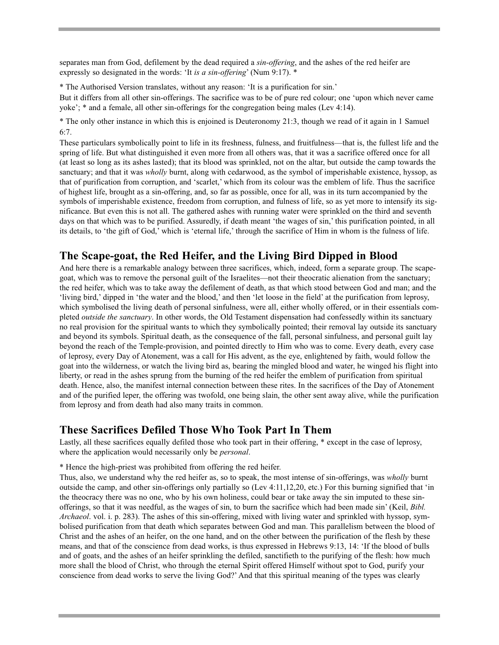separates man from God, defilement by the dead required a *sin-offering*, and the ashes of the red heifer are expressly so designated in the words: 'It *is a sin-offering*' (Num 9:17). \*

\* The Authorised Version translates, without any reason: 'It is a purification for sin.'

But it differs from all other sin-offerings. The sacrifice was to be of pure red colour; one 'upon which never came yoke'; \* and a female, all other sin-offerings for the congregation being males (Lev 4:14).

\* The only other instance in which this is enjoined is Deuteronomy 21:3, though we read of it again in 1 Samuel 6:7.

These particulars symbolically point to life in its freshness, fulness, and fruitfulness—that is, the fullest life and the spring of life. But what distinguished it even more from all others was, that it was a sacrifice offered once for all (at least so long as its ashes lasted); that its blood was sprinkled, not on the altar, but outside the camp towards the sanctuary; and that it was *wholly* burnt, along with cedarwood, as the symbol of imperishable existence, hyssop, as that of purification from corruption, and 'scarlet,' which from its colour was the emblem of life. Thus the sacrifice of highest life, brought as a sin-offering, and, so far as possible, once for all, was in its turn accompanied by the symbols of imperishable existence, freedom from corruption, and fulness of life, so as yet more to intensify its significance. But even this is not all. The gathered ashes with running water were sprinkled on the third and seventh days on that which was to be purified. Assuredly, if death meant 'the wages of sin,' this purification pointed, in all its details, to 'the gift of God,' which is 'eternal life,' through the sacrifice of Him in whom is the fulness of life.

### **The Scape-goat, the Red Heifer, and the Living Bird Dipped in Blood**

And here there is a remarkable analogy between three sacrifices, which, indeed, form a separate group. The scapegoat, which was to remove the personal guilt of the Israelites—not their theocratic alienation from the sanctuary; the red heifer, which was to take away the defilement of death, as that which stood between God and man; and the 'living bird,' dipped in 'the water and the blood,' and then 'let loose in the field' at the purification from leprosy, which symbolised the living death of personal sinfulness, were all, either wholly offered, or in their essentials completed *outside the sanctuary*. In other words, the Old Testament dispensation had confessedly within its sanctuary no real provision for the spiritual wants to which they symbolically pointed; their removal lay outside its sanctuary and beyond its symbols. Spiritual death, as the consequence of the fall, personal sinfulness, and personal guilt lay beyond the reach of the Temple-provision, and pointed directly to Him who was to come. Every death, every case of leprosy, every Day of Atonement, was a call for His advent, as the eye, enlightened by faith, would follow the goat into the wilderness, or watch the living bird as, bearing the mingled blood and water, he winged his flight into liberty, or read in the ashes sprung from the burning of the red heifer the emblem of purification from spiritual death. Hence, also, the manifest internal connection between these rites. In the sacrifices of the Day of Atonement and of the purified leper, the offering was twofold, one being slain, the other sent away alive, while the purification from leprosy and from death had also many traits in common.

#### **These Sacrifices Defiled Those Who Took Part In Them**

Lastly, all these sacrifices equally defiled those who took part in their offering, \* except in the case of leprosy, where the application would necessarily only be *personal*.

\* Hence the high-priest was prohibited from offering the red heifer.

Thus, also, we understand why the red heifer as, so to speak, the most intense of sin-offerings, was *wholly* burnt outside the camp, and other sin-offerings only partially so (Lev 4:11,12,20, etc.) For this burning signified that 'in the theocracy there was no one, who by his own holiness, could bear or take away the sin imputed to these sinofferings, so that it was needful, as the wages of sin, to burn the sacrifice which had been made sin' (Keil, *Bibl. Archaeol*. vol. i. p. 283). The ashes of this sin-offering, mixed with living water and sprinkled with hyssop, symbolised purification from that death which separates between God and man. This parallelism between the blood of Christ and the ashes of an heifer, on the one hand, and on the other between the purification of the flesh by these means, and that of the conscience from dead works, is thus expressed in Hebrews 9:13, 14: 'If the blood of bulls and of goats, and the ashes of an heifer sprinkling the defiled, sanctifieth to the purifying of the flesh: how much more shall the blood of Christ, who through the eternal Spirit offered Himself without spot to God, purify your conscience from dead works to serve the living God?' And that this spiritual meaning of the types was clearly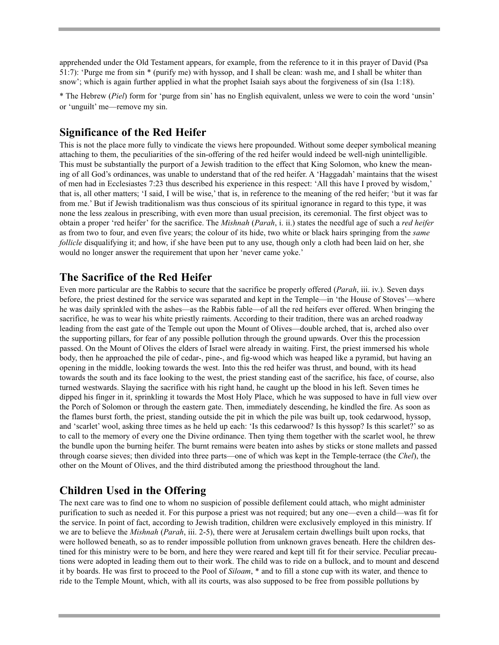apprehended under the Old Testament appears, for example, from the reference to it in this prayer of David (Psa 51:7): 'Purge me from sin \* (purify me) with hyssop, and I shall be clean: wash me, and I shall be whiter than snow'; which is again further applied in what the prophet Isaiah says about the forgiveness of sin (Isa 1:18).

\* The Hebrew (*Piel*) form for 'purge from sin' has no English equivalent, unless we were to coin the word 'unsin' or 'unguilt' me—remove my sin.

#### **Significance of the Red Heifer**

This is not the place more fully to vindicate the views here propounded. Without some deeper symbolical meaning attaching to them, the peculiarities of the sin-offering of the red heifer would indeed be well-nigh unintelligible. This must be substantially the purport of a Jewish tradition to the effect that King Solomon, who knew the meaning of all God's ordinances, was unable to understand that of the red heifer. A 'Haggadah' maintains that the wisest of men had in Ecclesiastes 7:23 thus described his experience in this respect: 'All this have I proved by wisdom,' that is, all other matters; 'I said, I will be wise,' that is, in reference to the meaning of the red heifer; 'but it was far from me.' But if Jewish traditionalism was thus conscious of its spiritual ignorance in regard to this type, it was none the less zealous in prescribing, with even more than usual precision, its ceremonial. The first object was to obtain a proper 'red heifer' for the sacrifice. The *Mishnah* (*Parah*, i. ii.) states the needful age of such a *red heifer* as from two to four, and even five years; the colour of its hide, two white or black hairs springing from the *same follicle* disqualifying it; and how, if she have been put to any use, though only a cloth had been laid on her, she would no longer answer the requirement that upon her 'never came yoke.'

### **The Sacrifice of the Red Heifer**

Even more particular are the Rabbis to secure that the sacrifice be properly offered (*Parah*, iii. iv.). Seven days before, the priest destined for the service was separated and kept in the Temple—in 'the House of Stoves'—where he was daily sprinkled with the ashes—as the Rabbis fable—of all the red heifers ever offered. When bringing the sacrifice, he was to wear his white priestly raiments. According to their tradition, there was an arched roadway leading from the east gate of the Temple out upon the Mount of Olives—double arched, that is, arched also over the supporting pillars, for fear of any possible pollution through the ground upwards. Over this the procession passed. On the Mount of Olives the elders of Israel were already in waiting. First, the priest immersed his whole body, then he approached the pile of cedar-, pine-, and fig-wood which was heaped like a pyramid, but having an opening in the middle, looking towards the west. Into this the red heifer was thrust, and bound, with its head towards the south and its face looking to the west, the priest standing east of the sacrifice, his face, of course, also turned westwards. Slaying the sacrifice with his right hand, he caught up the blood in his left. Seven times he dipped his finger in it, sprinkling it towards the Most Holy Place, which he was supposed to have in full view over the Porch of Solomon or through the eastern gate. Then, immediately descending, he kindled the fire. As soon as the flames burst forth, the priest, standing outside the pit in which the pile was built up, took cedarwood, hyssop, and 'scarlet' wool, asking three times as he held up each: 'Is this cedarwood? Is this hyssop? Is this scarlet?' so as to call to the memory of every one the Divine ordinance. Then tying them together with the scarlet wool, he threw the bundle upon the burning heifer. The burnt remains were beaten into ashes by sticks or stone mallets and passed through coarse sieves; then divided into three parts—one of which was kept in the Temple-terrace (the *Chel*), the other on the Mount of Olives, and the third distributed among the priesthood throughout the land.

### **Children Used in the Offering**

The next care was to find one to whom no suspicion of possible defilement could attach, who might administer purification to such as needed it. For this purpose a priest was not required; but any one—even a child—was fit for the service. In point of fact, according to Jewish tradition, children were exclusively employed in this ministry. If we are to believe the *Mishnah* (*Parah*, iii. 2-5), there were at Jerusalem certain dwellings built upon rocks, that were hollowed beneath, so as to render impossible pollution from unknown graves beneath. Here the children destined for this ministry were to be born, and here they were reared and kept till fit for their service. Peculiar precautions were adopted in leading them out to their work. The child was to ride on a bullock, and to mount and descend it by boards. He was first to proceed to the Pool of *Siloam*, \* and to fill a stone cup with its water, and thence to ride to the Temple Mount, which, with all its courts, was also supposed to be free from possible pollutions by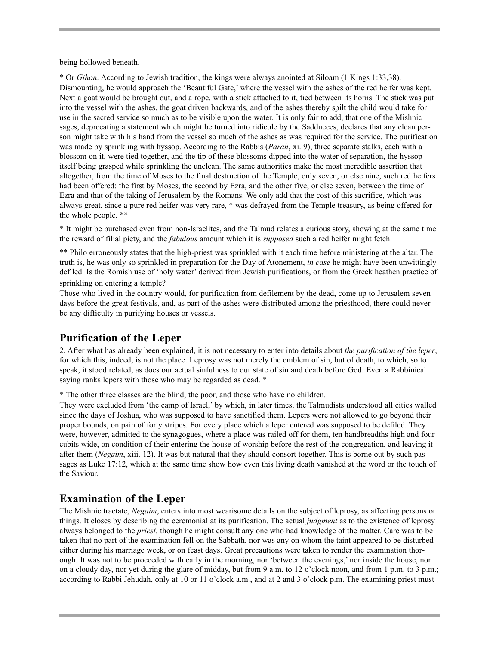being hollowed beneath.

\* Or *Gihon*. According to Jewish tradition, the kings were always anointed at Siloam (1 Kings 1:33,38). Dismounting, he would approach the 'Beautiful Gate,' where the vessel with the ashes of the red heifer was kept. Next a goat would be brought out, and a rope, with a stick attached to it, tied between its horns. The stick was put into the vessel with the ashes, the goat driven backwards, and of the ashes thereby spilt the child would take for use in the sacred service so much as to be visible upon the water. It is only fair to add, that one of the Mishnic sages, deprecating a statement which might be turned into ridicule by the Sadducees, declares that any clean person might take with his hand from the vessel so much of the ashes as was required for the service. The purification was made by sprinkling with hyssop. According to the Rabbis (*Parah*, xi. 9), three separate stalks, each with a blossom on it, were tied together, and the tip of these blossoms dipped into the water of separation, the hyssop itself being grasped while sprinkling the unclean. The same authorities make the most incredible assertion that altogether, from the time of Moses to the final destruction of the Temple, only seven, or else nine, such red heifers had been offered: the first by Moses, the second by Ezra, and the other five, or else seven, between the time of Ezra and that of the taking of Jerusalem by the Romans. We only add that the cost of this sacrifice, which was always great, since a pure red heifer was very rare, \* was defrayed from the Temple treasury, as being offered for the whole people. \*\*

\* It might be purchased even from non-Israelites, and the Talmud relates a curious story, showing at the same time the reward of filial piety, and the *fabulous* amount which it is *supposed* such a red heifer might fetch.

\*\* Philo erroneously states that the high-priest was sprinkled with it each time before ministering at the altar. The truth is, he was only so sprinkled in preparation for the Day of Atonement, *in case* he might have been unwittingly defiled. Is the Romish use of 'holy water' derived from Jewish purifications, or from the Greek heathen practice of sprinkling on entering a temple?

Those who lived in the country would, for purification from defilement by the dead, come up to Jerusalem seven days before the great festivals, and, as part of the ashes were distributed among the priesthood, there could never be any difficulty in purifying houses or vessels.

#### **Purification of the Leper**

2. After what has already been explained, it is not necessary to enter into details about *the purification of the leper*, for which this, indeed, is not the place. Leprosy was not merely the emblem of sin, but of death, to which, so to speak, it stood related, as does our actual sinfulness to our state of sin and death before God. Even a Rabbinical saying ranks lepers with those who may be regarded as dead.  $*$ 

\* The other three classes are the blind, the poor, and those who have no children.

They were excluded from 'the camp of Israel,' by which, in later times, the Talmudists understood all cities walled since the days of Joshua, who was supposed to have sanctified them. Lepers were not allowed to go beyond their proper bounds, on pain of forty stripes. For every place which a leper entered was supposed to be defiled. They were, however, admitted to the synagogues, where a place was railed off for them, ten handbreadths high and four cubits wide, on condition of their entering the house of worship before the rest of the congregation, and leaving it after them (*Negaim*, xiii. 12). It was but natural that they should consort together. This is borne out by such passages as Luke 17:12, which at the same time show how even this living death vanished at the word or the touch of the Saviour.

#### **Examination of the Leper**

The Mishnic tractate, *Negaim*, enters into most wearisome details on the subject of leprosy, as affecting persons or things. It closes by describing the ceremonial at its purification. The actual *judgment* as to the existence of leprosy always belonged to the *priest*, though he might consult any one who had knowledge of the matter. Care was to be taken that no part of the examination fell on the Sabbath, nor was any on whom the taint appeared to be disturbed either during his marriage week, or on feast days. Great precautions were taken to render the examination thorough. It was not to be proceeded with early in the morning, nor 'between the evenings,' nor inside the house, nor on a cloudy day, nor yet during the glare of midday, but from 9 a.m. to 12 o'clock noon, and from 1 p.m. to 3 p.m.; according to Rabbi Jehudah, only at 10 or 11 o'clock a.m., and at 2 and 3 o'clock p.m. The examining priest must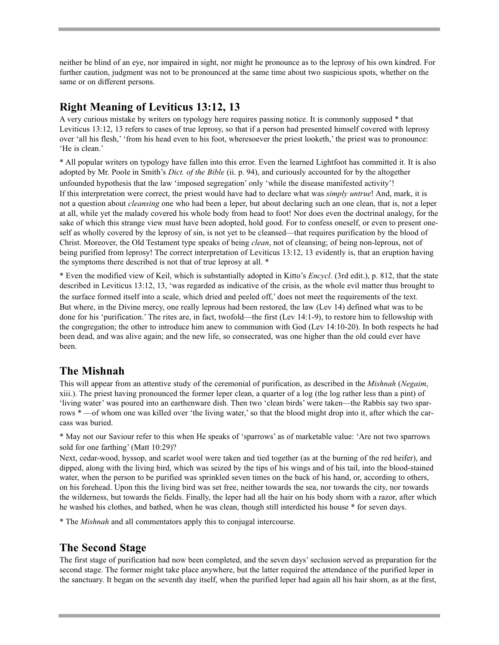neither be blind of an eye, nor impaired in sight, nor might he pronounce as to the leprosy of his own kindred. For further caution, judgment was not to be pronounced at the same time about two suspicious spots, whether on the same or on different persons.

### **Right Meaning of Leviticus 13:12, 13**

A very curious mistake by writers on typology here requires passing notice. It is commonly supposed \* that Leviticus 13:12, 13 refers to cases of true leprosy, so that if a person had presented himself covered with leprosy over 'all his flesh,' 'from his head even to his foot, wheresoever the priest looketh,' the priest was to pronounce: 'He is clean.'

\* All popular writers on typology have fallen into this error. Even the learned Lightfoot has committed it. It is also adopted by Mr. Poole in Smith's *Dict. of the Bible* (ii. p. 94), and curiously accounted for by the altogether unfounded hypothesis that the law 'imposed segregation' only 'while the disease manifested activity'! If this interpretation were correct, the priest would have had to declare what was *simply untrue*! And, mark, it is

not a question about *cleansing* one who had been a leper, but about declaring such an one clean, that is, not a leper at all, while yet the malady covered his whole body from head to foot! Nor does even the doctrinal analogy, for the sake of which this strange view must have been adopted, hold good. For to confess oneself, or even to present oneself as wholly covered by the leprosy of sin, is not yet to be cleansed—that requires purification by the blood of Christ. Moreover, the Old Testament type speaks of being *clean*, not of cleansing; of being non-leprous, not of being purified from leprosy! The correct interpretation of Leviticus 13:12, 13 evidently is, that an eruption having the symptoms there described is not that of true leprosy at all. \*

\* Even the modified view of Keil, which is substantially adopted in Kitto's *Encycl*. (3rd edit.), p. 812, that the state described in Leviticus 13:12, 13, 'was regarded as indicative of the crisis, as the whole evil matter thus brought to the surface formed itself into a scale, which dried and peeled off,' does not meet the requirements of the text. But where, in the Divine mercy, one really leprous had been restored, the law (Lev 14) defined what was to be done for his 'purification.' The rites are, in fact, twofold—the first (Lev 14:1-9), to restore him to fellowship with the congregation; the other to introduce him anew to communion with God (Lev 14:10-20). In both respects he had been dead, and was alive again; and the new life, so consecrated, was one higher than the old could ever have been.

### **The Mishnah**

This will appear from an attentive study of the ceremonial of purification, as described in the *Mishnah* (*Negaim*, xiii.). The priest having pronounced the former leper clean, a quarter of a log (the log rather less than a pint) of 'living water' was poured into an earthenware dish. Then two 'clean birds' were taken—the Rabbis say two sparrows  $*$  —of whom one was killed over 'the living water,' so that the blood might drop into it, after which the carcass was buried.

\* May not our Saviour refer to this when He speaks of 'sparrows' as of marketable value: 'Are not two sparrows sold for one farthing' (Matt 10:29)?

Next, cedar-wood, hyssop, and scarlet wool were taken and tied together (as at the burning of the red heifer), and dipped, along with the living bird, which was seized by the tips of his wings and of his tail, into the blood-stained water, when the person to be purified was sprinkled seven times on the back of his hand, or, according to others, on his forehead. Upon this the living bird was set free, neither towards the sea, nor towards the city, nor towards the wilderness, but towards the fields. Finally, the leper had all the hair on his body shorn with a razor, after which he washed his clothes, and bathed, when he was clean, though still interdicted his house \* for seven days.

\* The *Mishnah* and all commentators apply this to conjugal intercourse.

### **The Second Stage**

The first stage of purification had now been completed, and the seven days' seclusion served as preparation for the second stage. The former might take place anywhere, but the latter required the attendance of the purified leper in the sanctuary. It began on the seventh day itself, when the purified leper had again all his hair shorn, as at the first,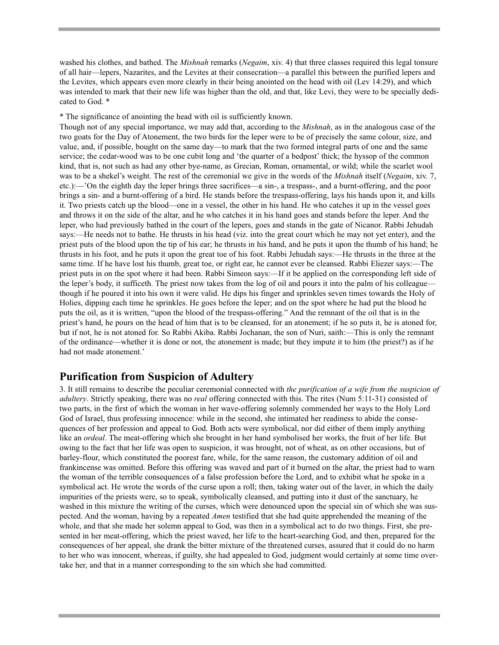washed his clothes, and bathed. The *Mishnah* remarks (*Negaim*, xiv. 4) that three classes required this legal tonsure of all hair—lepers, Nazarites, and the Levites at their consecration—a parallel this between the purified lepers and the Levites, which appears even more clearly in their being anointed on the head with oil (Lev 14:29), and which was intended to mark that their new life was higher than the old, and that, like Levi, they were to be specially dedicated to God. \*

\* The significance of anointing the head with oil is sufficiently known.

Though not of any special importance, we may add that, according to the *Mishnah*, as in the analogous case of the two goats for the Day of Atonement, the two birds for the leper were to be of precisely the same colour, size, and value, and, if possible, bought on the same day—to mark that the two formed integral parts of one and the same service; the cedar-wood was to be one cubit long and 'the quarter of a bedpost' thick; the hyssop of the common kind, that is, not such as had any other bye-name, as Grecian, Roman, ornamental, or wild; while the scarlet wool was to be a shekel's weight. The rest of the ceremonial we give in the words of the *Mishnah* itself (*Negaim*, xiv. 7, etc.):—'On the eighth day the leper brings three sacrifices—a sin-, a trespass-, and a burnt-offering, and the poor brings a sin- and a burnt-offering of a bird. He stands before the trespass-offering, lays his hands upon it, and kills it. Two priests catch up the blood—one in a vessel, the other in his hand. He who catches it up in the vessel goes and throws it on the side of the altar, and he who catches it in his hand goes and stands before the leper. And the leper, who had previously bathed in the court of the lepers, goes and stands in the gate of Nicanor. Rabbi Jehudah says:—He needs not to bathe. He thrusts in his head (viz. into the great court which he may not yet enter), and the priest puts of the blood upon the tip of his ear; he thrusts in his hand, and he puts it upon the thumb of his hand; he thrusts in his foot, and he puts it upon the great toe of his foot. Rabbi Jehudah says:—He thrusts in the three at the same time. If he have lost his thumb, great toe, or right ear, he cannot ever be cleansed. Rabbi Eliezer says:—The priest puts in on the spot where it had been. Rabbi Simeon says:—If it be applied on the corresponding left side of the leper's body, it sufficeth. The priest now takes from the log of oil and pours it into the palm of his colleague though if he poured it into his own it were valid. He dips his finger and sprinkles seven times towards the Holy of Holies, dipping each time he sprinkles. He goes before the leper; and on the spot where he had put the blood he puts the oil, as it is written, "upon the blood of the trespass-offering." And the remnant of the oil that is in the priest's hand, he pours on the head of him that is to be cleansed, for an atonement; if he so puts it, he is atoned for, but if not, he is not atoned for. So Rabbi Akiba. Rabbi Jochanan, the son of Nuri, saith:—This is only the remnant of the ordinance—whether it is done or not, the atonement is made; but they impute it to him (the priest?) as if he had not made atonement.'

#### **Purification from Suspicion of Adultery**

3. It still remains to describe the peculiar ceremonial connected with *the purification of a wife from the suspicion of adultery*. Strictly speaking, there was no *real* offering connected with this. The rites (Num 5:11-31) consisted of two parts, in the first of which the woman in her wave-offering solemnly commended her ways to the Holy Lord God of Israel, thus professing innocence: while in the second, she intimated her readiness to abide the consequences of her profession and appeal to God. Both acts were symbolical, nor did either of them imply anything like an *ordeal*. The meat-offering which she brought in her hand symbolised her works, the fruit of her life. But owing to the fact that her life was open to suspicion, it was brought, not of wheat, as on other occasions, but of barley-flour, which constituted the poorest fare, while, for the same reason, the customary addition of oil and frankincense was omitted. Before this offering was waved and part of it burned on the altar, the priest had to warn the woman of the terrible consequences of a false profession before the Lord, and to exhibit what he spoke in a symbolical act. He wrote the words of the curse upon a roll; then, taking water out of the laver, in which the daily impurities of the priests were, so to speak, symbolically cleansed, and putting into it dust of the sanctuary, he washed in this mixture the writing of the curses, which were denounced upon the special sin of which she was suspected. And the woman, having by a repeated *Amen* testified that she had quite apprehended the meaning of the whole, and that she made her solemn appeal to God, was then in a symbolical act to do two things. First, she presented in her meat-offering, which the priest waved, her life to the heart-searching God, and then, prepared for the consequences of her appeal, she drank the bitter mixture of the threatened curses, assured that it could do no harm to her who was innocent, whereas, if guilty, she had appealed to God, judgment would certainly at some time overtake her, and that in a manner corresponding to the sin which she had committed.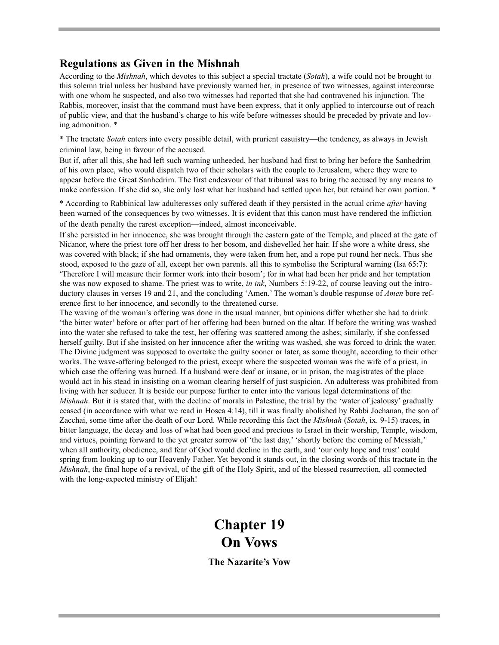### **Regulations as Given in the Mishnah**

According to the *Mishnah*, which devotes to this subject a special tractate (*Sotah*), a wife could not be brought to this solemn trial unless her husband have previously warned her, in presence of two witnesses, against intercourse with one whom he suspected, and also two witnesses had reported that she had contravened his injunction. The Rabbis, moreover, insist that the command must have been express, that it only applied to intercourse out of reach of public view, and that the husband's charge to his wife before witnesses should be preceded by private and loving admonition. \*

\* The tractate *Sotah* enters into every possible detail, with prurient casuistry—the tendency, as always in Jewish criminal law, being in favour of the accused.

But if, after all this, she had left such warning unheeded, her husband had first to bring her before the Sanhedrim of his own place, who would dispatch two of their scholars with the couple to Jerusalem, where they were to appear before the Great Sanhedrim. The first endeavour of that tribunal was to bring the accused by any means to make confession. If she did so, she only lost what her husband had settled upon her, but retaind her own portion. \*

\* According to Rabbinical law adulteresses only suffered death if they persisted in the actual crime *after* having been warned of the consequences by two witnesses. It is evident that this canon must have rendered the infliction of the death penalty the rarest exception—indeed, almost inconceivable.

If she persisted in her innocence, she was brought through the eastern gate of the Temple, and placed at the gate of Nicanor, where the priest tore off her dress to her bosom, and dishevelled her hair. If she wore a white dress, she was covered with black; if she had ornaments, they were taken from her, and a rope put round her neck. Thus she stood, exposed to the gaze of all, except her own parents. all this to symbolise the Scriptural warning (Isa 65:7): 'Therefore I will measure their former work into their bosom'; for in what had been her pride and her temptation she was now exposed to shame. The priest was to write, *in ink*, Numbers 5:19-22, of course leaving out the introductory clauses in verses 19 and 21, and the concluding 'Amen.' The woman's double response of *Amen* bore reference first to her innocence, and secondly to the threatened curse.

The waving of the woman's offering was done in the usual manner, but opinions differ whether she had to drink 'the bitter water' before or after part of her offering had been burned on the altar. If before the writing was washed into the water she refused to take the test, her offering was scattered among the ashes; similarly, if she confessed herself guilty. But if she insisted on her innocence after the writing was washed, she was forced to drink the water. The Divine judgment was supposed to overtake the guilty sooner or later, as some thought, according to their other works. The wave-offering belonged to the priest, except where the suspected woman was the wife of a priest, in which case the offering was burned. If a husband were deaf or insane, or in prison, the magistrates of the place would act in his stead in insisting on a woman clearing herself of just suspicion. An adulteress was prohibited from living with her seducer. It is beside our purpose further to enter into the various legal determinations of the *Mishnah*. But it is stated that, with the decline of morals in Palestine, the trial by the 'water of jealousy' gradually ceased (in accordance with what we read in Hosea 4:14), till it was finally abolished by Rabbi Jochanan, the son of Zacchai, some time after the death of our Lord. While recording this fact the *Mishnah* (*Sotah*, ix. 9-15) traces, in bitter language, the decay and loss of what had been good and precious to Israel in their worship, Temple, wisdom, and virtues, pointing forward to the yet greater sorrow of 'the last day,' 'shortly before the coming of Messiah,' when all authority, obedience, and fear of God would decline in the earth, and 'our only hope and trust' could spring from looking up to our Heavenly Father. Yet beyond it stands out, in the closing words of this tractate in the *Mishnah*, the final hope of a revival, of the gift of the Holy Spirit, and of the blessed resurrection, all connected with the long-expected ministry of Elijah!

# **Chapter 19 On Vows**

**The Nazarite's Vow**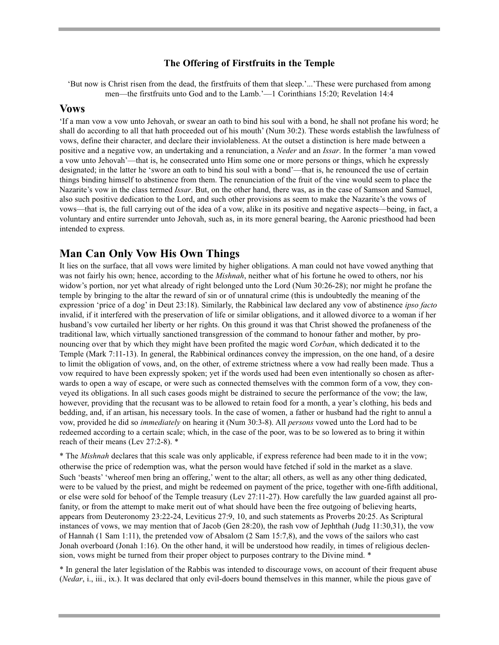#### **The Offering of Firstfruits in the Temple**

'But now is Christ risen from the dead, the firstfruits of them that sleep.'...'These were purchased from among men—the firstfruits unto God and to the Lamb.'—1 Corinthians 15:20; Revelation 14:4

#### **Vows**

'If a man vow a vow unto Jehovah, or swear an oath to bind his soul with a bond, he shall not profane his word; he shall do according to all that hath proceeded out of his mouth' (Num 30:2). These words establish the lawfulness of vows, define their character, and declare their inviolableness. At the outset a distinction is here made between a positive and a negative vow, an undertaking and a renunciation, a *Neder* and an *Issar*. In the former 'a man vowed a vow unto Jehovah'—that is, he consecrated unto Him some one or more persons or things, which he expressly designated; in the latter he 'swore an oath to bind his soul with a bond'—that is, he renounced the use of certain things binding himself to abstinence from them. The renunciation of the fruit of the vine would seem to place the Nazarite's vow in the class termed *Issar*. But, on the other hand, there was, as in the case of Samson and Samuel, also such positive dedication to the Lord, and such other provisions as seem to make the Nazarite's the vows of vows—that is, the full carrying out of the idea of a vow, alike in its positive and negative aspects—being, in fact, a voluntary and entire surrender unto Jehovah, such as, in its more general bearing, the Aaronic priesthood had been intended to express.

#### **Man Can Only Vow His Own Things**

It lies on the surface, that all vows were limited by higher obligations. A man could not have vowed anything that was not fairly his own; hence, according to the *Mishnah*, neither what of his fortune he owed to others, nor his widow's portion, nor yet what already of right belonged unto the Lord (Num 30:26-28); nor might he profane the temple by bringing to the altar the reward of sin or of unnatural crime (this is undoubtedly the meaning of the expression 'price of a dog' in Deut 23:18). Similarly, the Rabbinical law declared any vow of abstinence *ipso facto* invalid, if it interfered with the preservation of life or similar obligations, and it allowed divorce to a woman if her husband's vow curtailed her liberty or her rights. On this ground it was that Christ showed the profaneness of the traditional law, which virtually sanctioned transgression of the command to honour father and mother, by pronouncing over that by which they might have been profited the magic word *Corban*, which dedicated it to the Temple (Mark 7:11-13). In general, the Rabbinical ordinances convey the impression, on the one hand, of a desire to limit the obligation of vows, and, on the other, of extreme strictness where a vow had really been made. Thus a vow required to have been expressly spoken; yet if the words used had been even intentionally so chosen as afterwards to open a way of escape, or were such as connected themselves with the common form of a vow, they conveyed its obligations. In all such cases goods might be distrained to secure the performance of the vow; the law, however, providing that the recusant was to be allowed to retain food for a month, a year's clothing, his beds and bedding, and, if an artisan, his necessary tools. In the case of women, a father or husband had the right to annul a vow, provided he did so *immediately* on hearing it (Num 30:3-8). All *persons* vowed unto the Lord had to be redeemed according to a certain scale; which, in the case of the poor, was to be so lowered as to bring it within reach of their means (Lev 27:2-8). \*

\* The *Mishnah* declares that this scale was only applicable, if express reference had been made to it in the vow; otherwise the price of redemption was, what the person would have fetched if sold in the market as a slave. Such 'beasts' 'whereof men bring an offering,' went to the altar; all others, as well as any other thing dedicated, were to be valued by the priest, and might be redeemed on payment of the price, together with one-fifth additional, or else were sold for behoof of the Temple treasury (Lev 27:11-27). How carefully the law guarded against all profanity, or from the attempt to make merit out of what should have been the free outgoing of believing hearts, appears from Deuteronomy 23:22-24, Leviticus 27:9, 10, and such statements as Proverbs 20:25. As Scriptural instances of vows, we may mention that of Jacob (Gen 28:20), the rash vow of Jephthah (Judg 11:30,31), the vow of Hannah (1 Sam 1:11), the pretended vow of Absalom (2 Sam 15:7,8), and the vows of the sailors who cast Jonah overboard (Jonah 1:16). On the other hand, it will be understood how readily, in times of religious declension, vows might be turned from their proper object to purposes contrary to the Divine mind. \*

\* In general the later legislation of the Rabbis was intended to discourage vows, on account of their frequent abuse (*Nedar*, i., iii., ix.). It was declared that only evil-doers bound themselves in this manner, while the pious gave of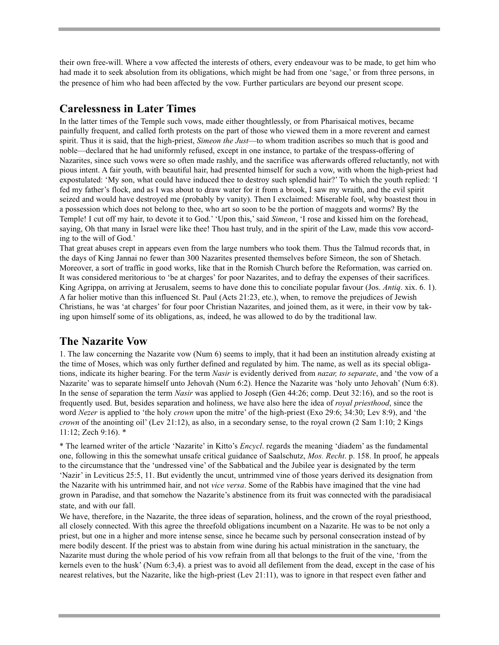their own free-will. Where a vow affected the interests of others, every endeavour was to be made, to get him who had made it to seek absolution from its obligations, which might be had from one 'sage,' or from three persons, in the presence of him who had been affected by the vow. Further particulars are beyond our present scope.

#### **Carelessness in Later Times**

In the latter times of the Temple such vows, made either thoughtlessly, or from Pharisaical motives, became painfully frequent, and called forth protests on the part of those who viewed them in a more reverent and earnest spirit. Thus it is said, that the high-priest, *Simeon the Just*—to whom tradition ascribes so much that is good and noble—declared that he had uniformly refused, except in one instance, to partake of the trespass-offering of Nazarites, since such vows were so often made rashly, and the sacrifice was afterwards offered reluctantly, not with pious intent. A fair youth, with beautiful hair, had presented himself for such a vow, with whom the high-priest had expostulated: 'My son, what could have induced thee to destroy such splendid hair?' To which the youth replied: 'I fed my father's flock, and as I was about to draw water for it from a brook, I saw my wraith, and the evil spirit seized and would have destroyed me (probably by vanity). Then I exclaimed: Miserable fool, why boastest thou in a possession which does not belong to thee, who art so soon to be the portion of maggots and worms? By the Temple! I cut off my hair, to devote it to God.' 'Upon this,' said *Simeon*, 'I rose and kissed him on the forehead, saying, Oh that many in Israel were like thee! Thou hast truly, and in the spirit of the Law, made this vow according to the will of God.'

That great abuses crept in appears even from the large numbers who took them. Thus the Talmud records that, in the days of King Jannai no fewer than 300 Nazarites presented themselves before Simeon, the son of Shetach. Moreover, a sort of traffic in good works, like that in the Romish Church before the Reformation, was carried on. It was considered meritorious to 'be at charges' for poor Nazarites, and to defray the expenses of their sacrifices. King Agrippa, on arriving at Jerusalem, seems to have done this to conciliate popular favour (Jos. *Antiq*. xix. 6. 1). A far holier motive than this influenced St. Paul (Acts 21:23, etc.), when, to remove the prejudices of Jewish Christians, he was 'at charges' for four poor Christian Nazarites, and joined them, as it were, in their vow by taking upon himself some of its obligations, as, indeed, he was allowed to do by the traditional law.

### **The Nazarite Vow**

1. The law concerning the Nazarite vow (Num 6) seems to imply, that it had been an institution already existing at the time of Moses, which was only further defined and regulated by him. The name, as well as its special obligations, indicate its higher bearing. For the term *Nasir* is evidently derived from *nazar, to separate*, and 'the vow of a Nazarite' was to separate himself unto Jehovah (Num 6:2). Hence the Nazarite was 'holy unto Jehovah' (Num 6:8). In the sense of separation the term *Nasir* was applied to Joseph (Gen 44:26; comp. Deut 32:16), and so the root is frequently used. But, besides separation and holiness, we have also here the idea of *royal priesthood*, since the word *Nezer* is applied to 'the holy *crown* upon the mitre' of the high-priest (Exo 29:6; 34:30; Lev 8:9), and 'the *crown* of the anointing oil' (Lev 21:12), as also, in a secondary sense, to the royal crown (2 Sam 1:10; 2 Kings 11:12; Zech 9:16). \*

\* The learned writer of the article 'Nazarite' in Kitto's *Encycl*. regards the meaning 'diadem' as the fundamental one, following in this the somewhat unsafe critical guidance of Saalschutz, *Mos. Recht*. p. 158. In proof, he appeals to the circumstance that the 'undressed vine' of the Sabbatical and the Jubilee year is designated by the term 'Nazir' in Leviticus 25:5, 11. But evidently the uncut, untrimmed vine of those years derived its designation from the Nazarite with his untrimmed hair, and not *vice versa*. Some of the Rabbis have imagined that the vine had grown in Paradise, and that somehow the Nazarite's abstinence from its fruit was connected with the paradisiacal state, and with our fall.

We have, therefore, in the Nazarite, the three ideas of separation, holiness, and the crown of the royal priesthood, all closely connected. With this agree the threefold obligations incumbent on a Nazarite. He was to be not only a priest, but one in a higher and more intense sense, since he became such by personal consecration instead of by mere bodily descent. If the priest was to abstain from wine during his actual ministration in the sanctuary, the Nazarite must during the whole period of his vow refrain from all that belongs to the fruit of the vine, 'from the kernels even to the husk' (Num 6:3,4). a priest was to avoid all defilement from the dead, except in the case of his nearest relatives, but the Nazarite, like the high-priest (Lev 21:11), was to ignore in that respect even father and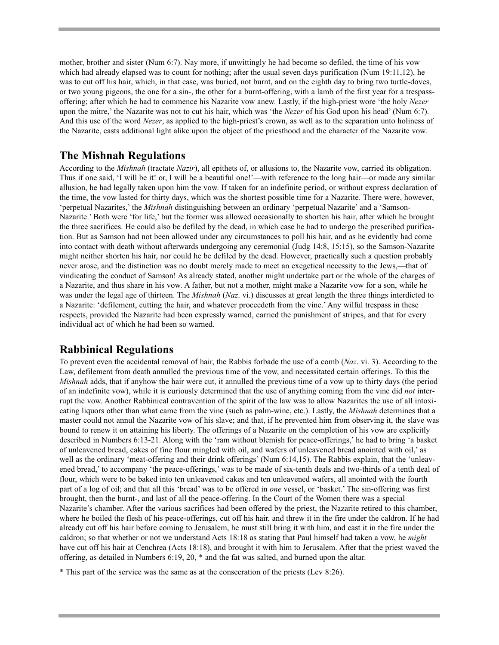mother, brother and sister (Num 6:7). Nay more, if unwittingly he had become so defiled, the time of his vow which had already elapsed was to count for nothing; after the usual seven days purification (Num 19:11,12), he was to cut off his hair, which, in that case, was buried, not burnt, and on the eighth day to bring two turtle-doves, or two young pigeons, the one for a sin-, the other for a burnt-offering, with a lamb of the first year for a trespassoffering; after which he had to commence his Nazarite vow anew. Lastly, if the high-priest wore 'the holy *Nezer* upon the mitre,' the Nazarite was not to cut his hair, which was 'the *Nezer* of his God upon his head' (Num 6:7). And this use of the word *Nezer*, as applied to the high-priest's crown, as well as to the separation unto holiness of the Nazarite, casts additional light alike upon the object of the priesthood and the character of the Nazarite vow.

### **The Mishnah Regulations**

According to the *Mishnah* (tractate *Nazir*), all epithets of, or allusions to, the Nazarite vow, carried its obligation. Thus if one said, 'I will be it! or, I will be a beautiful one!'—with reference to the long hair—or made any similar allusion, he had legally taken upon him the vow. If taken for an indefinite period, or without express declaration of the time, the vow lasted for thirty days, which was the shortest possible time for a Nazarite. There were, however, 'perpetual Nazarites,' the *Mishnah* distinguishing between an ordinary 'perpetual Nazarite' and a 'Samson-Nazarite.' Both were 'for life,' but the former was allowed occasionally to shorten his hair, after which he brought the three sacrifices. He could also be defiled by the dead, in which case he had to undergo the prescribed purification. But as Samson had not been allowed under any circumstances to poll his hair, and as he evidently had come into contact with death without afterwards undergoing any ceremonial (Judg 14:8, 15:15), so the Samson-Nazarite might neither shorten his hair, nor could he be defiled by the dead. However, practically such a question probably never arose, and the distinction was no doubt merely made to meet an exegetical necessity to the Jews,—that of vindicating the conduct of Samson! As already stated, another might undertake part or the whole of the charges of a Nazarite, and thus share in his vow. A father, but not a mother, might make a Nazarite vow for a son, while he was under the legal age of thirteen. The *Mishnah* (*Naz*. vi.) discusses at great length the three things interdicted to a Nazarite: 'defilement, cutting the hair, and whatever proceedeth from the vine.' Any wilful trespass in these respects, provided the Nazarite had been expressly warned, carried the punishment of stripes, and that for every individual act of which he had been so warned.

### **Rabbinical Regulations**

To prevent even the accidental removal of hair, the Rabbis forbade the use of a comb (*Naz*. vi. 3). According to the Law, defilement from death annulled the previous time of the vow, and necessitated certain offerings. To this the *Mishnah* adds, that if anyhow the hair were cut, it annulled the previous time of a vow up to thirty days (the period of an indefinite vow), while it is curiously determined that the use of anything coming from the vine did *not* interrupt the vow. Another Rabbinical contravention of the spirit of the law was to allow Nazarites the use of all intoxicating liquors other than what came from the vine (such as palm-wine, etc.). Lastly, the *Mishnah* determines that a master could not annul the Nazarite vow of his slave; and that, if he prevented him from observing it, the slave was bound to renew it on attaining his liberty. The offerings of a Nazarite on the completion of his vow are explicitly described in Numbers 6:13-21. Along with the 'ram without blemish for peace-offerings,' he had to bring 'a basket of unleavened bread, cakes of fine flour mingled with oil, and wafers of unleavened bread anointed with oil,' as well as the ordinary 'meat-offering and their drink offerings' (Num 6:14,15). The Rabbis explain, that the 'unleavened bread,' to accompany 'the peace-offerings,' was to be made of six-tenth deals and two-thirds of a tenth deal of flour, which were to be baked into ten unleavened cakes and ten unleavened wafers, all anointed with the fourth part of a log of oil; and that all this 'bread' was to be offered in *one* vessel, or 'basket.' The sin-offering was first brought, then the burnt-, and last of all the peace-offering. In the Court of the Women there was a special Nazarite's chamber. After the various sacrifices had been offered by the priest, the Nazarite retired to this chamber, where he boiled the flesh of his peace-offerings, cut off his hair, and threw it in the fire under the caldron. If he had already cut off his hair before coming to Jerusalem, he must still bring it with him, and cast it in the fire under the caldron; so that whether or not we understand Acts 18:18 as stating that Paul himself had taken a vow, he *might* have cut off his hair at Cenchrea (Acts 18:18), and brought it with him to Jerusalem. After that the priest waved the offering, as detailed in Numbers 6:19, 20, \* and the fat was salted, and burned upon the altar.

\* This part of the service was the same as at the consecration of the priests (Lev 8:26).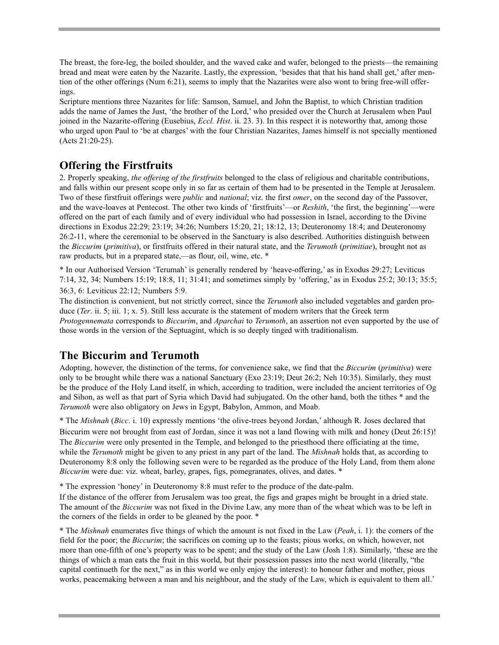The breast, the fore-leg, the boiled shoulder, and the waved cake and wafer, belonged to the priests—the remaining bread and meat were eaten by the Nazarite. Lastly, the expression, 'besides that that his hand shall get,' after mention of the other offerings (Num 6:21), seems to imply that the Nazarites were also wont to bring free-will offerings.

Scripture mentions three Nazarites for life: Samson, Samuel, and John the Baptist, to which Christian tradition adds the name of James the Just, 'the brother of the Lord,' who presided over the Church at Jerusalem when Paul joined in the Nazarite-offering (Eusebius, *Eccl. Hist*. ii. 23. 3). In this respect it is noteworthy that, among those who urged upon Paul to 'be at charges' with the four Christian Nazarites, James himself is not specially mentioned (Acts 21:20-25).

### **Offering the Firstfruits**

2. Properly speaking, *the offering of the firstfruits* belonged to the class of religious and charitable contributions, and falls within our present scope only in so far as certain of them had to be presented in the Temple at Jerusalem. Two of these firstfruit offerings were *public* and *national*; viz. the first *omer*, on the second day of the Passover, and the wave-loaves at Pentecost. The other two kinds of 'firstfruits'—or *Reshith*, 'the first, the beginning'—were offered on the part of each family and of every individual who had possession in Israel, according to the Divine directions in Exodus 22:29; 23:19; 34:26; Numbers 15:20, 21; 18:12, 13; Deuteronomy 18:4; and Deuteronomy 26:2-11, where the ceremonial to be observed in the Sanctuary is also described. Authorities distinguish between the *Biccurim* (*primitiva*), or firstfruits offered in their natural state, and the *Terumoth* (*primitiae*), brought not as raw products, but in a prepared state,—as flour, oil, wine, etc. \*

\* In our Authorised Version 'Terumah' is generally rendered by 'heave-offering,' as in Exodus 29:27; Leviticus 7:14, 32, 34; Numbers 15:19; 18:8, 11; 31:41; and sometimes simply by 'offering,' as in Exodus 25:2; 30:13; 35:5; 36:3, 6: Leviticus 22:12; Numbers 5:9.

The distinction is convenient, but not strictly correct, since the *Terumoth* also included vegetables and garden produce (*Ter*. ii. 5; iii. 1; x. 5). Still less accurate is the statement of modern writers that the Greek term *Protogennemata* corresponds to *Biccurim*, and *Aparchai* to *Terumoth*, an assertion not even supported by the use of those words in the version of the Septuagint, which is so deeply tinged with traditionalism.

### **The Biccurim and Terumoth**

Adopting, however, the distinction of the terms, for convenience sake, we find that the *Biccurim* (*primitiva*) were only to be brought while there was a national Sanctuary (Exo 23:19; Deut 26:2; Neh 10:35). Similarly, they must be the produce of the Holy Land itself, in which, according to tradition, were included the ancient territories of Og and Sihon, as well as that part of Syria which David had subjugated. On the other hand, both the tithes \* and the *Terumoth* were also obligatory on Jews in Egypt, Babylon, Ammon, and Moab.

\* The *Mishnah* (*Bicc*. i. 10) expressly mentions 'the olive-trees beyond Jordan,' although R. Joses declared that Biccurim were not brought from east of Jordan, since it was not a land flowing with milk and honey (Deut 26:15)! The *Biccurim* were only presented in the Temple, and belonged to the priesthood there officiating at the time, while the *Terumoth* might be given to any priest in any part of the land. The *Mishnah* holds that, as according to Deuteronomy 8:8 only the following seven were to be regarded as the produce of the Holy Land, from them alone *Biccurim* were due: viz. wheat, barley, grapes, figs, pomegranates, olives, and dates. \*

\* The expression 'honey' in Deuteronomy 8:8 must refer to the produce of the date-palm.

If the distance of the offerer from Jerusalem was too great, the figs and grapes might be brought in a dried state. The amount of the *Biccurim* was not fixed in the Divine Law, any more than of the wheat which was to be left in the corners of the fields in order to be gleaned by the poor. \*

\* The *Mishnah* enumerates five things of which the amount is not fixed in the Law (*Peah*, i. 1): the corners of the field for the poor; the *Biccurim*; the sacrifices on coming up to the feasts; pious works, on which, however, not more than one-fifth of one's property was to be spent; and the study of the Law (Josh 1:8). Similarly, 'these are the things of which a man eats the fruit in this world, but their possession passes into the next world (literally, "the capital continueth for the next," as in this world we only enjoy the interest): to honour father and mother, pious works, peacemaking between a man and his neighbour, and the study of the Law, which is equivalent to them all.'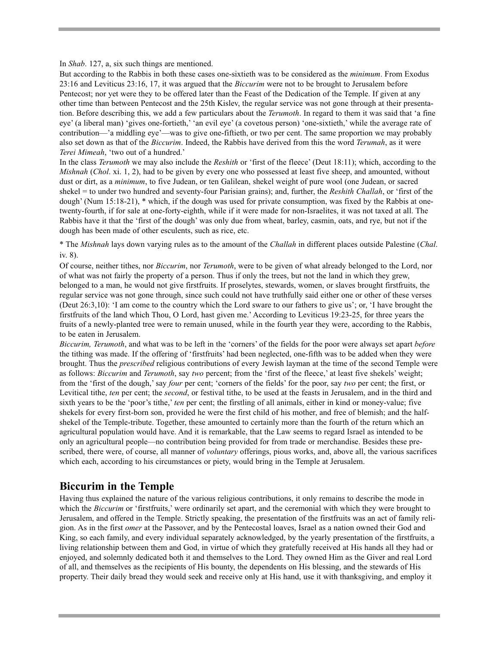In *Shab*. 127, a, six such things are mentioned.

But according to the Rabbis in both these cases one-sixtieth was to be considered as the *minimum*. From Exodus 23:16 and Leviticus 23:16, 17, it was argued that the *Biccurim* were not to be brought to Jerusalem before Pentecost; nor yet were they to be offered later than the Feast of the Dedication of the Temple. If given at any other time than between Pentecost and the 25th Kislev, the regular service was not gone through at their presentation. Before describing this, we add a few particulars about the *Terumoth*. In regard to them it was said that 'a fine eye' (a liberal man) 'gives one-fortieth,' 'an evil eye' (a covetous person) 'one-sixtieth,' while the average rate of contribution—'a middling eye'—was to give one-fiftieth, or two per cent. The same proportion we may probably also set down as that of the *Biccurim*. Indeed, the Rabbis have derived from this the word *Terumah*, as it were *Terei Mimeah*, 'two out of a hundred.'

In the class *Terumoth* we may also include the *Reshith* or 'first of the fleece' (Deut 18:11); which, according to the *Mishnah* (*Chol*. xi. 1, 2), had to be given by every one who possessed at least five sheep, and amounted, without dust or dirt, as a *minimum*, to five Judean, or ten Galilean, shekel weight of pure wool (one Judean, or sacred shekel = to under two hundred and seventy-four Parisian grains); and, further, the *Reshith Challah*, or 'first of the dough' (Num 15:18-21), \* which, if the dough was used for private consumption, was fixed by the Rabbis at onetwenty-fourth, if for sale at one-forty-eighth, while if it were made for non-Israelites, it was not taxed at all. The Rabbis have it that the 'first of the dough' was only due from wheat, barley, casmin, oats, and rye, but not if the dough has been made of other esculents, such as rice, etc.

\* The *Mishnah* lays down varying rules as to the amount of the *Challah* in different places outside Palestine (*Chal*. iv. 8).

Of course, neither tithes, nor *Biccurim*, nor *Terumoth*, were to be given of what already belonged to the Lord, nor of what was not fairly the property of a person. Thus if only the trees, but not the land in which they grew, belonged to a man, he would not give firstfruits. If proselytes, stewards, women, or slaves brought firstfruits, the regular service was not gone through, since such could not have truthfully said either one or other of these verses (Deut 26:3,10): 'I am come to the country which the Lord sware to our fathers to give us'; or, 'I have brought the firstfruits of the land which Thou, O Lord, hast given me.' According to Leviticus 19:23-25, for three years the fruits of a newly-planted tree were to remain unused, while in the fourth year they were, according to the Rabbis, to be eaten in Jerusalem.

*Biccurim, Terumoth*, and what was to be left in the 'corners' of the fields for the poor were always set apart *before* the tithing was made. If the offering of 'firstfruits' had been neglected, one-fifth was to be added when they were brought. Thus the *prescribed* religious contributions of every Jewish layman at the time of the second Temple were as follows: *Biccurim* and *Terumoth*, say *two* percent; from the 'first of the fleece,' at least five shekels' weight; from the 'first of the dough,' say *four* per cent; 'corners of the fields' for the poor, say *two* per cent; the first, or Levitical tithe, *ten* per cent; the *second*, or festival tithe, to be used at the feasts in Jerusalem, and in the third and sixth years to be the 'poor's tithe,' *ten* per cent; the firstling of all animals, either in kind or money-value; five shekels for every first-born son, provided he were the first child of his mother, and free of blemish; and the halfshekel of the Temple-tribute. Together, these amounted to certainly more than the fourth of the return which an agricultural population would have. And it is remarkable, that the Law seems to regard Israel as intended to be only an agricultural people—no contribution being provided for from trade or merchandise. Besides these prescribed, there were, of course, all manner of *voluntary* offerings, pious works, and, above all, the various sacrifices which each, according to his circumstances or piety, would bring in the Temple at Jerusalem.

#### **Biccurim in the Temple**

Having thus explained the nature of the various religious contributions, it only remains to describe the mode in which the *Biccurim* or 'firstfruits,' were ordinarily set apart, and the ceremonial with which they were brought to Jerusalem, and offered in the Temple. Strictly speaking, the presentation of the firstfruits was an act of family religion. As in the first *omer* at the Passover, and by the Pentecostal loaves, Israel as a nation owned their God and King, so each family, and every individual separately acknowledged, by the yearly presentation of the firstfruits, a living relationship between them and God, in virtue of which they gratefully received at His hands all they had or enjoyed, and solemnly dedicated both it and themselves to the Lord. They owned Him as the Giver and real Lord of all, and themselves as the recipients of His bounty, the dependents on His blessing, and the stewards of His property. Their daily bread they would seek and receive only at His hand, use it with thanksgiving, and employ it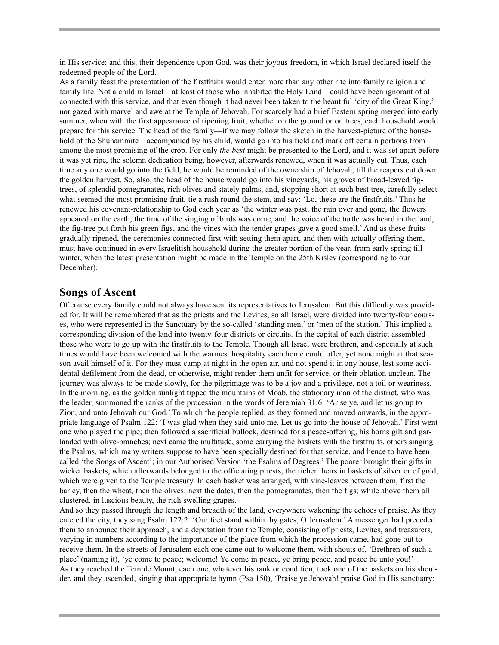in His service; and this, their dependence upon God, was their joyous freedom, in which Israel declared itself the redeemed people of the Lord.

As a family feast the presentation of the firstfruits would enter more than any other rite into family religion and family life. Not a child in Israel—at least of those who inhabited the Holy Land—could have been ignorant of all connected with this service, and that even though it had never been taken to the beautiful 'city of the Great King,' nor gazed with marvel and awe at the Temple of Jehovah. For scarcely had a brief Eastern spring merged into early summer, when with the first appearance of ripening fruit, whether on the ground or on trees, each household would prepare for this service. The head of the family—if we may follow the sketch in the harvest-picture of the household of the Shunammite—accompanied by his child, would go into his field and mark off certain portions from among the most promising of the crop. For only *the best* might be presented to the Lord, and it was set apart before it was yet ripe, the solemn dedication being, however, afterwards renewed, when it was actually cut. Thus, each time any one would go into the field, he would be reminded of the ownership of Jehovah, till the reapers cut down the golden harvest. So, also, the head of the house would go into his vineyards, his groves of broad-leaved figtrees, of splendid pomegranates, rich olives and stately palms, and, stopping short at each best tree, carefully select what seemed the most promising fruit, tie a rush round the stem, and say: 'Lo, these are the first fruits.' Thus he renewed his covenant-relationship to God each year as 'the winter was past, the rain over and gone, the flowers appeared on the earth, the time of the singing of birds was come, and the voice of the turtle was heard in the land, the fig-tree put forth his green figs, and the vines with the tender grapes gave a good smell.' And as these fruits gradually ripened, the ceremonies connected first with setting them apart, and then with actually offering them, must have continued in every Israelitish household during the greater portion of the year, from early spring till winter, when the latest presentation might be made in the Temple on the 25th Kislev (corresponding to our December).

#### **Songs of Ascent**

Of course every family could not always have sent its representatives to Jerusalem. But this difficulty was provided for. It will be remembered that as the priests and the Levites, so all Israel, were divided into twenty-four courses, who were represented in the Sanctuary by the so-called 'standing men,' or 'men of the station.' This implied a corresponding division of the land into twenty-four districts or circuits. In the capital of each district assembled those who were to go up with the firstfruits to the Temple. Though all Israel were brethren, and especially at such times would have been welcomed with the warmest hospitality each home could offer, yet none might at that season avail himself of it. For they must camp at night in the open air, and not spend it in any house, lest some accidental defilement from the dead, or otherwise, might render them unfit for service, or their oblation unclean. The journey was always to be made slowly, for the pilgrimage was to be a joy and a privilege, not a toil or weariness. In the morning, as the golden sunlight tipped the mountains of Moab, the stationary man of the district, who was the leader, summoned the ranks of the procession in the words of Jeremiah 31:6: 'Arise ye, and let us go up to Zion, and unto Jehovah our God.' To which the people replied, as they formed and moved onwards, in the appropriate language of Psalm 122: 'I was glad when they said unto me, Let us go into the house of Jehovah.' First went one who played the pipe; then followed a sacrificial bullock, destined for a peace-offering, his horns gilt and garlanded with olive-branches; next came the multitude, some carrying the baskets with the firstfruits, others singing the Psalms, which many writers suppose to have been specially destined for that service, and hence to have been called 'the Songs of Ascent'; in our Authorised Version 'the Psalms of Degrees.' The poorer brought their gifts in wicker baskets, which afterwards belonged to the officiating priests; the richer theirs in baskets of silver or of gold, which were given to the Temple treasury. In each basket was arranged, with vine-leaves between them, first the barley, then the wheat, then the olives; next the dates, then the pomegranates, then the figs; while above them all clustered, in luscious beauty, the rich swelling grapes.

And so they passed through the length and breadth of the land, everywhere wakening the echoes of praise. As they entered the city, they sang Psalm 122:2: 'Our feet stand within thy gates, O Jerusalem.' A messenger had preceded them to announce their approach, and a deputation from the Temple, consisting of priests, Levites, and treasurers, varying in numbers according to the importance of the place from which the procession came, had gone out to receive them. In the streets of Jerusalem each one came out to welcome them, with shouts of, 'Brethren of such a place' (naming it), 'ye come to peace; welcome! Ye come in peace, ye bring peace, and peace be unto you!' As they reached the Temple Mount, each one, whatever his rank or condition, took one of the baskets on his shoulder, and they ascended, singing that appropriate hymn (Psa 150), 'Praise ye Jehovah! praise God in His sanctuary: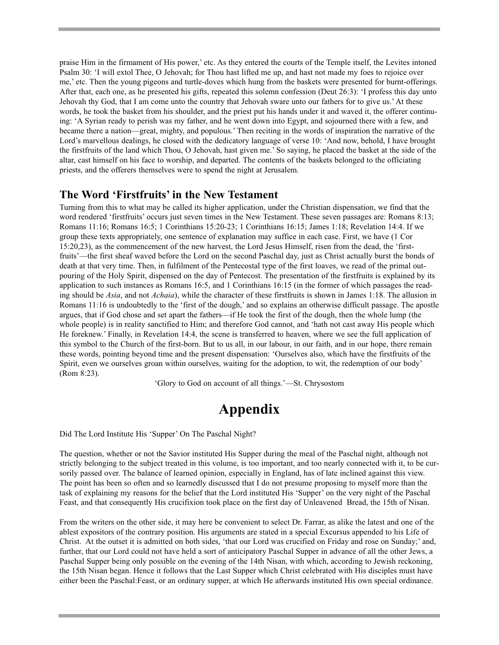praise Him in the firmament of His power,' etc. As they entered the courts of the Temple itself, the Levites intoned Psalm 30: 'I will extol Thee, O Jehovah; for Thou hast lifted me up, and hast not made my foes to rejoice over me,' etc. Then the young pigeons and turtle-doves which hung from the baskets were presented for burnt-offerings. After that, each one, as he presented his gifts, repeated this solemn confession (Deut 26:3): 'I profess this day unto Jehovah thy God, that I am come unto the country that Jehovah sware unto our fathers for to give us.' At these words, he took the basket from his shoulder, and the priest put his hands under it and waved it, the offerer continuing: 'A Syrian ready to perish was my father, and he went down into Egypt, and sojourned there with a few, and became there a nation—great, mighty, and populous.' Then reciting in the words of inspiration the narrative of the Lord's marvellous dealings, he closed with the dedicatory language of verse 10: 'And now, behold, I have brought the firstfruits of the land which Thou, O Jehovah, hast given me.' So saying, he placed the basket at the side of the altar, cast himself on his face to worship, and departed. The contents of the baskets belonged to the officiating priests, and the offerers themselves were to spend the night at Jerusalem.

#### **The Word 'Firstfruits' in the New Testament**

Turning from this to what may be called its higher application, under the Christian dispensation, we find that the word rendered 'firstfruits' occurs just seven times in the New Testament. These seven passages are: Romans 8:13; Romans 11:16; Romans 16:5; 1 Corinthians 15:20-23; 1 Corinthians 16:15; James 1:18; Revelation 14:4. If we group these texts appropriately, one sentence of explanation may suffice in each case. First, we have (1 Cor 15:20,23), as the commencement of the new harvest, the Lord Jesus Himself, risen from the dead, the 'firstfruits'—the first sheaf waved before the Lord on the second Paschal day, just as Christ actually burst the bonds of death at that very time. Then, in fulfilment of the Pentecostal type of the first loaves, we read of the primal outpouring of the Holy Spirit, dispensed on the day of Pentecost. The presentation of the firstfruits is explained by its application to such instances as Romans 16:5, and 1 Corinthians 16:15 (in the former of which passages the reading should be *Asia*, and not *Achaia*), while the character of these firstfruits is shown in James 1:18. The allusion in Romans 11:16 is undoubtedly to the 'first of the dough,' and so explains an otherwise difficult passage. The apostle argues, that if God chose and set apart the fathers—if He took the first of the dough, then the whole lump (the whole people) is in reality sanctified to Him; and therefore God cannot, and 'hath not cast away His people which He foreknew.' Finally, in Revelation 14:4, the scene is transferred to heaven, where we see the full application of this symbol to the Church of the first-born. But to us all, in our labour, in our faith, and in our hope, there remain these words, pointing beyond time and the present dispensation: 'Ourselves also, which have the firstfruits of the Spirit, even we ourselves groan within ourselves, waiting for the adoption, to wit, the redemption of our body' (Rom 8:23).

'Glory to God on account of all things.'—St. Chrysostom

# **Appendix**

Did The Lord Institute His 'Supper' On The Paschal Night?

The question, whether or not the Savior instituted His Supper during the meal of the Paschal night, although not strictly belonging to the subject treated in this volume, is too important, and too nearly connected with it, to be cursorily passed over. The balance of learned opinion, especially in England, has of late inclined against this view. The point has been so often and so learnedly discussed that I do not presume proposing to myself more than the task of explaining my reasons for the belief that the Lord instituted His 'Supper' on the very night of the Paschal Feast, and that consequently His crucifixion took place on the first day of Unleavened Bread, the 15th of Nisan.

From the writers on the other side, it may here be convenient to select Dr. Farrar, as alike the latest and one of the ablest expositors of the contrary position. His arguments are stated in a special Excursus appended to his Life of Christ. At the outset it is admitted on both sides, 'that our Lord was crucified on Friday and rose on Sunday;' and, further, that our Lord could not have held a sort of anticipatory Paschal Supper in advance of all the other Jews, a Paschal Supper being only possible on the evening of the 14th Nisan, with which, according to Jewish reckoning, the 15th Nisan began. Hence it follows that the Last Supper which Christ celebrated with His disciples must have either been the Paschal:Feast, or an ordinary supper, at which He afterwards instituted His own special ordinance.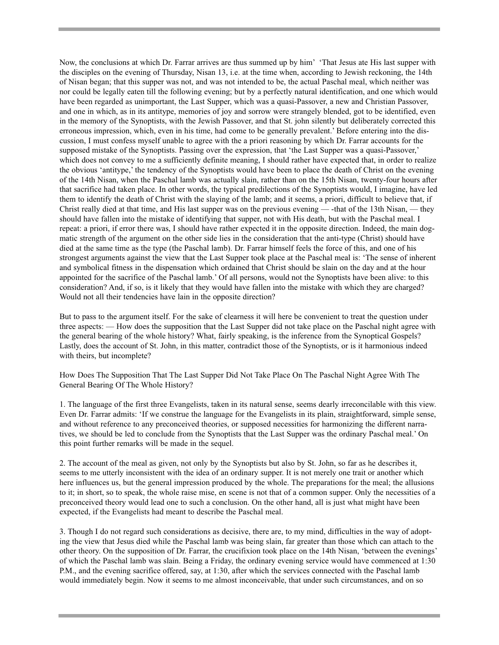Now, the conclusions at which Dr. Farrar arrives are thus summed up by him' 'That Jesus ate His last supper with the disciples on the evening of Thursday, Nisan 13, i.e. at the time when, according to Jewish reckoning, the 14th of Nisan began; that this supper was not, and was not intended to be, the actual Paschal meal, which neither was nor could be legally eaten till the following evening; but by a perfectly natural identification, and one which would have been regarded as unimportant, the Last Supper, which was a quasi-Passover, a new and Christian Passover, and one in which, as in its antitype, memories of joy and sorrow were strangely blended, got to be identified, even in the memory of the Synoptists, with the Jewish Passover, and that St. john silently but deliberately corrected this erroneous impression, which, even in his time, had come to be generally prevalent.' Before entering into the discussion, I must confess myself unable to agree with the a priori reasoning by which Dr. Farrar accounts for the supposed mistake of the Synoptists. Passing over the expression, that 'the Last Supper was a quasi-Passover,' which does not convey to me a sufficiently definite meaning, I should rather have expected that, in order to realize the obvious 'antitype,' the tendency of the Synoptists would have been to place the death of Christ on the evening of the 14th Nisan, when the Paschal lamb was actually slain, rather than on the 15th Nisan, twenty-four hours after that sacrifice had taken place. In other words, the typical predilections of the Synoptists would, I imagine, have led them to identify the death of Christ with the slaying of the lamb; and it seems, a priori, difficult to believe that, if Christ really died at that time, and His last supper was on the previous evening — -that of the 13th Nisan, — they should have fallen into the mistake of identifying that supper, not with His death, but with the Paschal meal. I repeat: a priori, if error there was, I should have rather expected it in the opposite direction. Indeed, the main dogmatic strength of the argument on the other side lies in the consideration that the anti-type (Christ) should have died at the same time as the type (the Paschal lamb). Dr. Farrar himself feels the force of this, and one of his strongest arguments against the view that the Last Supper took place at the Paschal meal is: 'The sense of inherent and symbolical fitness in the dispensation which ordained that Christ should be slain on the day and at the hour appointed for the sacrifice of the Paschal lamb.' Of all persons, would not the Synoptists have been alive: to this consideration? And, if so, is it likely that they would have fallen into the mistake with which they are charged? Would not all their tendencies have lain in the opposite direction?

But to pass to the argument itself. For the sake of clearness it will here be convenient to treat the question under three aspects: — How does the supposition that the Last Supper did not take place on the Paschal night agree with the general bearing of the whole history? What, fairly speaking, is the inference from the Synoptical Gospels? Lastly, does the account of St. John, in this matter, contradict those of the Synoptists, or is it harmonious indeed with theirs, but incomplete?

How Does The Supposition That The Last Supper Did Not Take Place On The Paschal Night Agree With The General Bearing Of The Whole History?

1. The language of the first three Evangelists, taken in its natural sense, seems dearly irreconcilable with this view. Even Dr. Farrar admits: 'If we construe the language for the Evangelists in its plain, straightforward, simple sense, and without reference to any preconceived theories, or supposed necessities for harmonizing the different narratives, we should be led to conclude from the Synoptists that the Last Supper was the ordinary Paschal meal.' On this point further remarks will be made in the sequel.

2. The account of the meal as given, not only by the Synoptists but also by St. John, so far as he describes it, seems to me utterly inconsistent with the idea of an ordinary supper. It is not merely one trait or another which here influences us, but the general impression produced by the whole. The preparations for the meal; the allusions to it; in short, so to speak, the whole raise mise, en scene is not that of a common supper. Only the necessities of a preconceived theory would lead one to such a conclusion. On the other hand, all is just what might have been expected, if the Evangelists had meant to describe the Paschal meal.

3. Though I do not regard such considerations as decisive, there are, to my mind, difficulties in the way of adopting the view that Jesus died while the Paschal lamb was being slain, far greater than those which can attach to the other theory. On the supposition of Dr. Farrar, the crucifixion took place on the 14th Nisan, 'between the evenings' of which the Paschal lamb was slain. Being a Friday, the ordinary evening service would have commenced at 1:30 P.M., and the evening sacrifice offered, say, at 1:30, after which the services connected with the Paschal lamb would immediately begin. Now it seems to me almost inconceivable, that under such circumstances, and on so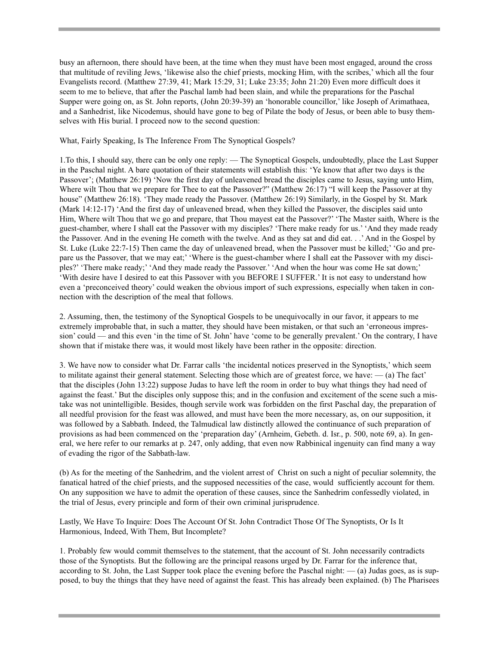busy an afternoon, there should have been, at the time when they must have been most engaged, around the cross that multitude of reviling Jews, 'likewise also the chief priests, mocking Him, with the scribes,' which all the four Evangelists record. (Matthew 27:39, 41; Mark 15:29, 31; Luke 23:35; John 21:20) Even more difficult does it seem to me to believe, that after the Paschal lamb had been slain, and while the preparations for the Paschal Supper were going on, as St. John reports, (John 20:39-39) an 'honorable councillor,' like Joseph of Arimathaea, and a Sanhedrist, like Nicodemus, should have gone to beg of Pilate the body of Jesus, or been able to busy themselves with His burial. I proceed now to the second question:

What, Fairly Speaking, Is The Inference From The Synoptical Gospels?

1.To this, I should say, there can be only one reply: — The Synoptical Gospels, undoubtedly, place the Last Supper in the Paschal night. A bare quotation of their statements will establish this: 'Ye know that after two days is the Passover'; (Matthew 26:19) 'Now the first day of unleavened bread the disciples came to Jesus, saying unto Him, Where wilt Thou that we prepare for Thee to eat the Passover?" (Matthew 26:17) "I will keep the Passover at thy house" (Matthew 26:18). 'They made ready the Passover. (Matthew 26:19) Similarly, in the Gospel by St. Mark (Mark 14:12-17) 'And the first day of unleavened bread, when they killed the Passover, the disciples said unto Him, Where wilt Thou that we go and prepare, that Thou mayest eat the Passover?' 'The Master saith, Where is the guest-chamber, where I shall eat the Passover with my disciples? 'There make ready for us.' 'And they made ready the Passover. And in the evening He cometh with the twelve. And as they sat and did eat. . .' And in the Gospel by St. Luke (Luke 22:7-15) Then came the day of unleavened bread, when the Passover must be killed;' 'Go and prepare us the Passover, that we may eat;' 'Where is the guest-chamber where I shall eat the Passover with my disciples?' 'There make ready;' 'And they made ready the Passover.' 'And when the hour was come He sat down;' 'With desire have I desired to eat this Passover with you BEFORE I SUFFER.' It is not easy to understand how even a 'preconceived theory' could weaken the obvious import of such expressions, especially when taken in connection with the description of the meal that follows.

2. Assuming, then, the testimony of the Synoptical Gospels to be unequivocally in our favor, it appears to me extremely improbable that, in such a matter, they should have been mistaken, or that such an 'erroneous impression' could — and this even 'in the time of St. John' have 'come to be generally prevalent.' On the contrary, I have shown that if mistake there was, it would most likely have been rather in the opposite: direction.

3. We have now to consider what Dr. Farrar calls 'the incidental notices preserved in the Synoptists,' which seem to militate against their general statement. Selecting those which are of greatest force, we have: — (a) The fact' that the disciples (John 13:22) suppose Judas to have left the room in order to buy what things they had need of against the feast.' But the disciples only suppose this; and in the confusion and excitement of the scene such a mistake was not unintelligible. Besides, though servile work was forbidden on the first Paschal day, the preparation of all needful provision for the feast was allowed, and must have been the more necessary, as, on our supposition, it was followed by a Sabbath. Indeed, the Talmudical law distinctly allowed the continuance of such preparation of provisions as had been commenced on the 'preparation day' (Arnheim, Gebeth. d. Isr., p. 500, note 69, a). In general, we here refer to our remarks at p. 247, only adding, that even now Rabbinical ingenuity can find many a way of evading the rigor of the Sabbath-law.

(b) As for the meeting of the Sanhedrim, and the violent arrest of Christ on such a night of peculiar solemnity, the fanatical hatred of the chief priests, and the supposed necessities of the case, would sufficiently account for them. On any supposition we have to admit the operation of these causes, since the Sanhedrim confessedly violated, in the trial of Jesus, every principle and form of their own criminal jurisprudence.

Lastly, We Have To Inquire: Does The Account Of St. John Contradict Those Of The Synoptists, Or Is It Harmonious, Indeed, With Them, But Incomplete?

1. Probably few would commit themselves to the statement, that the account of St. John necessarily contradicts those of the Synoptists. But the following are the principal reasons urged by Dr. Farrar for the inference that, according to St. John, the Last Supper took place the evening before the Paschal night: — (a) Judas goes, as is supposed, to buy the things that they have need of against the feast. This has already been explained. (b) The Pharisees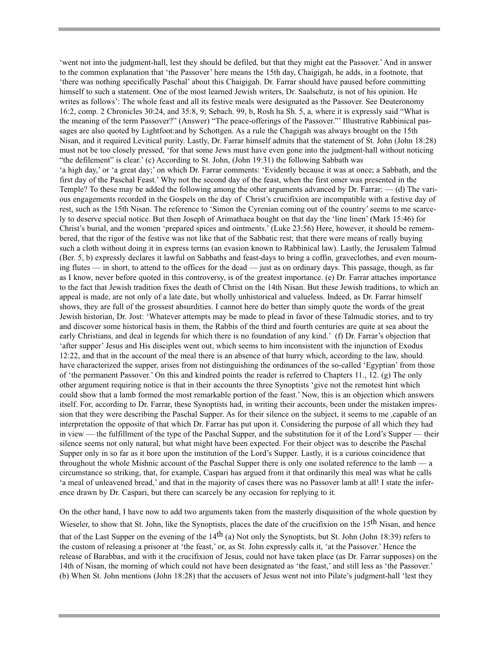'went not into the judgment-hall, lest they should be defiled, but that they might eat the Passover.' And in answer to the common explanation that 'the Passover' here means the 15th day, Chaigigah, he adds, in a footnote, that 'there was nothing specifically Paschal' about this Chaigigah. Dr. Farrar should have paused before committing himself to such a statement. One of the most learned Jewish writers, Dr. Saalschutz, is not of his opinion. He writes as follows': The whole feast and all its festive meals were designated as the Passover. See Deuteronomy 16:2, comp. 2 Chronicles 30:24, and 35:8, 9; Sebach. 99, b, Rosh ha Sh. 5, a, where it is expressly said "What is the meaning of the term Passover?" (Answer) "The peace-offerings of the Passover."' Illustrative Rabbinical passages are also quoted by Lightfoot:and by Schottgen. As a rule the Chagigah was always brought on the 15th Nisan, and it required Levitical purity. Lastly, Dr. Farrar himself admits that the statement of St. John (John 18:28) must not be too closely pressed, 'for that some Jews must have even gone into the judgment-hall without noticing "the defilement" is clear.' (c) According to St. John, (John 19:31) the following Sabbath was 'a high day,' or 'a great day;' on which Dr. Farrar comments: 'Evidently because it was at once; a Sabbath, and the first day of the Paschal Feast.' Why not the second day of the feast, when the first omer was presented in the Temple? To these may be added the following among the other arguments advanced by Dr. Farrar: — (d) The various engagements recorded in the Gospels on the day of Christ's crucifixion are incompatible with a festive day of rest, such as the 15th Nisan. The reference to 'Simon the Cyrenian coming out of the country' seems to me scarcely to deserve special notice. But then Joseph of Arimathaea bought on that day the 'line linen' (Mark 15:46) for Christ's burial, and the women 'prepared spices and ointments.' (Luke 23:56) Here, however, it should be remembered, that the rigor of the festive was not like that of the Sabbatic rest; that there were means of really buying such a cloth without doing it in express terms (an evasion known to Rabbinical law). Lastly, the Jerusalem Talmud (Ber. 5, b) expressly declares it lawful on Sabbaths and feast-days to bring a coffin, graveclothes, and even mourning flutes — in short, to attend to the offices for the dead — just as on ordinary days. This passage, though, as far as I know, never before quoted in this controversy, is of the greatest importance. (e) Dr. Farrar attaches importance to the fact that Jewish tradition fixes the death of Christ on the 14th Nisan. But these Jewish traditions, to which an appeal is made, are not only of a late date, but wholly unhistorical and valueless. Indeed, as Dr. Farrar himself shows, they are full of the grossest absurdities. I cannot here do better than simply quote the words of the great Jewish historian, Dr. Jost: 'Whatever attempts may be made to plead in favor of these Talmudic stories, and to try and discover some historical basis in them, the Rabbis of the third and fourth centuries are quite at sea about the early Christians, and deal in legends for which there is no foundation of any kind.' (f) Dr. Farrar's objection that 'after supper' Jesus and His disciples went out, which seems to him inconsistent with the injunction of Exodus 12:22, and that in the account of the meal there is an absence of that hurry which, according to the law, should have characterized the supper, arises from not distinguishing the ordinances of the so-called 'Egyptian' from those of 'the permanent Passover.' On this and kindred points the reader is referred to Chapters 11., 12. (g) The only other argument requiring notice is that in their accounts the three Synoptists 'give not the remotest hint which could show that a lamb formed the most remarkable portion of the feast.' Now, this is an objection which answers itself. For, according to Dr. Farrar, these Synoptists had, in writing their accounts, been under the mistaken impression that they were describing the Paschal Supper. As for their silence on the subject, it seems to me ,capable of an interpretation the opposite of that which Dr. Farrar has put upon it. Considering the purpose of all which they had in view — the fulfillment of the type of the Paschal Supper, and the substitution for it of the Lord's Supper — their silence seems not only natural, but what might have been expected. For their object was to describe the Paschal Supper only in so far as it bore upon the institution of the Lord's Supper. Lastly, it is a curious coincidence that throughout the whole Mishnic account of the Paschal Supper there is only one isolated reference to the lamb — a circumstance so striking, that, for example, Caspari has argued from it that ordinarily this meal was what he calls 'a meal of unleavened bread,' and that in the majority of cases there was no Passover lamb at all! I state the inference drawn by Dr. Caspari, but there can scarcely be any occasion for replying to it.

On the other hand, I have now to add two arguments taken from the masterly disquisition of the whole question by Wieseler, to show that St. John, like the Synoptists, places the date of the crucifixion on the 15<sup>th</sup> Nisan, and hence that of the Last Supper on the evening of the  $14<sup>th</sup>$  (a) Not only the Synoptists, but St. John (John 18:39) refers to the custom of releasing a prisoner at 'the feast,' or, as St. John expressly calls it, 'at the Passover.' Hence the release of Barabbas, and with it the crucifixion of Jesus, could not have taken place (as Dr. Farrar supposes) on the 14th of Nisan, the morning of which could not have been designated as 'the feast,' and still less as 'the Passover.' (b) When St. John mentions (John 18:28) that the accusers of Jesus went not into Pilate's judgment-hall 'lest they